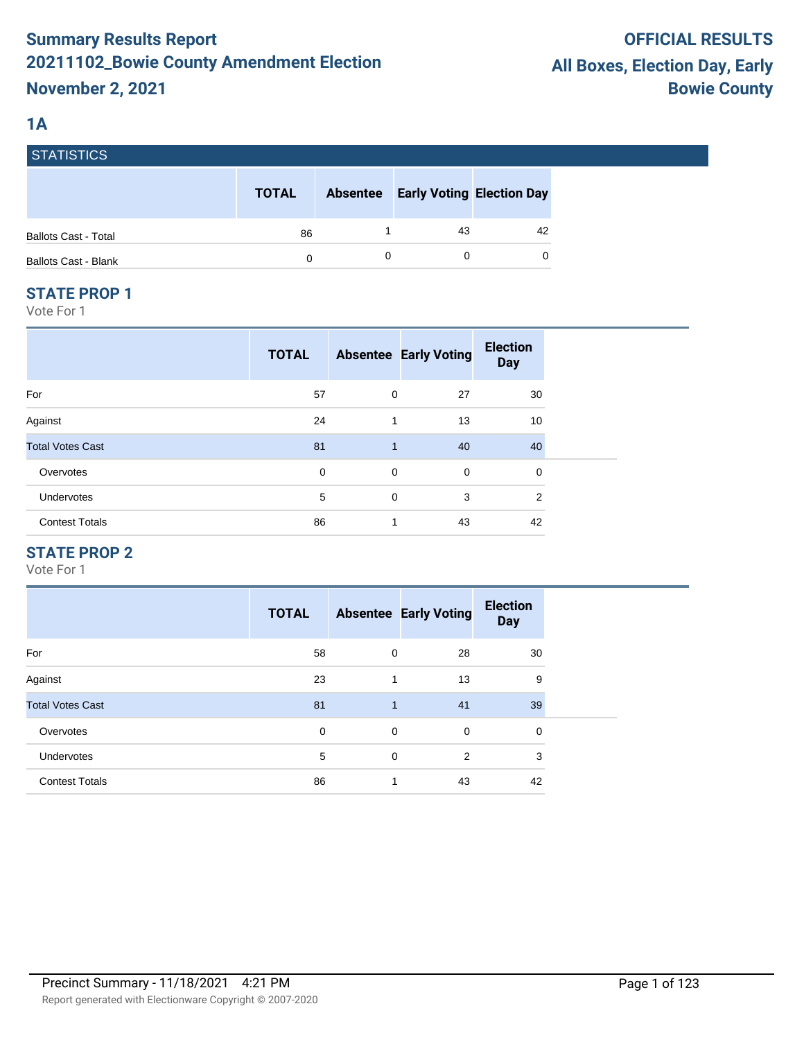# **1A**

| STATISTICS                  |              |                 |                                  |    |
|-----------------------------|--------------|-----------------|----------------------------------|----|
|                             | <b>TOTAL</b> | <b>Absentee</b> | <b>Early Voting Election Day</b> |    |
| <b>Ballots Cast - Total</b> | 86           |                 | 43                               | 42 |
| <b>Ballots Cast - Blank</b> | 0            |                 |                                  | 0  |

#### **STATE PROP 1**

Vote For 1

|                         | <b>TOTAL</b> |              | <b>Absentee Early Voting</b> | <b>Election</b><br><b>Day</b> |  |
|-------------------------|--------------|--------------|------------------------------|-------------------------------|--|
| For                     | 57           | 0            | 27                           | 30                            |  |
| Against                 | 24           | 1            | 13                           | 10                            |  |
| <b>Total Votes Cast</b> | 81           | $\mathbf{1}$ | 40                           | 40                            |  |
| Overvotes               | $\mathbf 0$  | $\mathbf 0$  | $\mathbf 0$                  | 0                             |  |
| Undervotes              | 5            | $\mathbf 0$  | 3                            | $\overline{2}$                |  |
| <b>Contest Totals</b>   | 86           | 1            | 43                           | 42                            |  |

## **STATE PROP 2**

|                         | <b>TOTAL</b> |              | <b>Absentee Early Voting</b> | <b>Election</b><br><b>Day</b> |
|-------------------------|--------------|--------------|------------------------------|-------------------------------|
| For                     | 58           | 0            | 28                           | 30                            |
| Against                 | 23           | 1            | 13                           | 9                             |
| <b>Total Votes Cast</b> | 81           | $\mathbf{1}$ | 41                           | 39                            |
| Overvotes               | 0            | 0            | $\mathbf 0$                  | 0                             |
| <b>Undervotes</b>       | 5            | 0            | 2                            | 3                             |
| <b>Contest Totals</b>   | 86           | 1            | 43                           | 42                            |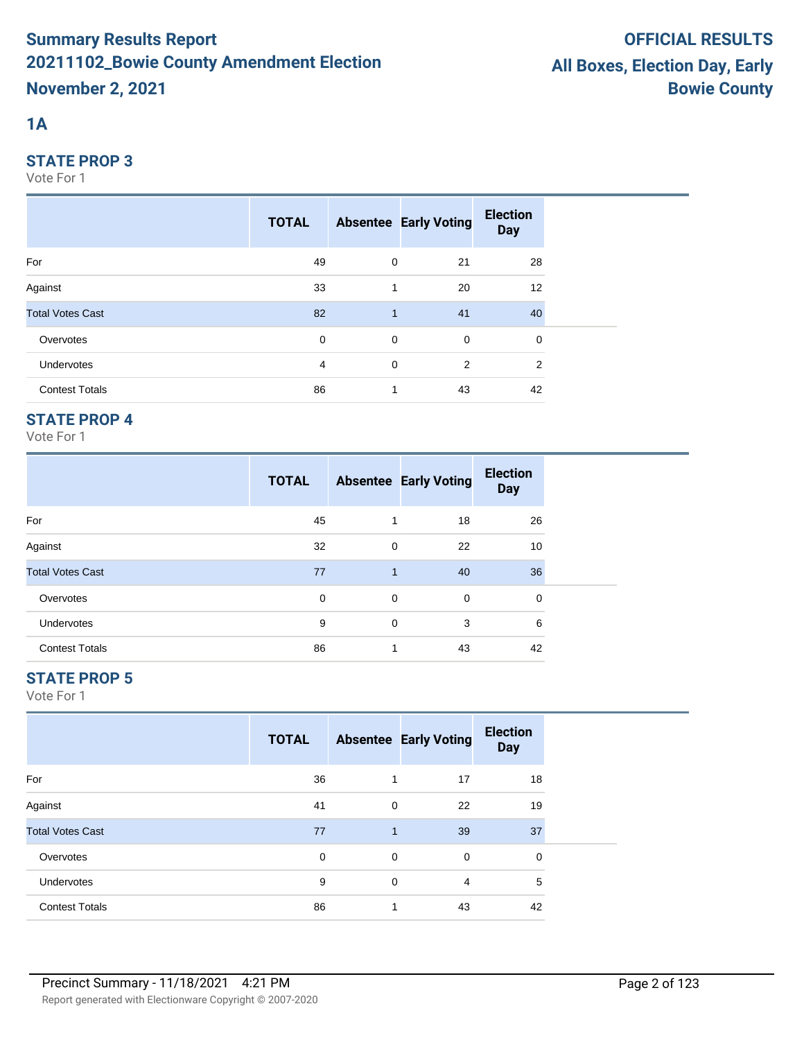# **1A**

#### **STATE PROP 3**

Vote For 1

|                         | <b>TOTAL</b> |              | <b>Absentee Early Voting</b> | <b>Election</b><br><b>Day</b> |  |
|-------------------------|--------------|--------------|------------------------------|-------------------------------|--|
| For                     | 49           | $\mathbf 0$  | 21                           | 28                            |  |
| Against                 | 33           | $\mathbf{1}$ | 20                           | 12                            |  |
| <b>Total Votes Cast</b> | 82           | $\mathbf{1}$ | 41                           | 40                            |  |
| Overvotes               | $\mathbf 0$  | $\mathbf 0$  | $\mathbf 0$                  | 0                             |  |
| Undervotes              | 4            | $\mathbf 0$  | 2                            | 2                             |  |
| <b>Contest Totals</b>   | 86           | 1            | 43                           | 42                            |  |

## **STATE PROP 4**

Vote For 1

|                         | <b>TOTAL</b> |   | <b>Absentee Early Voting</b> | <b>Election</b><br><b>Day</b> |
|-------------------------|--------------|---|------------------------------|-------------------------------|
| For                     | 45           | 1 | 18                           | 26                            |
| Against                 | 32           | 0 | 22                           | 10                            |
| <b>Total Votes Cast</b> | 77           | 1 | 40                           | 36                            |
| Overvotes               | 0            | 0 | 0                            | 0                             |
| <b>Undervotes</b>       | 9            | 0 | 3                            | 6                             |
| <b>Contest Totals</b>   | 86           | 1 | 43                           | 42                            |

## **STATE PROP 5**

|                         | <b>TOTAL</b> |              | <b>Absentee Early Voting</b> | <b>Election</b><br><b>Day</b> |
|-------------------------|--------------|--------------|------------------------------|-------------------------------|
| For                     | 36           | 1            | 17                           | 18                            |
| Against                 | 41           | 0            | 22                           | 19                            |
| <b>Total Votes Cast</b> | 77           | $\mathbf{1}$ | 39                           | 37                            |
| Overvotes               | 0            | 0            | 0                            | 0                             |
| <b>Undervotes</b>       | 9            | $\mathbf 0$  | 4                            | 5                             |
| <b>Contest Totals</b>   | 86           | 1            | 43                           | 42                            |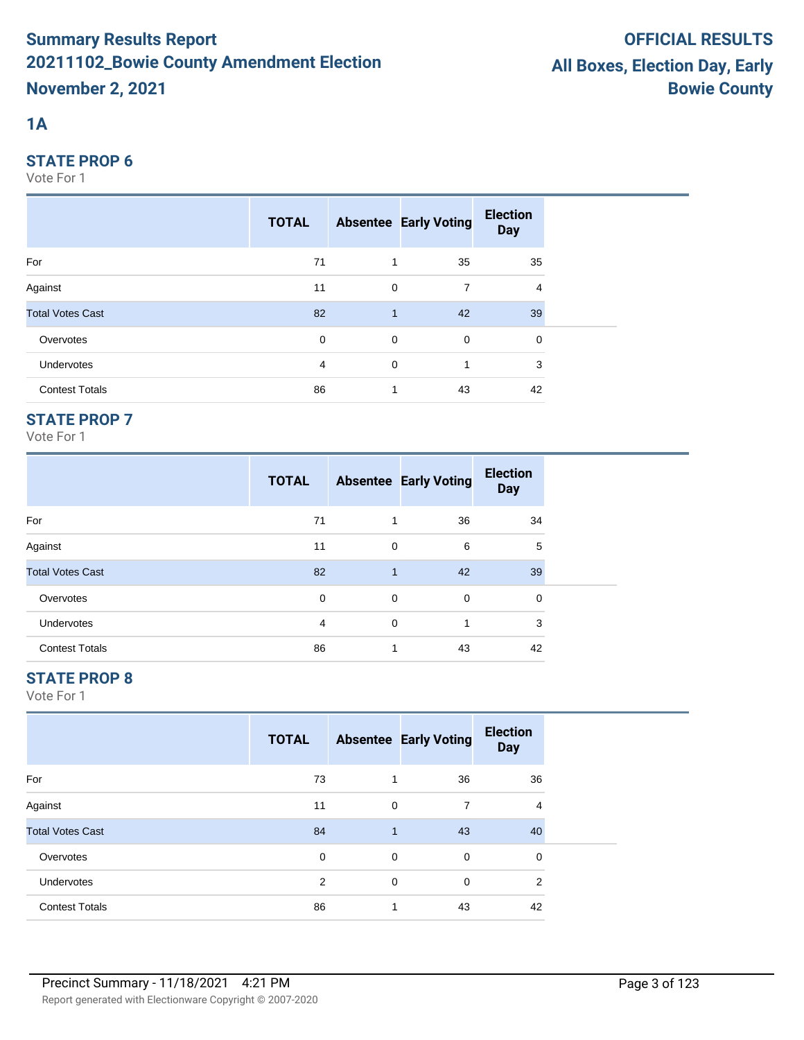# **1A**

#### **STATE PROP 6**

Vote For 1

|                         | <b>TOTAL</b> |                | <b>Absentee Early Voting</b> | <b>Election</b><br><b>Day</b> |  |
|-------------------------|--------------|----------------|------------------------------|-------------------------------|--|
| For                     | 71           | $\overline{1}$ | 35                           | 35                            |  |
| Against                 | 11           | $\mathbf 0$    | 7                            | 4                             |  |
| <b>Total Votes Cast</b> | 82           | $\mathbf{1}$   | 42                           | 39                            |  |
| Overvotes               | $\mathbf 0$  | $\mathbf 0$    | $\mathbf 0$                  | 0                             |  |
| Undervotes              | 4            | $\mathbf 0$    | 1                            | 3                             |  |
| <b>Contest Totals</b>   | 86           | $\mathbf 1$    | 43                           | 42                            |  |

## **STATE PROP 7**

Vote For 1

|                         | <b>TOTAL</b> |                | <b>Absentee Early Voting</b> | <b>Election</b><br><b>Day</b> |
|-------------------------|--------------|----------------|------------------------------|-------------------------------|
| For                     | 71           | 1              | 36                           | 34                            |
| Against                 | 11           | $\mathbf 0$    | 6                            | 5                             |
| <b>Total Votes Cast</b> | 82           | $\overline{1}$ | 42                           | 39                            |
| Overvotes               | 0            | 0              | 0                            | 0                             |
| <b>Undervotes</b>       | 4            | $\mathbf 0$    | 1                            | 3                             |
| <b>Contest Totals</b>   | 86           | 1              | 43                           | 42                            |

# **STATE PROP 8**

|                         | <b>TOTAL</b> |              | <b>Absentee Early Voting</b> | <b>Election</b><br><b>Day</b> |  |
|-------------------------|--------------|--------------|------------------------------|-------------------------------|--|
| For                     | 73           | 1            | 36                           | 36                            |  |
| Against                 | 11           | 0            | 7                            | 4                             |  |
| <b>Total Votes Cast</b> | 84           | $\mathbf{1}$ | 43                           | 40                            |  |
| Overvotes               | $\mathbf 0$  | 0            | $\mathbf 0$                  | 0                             |  |
| Undervotes              | 2            | 0            | $\mathbf 0$                  | $\overline{2}$                |  |
| <b>Contest Totals</b>   | 86           | 1            | 43                           | 42                            |  |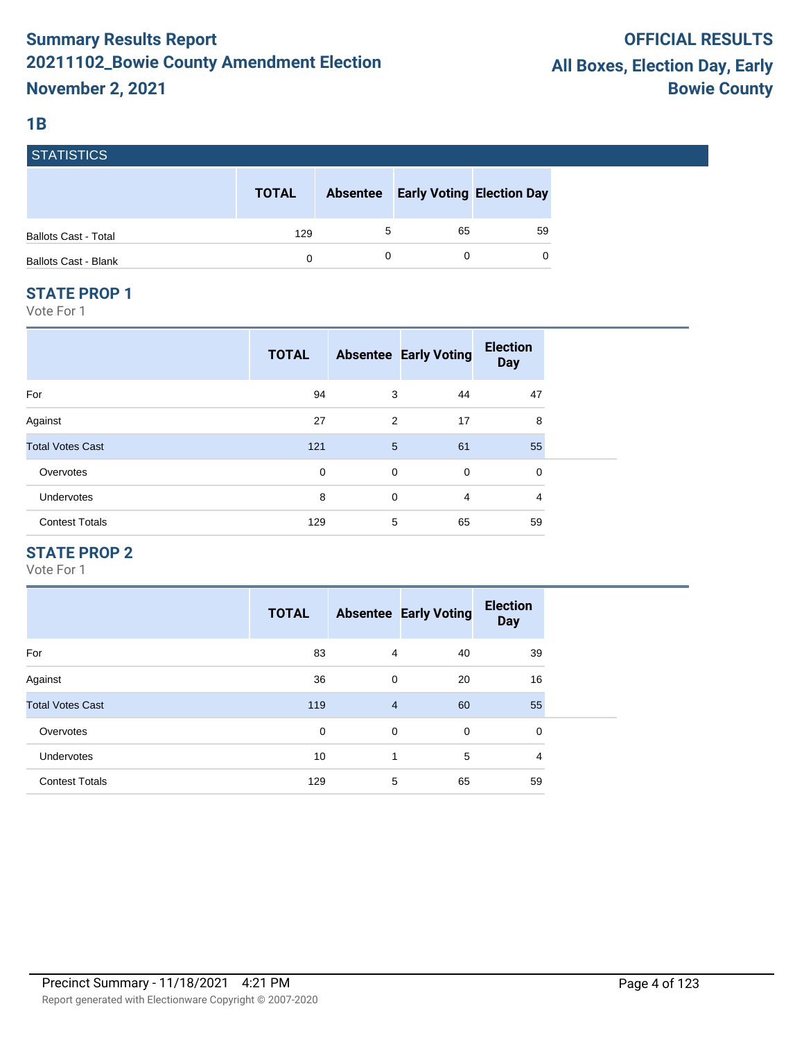#### **1B**

| <b>STATISTICS</b>           |              |                 |                                  |    |
|-----------------------------|--------------|-----------------|----------------------------------|----|
|                             | <b>TOTAL</b> | <b>Absentee</b> | <b>Early Voting Election Day</b> |    |
| <b>Ballots Cast - Total</b> | 129          | 5               | 65                               | 59 |
| <b>Ballots Cast - Blank</b> | 0            |                 |                                  | 0  |
|                             |              |                 |                                  |    |

#### **STATE PROP 1**

Vote For 1

|                         | <b>TOTAL</b> |             | <b>Absentee Early Voting</b> | <b>Election</b><br><b>Day</b> |
|-------------------------|--------------|-------------|------------------------------|-------------------------------|
| For                     | 94           | 3           | 44                           | 47                            |
| Against                 | 27           | 2           | 17                           | 8                             |
| <b>Total Votes Cast</b> | 121          | 5           | 61                           | 55                            |
| Overvotes               | 0            | $\mathbf 0$ | 0                            | 0                             |
| Undervotes              | 8            | $\mathbf 0$ | $\overline{4}$               | 4                             |
| <b>Contest Totals</b>   | 129          | 5           | 65                           | 59                            |

## **STATE PROP 2**

|                         | <b>TOTAL</b> |                | <b>Absentee Early Voting</b> | <b>Election</b><br><b>Day</b> |
|-------------------------|--------------|----------------|------------------------------|-------------------------------|
| For                     | 83           | 4              | 40                           | 39                            |
| Against                 | 36           | $\mathbf 0$    | 20                           | 16                            |
| <b>Total Votes Cast</b> | 119          | $\overline{4}$ | 60                           | 55                            |
| Overvotes               | 0            | $\mathbf 0$    | 0                            | 0                             |
| <b>Undervotes</b>       | 10           | 1              | 5                            | 4                             |
| <b>Contest Totals</b>   | 129          | 5              | 65                           | 59                            |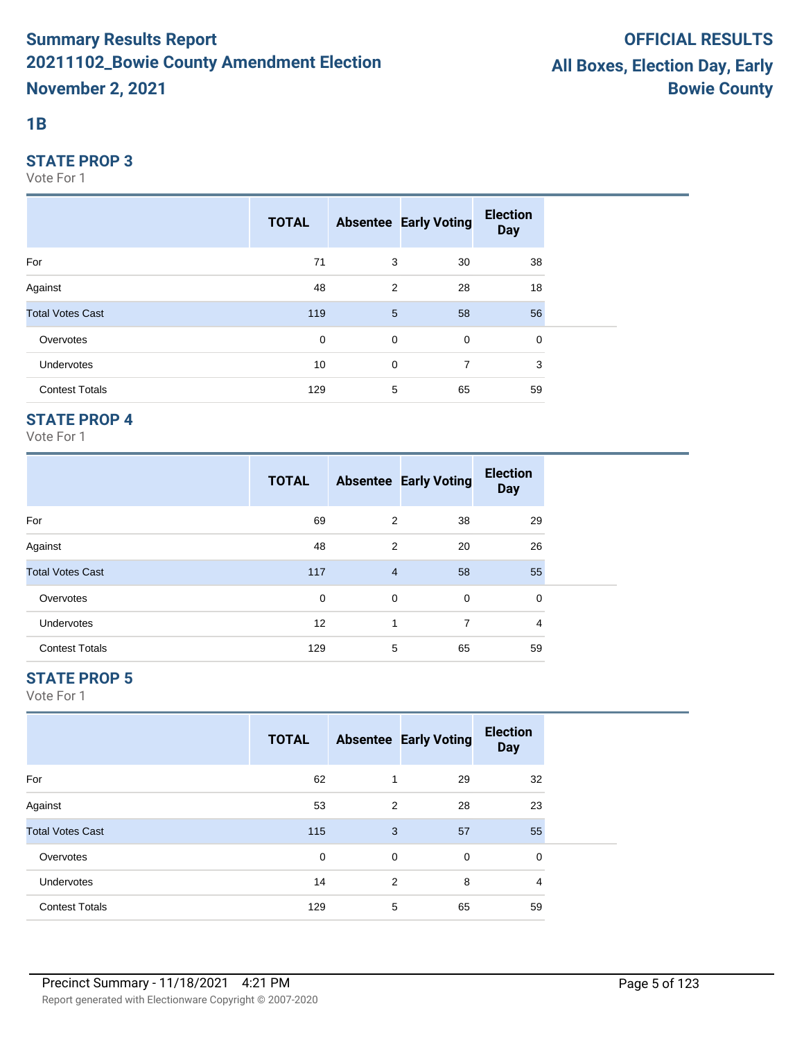#### **1B**

#### **STATE PROP 3**

Vote For 1

|                         | <b>TOTAL</b> |                 | <b>Absentee Early Voting</b> | <b>Election</b><br><b>Day</b> |  |
|-------------------------|--------------|-----------------|------------------------------|-------------------------------|--|
| For                     | 71           | 3               | 30                           | 38                            |  |
| Against                 | 48           | 2               | 28                           | 18                            |  |
| <b>Total Votes Cast</b> | 119          | $5\overline{)}$ | 58                           | 56                            |  |
| Overvotes               | 0            | $\mathbf 0$     | $\mathbf 0$                  | 0                             |  |
| <b>Undervotes</b>       | 10           | $\mathbf 0$     | 7                            | 3                             |  |
| <b>Contest Totals</b>   | 129          | 5               | 65                           | 59                            |  |

## **STATE PROP 4**

Vote For 1

|                         | <b>TOTAL</b> |                | <b>Absentee Early Voting</b> | <b>Election</b><br><b>Day</b> |  |
|-------------------------|--------------|----------------|------------------------------|-------------------------------|--|
| For                     | 69           | 2              | 38                           | 29                            |  |
| Against                 | 48           | 2              | 20                           | 26                            |  |
| <b>Total Votes Cast</b> | 117          | $\overline{4}$ | 58                           | 55                            |  |
| Overvotes               | 0            | 0              | $\mathbf 0$                  | 0                             |  |
| <b>Undervotes</b>       | 12           | 1              | 7                            | 4                             |  |
| <b>Contest Totals</b>   | 129          | 5              | 65                           | 59                            |  |

## **STATE PROP 5**

|                         | <b>TOTAL</b> |                | <b>Absentee Early Voting</b> | <b>Election</b><br><b>Day</b> |
|-------------------------|--------------|----------------|------------------------------|-------------------------------|
| For                     | 62           | 1              | 29                           | 32                            |
| Against                 | 53           | 2              | 28                           | 23                            |
| <b>Total Votes Cast</b> | 115          | 3              | 57                           | 55                            |
| Overvotes               | 0            | 0              | 0                            | 0                             |
| Undervotes              | 14           | $\overline{2}$ | 8                            | $\overline{4}$                |
| <b>Contest Totals</b>   | 129          | 5              | 65                           | 59                            |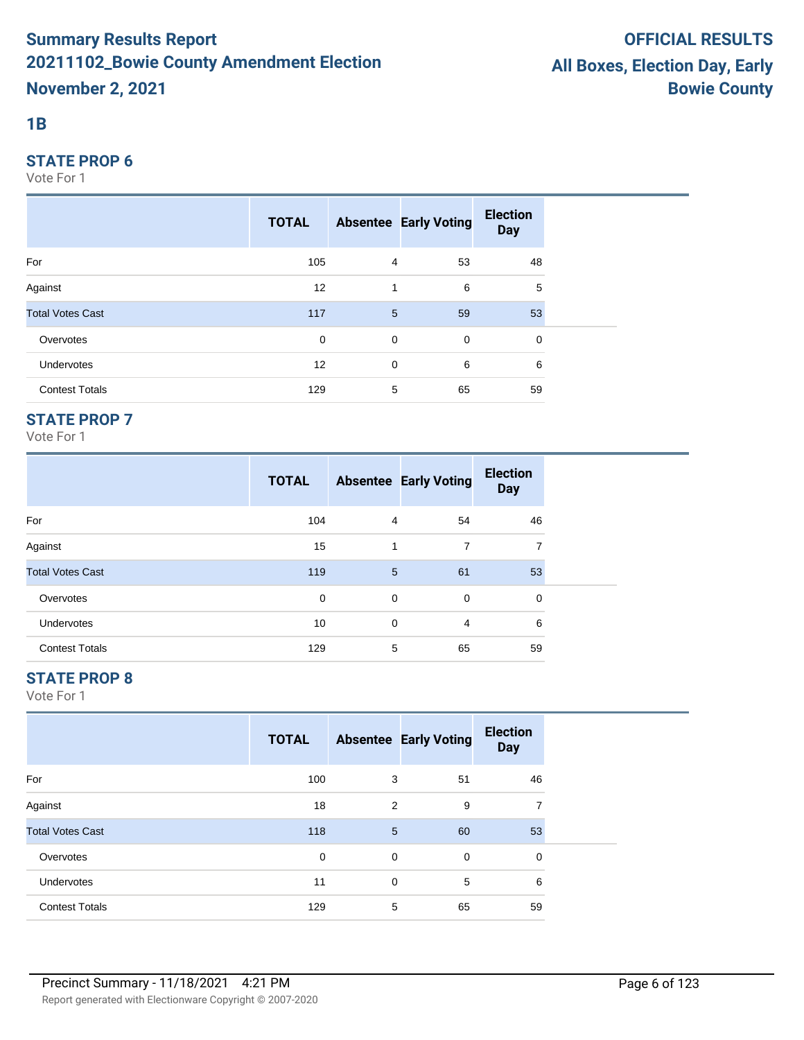#### **1B**

#### **STATE PROP 6**

Vote For 1

|                         | <b>TOTAL</b> |                 | <b>Absentee Early Voting</b> | <b>Election</b><br><b>Day</b> |  |
|-------------------------|--------------|-----------------|------------------------------|-------------------------------|--|
| For                     | 105          | $\overline{4}$  | 53                           | 48                            |  |
| Against                 | 12           | 1               | 6                            | 5                             |  |
| <b>Total Votes Cast</b> | 117          | $5\phantom{.0}$ | 59                           | 53                            |  |
| Overvotes               | 0            | 0               | $\mathbf 0$                  | 0                             |  |
| Undervotes              | 12           | $\mathbf 0$     | 6                            | 6                             |  |
| <b>Contest Totals</b>   | 129          | 5               | 65                           | 59                            |  |

## **STATE PROP 7**

Vote For 1

|                         | <b>TOTAL</b> |   | <b>Absentee Early Voting</b> | <b>Election</b><br><b>Day</b> |
|-------------------------|--------------|---|------------------------------|-------------------------------|
| For                     | 104          | 4 | 54                           | 46                            |
| Against                 | 15           | 1 | 7                            | 7                             |
| <b>Total Votes Cast</b> | 119          | 5 | 61                           | 53                            |
| Overvotes               | $\mathbf 0$  | 0 | 0                            | 0                             |
| Undervotes              | 10           | 0 | 4                            | 6                             |
| <b>Contest Totals</b>   | 129          | 5 | 65                           | 59                            |

## **STATE PROP 8**

|                         | <b>TOTAL</b> |   | <b>Absentee Early Voting</b> | <b>Election</b><br><b>Day</b> |
|-------------------------|--------------|---|------------------------------|-------------------------------|
| For                     | 100          | 3 | 51                           | 46                            |
| Against                 | 18           | 2 | 9                            | 7                             |
| <b>Total Votes Cast</b> | 118          | 5 | 60                           | 53                            |
| Overvotes               | 0            | 0 | 0                            | 0                             |
| <b>Undervotes</b>       | 11           | 0 | 5                            | 6                             |
| <b>Contest Totals</b>   | 129          | 5 | 65                           | 59                            |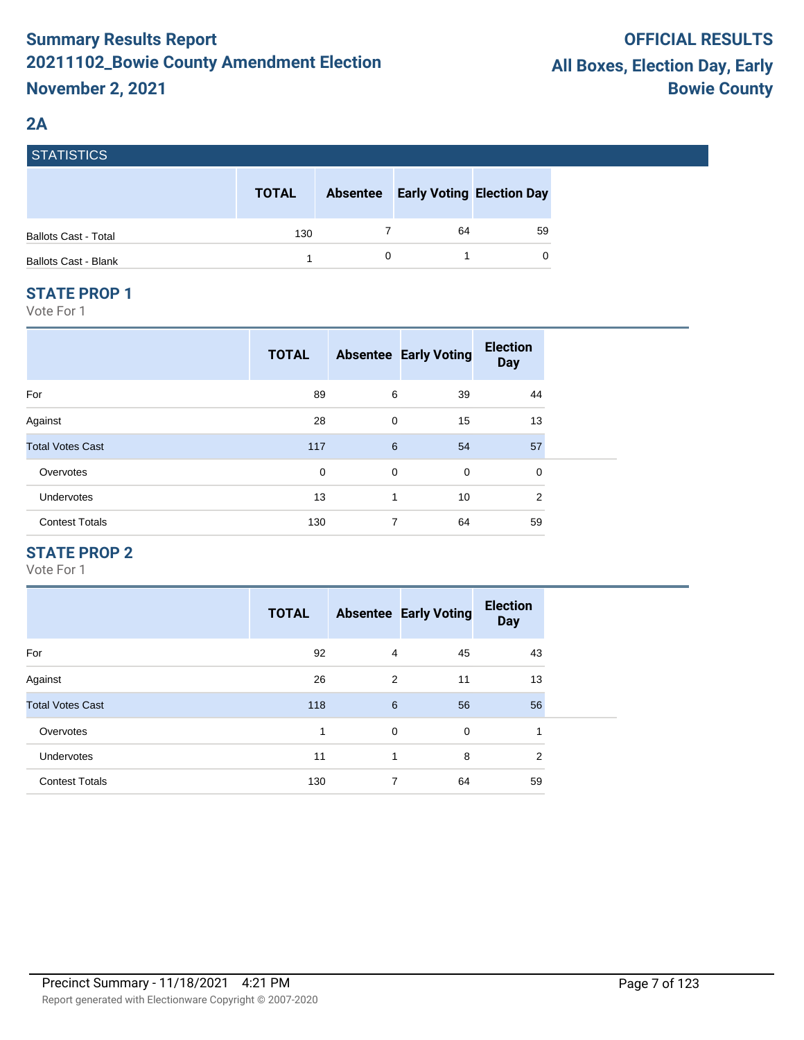## **2A**

| I SIAIISIIUS                |              |                 |                                  |          |
|-----------------------------|--------------|-----------------|----------------------------------|----------|
|                             | <b>TOTAL</b> | <b>Absentee</b> | <b>Early Voting Election Day</b> |          |
| <b>Ballots Cast - Total</b> | 130          |                 | 64                               | 59       |
| <b>Ballots Cast - Blank</b> |              |                 |                                  | $\Omega$ |

#### **STATE PROP 1**

EATIOTIOS

Vote For 1

|                         | <b>TOTAL</b> |   | <b>Absentee Early Voting</b> | <b>Election</b><br><b>Day</b> |  |
|-------------------------|--------------|---|------------------------------|-------------------------------|--|
| For                     | 89           | 6 | 39                           | 44                            |  |
| Against                 | 28           | 0 | 15                           | 13                            |  |
| <b>Total Votes Cast</b> | 117          | 6 | 54                           | 57                            |  |
| Overvotes               | $\mathbf 0$  | 0 | 0                            | 0                             |  |
| Undervotes              | 13           | 1 | 10                           | $\overline{2}$                |  |
| <b>Contest Totals</b>   | 130          | 7 | 64                           | 59                            |  |

## **STATE PROP 2**

|                         | <b>TOTAL</b> |   | <b>Absentee Early Voting</b> | <b>Election</b><br><b>Day</b> |
|-------------------------|--------------|---|------------------------------|-------------------------------|
| For                     | 92           | 4 | 45                           | 43                            |
| Against                 | 26           | 2 | 11                           | 13                            |
| <b>Total Votes Cast</b> | 118          | 6 | 56                           | 56                            |
| Overvotes               | 1            | 0 | $\mathbf 0$                  | 1                             |
| <b>Undervotes</b>       | 11           | 1 | 8                            | 2                             |
| <b>Contest Totals</b>   | 130          | 7 | 64                           | 59                            |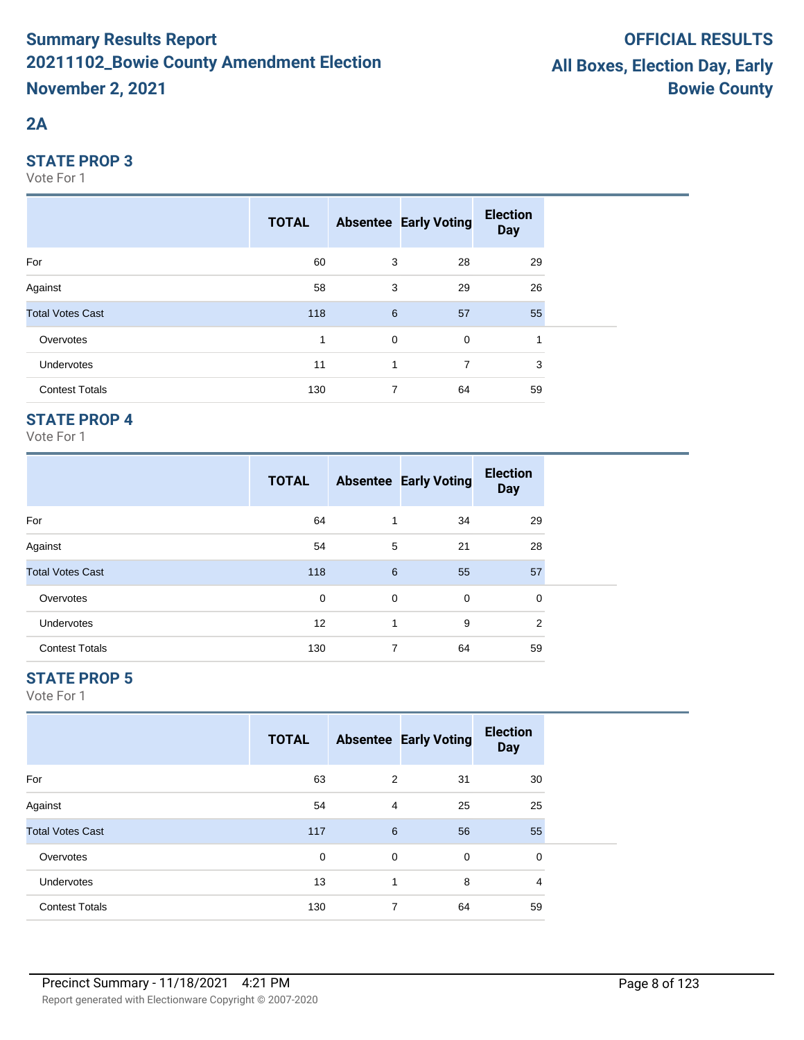# **2A**

#### **STATE PROP 3**

Vote For 1

|                         | <b>TOTAL</b> |             | <b>Absentee Early Voting</b> | <b>Election</b><br><b>Day</b> |  |
|-------------------------|--------------|-------------|------------------------------|-------------------------------|--|
| For                     | 60           | 3           | 28                           | 29                            |  |
| Against                 | 58           | 3           | 29                           | 26                            |  |
| <b>Total Votes Cast</b> | 118          | 6           | 57                           | 55                            |  |
| Overvotes               | 1            | $\mathbf 0$ | $\mathbf 0$                  | 1                             |  |
| <b>Undervotes</b>       | 11           | 1           | 7                            | 3                             |  |
| <b>Contest Totals</b>   | 130          | 7           | 64                           | 59                            |  |

## **STATE PROP 4**

Vote For 1

|                         | <b>TOTAL</b> |   | <b>Absentee Early Voting</b> | <b>Election</b><br><b>Day</b> |  |
|-------------------------|--------------|---|------------------------------|-------------------------------|--|
| For                     | 64           | 1 | 34                           | 29                            |  |
| Against                 | 54           | 5 | 21                           | 28                            |  |
| <b>Total Votes Cast</b> | 118          | 6 | 55                           | 57                            |  |
| Overvotes               | $\mathbf 0$  | 0 | $\mathbf 0$                  | $\mathbf 0$                   |  |
| <b>Undervotes</b>       | 12           | 1 | 9                            | 2                             |  |
| <b>Contest Totals</b>   | 130          | 7 | 64                           | 59                            |  |

## **STATE PROP 5**

|                         | <b>TOTAL</b> |                | <b>Absentee Early Voting</b> | <b>Election</b><br><b>Day</b> |  |
|-------------------------|--------------|----------------|------------------------------|-------------------------------|--|
| For                     | 63           | 2              | 31                           | 30                            |  |
| Against                 | 54           | $\overline{4}$ | 25                           | 25                            |  |
| <b>Total Votes Cast</b> | 117          | 6              | 56                           | 55                            |  |
| Overvotes               | 0            | 0              | 0                            | 0                             |  |
| Undervotes              | 13           | 1              | 8                            | $\overline{4}$                |  |
| <b>Contest Totals</b>   | 130          | 7              | 64                           | 59                            |  |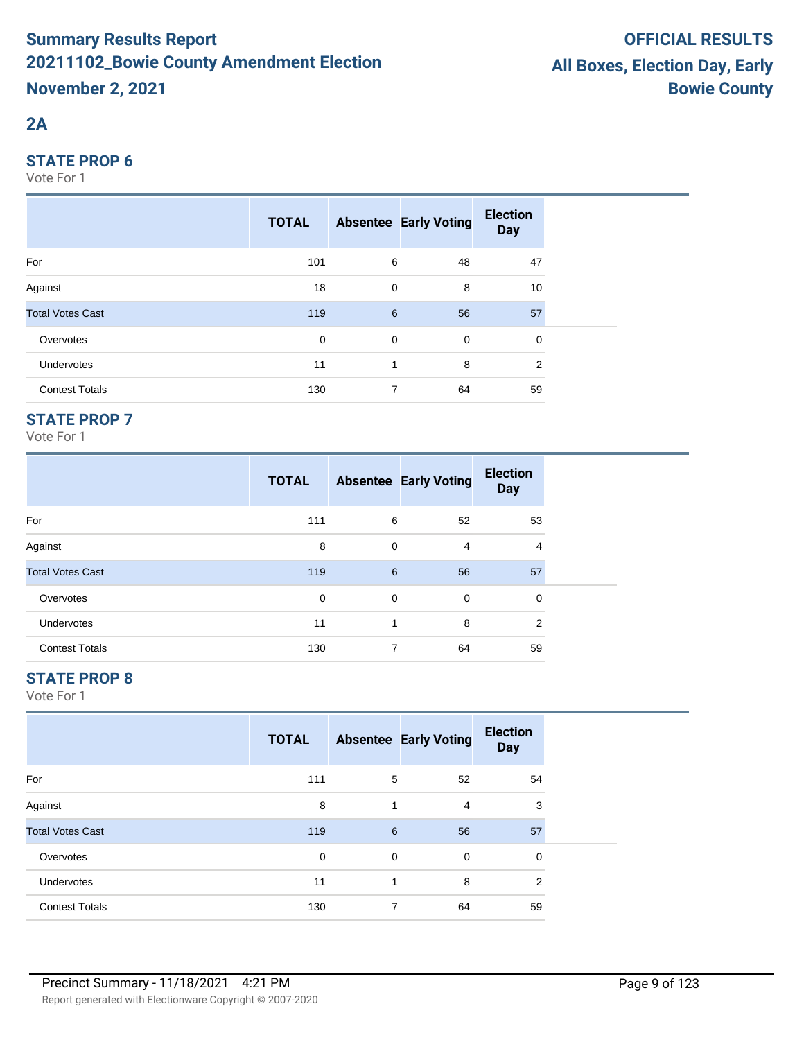# **2A**

#### **STATE PROP 6**

Vote For 1

|                         | <b>TOTAL</b> |             | <b>Absentee Early Voting</b> | <b>Election</b><br><b>Day</b> |  |
|-------------------------|--------------|-------------|------------------------------|-------------------------------|--|
| For                     | 101          | 6           | 48                           | 47                            |  |
| Against                 | 18           | 0           | 8                            | 10                            |  |
| <b>Total Votes Cast</b> | 119          | 6           | 56                           | 57                            |  |
| Overvotes               | 0            | $\mathbf 0$ | $\mathbf 0$                  | 0                             |  |
| Undervotes              | 11           | 1           | 8                            | 2                             |  |
| <b>Contest Totals</b>   | 130          | 7           | 64                           | 59                            |  |

## **STATE PROP 7**

Vote For 1

|                         | <b>TOTAL</b> |   | <b>Absentee Early Voting</b> | <b>Election</b><br><b>Day</b> |  |
|-------------------------|--------------|---|------------------------------|-------------------------------|--|
| For                     | 111          | 6 | 52                           | 53                            |  |
| Against                 | 8            | 0 | 4                            | 4                             |  |
| <b>Total Votes Cast</b> | 119          | 6 | 56                           | 57                            |  |
| Overvotes               | 0            | 0 | 0                            | 0                             |  |
| <b>Undervotes</b>       | 11           | 1 | 8                            | 2                             |  |
| <b>Contest Totals</b>   | 130          | 7 | 64                           | 59                            |  |

## **STATE PROP 8**

|                         | <b>TOTAL</b> |   | <b>Absentee Early Voting</b> | <b>Election</b><br><b>Day</b> |  |
|-------------------------|--------------|---|------------------------------|-------------------------------|--|
| For                     | 111          | 5 | 52                           | 54                            |  |
| Against                 | 8            | 1 | 4                            | 3                             |  |
| <b>Total Votes Cast</b> | 119          | 6 | 56                           | 57                            |  |
| Overvotes               | 0            | 0 | 0                            | 0                             |  |
| Undervotes              | 11           | 1 | 8                            | 2                             |  |
| <b>Contest Totals</b>   | 130          | 7 | 64                           | 59                            |  |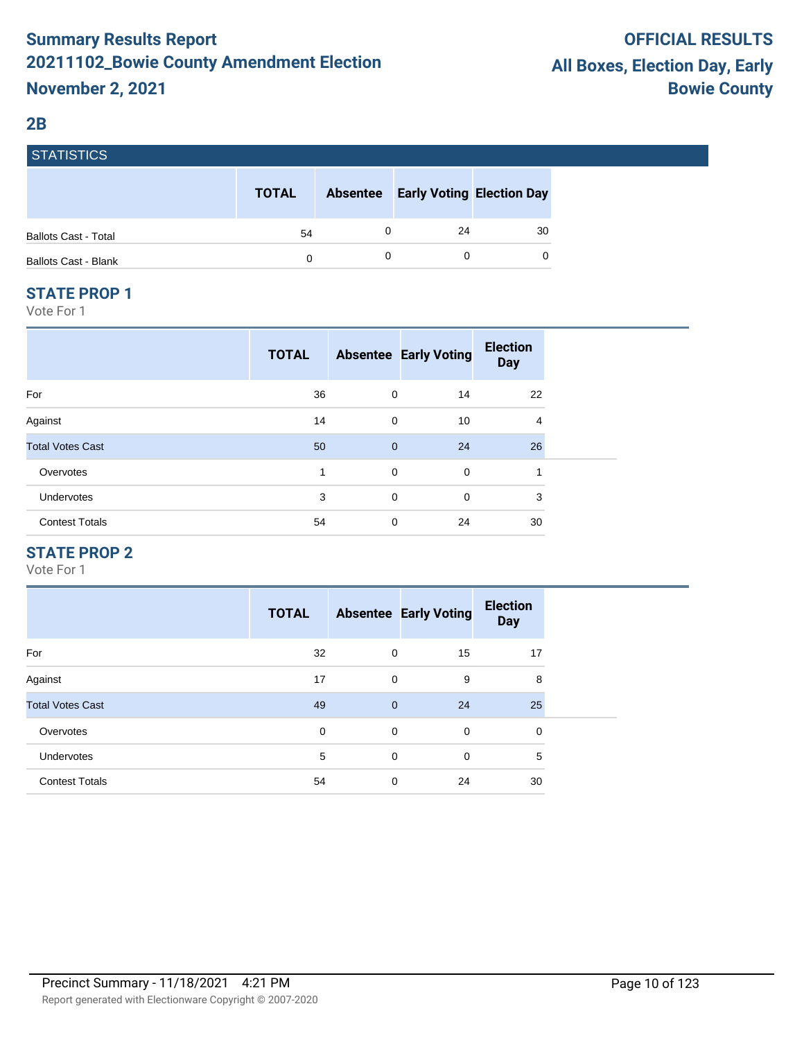#### **2B**

| <b>STATISTICS</b>           |              |                 |                                  |    |
|-----------------------------|--------------|-----------------|----------------------------------|----|
|                             | <b>TOTAL</b> | <b>Absentee</b> | <b>Early Voting Election Day</b> |    |
| <b>Ballots Cast - Total</b> | 54           |                 | 24                               | 30 |
| <b>Ballots Cast - Blank</b> | 0            |                 |                                  | 0  |

#### **STATE PROP 1**

Vote For 1

|                         | <b>TOTAL</b> |              | <b>Absentee Early Voting</b> | <b>Election</b><br><b>Day</b> |
|-------------------------|--------------|--------------|------------------------------|-------------------------------|
| For                     | 36           | 0            | 14                           | 22                            |
| Against                 | 14           | $\mathbf 0$  | 10                           | 4                             |
| <b>Total Votes Cast</b> | 50           | $\mathbf{0}$ | 24                           | 26                            |
| Overvotes               | 1            | $\mathbf 0$  | $\mathbf 0$                  | 1                             |
| Undervotes              | 3            | $\mathbf 0$  | $\mathbf 0$                  | 3                             |
| <b>Contest Totals</b>   | 54           | $\mathbf 0$  | 24                           | 30                            |

## **STATE PROP 2**

|                         | <b>TOTAL</b> |                | <b>Absentee Early Voting</b> | <b>Election</b><br><b>Day</b> |
|-------------------------|--------------|----------------|------------------------------|-------------------------------|
| For                     | 32           | 0              | 15                           | 17                            |
| Against                 | 17           | $\mathbf 0$    | 9                            | 8                             |
| <b>Total Votes Cast</b> | 49           | $\overline{0}$ | 24                           | 25                            |
| Overvotes               | 0            | $\mathbf 0$    | $\mathbf 0$                  | 0                             |
| Undervotes              | 5            | $\mathbf 0$    | $\mathbf 0$                  | 5                             |
| <b>Contest Totals</b>   | 54           | $\mathbf 0$    | 24                           | 30                            |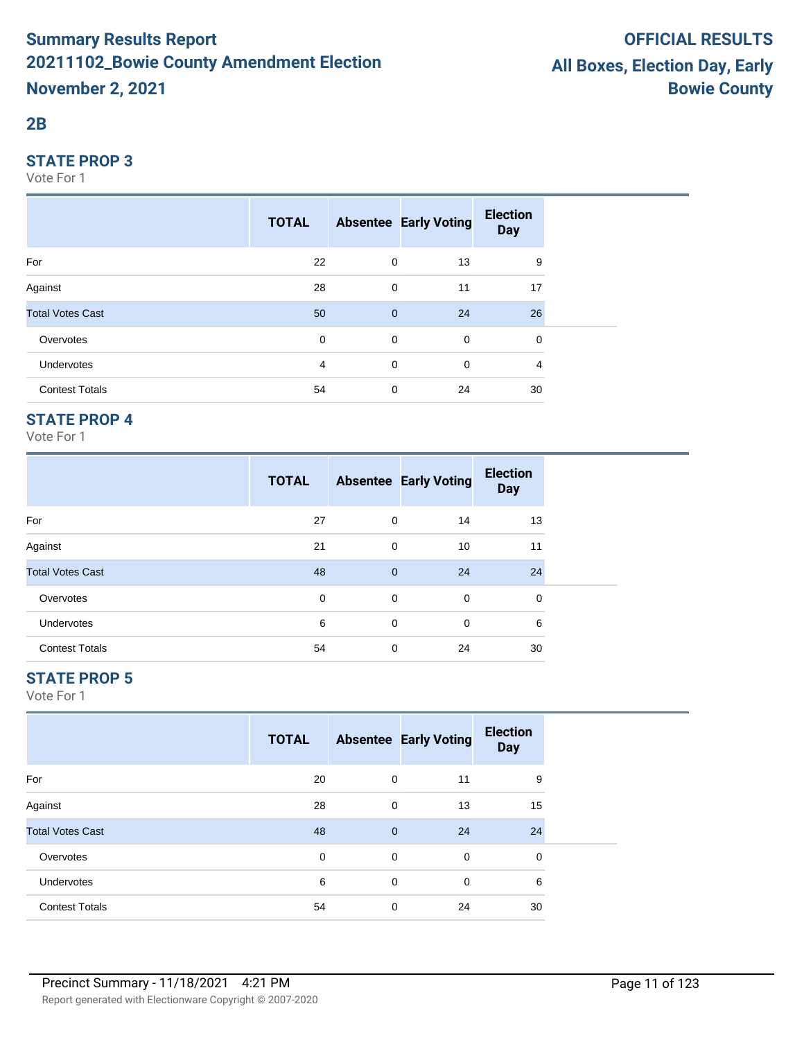#### **2B**

#### **STATE PROP 3**

Vote For 1

|                         | <b>TOTAL</b>   |              | <b>Absentee Early Voting</b> | <b>Election</b><br><b>Day</b> |  |
|-------------------------|----------------|--------------|------------------------------|-------------------------------|--|
| For                     | 22             | $\mathbf 0$  | 13                           | 9                             |  |
| Against                 | 28             | $\mathbf 0$  | 11                           | 17                            |  |
| <b>Total Votes Cast</b> | 50             | $\mathbf{0}$ | 24                           | 26                            |  |
| Overvotes               | $\mathbf 0$    | $\mathbf 0$  | $\mathbf 0$                  | 0                             |  |
| Undervotes              | $\overline{4}$ | $\mathbf 0$  | $\mathbf 0$                  | 4                             |  |
| <b>Contest Totals</b>   | 54             | 0            | 24                           | 30                            |  |

## **STATE PROP 4**

Vote For 1

|                         | <b>TOTAL</b> |                | <b>Absentee Early Voting</b> | <b>Election</b><br><b>Day</b> |  |
|-------------------------|--------------|----------------|------------------------------|-------------------------------|--|
| For                     | 27           | 0              | 14                           | 13                            |  |
| Against                 | 21           | 0              | 10                           | 11                            |  |
| <b>Total Votes Cast</b> | 48           | $\overline{0}$ | 24                           | 24                            |  |
| Overvotes               | 0            | 0              | 0                            | 0                             |  |
| <b>Undervotes</b>       | 6            | 0              | 0                            | 6                             |  |
| <b>Contest Totals</b>   | 54           | 0              | 24                           | 30                            |  |

## **STATE PROP 5**

|                         | <b>TOTAL</b> |             | <b>Absentee Early Voting</b> | <b>Election</b><br><b>Day</b> |  |
|-------------------------|--------------|-------------|------------------------------|-------------------------------|--|
| For                     | 20           | 0           | 11                           | 9                             |  |
| Against                 | 28           | 0           | 13                           | 15                            |  |
| <b>Total Votes Cast</b> | 48           | $\mathbf 0$ | 24                           | 24                            |  |
| Overvotes               | $\mathbf 0$  | 0           | $\mathbf 0$                  | 0                             |  |
| Undervotes              | 6            | 0           | $\mathbf 0$                  | 6                             |  |
| <b>Contest Totals</b>   | 54           | 0           | 24                           | 30                            |  |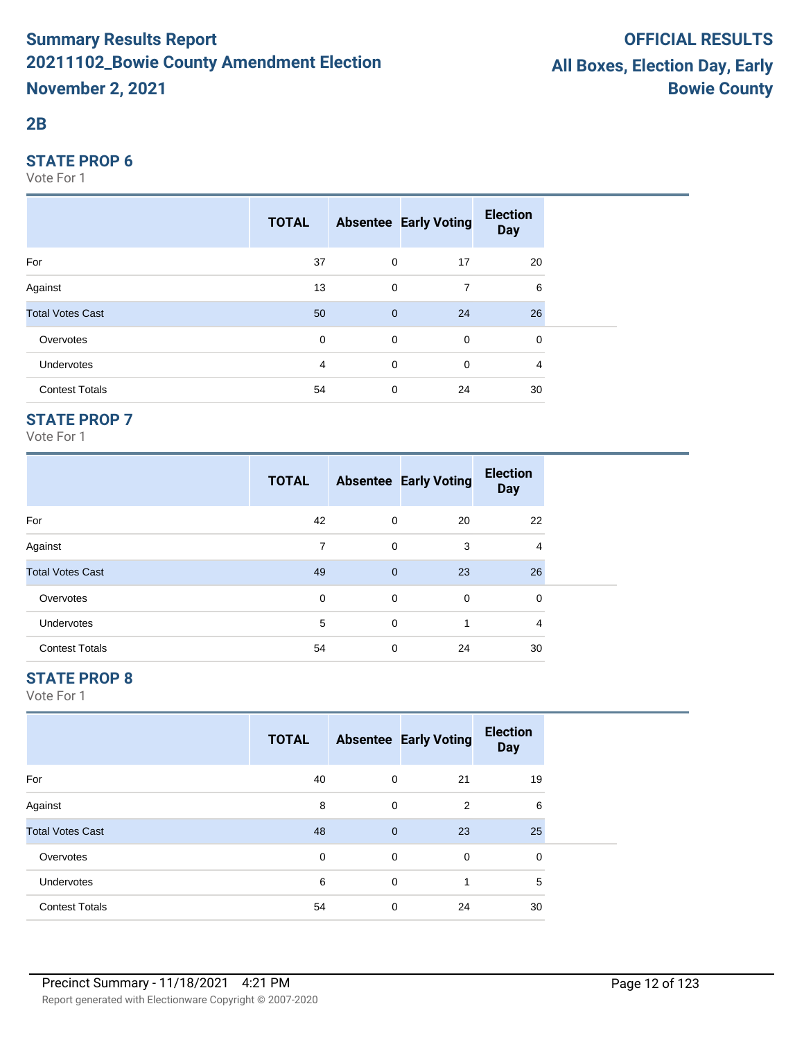#### **2B**

#### **STATE PROP 6**

Vote For 1

|                         | <b>TOTAL</b> |                | <b>Absentee Early Voting</b> | <b>Election</b><br><b>Day</b> |  |
|-------------------------|--------------|----------------|------------------------------|-------------------------------|--|
| For                     | 37           | $\mathbf 0$    | 17                           | 20                            |  |
| Against                 | 13           | 0              | $\overline{7}$               | 6                             |  |
| <b>Total Votes Cast</b> | 50           | $\overline{0}$ | 24                           | 26                            |  |
| Overvotes               | $\mathbf 0$  | $\mathbf 0$    | $\mathbf 0$                  | 0                             |  |
| <b>Undervotes</b>       | 4            | $\mathbf 0$    | $\mathbf 0$                  | 4                             |  |
| <b>Contest Totals</b>   | 54           | 0              | 24                           | 30                            |  |

## **STATE PROP 7**

Vote For 1

|                         | <b>TOTAL</b> |              | <b>Absentee Early Voting</b> | <b>Election</b><br><b>Day</b> |  |
|-------------------------|--------------|--------------|------------------------------|-------------------------------|--|
| For                     | 42           | 0            | 20                           | 22                            |  |
| Against                 | 7            | $\mathbf 0$  | 3                            | 4                             |  |
| <b>Total Votes Cast</b> | 49           | $\mathbf{0}$ | 23                           | 26                            |  |
| Overvotes               | 0            | 0            | 0                            | 0                             |  |
| <b>Undervotes</b>       | 5            | $\mathbf 0$  | 1                            | 4                             |  |
| <b>Contest Totals</b>   | 54           | 0            | 24                           | 30                            |  |

## **STATE PROP 8**

|                         | <b>TOTAL</b> |              | <b>Absentee Early Voting</b> | <b>Election</b><br><b>Day</b> |  |
|-------------------------|--------------|--------------|------------------------------|-------------------------------|--|
| For                     | 40           | 0            | 21                           | 19                            |  |
| Against                 | 8            | 0            | 2                            | 6                             |  |
| <b>Total Votes Cast</b> | 48           | $\mathbf{0}$ | 23                           | 25                            |  |
| Overvotes               | $\mathbf 0$  | 0            | $\mathbf 0$                  | 0                             |  |
| Undervotes              | 6            | 0            |                              | 5                             |  |
| <b>Contest Totals</b>   | 54           | 0            | 24                           | 30                            |  |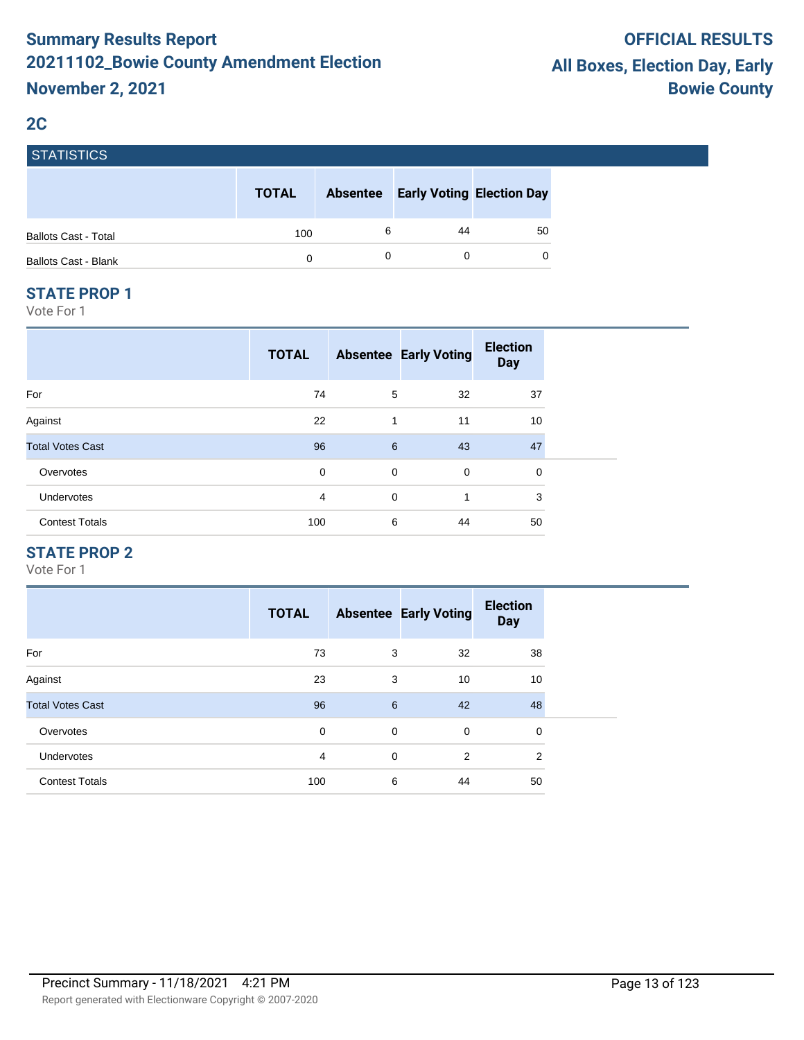## **2C**

| <b>STATISTICS</b>           |              |                 |                                  |    |
|-----------------------------|--------------|-----------------|----------------------------------|----|
|                             | <b>TOTAL</b> | <b>Absentee</b> | <b>Early Voting Election Day</b> |    |
| <b>Ballots Cast - Total</b> | 100          | 6               | 44                               | 50 |
| <b>Ballots Cast - Blank</b> |              | 0               | 0                                |    |

#### **STATE PROP 1**

Vote For 1

| <b>TOTAL</b> |             |             | <b>Election</b><br><b>Day</b> |
|--------------|-------------|-------------|-------------------------------|
| 74           | 5           | 32          | 37                            |
| 22           | 1           | 11          | 10                            |
| 96           | 6           | 43          | 47                            |
| 0            | $\mathbf 0$ | $\mathbf 0$ | 0                             |
| 4            | $\mathbf 0$ | 1           | 3                             |
| 100          | 6           | 44          | 50                            |
|              |             |             | <b>Absentee Early Voting</b>  |

## **STATE PROP 2**

|                         | <b>TOTAL</b>   |             | <b>Absentee Early Voting</b> | <b>Election</b><br><b>Day</b> |
|-------------------------|----------------|-------------|------------------------------|-------------------------------|
| For                     | 73             | 3           | 32                           | 38                            |
| Against                 | 23             | 3           | 10                           | 10                            |
| <b>Total Votes Cast</b> | 96             | 6           | 42                           | 48                            |
| Overvotes               | 0              | $\mathbf 0$ | $\mathbf 0$                  | 0                             |
| <b>Undervotes</b>       | $\overline{4}$ | $\Omega$    | $\overline{2}$               | $\overline{2}$                |
| <b>Contest Totals</b>   | 100            | 6           | 44                           | 50                            |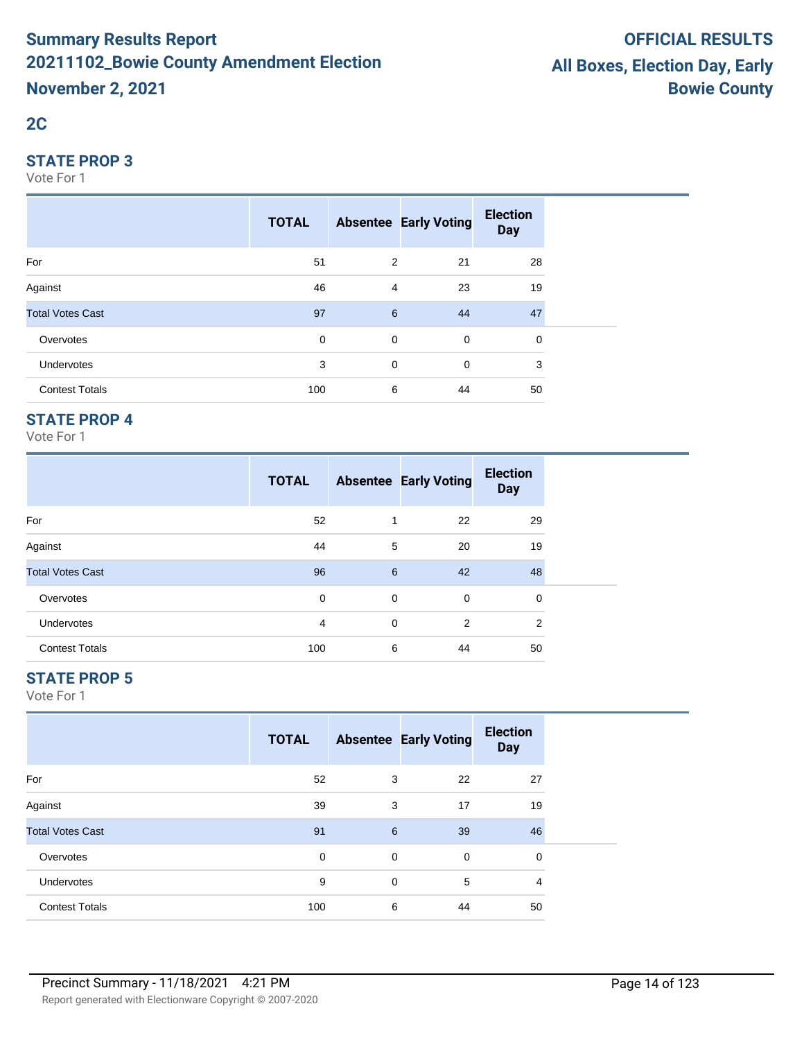# **2C**

#### **STATE PROP 3**

Vote For 1

|                         | <b>TOTAL</b> |                | <b>Absentee Early Voting</b> | <b>Election</b><br><b>Day</b> |  |
|-------------------------|--------------|----------------|------------------------------|-------------------------------|--|
| For                     | 51           | 2              | 21                           | 28                            |  |
| Against                 | 46           | $\overline{4}$ | 23                           | 19                            |  |
| <b>Total Votes Cast</b> | 97           | 6              | 44                           | 47                            |  |
| Overvotes               | 0            | $\mathbf 0$    | $\mathbf 0$                  | 0                             |  |
| Undervotes              | 3            | $\mathbf 0$    | $\mathbf 0$                  | 3                             |  |
| <b>Contest Totals</b>   | 100          | 6              | 44                           | 50                            |  |

## **STATE PROP 4**

Vote For 1

|                         | <b>TOTAL</b> |   | <b>Absentee Early Voting</b> | <b>Election</b><br><b>Day</b> |
|-------------------------|--------------|---|------------------------------|-------------------------------|
| For                     | 52           | 1 | 22                           | 29                            |
| Against                 | 44           | 5 | 20                           | 19                            |
| <b>Total Votes Cast</b> | 96           | 6 | 42                           | 48                            |
| Overvotes               | 0            | 0 | $\mathbf 0$                  | 0                             |
| <b>Undervotes</b>       | 4            | 0 | $\overline{2}$               | 2                             |
| <b>Contest Totals</b>   | 100          | 6 | 44                           | 50                            |

## **STATE PROP 5**

|                         | <b>TOTAL</b> |             | <b>Absentee Early Voting</b> | <b>Election</b><br><b>Day</b> |  |
|-------------------------|--------------|-------------|------------------------------|-------------------------------|--|
| For                     | 52           | 3           | 22                           | 27                            |  |
| Against                 | 39           | 3           | 17                           | 19                            |  |
| <b>Total Votes Cast</b> | 91           | 6           | 39                           | 46                            |  |
| Overvotes               | $\mathbf 0$  | $\mathbf 0$ | $\mathbf 0$                  | 0                             |  |
| <b>Undervotes</b>       | 9            | 0           | 5                            | 4                             |  |
| <b>Contest Totals</b>   | 100          | 6           | 44                           | 50                            |  |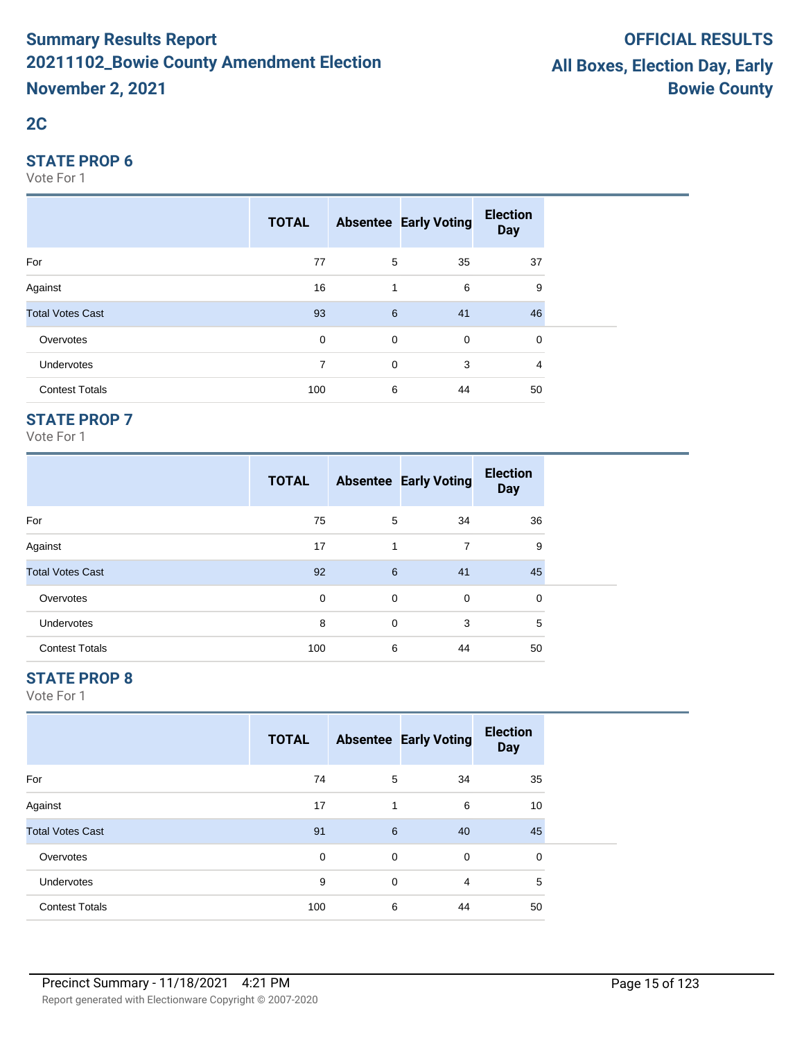# **2C**

#### **STATE PROP 6**

Vote For 1

|                         | <b>TOTAL</b> |             | <b>Absentee Early Voting</b> | <b>Election</b><br><b>Day</b> |  |
|-------------------------|--------------|-------------|------------------------------|-------------------------------|--|
| For                     | 77           | 5           | 35                           | 37                            |  |
| Against                 | 16           | 1           | 6                            | 9                             |  |
| <b>Total Votes Cast</b> | 93           | 6           | 41                           | 46                            |  |
| Overvotes               | $\mathbf 0$  | $\mathbf 0$ | $\mathbf 0$                  | 0                             |  |
| Undervotes              | 7            | $\mathbf 0$ | 3                            | 4                             |  |
| <b>Contest Totals</b>   | 100          | 6           | 44                           | 50                            |  |

## **STATE PROP 7**

Vote For 1

|                         | <b>TOTAL</b> |   | <b>Absentee Early Voting</b> | <b>Election</b><br><b>Day</b> |
|-------------------------|--------------|---|------------------------------|-------------------------------|
| For                     | 75           | 5 | 34                           | 36                            |
| Against                 | 17           | 1 | 7                            | 9                             |
| <b>Total Votes Cast</b> | 92           | 6 | 41                           | 45                            |
| Overvotes               | 0            | 0 | 0                            | 0                             |
| <b>Undervotes</b>       | 8            | 0 | 3                            | 5                             |
| <b>Contest Totals</b>   | 100          | 6 | 44                           | 50                            |

## **STATE PROP 8**

|                         | <b>TOTAL</b> |                | <b>Absentee Early Voting</b> | <b>Election</b><br><b>Day</b> |  |
|-------------------------|--------------|----------------|------------------------------|-------------------------------|--|
| For                     | 74           | 5              | 34                           | 35                            |  |
| Against                 | 17           | $\mathbf{1}$   | 6                            | 10                            |  |
| <b>Total Votes Cast</b> | 91           | $6\phantom{1}$ | 40                           | 45                            |  |
| Overvotes               | 0            | $\mathbf 0$    | 0                            | 0                             |  |
| <b>Undervotes</b>       | 9            | 0              | 4                            | 5                             |  |
| <b>Contest Totals</b>   | 100          | 6              | 44                           | 50                            |  |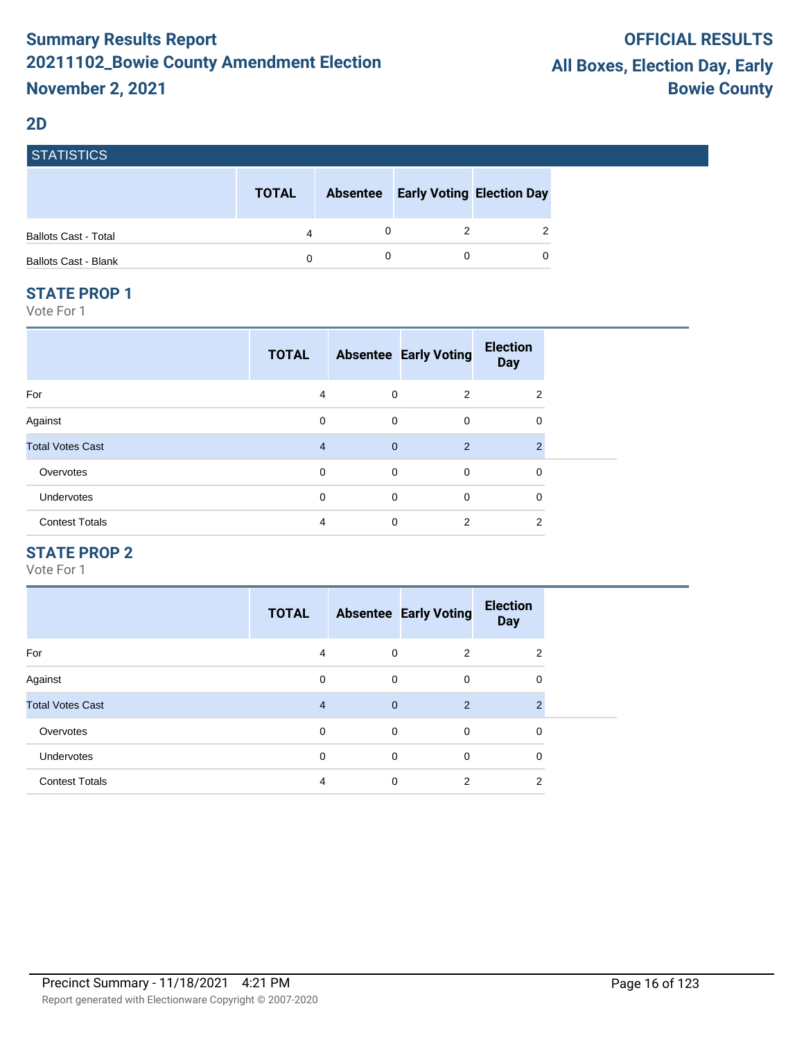#### **2D**

| <b>STATISTICS</b>           |              |                 |                                  |                |
|-----------------------------|--------------|-----------------|----------------------------------|----------------|
|                             | <b>TOTAL</b> | <b>Absentee</b> | <b>Early Voting Election Day</b> |                |
| <b>Ballots Cast - Total</b> | 4            |                 |                                  | $\overline{2}$ |
| <b>Ballots Cast - Blank</b> | 0            |                 |                                  | 0              |

#### **STATE PROP 1**

Vote For 1

|                         | <b>TOTAL</b>   |                | <b>Absentee Early Voting</b> | <b>Election</b><br><b>Day</b> |  |
|-------------------------|----------------|----------------|------------------------------|-------------------------------|--|
| For                     | 4              | $\mathbf 0$    | 2                            | 2                             |  |
| Against                 | 0              | $\mathbf 0$    | $\mathbf 0$                  | 0                             |  |
| <b>Total Votes Cast</b> | $\overline{4}$ | $\overline{0}$ | $\overline{2}$               | $\mathcal{P}$                 |  |
| Overvotes               | 0              | $\mathbf 0$    | 0                            | 0                             |  |
| <b>Undervotes</b>       | $\mathbf 0$    | $\mathbf 0$    | $\mathbf 0$                  | 0                             |  |
| <b>Contest Totals</b>   | 4              | 0              | 2                            | 2                             |  |

## **STATE PROP 2**

|                         | <b>TOTAL</b> |                | <b>Absentee Early Voting</b> | <b>Election</b><br><b>Day</b> |
|-------------------------|--------------|----------------|------------------------------|-------------------------------|
| For                     | 4            | $\mathbf 0$    | $\overline{2}$               | 2                             |
| Against                 | 0            | $\mathbf 0$    | $\mathbf 0$                  | 0                             |
| <b>Total Votes Cast</b> | 4            | $\overline{0}$ | $\overline{2}$               | $\overline{2}$                |
| Overvotes               | $\mathbf 0$  | $\mathbf 0$    | $\mathbf 0$                  | 0                             |
| <b>Undervotes</b>       | 0            | $\mathbf 0$    | $\mathbf 0$                  | 0                             |
| <b>Contest Totals</b>   | 4            | $\mathbf 0$    | $\overline{2}$               | 2                             |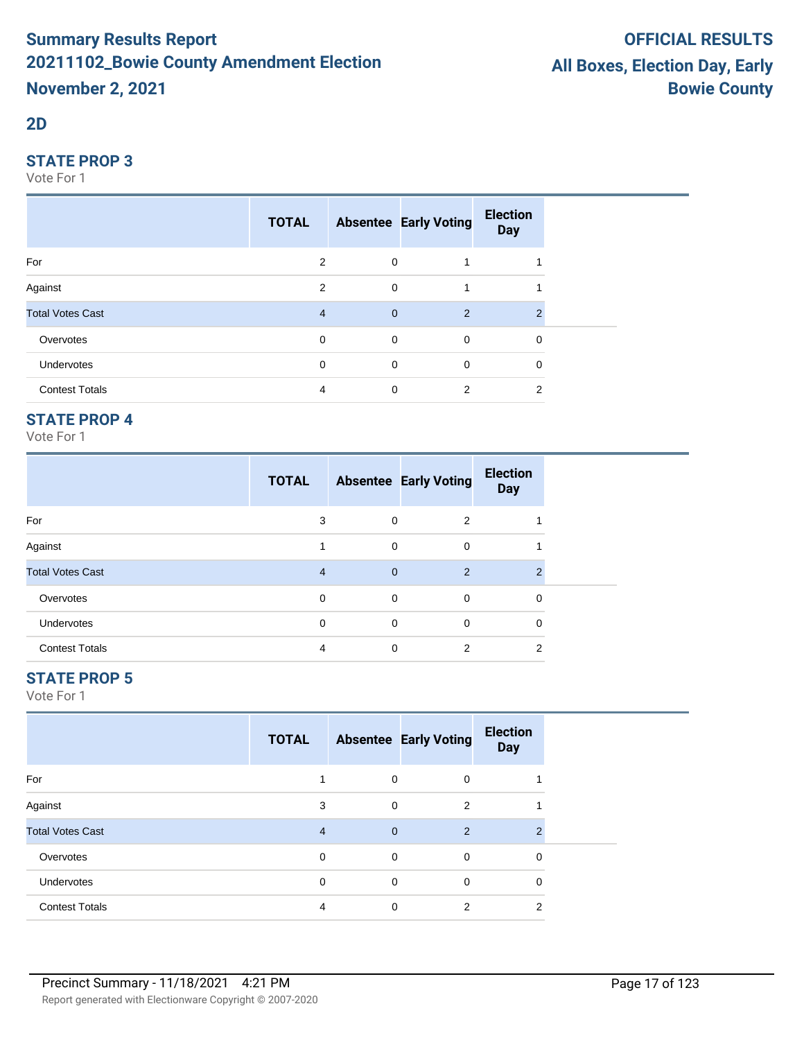#### **2D**

#### **STATE PROP 3**

Vote For 1

|                         | <b>TOTAL</b>   |                | <b>Absentee Early Voting</b> | <b>Election</b><br><b>Day</b> |  |
|-------------------------|----------------|----------------|------------------------------|-------------------------------|--|
| For                     | $\overline{2}$ | 0              |                              |                               |  |
| Against                 | $\overline{2}$ | $\mathbf 0$    |                              |                               |  |
| <b>Total Votes Cast</b> | $\overline{4}$ | $\overline{0}$ | 2                            | 2                             |  |
| Overvotes               | $\mathbf 0$    | $\overline{0}$ | $\mathbf 0$                  | 0                             |  |
| Undervotes              | 0              | $\mathbf 0$    | $\mathbf 0$                  | 0                             |  |
| <b>Contest Totals</b>   | 4              | 0              | 2                            | 2                             |  |

## **STATE PROP 4**

Vote For 1

|                         | <b>TOTAL</b>   |              | <b>Absentee Early Voting</b> | <b>Election</b><br><b>Day</b> |  |
|-------------------------|----------------|--------------|------------------------------|-------------------------------|--|
| For                     | 3              | $\mathbf 0$  | 2                            |                               |  |
| Against                 |                | $\mathbf 0$  | 0                            |                               |  |
| <b>Total Votes Cast</b> | $\overline{4}$ | $\mathbf{0}$ | 2                            | $\mathfrak{p}$                |  |
| Overvotes               | 0              | 0            | 0                            | 0                             |  |
| Undervotes              | $\mathbf 0$    | $\mathbf 0$  | 0                            | 0                             |  |
| <b>Contest Totals</b>   | 4              | $\Omega$     | 2                            | 2                             |  |

## **STATE PROP 5**

|                         | <b>TOTAL</b>   |                | <b>Absentee Early Voting</b> | <b>Election</b><br><b>Day</b> |  |
|-------------------------|----------------|----------------|------------------------------|-------------------------------|--|
| For                     |                | 0              | 0                            |                               |  |
| Against                 | 3              | $\mathbf 0$    | 2                            |                               |  |
| <b>Total Votes Cast</b> | $\overline{4}$ | $\overline{0}$ | 2                            | $\mathfrak{p}$                |  |
| Overvotes               | $\mathbf 0$    | 0              | 0                            | 0                             |  |
| Undervotes              | $\Omega$       | $\mathbf 0$    | 0                            | 0                             |  |
| <b>Contest Totals</b>   | 4              | 0              | 2                            | 2                             |  |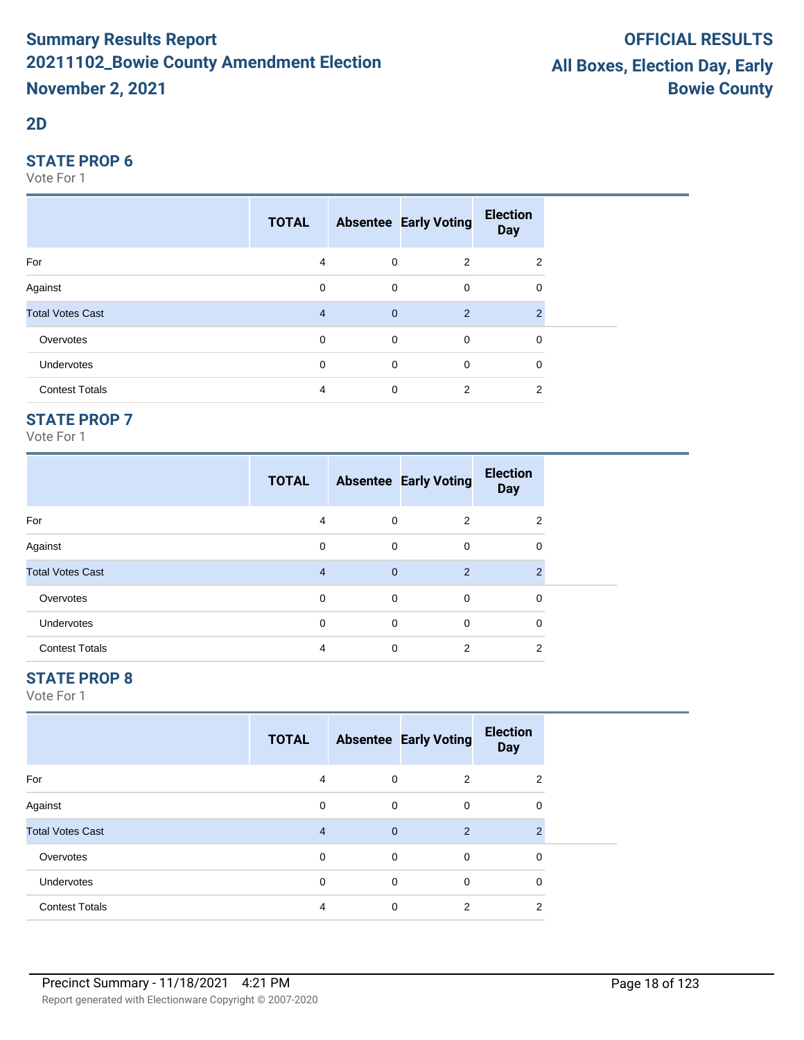#### **2D**

#### **STATE PROP 6**

Vote For 1

|                         | <b>TOTAL</b> |                | <b>Absentee Early Voting</b> | <b>Election</b><br><b>Day</b> |  |
|-------------------------|--------------|----------------|------------------------------|-------------------------------|--|
| For                     | 4            | $\mathbf 0$    | 2                            | 2                             |  |
| Against                 | 0            | $\mathbf 0$    | $\mathbf 0$                  | 0                             |  |
| <b>Total Votes Cast</b> | 4            | $\overline{0}$ | 2                            | 2                             |  |
| Overvotes               | $\mathbf 0$  | $\overline{0}$ | $\mathbf 0$                  | 0                             |  |
| Undervotes              | 0            | 0              | $\mathbf 0$                  | 0                             |  |
| <b>Contest Totals</b>   | 4            | 0              | 2                            | 2                             |  |

## **STATE PROP 7**

Vote For 1

|                         | <b>TOTAL</b> |              | <b>Absentee Early Voting</b> | <b>Election</b><br><b>Day</b> |
|-------------------------|--------------|--------------|------------------------------|-------------------------------|
| For                     | 4            | 0            | 2                            | 2                             |
| Against                 | 0            | 0            | 0                            | 0                             |
| <b>Total Votes Cast</b> | 4            | $\mathbf{0}$ | $\overline{2}$               | $\mathcal{P}$                 |
| Overvotes               | 0            | 0            | 0                            | 0                             |
| Undervotes              | 0            | 0            | 0                            | 0                             |
| <b>Contest Totals</b>   | 4            | $\Omega$     | $\overline{2}$               | 2                             |

## **STATE PROP 8**

|                         | <b>TOTAL</b>   |                | <b>Absentee Early Voting</b> | <b>Election</b><br><b>Day</b> |  |
|-------------------------|----------------|----------------|------------------------------|-------------------------------|--|
| For                     | 4              | 0              | 2                            | 2                             |  |
| Against                 | $\mathbf 0$    | 0              | 0                            | 0                             |  |
| <b>Total Votes Cast</b> | $\overline{4}$ | $\overline{0}$ | 2                            | $\mathfrak{p}$                |  |
| Overvotes               | $\mathbf 0$    | 0              | 0                            | 0                             |  |
| Undervotes              | $\mathbf 0$    | $\mathbf 0$    | $\mathbf 0$                  | $\mathbf 0$                   |  |
| <b>Contest Totals</b>   | 4              | 0              | 2                            | 2                             |  |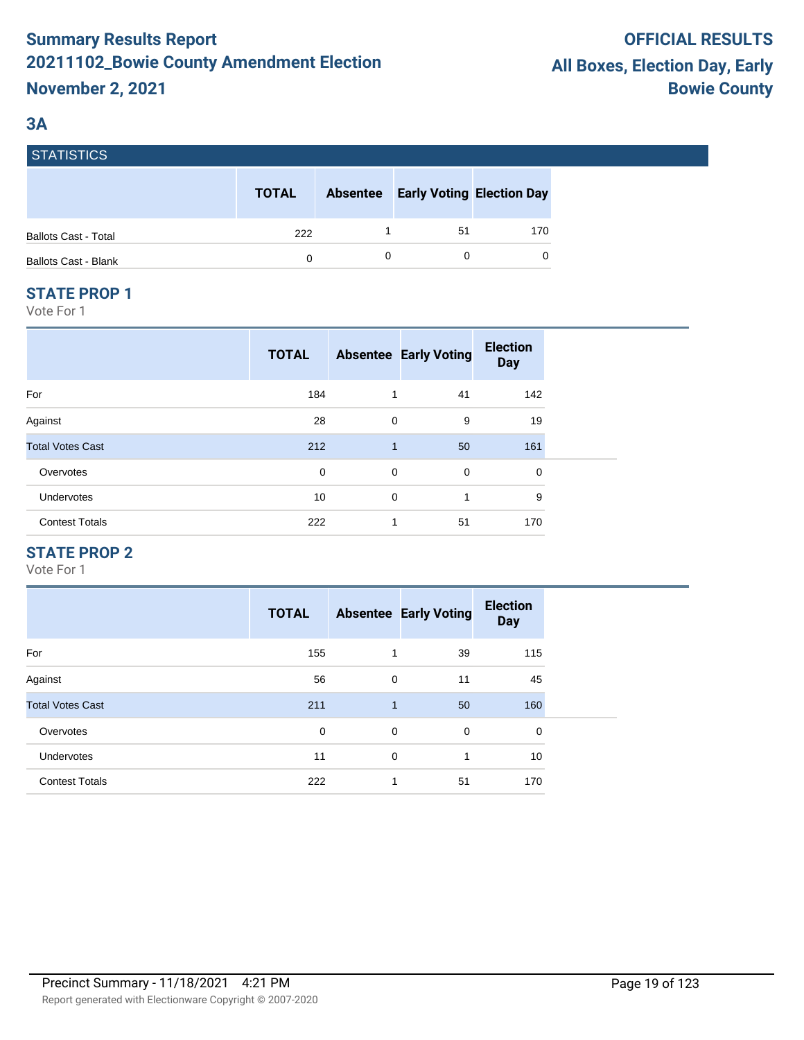# **3A**

| I STATISTIUS.               |              |                 |                                  |          |
|-----------------------------|--------------|-----------------|----------------------------------|----------|
|                             | <b>TOTAL</b> | <b>Absentee</b> | <b>Early Voting Election Day</b> |          |
| <b>Ballots Cast - Total</b> | 222          |                 | 51                               | 170      |
| <b>Ballots Cast - Blank</b> | 0            |                 |                                  | $\Omega$ |

#### **STATE PROP 1**

STATISTICS

Vote For 1

|                         | <b>TOTAL</b> |              | <b>Absentee Early Voting</b> | <b>Election</b><br><b>Day</b> |
|-------------------------|--------------|--------------|------------------------------|-------------------------------|
| For                     | 184          | 1            | 41                           | 142                           |
| Against                 | 28           | $\mathbf 0$  | 9                            | 19                            |
| <b>Total Votes Cast</b> | 212          | $\mathbf{1}$ | 50                           | 161                           |
| Overvotes               | 0            | $\mathbf 0$  | $\mathbf 0$                  | 0                             |
| Undervotes              | 10           | $\mathbf 0$  | 1                            | 9                             |
| <b>Contest Totals</b>   | 222          | 1            | 51                           | 170                           |

## **STATE PROP 2**

|                         | <b>TOTAL</b> |              | <b>Absentee Early Voting</b> | <b>Election</b><br><b>Day</b> |
|-------------------------|--------------|--------------|------------------------------|-------------------------------|
| For                     | 155          | 1            | 39                           | 115                           |
| Against                 | 56           | $\mathbf 0$  | 11                           | 45                            |
| <b>Total Votes Cast</b> | 211          | $\mathbf{1}$ | 50                           | 160                           |
| Overvotes               | 0            | 0            | $\mathbf 0$                  | $\mathbf 0$                   |
| <b>Undervotes</b>       | 11           | 0            | 1                            | 10                            |
| <b>Contest Totals</b>   | 222          | 1            | 51                           | 170                           |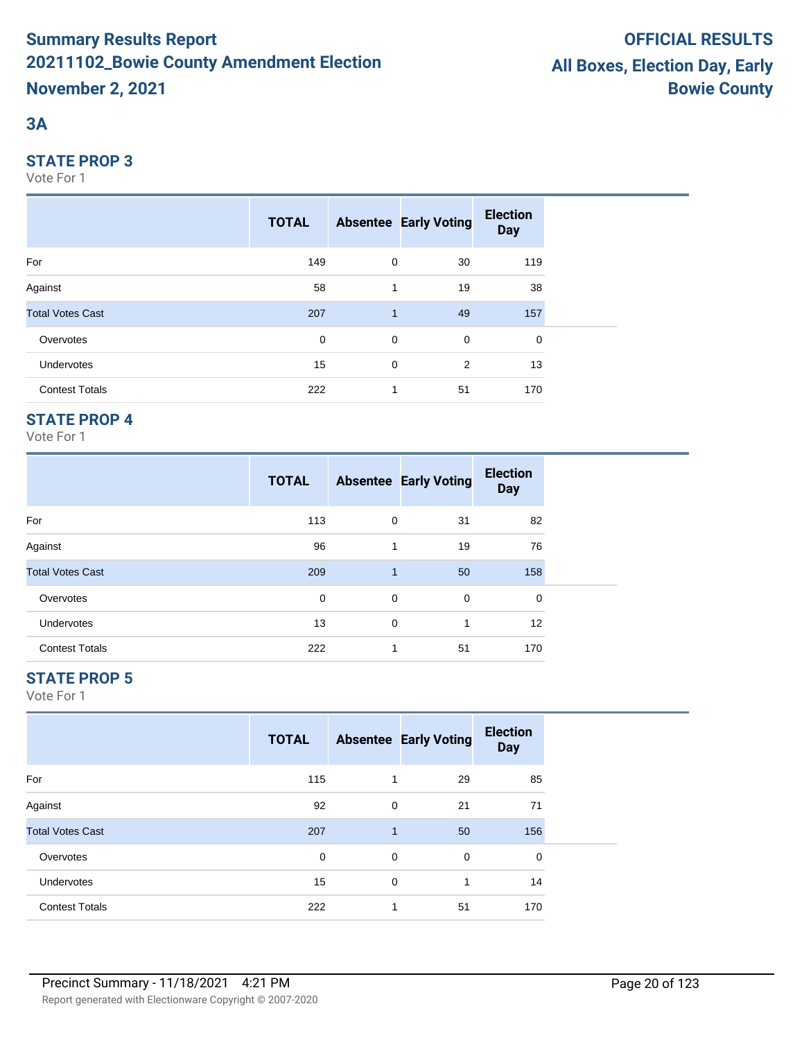# **3A**

#### **STATE PROP 3**

Vote For 1

|                         | <b>TOTAL</b> |              | <b>Absentee Early Voting</b> | <b>Election</b><br><b>Day</b> |
|-------------------------|--------------|--------------|------------------------------|-------------------------------|
| For                     | 149          | $\mathbf 0$  | 30                           | 119                           |
| Against                 | 58           | 1            | 19                           | 38                            |
| <b>Total Votes Cast</b> | 207          | $\mathbf{1}$ | 49                           | 157                           |
| Overvotes               | $\mathbf 0$  | $\mathbf 0$  | $\mathbf 0$                  | 0                             |
| <b>Undervotes</b>       | 15           | 0            | 2                            | 13                            |
| <b>Contest Totals</b>   | 222          | 1            | 51                           | 170                           |

## **STATE PROP 4**

Vote For 1

|                         | <b>TOTAL</b> |                | <b>Absentee Early Voting</b> | <b>Election</b><br><b>Day</b> |  |
|-------------------------|--------------|----------------|------------------------------|-------------------------------|--|
| For                     | 113          | 0              | 31                           | 82                            |  |
| Against                 | 96           | 1              | 19                           | 76                            |  |
| <b>Total Votes Cast</b> | 209          | $\overline{1}$ | 50                           | 158                           |  |
| Overvotes               | 0            | 0              | 0                            | 0                             |  |
| <b>Undervotes</b>       | 13           | 0              | 1                            | $12 \overline{ }$             |  |
| <b>Contest Totals</b>   | 222          |                | 51                           | 170                           |  |

## **STATE PROP 5**

|                         | <b>TOTAL</b> |              | <b>Absentee Early Voting</b> | <b>Election</b><br><b>Day</b> |  |
|-------------------------|--------------|--------------|------------------------------|-------------------------------|--|
| For                     | 115          | 1            | 29                           | 85                            |  |
| Against                 | 92           | 0            | 21                           | 71                            |  |
| <b>Total Votes Cast</b> | 207          | $\mathbf{1}$ | 50                           | 156                           |  |
| Overvotes               | 0            | 0            | 0                            | $\mathbf 0$                   |  |
| <b>Undervotes</b>       | 15           | $\mathbf 0$  | 1                            | 14                            |  |
| <b>Contest Totals</b>   | 222          | 1            | 51                           | 170                           |  |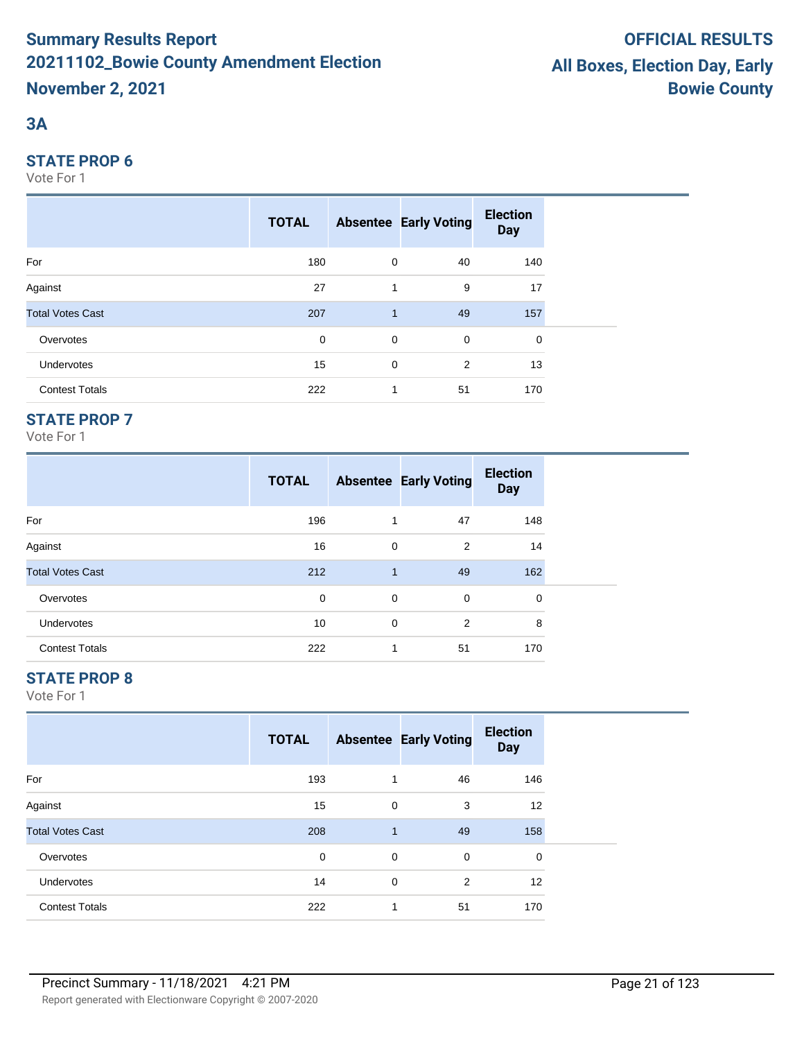# **3A**

#### **STATE PROP 6**

Vote For 1

|                         | <b>TOTAL</b> |              | <b>Absentee Early Voting</b> | <b>Election</b><br><b>Day</b> |
|-------------------------|--------------|--------------|------------------------------|-------------------------------|
| For                     | 180          | 0            | 40                           | 140                           |
| Against                 | 27           | 1            | 9                            | 17                            |
| <b>Total Votes Cast</b> | 207          | $\mathbf{1}$ | 49                           | 157                           |
| Overvotes               | $\mathbf 0$  | $\mathbf 0$  | $\mathbf 0$                  | 0                             |
| <b>Undervotes</b>       | 15           | 0            | 2                            | 13                            |
| <b>Contest Totals</b>   | 222          | 1            | 51                           | 170                           |

## **STATE PROP 7**

Vote For 1

|                         | <b>TOTAL</b> |              | <b>Absentee Early Voting</b> | <b>Election</b><br><b>Day</b> |  |
|-------------------------|--------------|--------------|------------------------------|-------------------------------|--|
| For                     | 196          | 1            | 47                           | 148                           |  |
| Against                 | 16           | 0            | 2                            | 14                            |  |
| <b>Total Votes Cast</b> | 212          | $\mathbf{1}$ | 49                           | 162                           |  |
| Overvotes               | 0            | 0            | 0                            | 0                             |  |
| <b>Undervotes</b>       | 10           | 0            | 2                            | 8                             |  |
| <b>Contest Totals</b>   | 222          | 1            | 51                           | 170                           |  |

# **STATE PROP 8**

|                         | <b>TOTAL</b> |              | <b>Absentee Early Voting</b> | <b>Election</b><br><b>Day</b> |  |
|-------------------------|--------------|--------------|------------------------------|-------------------------------|--|
| For                     | 193          | 1            | 46                           | 146                           |  |
| Against                 | 15           | 0            | 3                            | 12                            |  |
| <b>Total Votes Cast</b> | 208          | $\mathbf{1}$ | 49                           | 158                           |  |
| Overvotes               | 0            | 0            | 0                            | 0                             |  |
| <b>Undervotes</b>       | 14           | $\mathbf 0$  | 2                            | 12                            |  |
| <b>Contest Totals</b>   | 222          | 1            | 51                           | 170                           |  |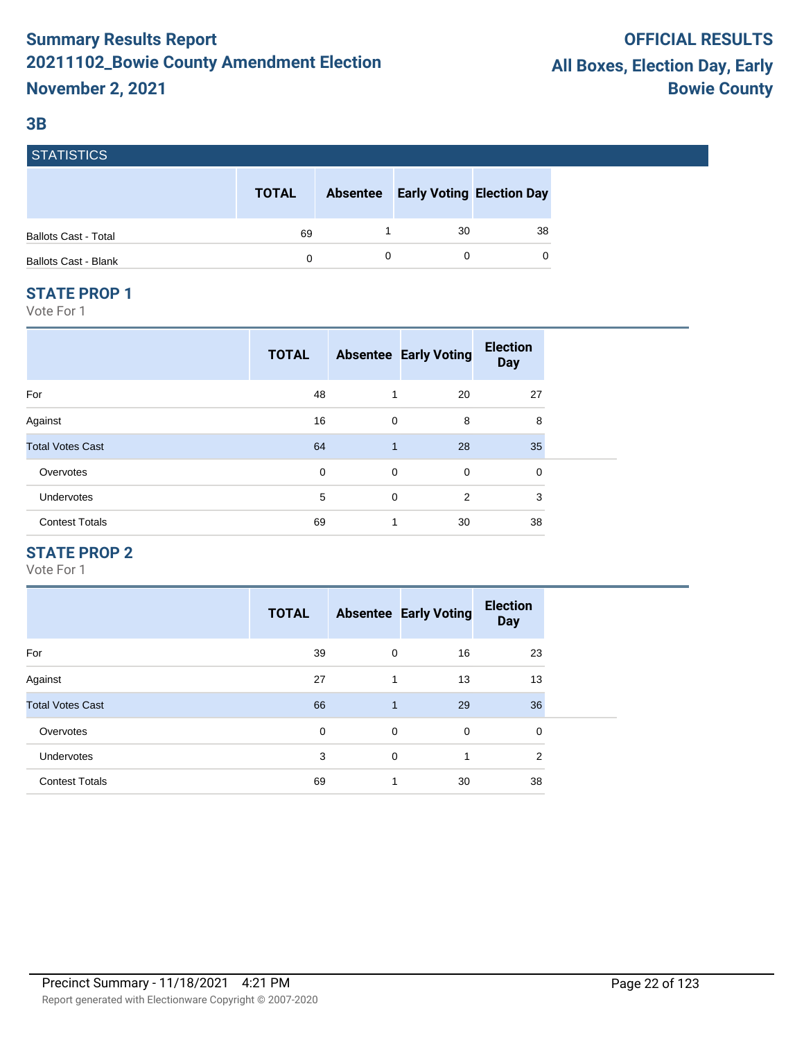#### **3B**

| <b>STATISTICS</b> |  |
|-------------------|--|
|                   |  |
|                   |  |
|                   |  |
|                   |  |
|                   |  |

|                             | <b>TOTAL</b> | <b>Absentee Early Voting Election Day</b> |    |
|-----------------------------|--------------|-------------------------------------------|----|
| <b>Ballots Cast - Total</b> | 69           | 30                                        | 38 |
| <b>Ballots Cast - Blank</b> |              |                                           |    |

#### **STATE PROP 1**

Vote For 1

|                         | <b>TOTAL</b> |              | <b>Absentee Early Voting</b> | <b>Election</b><br><b>Day</b> |  |
|-------------------------|--------------|--------------|------------------------------|-------------------------------|--|
| For                     | 48           | 1            | 20                           | 27                            |  |
| Against                 | 16           | $\mathbf 0$  | 8                            | 8                             |  |
| <b>Total Votes Cast</b> | 64           | $\mathbf{1}$ | 28                           | 35                            |  |
| Overvotes               | $\mathbf 0$  | 0            | $\mathbf 0$                  | 0                             |  |
| Undervotes              | 5            | $\mathbf 0$  | $\overline{2}$               | 3                             |  |
| <b>Contest Totals</b>   | 69           | 1            | 30                           | 38                            |  |

## **STATE PROP 2**

|                         | <b>TOTAL</b> |              | <b>Absentee Early Voting</b> | <b>Election</b><br><b>Day</b> |
|-------------------------|--------------|--------------|------------------------------|-------------------------------|
| For                     | 39           | $\mathbf 0$  | 16                           | 23                            |
| Against                 | 27           | 1            | 13                           | 13                            |
| <b>Total Votes Cast</b> | 66           | $\mathbf{1}$ | 29                           | 36                            |
| Overvotes               | 0            | $\mathbf 0$  | 0                            | 0                             |
| <b>Undervotes</b>       | 3            | $\Omega$     | 1                            | $\overline{2}$                |
| <b>Contest Totals</b>   | 69           |              | 30                           | 38                            |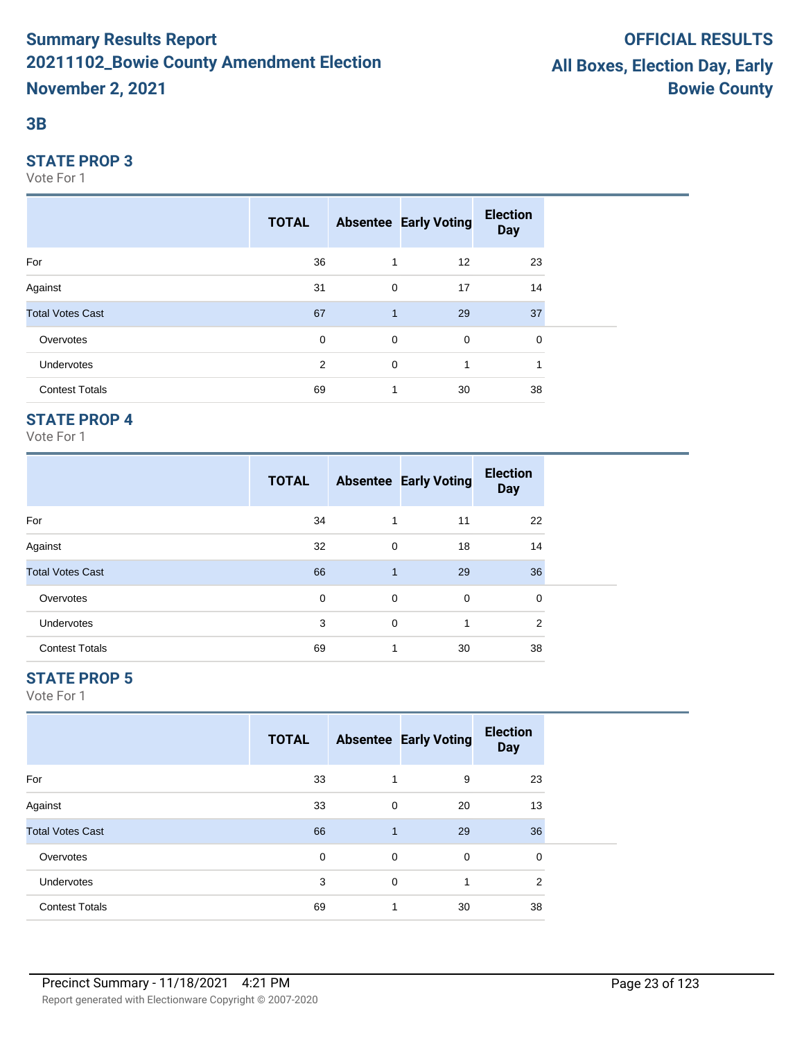#### **3B**

#### **STATE PROP 3**

Vote For 1

|                         | <b>TOTAL</b> |              | <b>Absentee Early Voting</b> | <b>Election</b><br><b>Day</b> |  |
|-------------------------|--------------|--------------|------------------------------|-------------------------------|--|
| For                     | 36           | 1            | 12                           | 23                            |  |
| Against                 | 31           | $\mathbf 0$  | 17                           | 14                            |  |
| <b>Total Votes Cast</b> | 67           | $\mathbf{1}$ | 29                           | 37                            |  |
| Overvotes               | 0            | $\mathbf 0$  | $\mathbf 0$                  | 0                             |  |
| Undervotes              | 2            | $\mathbf 0$  | 1                            | ٠                             |  |
| <b>Contest Totals</b>   | 69           | 1            | 30                           | 38                            |  |

## **STATE PROP 4**

Vote For 1

|                         | <b>TOTAL</b> |              | <b>Absentee Early Voting</b> | <b>Election</b><br><b>Day</b> |  |
|-------------------------|--------------|--------------|------------------------------|-------------------------------|--|
| For                     | 34           | 1            | 11                           | 22                            |  |
| Against                 | 32           | 0            | 18                           | 14                            |  |
| <b>Total Votes Cast</b> | 66           | $\mathbf{1}$ | 29                           | 36                            |  |
| Overvotes               | 0            | 0            | $\mathbf 0$                  | 0                             |  |
| <b>Undervotes</b>       | 3            | $\mathbf 0$  | 1                            | 2                             |  |
| <b>Contest Totals</b>   | 69           | 1            | 30                           | 38                            |  |

## **STATE PROP 5**

|                         | <b>TOTAL</b> |              | <b>Absentee Early Voting</b> | <b>Election</b><br><b>Day</b> |  |
|-------------------------|--------------|--------------|------------------------------|-------------------------------|--|
| For                     | 33           | 1            | 9                            | 23                            |  |
| Against                 | 33           | 0            | 20                           | 13                            |  |
| <b>Total Votes Cast</b> | 66           | $\mathbf{1}$ | 29                           | 36                            |  |
| Overvotes               | 0            | 0            | 0                            | 0                             |  |
| Undervotes              | 3            | 0            | 1                            | 2                             |  |
| <b>Contest Totals</b>   | 69           | 1            | 30                           | 38                            |  |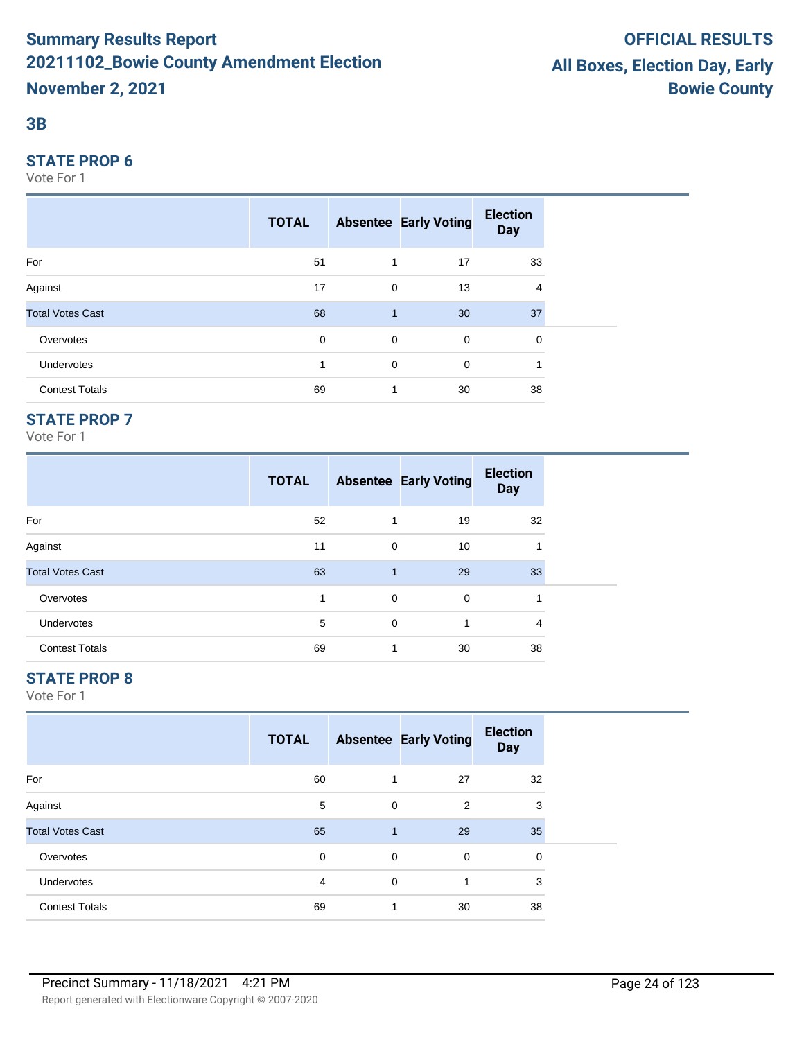#### **3B**

#### **STATE PROP 6**

Vote For 1

|                         | <b>TOTAL</b> |                | <b>Absentee Early Voting</b> | <b>Election</b><br><b>Day</b> |  |
|-------------------------|--------------|----------------|------------------------------|-------------------------------|--|
| For                     | 51           | $\overline{1}$ | 17                           | 33                            |  |
| Against                 | 17           | $\mathbf 0$    | 13                           | 4                             |  |
| <b>Total Votes Cast</b> | 68           | 1              | 30                           | 37                            |  |
| Overvotes               | $\mathbf 0$  | $\mathbf 0$    | $\mathbf 0$                  | 0                             |  |
| Undervotes              |              | $\mathbf 0$    | 0                            |                               |  |
| <b>Contest Totals</b>   | 69           | $\mathbf 1$    | 30                           | 38                            |  |

## **STATE PROP 7**

Vote For 1

|                         | <b>TOTAL</b> |              | <b>Absentee Early Voting</b> | <b>Election</b><br><b>Day</b> |
|-------------------------|--------------|--------------|------------------------------|-------------------------------|
| For                     | 52           |              | 19                           | 32                            |
| Against                 | 11           | 0            | 10                           |                               |
| <b>Total Votes Cast</b> | 63           | $\mathbf{1}$ | 29                           | 33                            |
| Overvotes               |              | 0            | 0                            |                               |
| <b>Undervotes</b>       | 5            | 0            | 1                            | 4                             |
| <b>Contest Totals</b>   | 69           | 1            | 30                           | 38                            |

# **STATE PROP 8**

|                         | <b>TOTAL</b> |              | <b>Absentee Early Voting</b> | <b>Election</b><br><b>Day</b> |  |
|-------------------------|--------------|--------------|------------------------------|-------------------------------|--|
| For                     | 60           |              | 27                           | 32                            |  |
| Against                 | 5            | 0            | 2                            | 3                             |  |
| <b>Total Votes Cast</b> | 65           | $\mathbf{1}$ | 29                           | 35                            |  |
| Overvotes               | 0            | 0            | 0                            | 0                             |  |
| Undervotes              | 4            | 0            | 1                            | 3                             |  |
| <b>Contest Totals</b>   | 69           |              | 30                           | 38                            |  |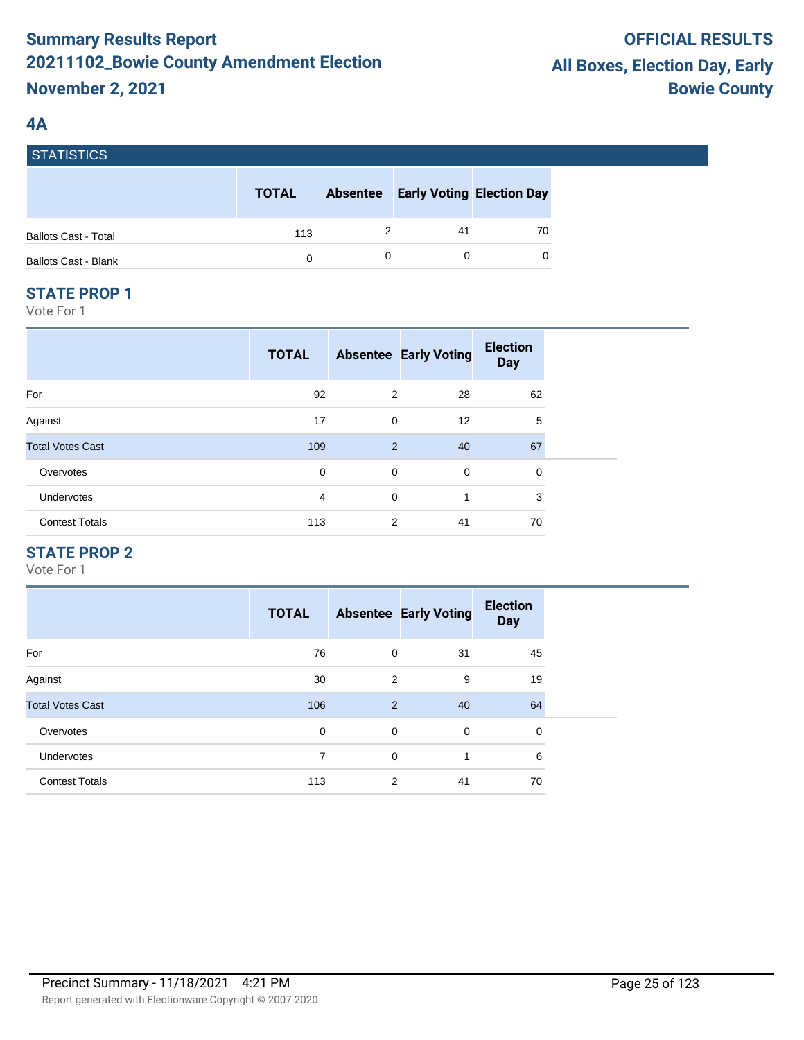# **4A**

**STATICTICS** 

| סטווטוואוטן                 |              |                 |    |                                  |
|-----------------------------|--------------|-----------------|----|----------------------------------|
|                             | <b>TOTAL</b> | <b>Absentee</b> |    | <b>Early Voting Election Day</b> |
| <b>Ballots Cast - Total</b> | 113          |                 | 41 | 70                               |
| <b>Ballots Cast - Blank</b> | $\Omega$     |                 |    | $\Omega$                         |

#### **STATE PROP 1**

Vote For 1

|                         | <b>TOTAL</b> |                | <b>Absentee Early Voting</b> | <b>Election</b><br><b>Day</b> |
|-------------------------|--------------|----------------|------------------------------|-------------------------------|
| For                     | 92           | 2              | 28                           | 62                            |
| Against                 | 17           | 0              | 12                           | 5                             |
| <b>Total Votes Cast</b> | 109          | $\overline{2}$ | 40                           | 67                            |
| Overvotes               | 0            | $\mathbf 0$    | $\mathbf 0$                  | 0                             |
| <b>Undervotes</b>       | 4            | $\mathbf 0$    | 1                            | 3                             |
| <b>Contest Totals</b>   | 113          | 2              | 41                           | 70                            |

## **STATE PROP 2**

|                         | <b>TOTAL</b> |             | <b>Absentee Early Voting</b> | <b>Election</b><br><b>Day</b> |
|-------------------------|--------------|-------------|------------------------------|-------------------------------|
| For                     | 76           | $\mathbf 0$ | 31                           | 45                            |
| Against                 | 30           | 2           | 9                            | 19                            |
| <b>Total Votes Cast</b> | 106          | 2           | 40                           | 64                            |
| Overvotes               | 0            | $\mathbf 0$ | $\mathbf 0$                  | 0                             |
| <b>Undervotes</b>       | 7            | $\mathbf 0$ | 1                            | 6                             |
| <b>Contest Totals</b>   | 113          | 2           | 41                           | 70                            |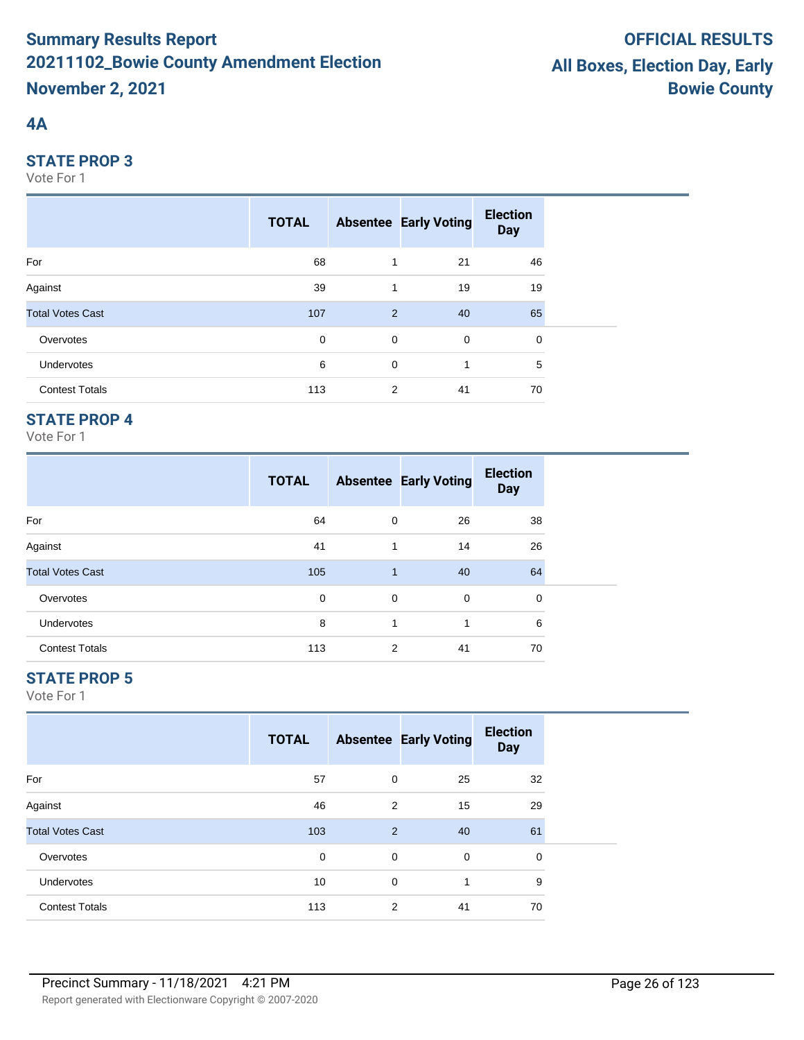# **4A**

#### **STATE PROP 3**

Vote For 1

|                         | <b>TOTAL</b> |             | <b>Absentee Early Voting</b> | <b>Election</b><br><b>Day</b> |  |
|-------------------------|--------------|-------------|------------------------------|-------------------------------|--|
| For                     | 68           | 1           | 21                           | 46                            |  |
| Against                 | 39           | 1           | 19                           | 19                            |  |
| <b>Total Votes Cast</b> | 107          | 2           | 40                           | 65                            |  |
| Overvotes               | $\mathbf 0$  | $\mathbf 0$ | $\mathbf 0$                  | 0                             |  |
| Undervotes              | 6            | 0           | 1                            | 5                             |  |
| <b>Contest Totals</b>   | 113          | 2           | 41                           | 70                            |  |

## **STATE PROP 4**

Vote For 1

|                         | <b>TOTAL</b> |                | <b>Absentee Early Voting</b> | <b>Election</b><br><b>Day</b> |
|-------------------------|--------------|----------------|------------------------------|-------------------------------|
| For                     | 64           | 0              | 26                           | 38                            |
| Against                 | 41           | 1              | 14                           | 26                            |
| <b>Total Votes Cast</b> | 105          | $\overline{1}$ | 40                           | 64                            |
| Overvotes               | 0            | 0              | 0                            | 0                             |
| <b>Undervotes</b>       | 8            | 1              | 1                            | 6                             |
| <b>Contest Totals</b>   | 113          | 2              | 41                           | 70                            |

## **STATE PROP 5**

|                         | <b>TOTAL</b> |   | <b>Absentee Early Voting</b> | <b>Election</b><br><b>Day</b> |  |
|-------------------------|--------------|---|------------------------------|-------------------------------|--|
| For                     | 57           | 0 | 25                           | 32                            |  |
| Against                 | 46           | 2 | 15                           | 29                            |  |
| <b>Total Votes Cast</b> | 103          | 2 | 40                           | 61                            |  |
| Overvotes               | 0            | 0 | $\mathbf 0$                  | 0                             |  |
| Undervotes              | 10           | 0 | 1                            | 9                             |  |
| <b>Contest Totals</b>   | 113          | 2 | 41                           | 70                            |  |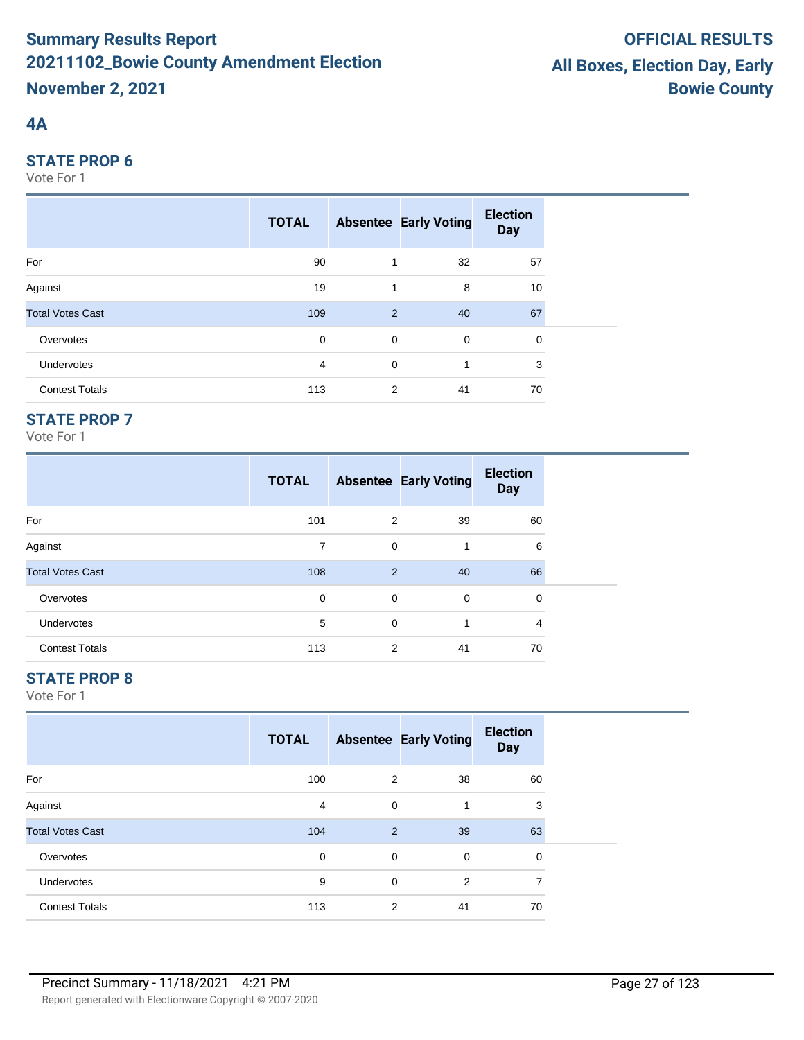# **4A**

#### **STATE PROP 6**

Vote For 1

|                         | <b>TOTAL</b> |             | <b>Absentee Early Voting</b> | <b>Election</b><br><b>Day</b> |  |
|-------------------------|--------------|-------------|------------------------------|-------------------------------|--|
| For                     | 90           | 1           | 32                           | 57                            |  |
| Against                 | 19           | 1           | 8                            | 10                            |  |
| <b>Total Votes Cast</b> | 109          | 2           | 40                           | 67                            |  |
| Overvotes               | $\mathbf 0$  | $\mathbf 0$ | $\mathbf 0$                  | 0                             |  |
| <b>Undervotes</b>       | 4            | $\mathbf 0$ | 1                            | 3                             |  |
| <b>Contest Totals</b>   | 113          | 2           | 41                           | 70                            |  |

## **STATE PROP 7**

Vote For 1

|                         | <b>TOTAL</b> |             | <b>Absentee Early Voting</b> | <b>Election</b><br><b>Day</b> |
|-------------------------|--------------|-------------|------------------------------|-------------------------------|
| For                     | 101          | 2           | 39                           | 60                            |
| Against                 | 7            | $\mathbf 0$ | 1                            | 6                             |
| <b>Total Votes Cast</b> | 108          | 2           | 40                           | 66                            |
| Overvotes               | 0            | 0           | 0                            | 0                             |
| <b>Undervotes</b>       | 5            | $\Omega$    | 1                            | 4                             |
| <b>Contest Totals</b>   | 113          | 2           | 41                           | 70                            |

# **STATE PROP 8**

|                         | <b>TOTAL</b> |   | <b>Absentee Early Voting</b> | <b>Election</b><br><b>Day</b> |  |
|-------------------------|--------------|---|------------------------------|-------------------------------|--|
| For                     | 100          | 2 | 38                           | 60                            |  |
| Against                 | 4            | 0 |                              | 3                             |  |
| <b>Total Votes Cast</b> | 104          | 2 | 39                           | 63                            |  |
| Overvotes               | 0            | 0 | 0                            | 0                             |  |
| Undervotes              | 9            | 0 | $\overline{2}$               | 7                             |  |
| <b>Contest Totals</b>   | 113          | 2 | 41                           | 70                            |  |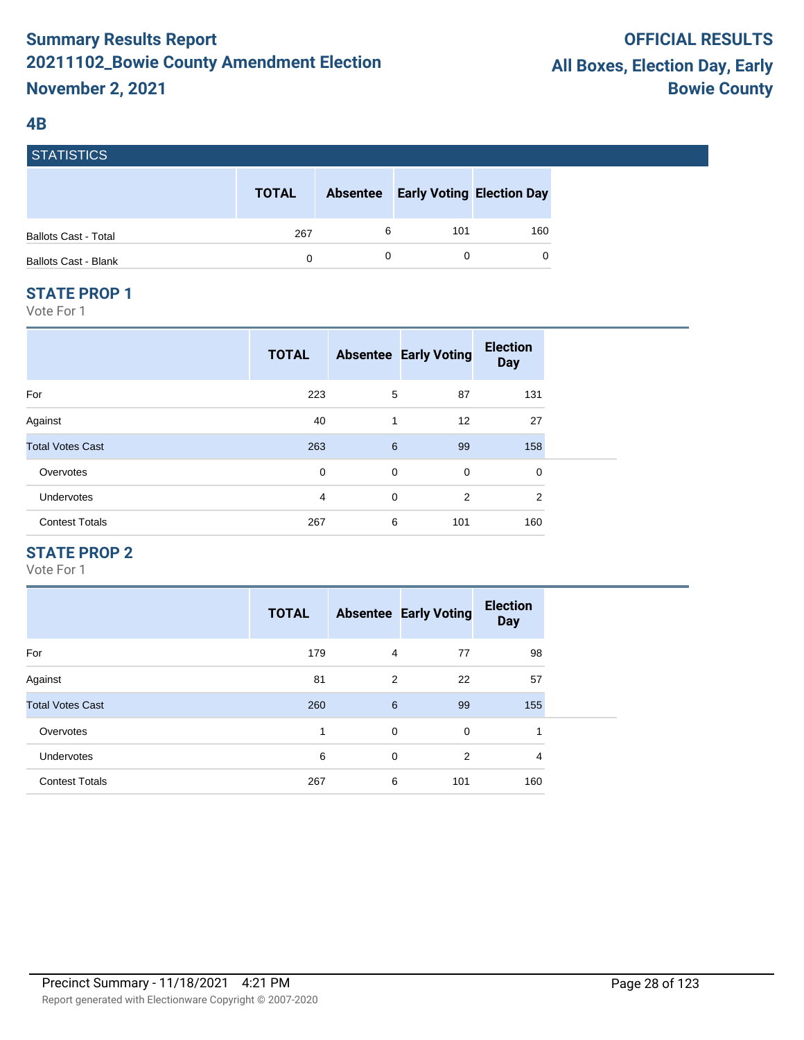#### **4B**

**STATICTICS** 

| I ƏTATIƏTIYƏ                |              |                 |                                  |     |
|-----------------------------|--------------|-----------------|----------------------------------|-----|
|                             | <b>TOTAL</b> | <b>Absentee</b> | <b>Early Voting Election Day</b> |     |
| <b>Ballots Cast - Total</b> | 267          | 6               | 101                              | 160 |
| <b>Ballots Cast - Blank</b> | 0            |                 |                                  | 0   |

#### **STATE PROP 1**

Vote For 1

|                         | <b>TOTAL</b> |             | <b>Absentee Early Voting</b> | <b>Election</b><br><b>Day</b> |  |
|-------------------------|--------------|-------------|------------------------------|-------------------------------|--|
| For                     | 223          | 5           | 87                           | 131                           |  |
| Against                 | 40           | 1           | 12                           | 27                            |  |
| <b>Total Votes Cast</b> | 263          | 6           | 99                           | 158                           |  |
| Overvotes               | 0            | 0           | $\mathbf 0$                  | 0                             |  |
| <b>Undervotes</b>       | 4            | $\mathbf 0$ | 2                            | 2                             |  |
| <b>Contest Totals</b>   | 267          | 6           | 101                          | 160                           |  |

#### **STATE PROP 2**

|                         | <b>TOTAL</b> |             | <b>Absentee Early Voting</b> | <b>Election</b><br><b>Day</b> |
|-------------------------|--------------|-------------|------------------------------|-------------------------------|
| For                     | 179          | 4           | 77                           | 98                            |
| Against                 | 81           | 2           | 22                           | 57                            |
| <b>Total Votes Cast</b> | 260          | 6           | 99                           | 155                           |
| Overvotes               | 1            | $\mathbf 0$ | 0                            |                               |
| <b>Undervotes</b>       | 6            | 0           | 2                            | 4                             |
| <b>Contest Totals</b>   | 267          | 6           | 101                          | 160                           |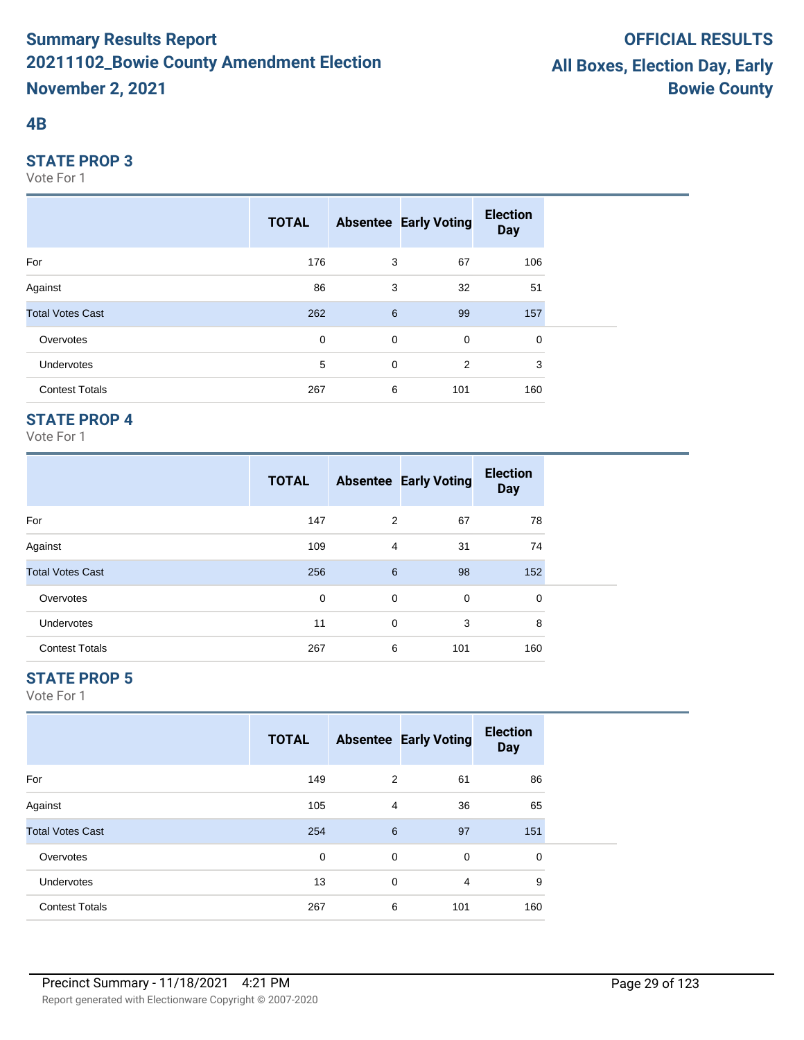#### **4B**

#### **STATE PROP 3**

Vote For 1

|                         | <b>TOTAL</b> |             | <b>Absentee Early Voting</b> | <b>Election</b><br><b>Day</b> |  |
|-------------------------|--------------|-------------|------------------------------|-------------------------------|--|
| For                     | 176          | 3           | 67                           | 106                           |  |
| Against                 | 86           | 3           | 32                           | 51                            |  |
| <b>Total Votes Cast</b> | 262          | 6           | 99                           | 157                           |  |
| Overvotes               | $\mathbf 0$  | $\mathbf 0$ | $\mathbf 0$                  | 0                             |  |
| Undervotes              | 5            | 0           | 2                            | 3                             |  |
| <b>Contest Totals</b>   | 267          | 6           | 101                          | 160                           |  |

## **STATE PROP 4**

Vote For 1

|                         | <b>TOTAL</b> |   | <b>Absentee Early Voting</b> | <b>Election</b><br><b>Day</b> |
|-------------------------|--------------|---|------------------------------|-------------------------------|
| For                     | 147          | 2 | 67                           | 78                            |
| Against                 | 109          | 4 | 31                           | 74                            |
| <b>Total Votes Cast</b> | 256          | 6 | 98                           | 152                           |
| Overvotes               | 0            | 0 | 0                            | 0                             |
| <b>Undervotes</b>       | 11           | 0 | 3                            | 8                             |
| <b>Contest Totals</b>   | 267          | 6 | 101                          | 160                           |

## **STATE PROP 5**

|                         | <b>TOTAL</b> |             | <b>Absentee Early Voting</b> | <b>Election</b><br><b>Day</b> |  |
|-------------------------|--------------|-------------|------------------------------|-------------------------------|--|
| For                     | 149          | 2           | 61                           | 86                            |  |
| Against                 | 105          | 4           | 36                           | 65                            |  |
| <b>Total Votes Cast</b> | 254          | 6           | 97                           | 151                           |  |
| Overvotes               | 0            | 0           | $\mathbf 0$                  | 0                             |  |
| <b>Undervotes</b>       | 13           | $\mathbf 0$ | $\overline{4}$               | 9                             |  |
| <b>Contest Totals</b>   | 267          | 6           | 101                          | 160                           |  |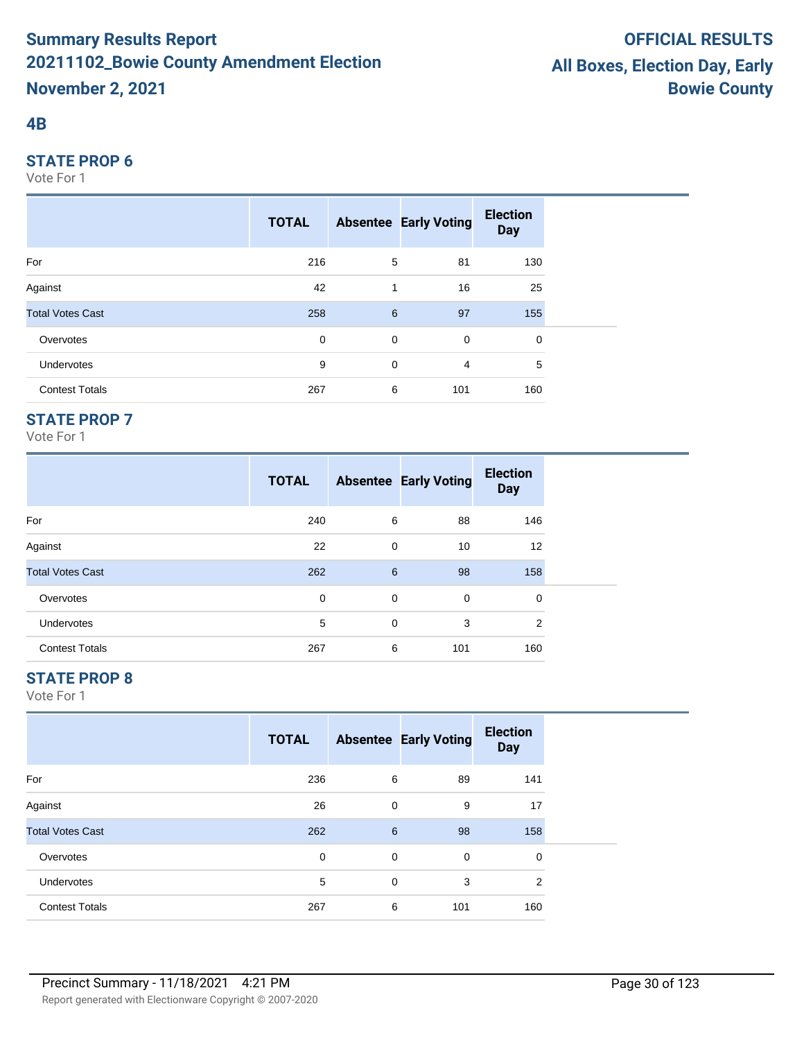#### **4B**

#### **STATE PROP 6**

Vote For 1

|                         | <b>TOTAL</b> |             | <b>Absentee Early Voting</b> | <b>Election</b><br><b>Day</b> |  |
|-------------------------|--------------|-------------|------------------------------|-------------------------------|--|
| For                     | 216          | 5           | 81                           | 130                           |  |
| Against                 | 42           | 1           | 16                           | 25                            |  |
| <b>Total Votes Cast</b> | 258          | 6           | 97                           | 155                           |  |
| Overvotes               | 0            | $\mathbf 0$ | $\mathbf 0$                  | 0                             |  |
| <b>Undervotes</b>       | 9            | $\mathbf 0$ | $\overline{4}$               | 5                             |  |
| <b>Contest Totals</b>   | 267          | 6           | 101                          | 160                           |  |

## **STATE PROP 7**

Vote For 1

|                         | <b>TOTAL</b> |   | <b>Absentee Early Voting</b> | <b>Election</b><br><b>Day</b> |  |
|-------------------------|--------------|---|------------------------------|-------------------------------|--|
| For                     | 240          | 6 | 88                           | 146                           |  |
| Against                 | 22           | 0 | 10                           | 12                            |  |
| <b>Total Votes Cast</b> | 262          | 6 | 98                           | 158                           |  |
| Overvotes               | 0            | 0 | 0                            | 0                             |  |
| <b>Undervotes</b>       | 5            | 0 | 3                            | 2                             |  |
| <b>Contest Totals</b>   | 267          | 6 | 101                          | 160                           |  |

## **STATE PROP 8**

|                         | <b>TOTAL</b> |   | <b>Absentee Early Voting</b> | <b>Election</b><br><b>Day</b> |  |
|-------------------------|--------------|---|------------------------------|-------------------------------|--|
| For                     | 236          | 6 | 89                           | 141                           |  |
| Against                 | 26           | 0 | 9                            | 17                            |  |
| <b>Total Votes Cast</b> | 262          | 6 | 98                           | 158                           |  |
| Overvotes               | 0            | 0 | 0                            | $\mathbf 0$                   |  |
| Undervotes              | 5            | 0 | 3                            | $\overline{2}$                |  |
| <b>Contest Totals</b>   | 267          | 6 | 101                          | 160                           |  |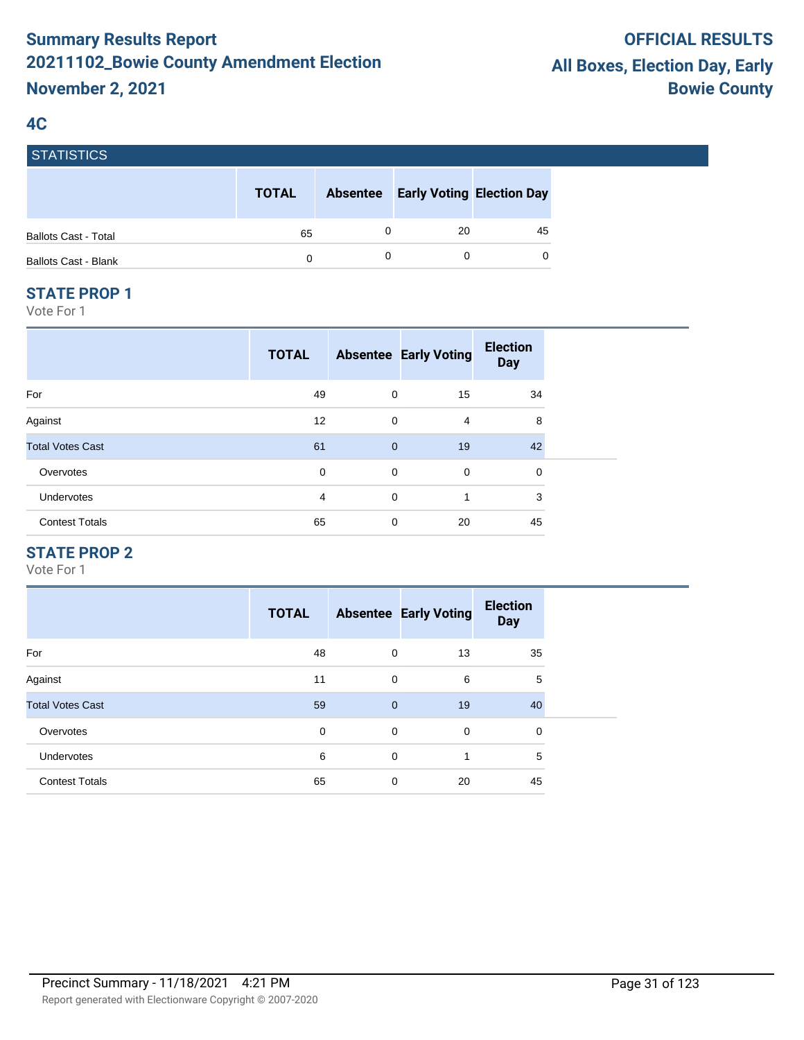### **4C**

**STATICTICS** 

| סטווסוואוטן                 |              |                 |                                  |    |
|-----------------------------|--------------|-----------------|----------------------------------|----|
|                             | <b>TOTAL</b> | <b>Absentee</b> | <b>Early Voting Election Day</b> |    |
| <b>Ballots Cast - Total</b> | 65           |                 | 20                               | 45 |
| <b>Ballots Cast - Blank</b> | 0            |                 |                                  | 0  |

#### **STATE PROP 1**

Vote For 1

| <b>TOTAL</b> |                |             | <b>Election</b><br><b>Day</b> |
|--------------|----------------|-------------|-------------------------------|
| 49           | 0              | 15          | 34                            |
| 12           | $\mathbf 0$    | 4           | 8                             |
| 61           | $\overline{0}$ | 19          | 42                            |
| 0            | $\mathbf 0$    | $\mathbf 0$ | $\mathbf 0$                   |
| 4            | $\mathbf 0$    | 1           | 3                             |
| 65           | 0              | 20          | 45                            |
|              |                |             | <b>Absentee Early Voting</b>  |

## **STATE PROP 2**

|                         | <b>TOTAL</b> |                | <b>Absentee Early Voting</b> | <b>Election</b><br><b>Day</b> |
|-------------------------|--------------|----------------|------------------------------|-------------------------------|
| For                     | 48           | 0              | 13                           | 35                            |
| Against                 | 11           | $\mathbf 0$    | 6                            | 5                             |
| <b>Total Votes Cast</b> | 59           | $\overline{0}$ | 19                           | 40                            |
| Overvotes               | 0            | $\mathbf 0$    | $\mathbf 0$                  | 0                             |
| <b>Undervotes</b>       | 6            | $\Omega$       | 1                            | 5                             |
| <b>Contest Totals</b>   | 65           | $\mathbf 0$    | 20                           | 45                            |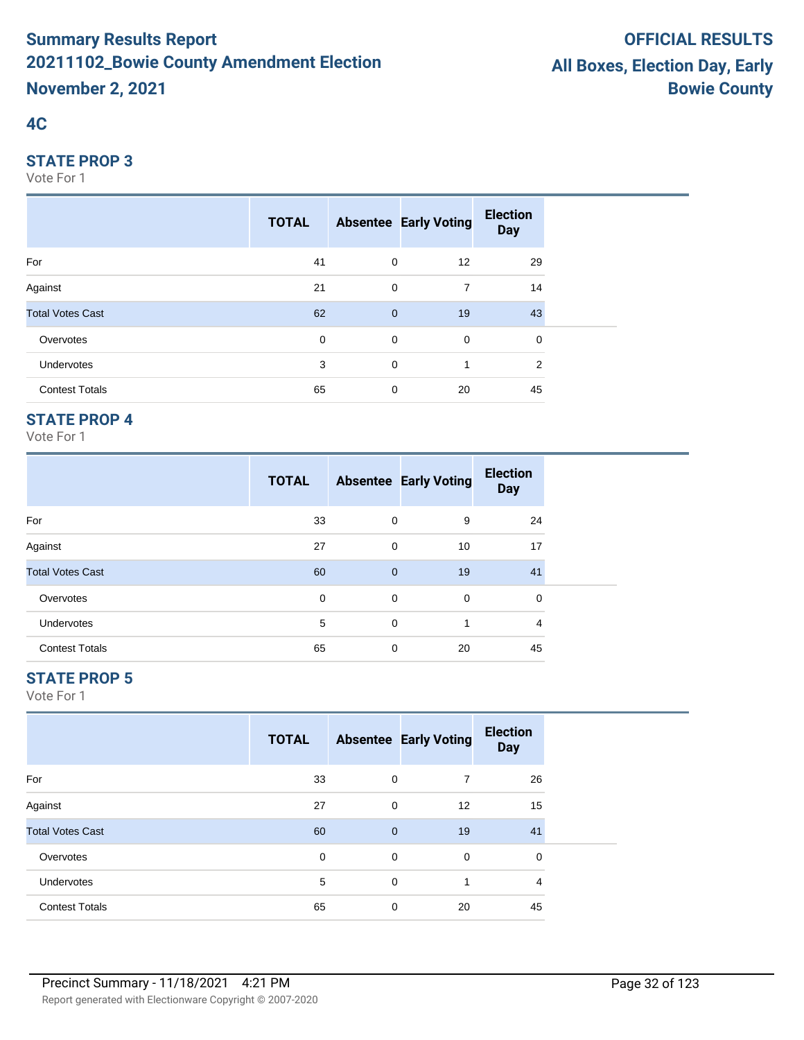# **4C**

#### **STATE PROP 3**

Vote For 1

|                         | <b>TOTAL</b> |                | <b>Absentee Early Voting</b> | <b>Election</b><br><b>Day</b> |  |
|-------------------------|--------------|----------------|------------------------------|-------------------------------|--|
| For                     | 41           | $\mathbf 0$    | 12                           | 29                            |  |
| Against                 | 21           | $\mathbf 0$    | $\overline{7}$               | 14                            |  |
| <b>Total Votes Cast</b> | 62           | $\overline{0}$ | 19                           | 43                            |  |
| Overvotes               | 0            | $\mathbf 0$    | $\mathbf 0$                  | 0                             |  |
| Undervotes              | 3            | $\mathbf 0$    | 1                            | 2                             |  |
| <b>Contest Totals</b>   | 65           | $\mathbf 0$    | 20                           | 45                            |  |

## **STATE PROP 4**

Vote For 1

|                         | <b>TOTAL</b> |                | <b>Absentee Early Voting</b> | <b>Election</b><br><b>Day</b> |  |
|-------------------------|--------------|----------------|------------------------------|-------------------------------|--|
| For                     | 33           | 0              | 9                            | 24                            |  |
| Against                 | 27           | 0              | 10                           | 17                            |  |
| <b>Total Votes Cast</b> | 60           | $\overline{0}$ | 19                           | 41                            |  |
| Overvotes               | 0            | 0              | $\mathbf 0$                  | 0                             |  |
| <b>Undervotes</b>       | 5            | $\mathbf 0$    | 1                            | 4                             |  |
| <b>Contest Totals</b>   | 65           | $\mathbf 0$    | 20                           | 45                            |  |

## **STATE PROP 5**

|                         | <b>TOTAL</b> |             | <b>Absentee Early Voting</b> | <b>Election</b><br><b>Day</b> |  |
|-------------------------|--------------|-------------|------------------------------|-------------------------------|--|
| For                     | 33           | 0           | 7                            | 26                            |  |
| Against                 | 27           | 0           | 12                           | 15                            |  |
| <b>Total Votes Cast</b> | 60           | $\mathbf 0$ | 19                           | 41                            |  |
| Overvotes               | $\mathbf 0$  | 0           | $\mathbf 0$                  | 0                             |  |
| Undervotes              | 5            | 0           | 1                            | 4                             |  |
| <b>Contest Totals</b>   | 65           | 0           | 20                           | 45                            |  |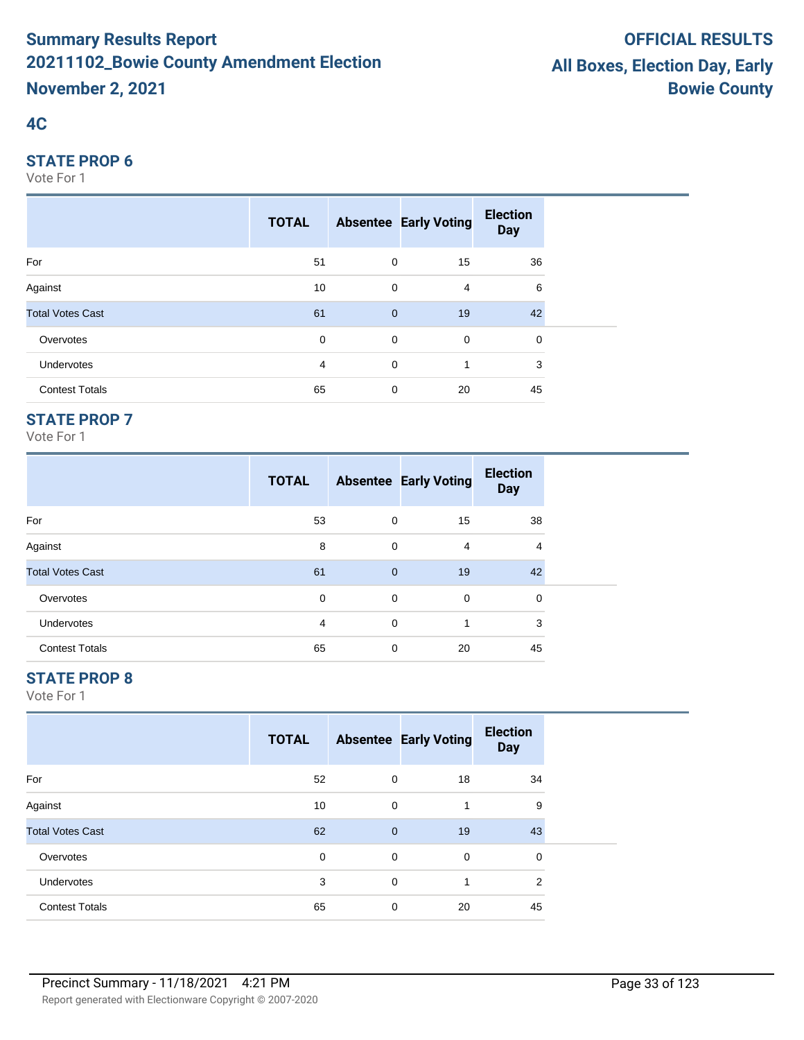# **4C**

#### **STATE PROP 6**

Vote For 1

|                         | <b>TOTAL</b> |                | <b>Absentee Early Voting</b> | <b>Election</b><br><b>Day</b> |  |
|-------------------------|--------------|----------------|------------------------------|-------------------------------|--|
| For                     | 51           | $\overline{0}$ | 15                           | 36                            |  |
| Against                 | 10           | 0              | $\overline{4}$               | 6                             |  |
| <b>Total Votes Cast</b> | 61           | $\overline{0}$ | 19                           | 42                            |  |
| Overvotes               | $\mathbf 0$  | $\mathbf 0$    | $\mathbf 0$                  | 0                             |  |
| <b>Undervotes</b>       | 4            | $\mathbf 0$    | 1                            | 3                             |  |
| <b>Contest Totals</b>   | 65           | 0              | 20                           | 45                            |  |

## **STATE PROP 7**

Vote For 1

|                         | <b>TOTAL</b>   |              | <b>Absentee Early Voting</b> | <b>Election</b><br><b>Day</b> |
|-------------------------|----------------|--------------|------------------------------|-------------------------------|
| For                     | 53             | 0            | 15                           | 38                            |
| Against                 | 8              | 0            | $\overline{4}$               | 4                             |
| <b>Total Votes Cast</b> | 61             | $\mathbf{0}$ | 19                           | 42                            |
| Overvotes               | $\Omega$       | $\Omega$     | 0                            | 0                             |
| <b>Undervotes</b>       | $\overline{4}$ | $\Omega$     | 1                            | 3                             |
| <b>Contest Totals</b>   | 65             | 0            | 20                           | 45                            |

## **STATE PROP 8**

|                         | <b>TOTAL</b> |              | <b>Absentee Early Voting</b> | <b>Election</b><br><b>Day</b> |  |
|-------------------------|--------------|--------------|------------------------------|-------------------------------|--|
| For                     | 52           | 0            | 18                           | 34                            |  |
| Against                 | 10           | 0            | 1                            | 9                             |  |
| <b>Total Votes Cast</b> | 62           | $\mathbf{0}$ | 19                           | 43                            |  |
| Overvotes               | 0            | $\mathbf 0$  | 0                            | 0                             |  |
| <b>Undervotes</b>       | 3            | 0            | 1                            | 2                             |  |
| <b>Contest Totals</b>   | 65           | 0            | 20                           | 45                            |  |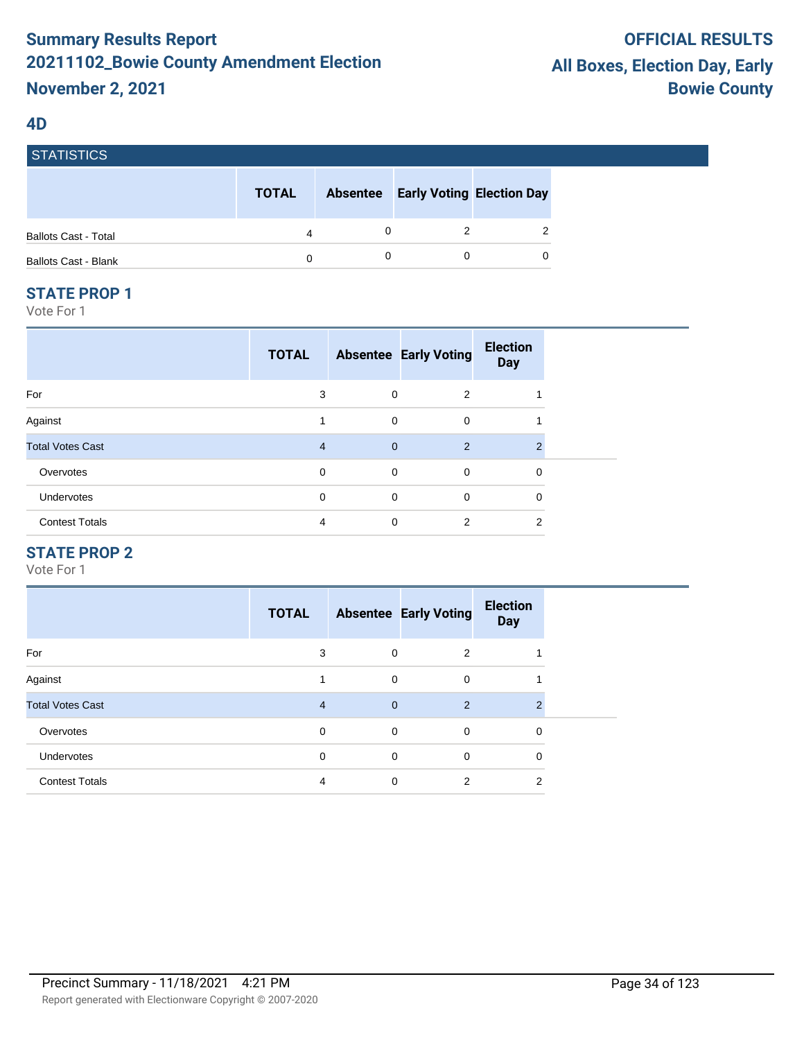#### **4D**

| I SIAIISIIUS                |              |                 |                                  |   |
|-----------------------------|--------------|-----------------|----------------------------------|---|
|                             | <b>TOTAL</b> | <b>Absentee</b> | <b>Early Voting Election Day</b> |   |
| <b>Ballots Cast - Total</b> | 4            |                 |                                  | 2 |
| <b>Ballots Cast - Blank</b> | 0            |                 |                                  | 0 |

#### **STATE PROP 1**

STATISTICS

Vote For 1

|                         | <b>TOTAL</b>   |                | <b>Absentee Early Voting</b> | <b>Election</b><br><b>Day</b> |
|-------------------------|----------------|----------------|------------------------------|-------------------------------|
| For                     | 3              | 0              | 2                            |                               |
| Against                 | 1              | $\mathbf 0$    | $\mathbf 0$                  |                               |
| <b>Total Votes Cast</b> | $\overline{4}$ | $\overline{0}$ | 2                            | $\mathfrak{p}$                |
| Overvotes               | $\mathbf 0$    | $\mathbf 0$    | $\mathbf 0$                  | 0                             |
| Undervotes              | 0              | $\mathbf 0$    | $\mathbf 0$                  | 0                             |
| <b>Contest Totals</b>   | 4              | 0              | 2                            | 2                             |

#### **STATE PROP 2**

|                         | <b>TOTAL</b>   |              | <b>Absentee Early Voting</b> | <b>Election</b><br><b>Day</b> |
|-------------------------|----------------|--------------|------------------------------|-------------------------------|
| For                     | 3              | 0            | 2                            |                               |
| Against                 | 1              | $\mathbf 0$  | $\mathbf 0$                  |                               |
| <b>Total Votes Cast</b> | $\overline{4}$ | $\mathbf{0}$ | 2                            | $\mathcal{P}$                 |
| Overvotes               | 0              | $\mathbf 0$  | $\mathbf 0$                  | 0                             |
| <b>Undervotes</b>       | 0              | $\mathbf 0$  | 0                            | 0                             |
| <b>Contest Totals</b>   | 4              | $\mathbf 0$  | 2                            | 2                             |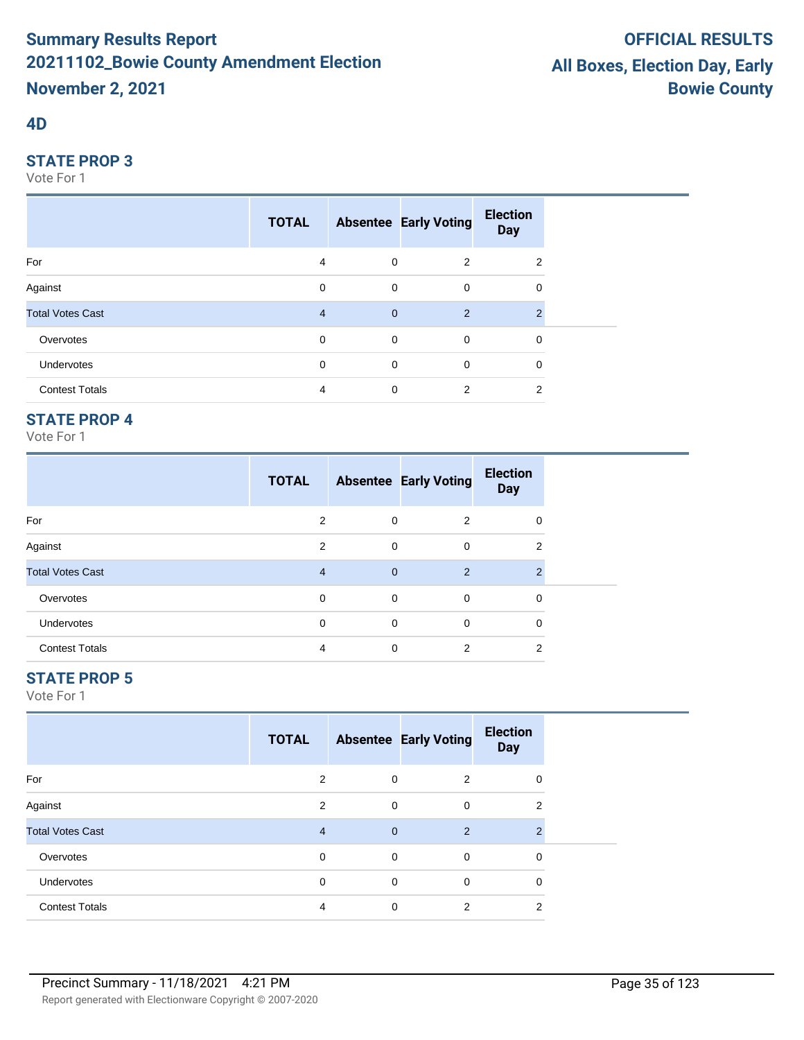#### **4D**

#### **STATE PROP 3**

Vote For 1

|                         | <b>TOTAL</b>   |              | <b>Absentee Early Voting</b> | <b>Election</b><br><b>Day</b> |  |
|-------------------------|----------------|--------------|------------------------------|-------------------------------|--|
| For                     | 4              | $\mathbf 0$  | 2                            | 2                             |  |
| Against                 | 0              | $\mathbf 0$  | $\mathbf 0$                  | 0                             |  |
| <b>Total Votes Cast</b> | $\overline{4}$ | $\mathbf{0}$ | 2                            | 2                             |  |
| Overvotes               | $\mathbf 0$    | $\mathbf 0$  | $\overline{0}$               | $\mathbf 0$                   |  |
| Undervotes              | 0              | $\mathbf 0$  | $\mathbf 0$                  | 0                             |  |
| <b>Contest Totals</b>   | 4              | $\mathbf 0$  | 2                            | 2                             |  |

## **STATE PROP 4**

Vote For 1

|                         | <b>TOTAL</b>   |              | <b>Absentee Early Voting</b> | <b>Election</b><br><b>Day</b> |
|-------------------------|----------------|--------------|------------------------------|-------------------------------|
| For                     | 2              | 0            | 2                            | $\Omega$                      |
| Against                 | 2              | 0            | 0                            | 2                             |
| <b>Total Votes Cast</b> | $\overline{4}$ | $\mathbf{0}$ | 2                            | $\mathfrak{p}$                |
| Overvotes               | 0              | 0            | 0                            | 0                             |
| <b>Undervotes</b>       | 0              | 0            | 0                            | $\Omega$                      |
| <b>Contest Totals</b>   | 4              | 0            | $\overline{2}$               | 2                             |

## **STATE PROP 5**

|                         | <b>TOTAL</b>   |                | <b>Absentee Early Voting</b> | <b>Election</b><br><b>Day</b> |  |
|-------------------------|----------------|----------------|------------------------------|-------------------------------|--|
| For                     | 2              | 0              | 2                            | 0                             |  |
| Against                 | 2              | $\mathbf 0$    | 0                            | $\overline{2}$                |  |
| <b>Total Votes Cast</b> | $\overline{4}$ | $\overline{0}$ | 2                            | $\mathfrak{p}$                |  |
| Overvotes               | $\mathbf 0$    | 0              | 0                            | 0                             |  |
| Undervotes              | $\mathbf 0$    | $\mathbf 0$    | $\mathbf 0$                  | $\mathbf 0$                   |  |
| <b>Contest Totals</b>   | 4              | 0              | 2                            | 2                             |  |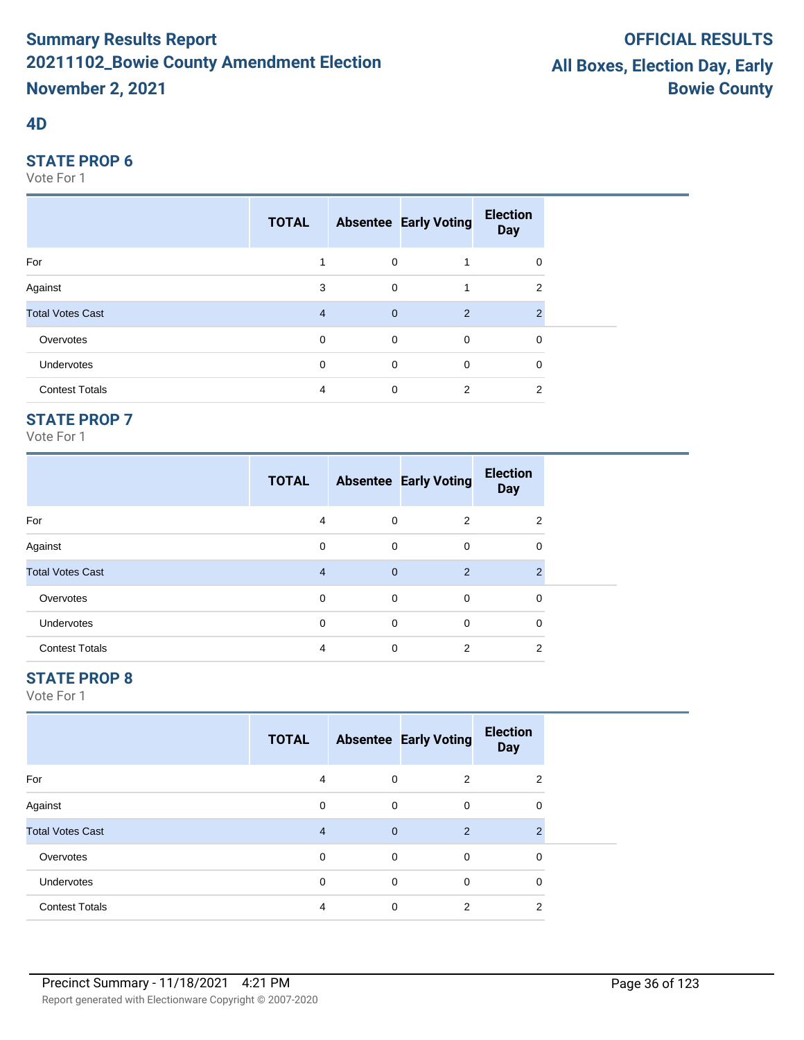#### **4D**

#### **STATE PROP 6**

Vote For 1

|                         | <b>TOTAL</b>   |                | <b>Absentee Early Voting</b> | <b>Election</b><br><b>Day</b> |  |
|-------------------------|----------------|----------------|------------------------------|-------------------------------|--|
| For                     | и              | 0              |                              | 0                             |  |
| Against                 | 3              | $\mathbf 0$    |                              | 2                             |  |
| <b>Total Votes Cast</b> | $\overline{4}$ | $\overline{0}$ | 2                            | 2                             |  |
| Overvotes               | $\mathbf 0$    | $\mathbf 0$    | $\mathbf 0$                  | 0                             |  |
| Undervotes              | 0              | 0              | $\mathbf 0$                  | 0                             |  |
| <b>Contest Totals</b>   | 4              | 0              | 2                            | 2                             |  |

## **STATE PROP 7**

Vote For 1

|                         | <b>TOTAL</b> |              | <b>Absentee Early Voting</b> | <b>Election</b><br><b>Day</b> |
|-------------------------|--------------|--------------|------------------------------|-------------------------------|
| For                     | 4            | 0            | 2                            | 2                             |
| Against                 | 0            | 0            | 0                            | 0                             |
| <b>Total Votes Cast</b> | 4            | $\mathbf{0}$ | $\overline{2}$               | $\mathcal{P}$                 |
| Overvotes               | 0            | 0            | 0                            | 0                             |
| Undervotes              | 0            | 0            | 0                            | 0                             |
| <b>Contest Totals</b>   | 4            | $\Omega$     | $\overline{2}$               | 2                             |

## **STATE PROP 8**

|                         | <b>TOTAL</b>   |                | <b>Absentee Early Voting</b> | <b>Election</b><br><b>Day</b> |  |
|-------------------------|----------------|----------------|------------------------------|-------------------------------|--|
| For                     | 4              | 0              | 2                            | $\overline{2}$                |  |
| Against                 | 0              | 0              | 0                            | 0                             |  |
| <b>Total Votes Cast</b> | $\overline{4}$ | $\overline{0}$ | 2                            | $\mathcal{P}$                 |  |
| Overvotes               | $\mathbf 0$    | $\mathbf 0$    | 0                            | 0                             |  |
| Undervotes              | 0              | $\mathbf 0$    | 0                            | 0                             |  |
| <b>Contest Totals</b>   | 4              | $\mathbf 0$    | 2                            | 2                             |  |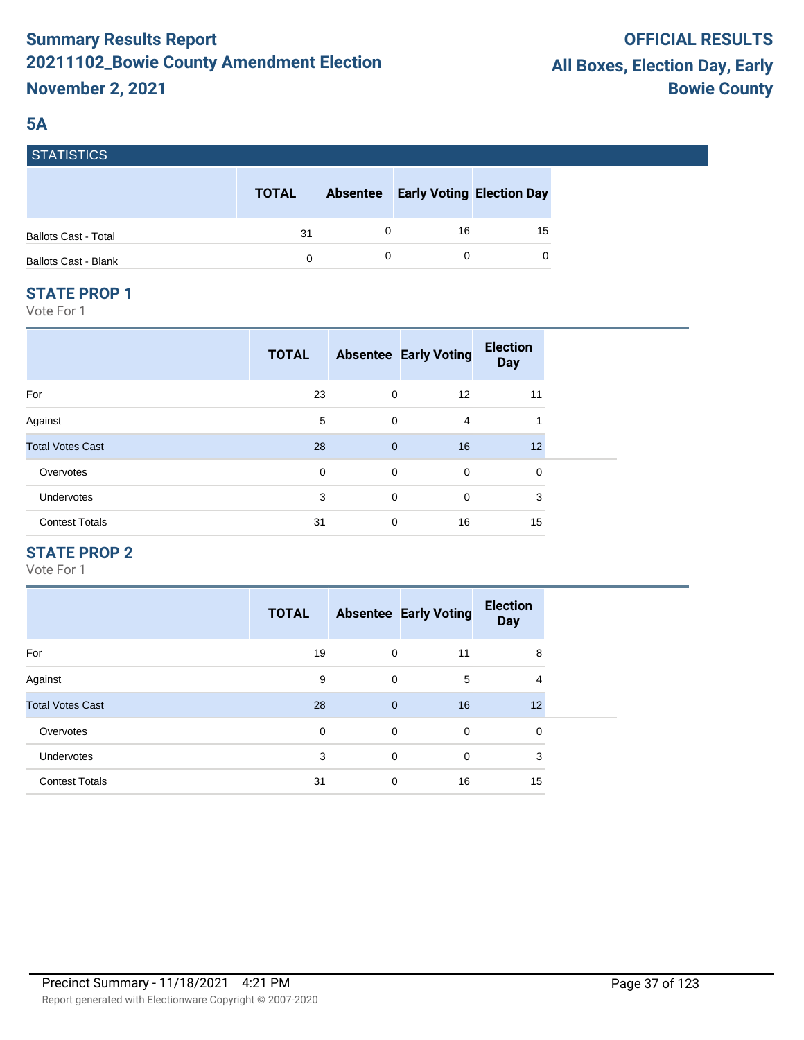## **5A**

**STATICTICS** 

| סטווסוואוס                  |              |                 |                                  |    |
|-----------------------------|--------------|-----------------|----------------------------------|----|
|                             | <b>TOTAL</b> | <b>Absentee</b> | <b>Early Voting Election Day</b> |    |
| <b>Ballots Cast - Total</b> | 31           |                 | 16                               | 15 |
| <b>Ballots Cast - Blank</b> | 0            |                 |                                  | 0  |

#### **STATE PROP 1**

Vote For 1

|                         | <b>TOTAL</b> |              | <b>Absentee Early Voting</b> | <b>Election</b><br><b>Day</b> |  |
|-------------------------|--------------|--------------|------------------------------|-------------------------------|--|
| For                     | 23           | 0            | 12                           | 11                            |  |
| Against                 | 5            | $\mathbf 0$  | 4                            | 1                             |  |
| <b>Total Votes Cast</b> | 28           | $\mathbf{0}$ | 16                           | 12 <sup>2</sup>               |  |
| Overvotes               | 0            | 0            | $\mathbf 0$                  | 0                             |  |
| Undervotes              | 3            | $\mathbf 0$  | $\mathbf 0$                  | 3                             |  |
| <b>Contest Totals</b>   | 31           | 0            | 16                           | 15                            |  |

## **STATE PROP 2**

|                         | <b>TOTAL</b> |                | <b>Absentee Early Voting</b> | <b>Election</b><br><b>Day</b> |
|-------------------------|--------------|----------------|------------------------------|-------------------------------|
| For                     | 19           | $\mathbf 0$    | 11                           | 8                             |
| Against                 | 9            | $\mathbf 0$    | 5                            | 4                             |
| <b>Total Votes Cast</b> | 28           | $\overline{0}$ | 16                           | 12                            |
| Overvotes               | 0            | 0              | 0                            | 0                             |
| <b>Undervotes</b>       | 3            | $\Omega$       | $\Omega$                     | 3                             |
| <b>Contest Totals</b>   | 31           | $\mathbf 0$    | 16                           | 15                            |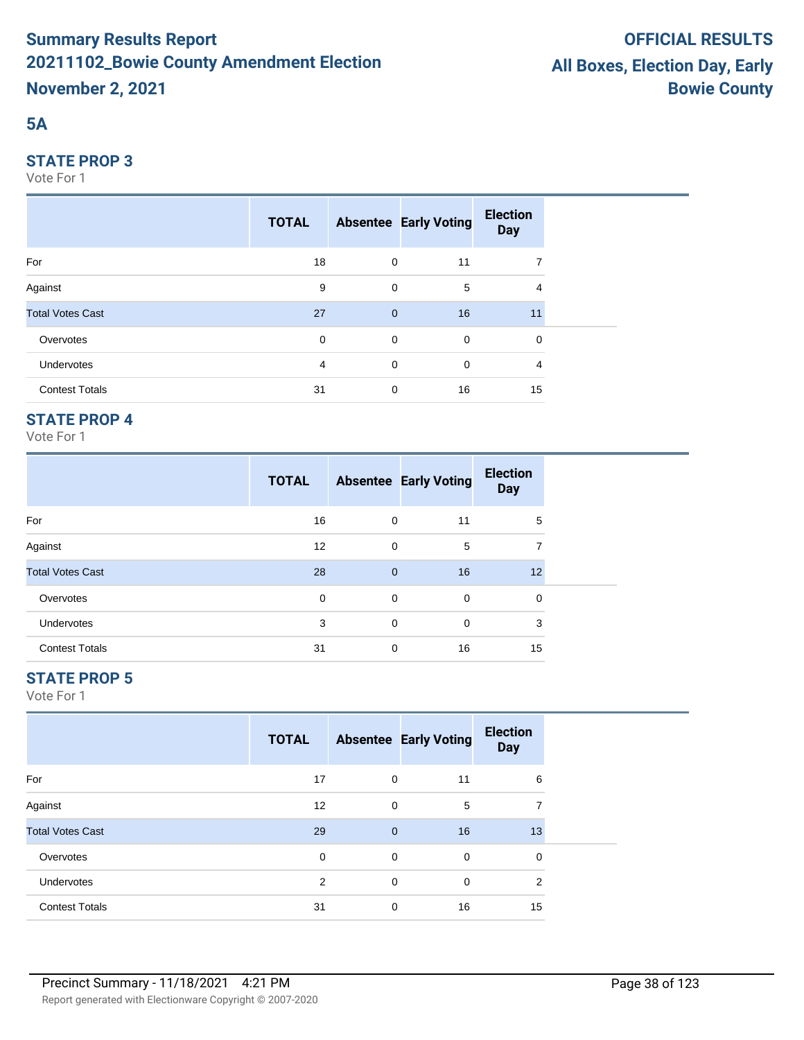## **5A**

#### **STATE PROP 3**

Vote For 1

|                         | <b>TOTAL</b> |              | <b>Absentee Early Voting</b> | <b>Election</b><br><b>Day</b> |  |
|-------------------------|--------------|--------------|------------------------------|-------------------------------|--|
| For                     | 18           | $\mathbf 0$  | 11                           | 7                             |  |
| Against                 | 9            | $\mathbf 0$  | 5                            | 4                             |  |
| <b>Total Votes Cast</b> | 27           | $\mathbf{0}$ | 16                           | 11                            |  |
| Overvotes               | 0            | $\mathbf 0$  | $\overline{0}$               | $\mathbf 0$                   |  |
| Undervotes              | 4            | $\mathbf 0$  | $\mathbf 0$                  | 4                             |  |
| <b>Contest Totals</b>   | 31           | $\mathbf 0$  | 16                           | 15                            |  |

## **STATE PROP 4**

Vote For 1

|                         | <b>TOTAL</b> |              | <b>Absentee Early Voting</b> | <b>Election</b><br><b>Day</b> |  |
|-------------------------|--------------|--------------|------------------------------|-------------------------------|--|
| For                     | 16           | 0            | 11                           | 5                             |  |
| Against                 | 12           | 0            | 5                            | 7                             |  |
| <b>Total Votes Cast</b> | 28           | $\mathbf{0}$ | 16                           | 12                            |  |
| Overvotes               | 0            | 0            | $\mathbf 0$                  | 0                             |  |
| <b>Undervotes</b>       | 3            | $\mathbf 0$  | 0                            | 3                             |  |
| <b>Contest Totals</b>   | 31           | 0            | 16                           | 15                            |  |

## **STATE PROP 5**

|                         | <b>TOTAL</b> |              | <b>Absentee Early Voting</b> | <b>Election</b><br><b>Day</b> |  |
|-------------------------|--------------|--------------|------------------------------|-------------------------------|--|
| For                     | 17           | 0            | 11                           | 6                             |  |
| Against                 | 12           | 0            | 5                            | 7                             |  |
| <b>Total Votes Cast</b> | 29           | $\mathbf{0}$ | 16                           | 13                            |  |
| Overvotes               | $\Omega$     | 0            | $\mathbf 0$                  | 0                             |  |
| <b>Undervotes</b>       | 2            | $\mathbf 0$  | $\mathbf 0$                  | $\overline{2}$                |  |
| <b>Contest Totals</b>   | 31           | 0            | 16                           | 15                            |  |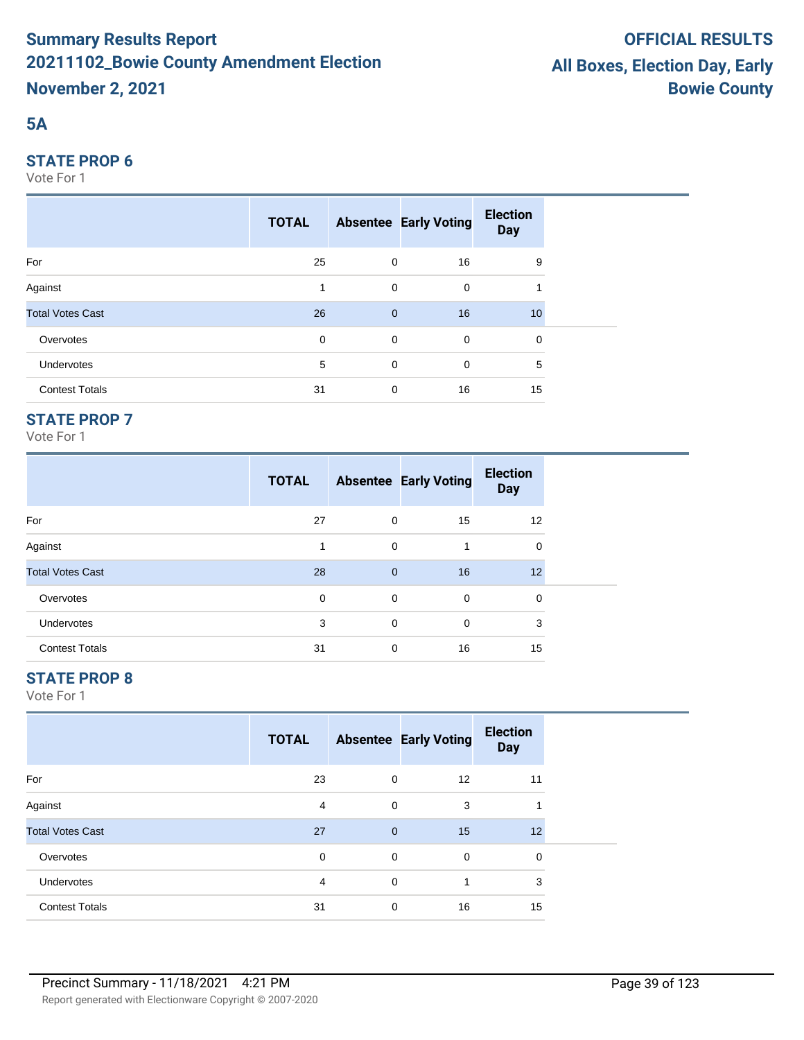## **5A**

#### **STATE PROP 6**

Vote For 1

|                         | <b>TOTAL</b> |                | <b>Absentee Early Voting</b> | <b>Election</b><br><b>Day</b> |  |
|-------------------------|--------------|----------------|------------------------------|-------------------------------|--|
| For                     | 25           | $\mathbf 0$    | 16                           | 9                             |  |
| Against                 |              | $\mathbf 0$    | 0                            |                               |  |
| <b>Total Votes Cast</b> | 26           | $\overline{0}$ | 16                           | 10                            |  |
| Overvotes               | $\mathbf 0$  | $\mathbf 0$    | $\mathbf 0$                  | 0                             |  |
| <b>Undervotes</b>       | 5            | $\mathbf 0$    | 0                            | 5                             |  |
| <b>Contest Totals</b>   | 31           | 0              | 16                           | 15                            |  |

## **STATE PROP 7**

Vote For 1

|                         | <b>TOTAL</b> |                | <b>Absentee Early Voting</b> | <b>Election</b><br><b>Day</b> |
|-------------------------|--------------|----------------|------------------------------|-------------------------------|
| For                     | 27           | $\mathbf 0$    | 15                           | 12                            |
| Against                 | 1            | $\mathbf 0$    | 1                            | 0                             |
| <b>Total Votes Cast</b> | 28           | $\overline{0}$ | 16                           | 12                            |
| Overvotes               | 0            | 0              | 0                            | 0                             |
| <b>Undervotes</b>       | 3            | $\mathbf 0$    | 0                            | 3                             |
| <b>Contest Totals</b>   | 31           | 0              | 16                           | 15                            |

## **STATE PROP 8**

|                         | <b>TOTAL</b> |                | <b>Absentee Early Voting</b> | <b>Election</b><br><b>Day</b> |  |
|-------------------------|--------------|----------------|------------------------------|-------------------------------|--|
| For                     | 23           | 0              | $12 \overline{ }$            | 11                            |  |
| Against                 | 4            | 0              | 3                            | 1                             |  |
| <b>Total Votes Cast</b> | 27           | $\overline{0}$ | 15                           | 12                            |  |
| Overvotes               | $\mathbf 0$  | 0              | 0                            | 0                             |  |
| Undervotes              | 4            | 0              | 1                            | 3                             |  |
| <b>Contest Totals</b>   | 31           | 0              | 16                           | 15                            |  |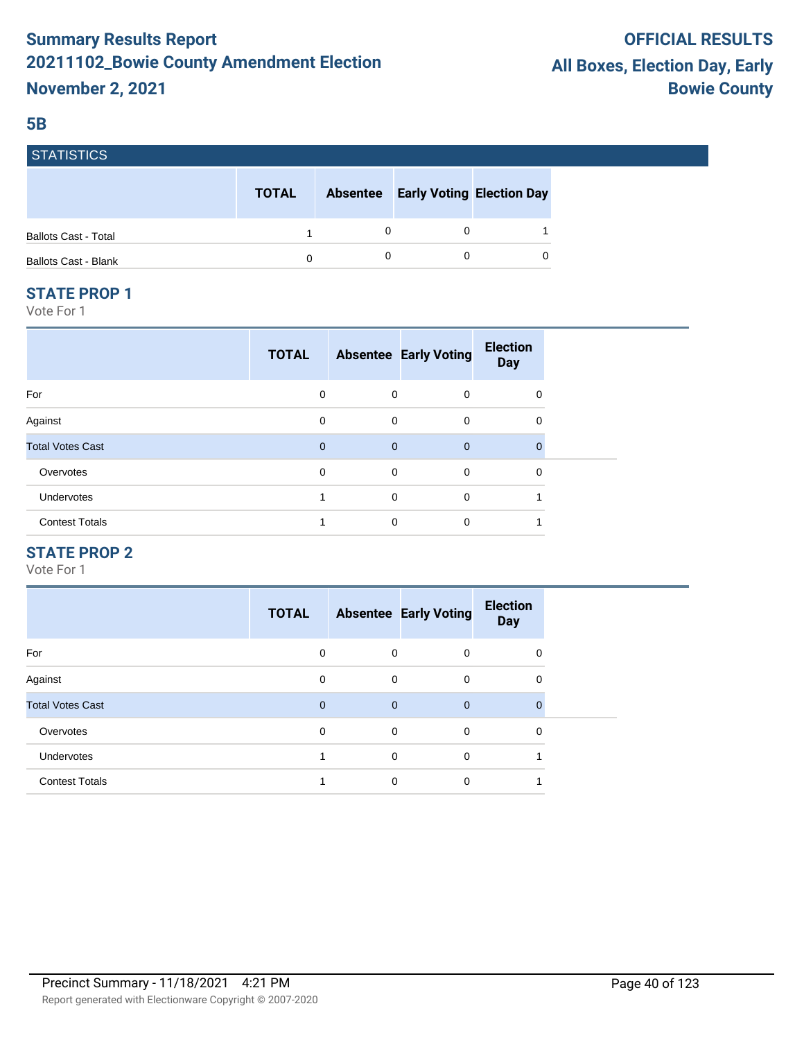#### **5B**

| гэтанэньэ                   |              |                                           |          |
|-----------------------------|--------------|-------------------------------------------|----------|
|                             | <b>TOTAL</b> | <b>Absentee Early Voting Election Day</b> |          |
| <b>Ballots Cast - Total</b> |              |                                           |          |
| <b>Ballots Cast - Blank</b> | 0            |                                           | $\Omega$ |

#### **STATE PROP 1**

EATIOTIOS

Vote For 1

| <b>TOTAL</b> |   |                | <b>Election</b><br><b>Day</b> |                              |
|--------------|---|----------------|-------------------------------|------------------------------|
| 0            |   | 0              | 0                             |                              |
| 0            |   | $\mathbf 0$    | 0                             |                              |
| $\mathbf 0$  |   | $\overline{0}$ | $\Omega$                      |                              |
| 0            | 0 | $\mathbf 0$    | 0                             |                              |
|              | 0 | $\mathbf 0$    |                               |                              |
|              | 0 | $\mathbf 0$    |                               |                              |
|              |   |                | 0<br>0<br>$\mathbf 0$         | <b>Absentee Early Voting</b> |

#### **STATE PROP 2**

|                         | <b>TOTAL</b> |             | <b>Absentee Early Voting</b> | <b>Election</b><br><b>Day</b> |  |
|-------------------------|--------------|-------------|------------------------------|-------------------------------|--|
| For                     | 0            | 0           | 0                            | 0                             |  |
| Against                 | 0            | 0           | $\mathbf 0$                  | 0                             |  |
| <b>Total Votes Cast</b> | $\Omega$     | $\mathbf 0$ | $\overline{0}$               | $\Omega$                      |  |
| Overvotes               | 0            | 0           | $\mathbf 0$                  | 0                             |  |
| <b>Undervotes</b>       |              | 0           | $\mathbf 0$                  |                               |  |
| <b>Contest Totals</b>   |              | 0           | 0                            |                               |  |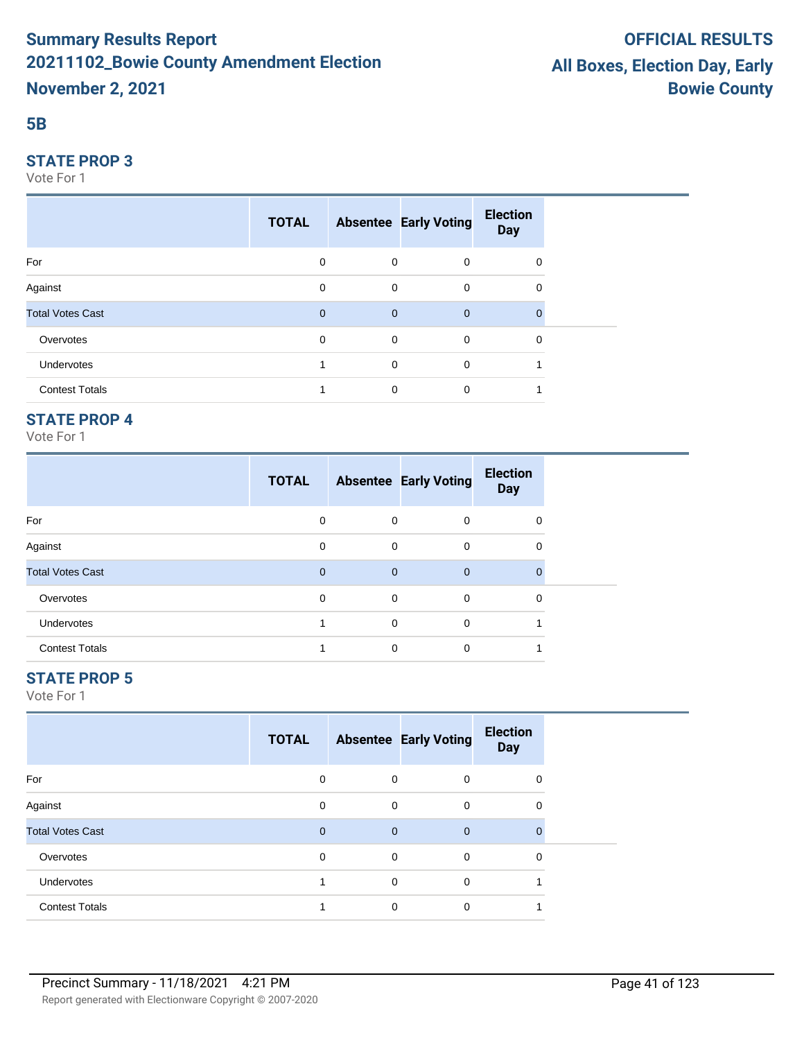#### **5B**

#### **STATE PROP 3**

Vote For 1

|                         | <b>TOTAL</b> |              | <b>Absentee Early Voting</b> | <b>Election</b><br><b>Day</b> |  |
|-------------------------|--------------|--------------|------------------------------|-------------------------------|--|
| For                     | $\mathbf 0$  | $\mathbf 0$  | $\overline{0}$               | 0                             |  |
| Against                 | 0            | $\mathbf 0$  | $\overline{0}$               | 0                             |  |
| <b>Total Votes Cast</b> | $\mathbf{0}$ | $\mathbf{0}$ | $\overline{0}$               | $\mathbf 0$                   |  |
| Overvotes               | $\mathbf 0$  | $\mathbf 0$  | $\overline{0}$               | $\mathbf 0$                   |  |
| Undervotes              |              | 0            | $\mathbf 0$                  |                               |  |
| <b>Contest Totals</b>   | и            | $\mathbf 0$  | $\mathbf 0$                  | 1                             |  |

## **STATE PROP 4**

Vote For 1

|                         | <b>TOTAL</b> |                | <b>Absentee Early Voting</b> | <b>Election</b><br><b>Day</b> |
|-------------------------|--------------|----------------|------------------------------|-------------------------------|
| For                     | $\Omega$     | 0              | $\Omega$                     | 0                             |
| Against                 | 0            | $\mathbf 0$    | $\Omega$                     | $\Omega$                      |
| <b>Total Votes Cast</b> | $\mathbf 0$  | $\overline{0}$ | $\Omega$                     | $\Omega$                      |
| Overvotes               | $\Omega$     | 0              | $\Omega$                     | $\Omega$                      |
| <b>Undervotes</b>       |              | $\mathbf 0$    | $\Omega$                     |                               |
| <b>Contest Totals</b>   |              | 0              | $\Omega$                     |                               |

## **STATE PROP 5**

|                         | <b>TOTAL</b>   |                | <b>Absentee Early Voting</b> | <b>Election</b><br><b>Day</b> |  |
|-------------------------|----------------|----------------|------------------------------|-------------------------------|--|
| For                     | 0              | 0              | 0                            | 0                             |  |
| Against                 | $\mathbf 0$    | $\mathbf 0$    | 0                            | 0                             |  |
| <b>Total Votes Cast</b> | $\overline{0}$ | $\overline{0}$ | $\mathbf{0}$                 | $\mathbf{0}$                  |  |
| Overvotes               | $\mathbf 0$    | 0              | 0                            | 0                             |  |
| Undervotes              |                | $\mathbf 0$    | $\mathbf 0$                  |                               |  |
| <b>Contest Totals</b>   |                | 0              | 0                            |                               |  |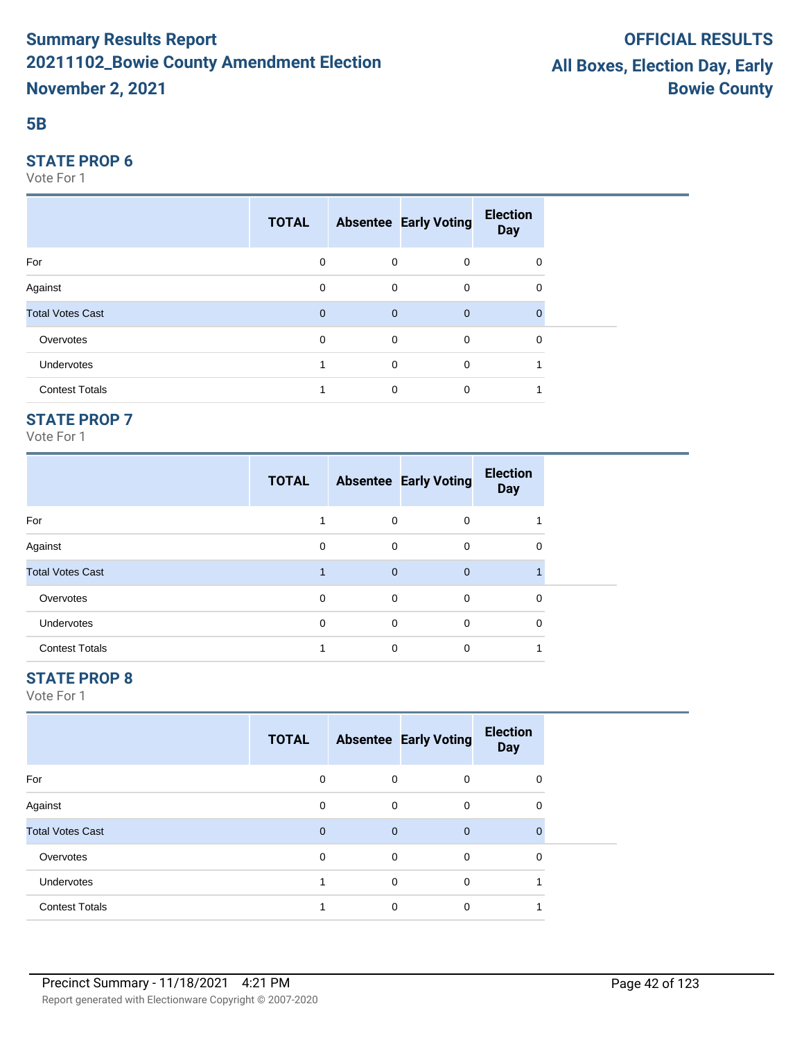#### **5B**

#### **STATE PROP 6**

Vote For 1

|                         | <b>TOTAL</b> |                | <b>Absentee Early Voting</b> | <b>Election</b><br><b>Day</b> |  |
|-------------------------|--------------|----------------|------------------------------|-------------------------------|--|
| For                     | 0            | $\mathbf 0$    | $\mathbf 0$                  | 0                             |  |
| Against                 | 0            | $\mathbf 0$    | $\mathbf 0$                  | 0                             |  |
| <b>Total Votes Cast</b> | $\mathbf{0}$ | $\overline{0}$ | $\overline{0}$               |                               |  |
| Overvotes               | $\mathbf 0$  | $\overline{0}$ | $\mathbf 0$                  | 0                             |  |
| Undervotes              | 4            | $\mathbf 0$    | $\mathbf 0$                  |                               |  |
| <b>Contest Totals</b>   | 1            | 0              | $\mathbf 0$                  |                               |  |

## **STATE PROP 7**

Vote For 1

|                         | <b>TOTAL</b> |             | <b>Absentee Early Voting</b> | <b>Election</b><br><b>Day</b> |  |
|-------------------------|--------------|-------------|------------------------------|-------------------------------|--|
| For                     |              | 0           | $\Omega$                     |                               |  |
| Against                 | $\Omega$     | 0           | $\Omega$                     | 0                             |  |
| <b>Total Votes Cast</b> |              | $\mathbf 0$ | $\Omega$                     |                               |  |
| Overvotes               | $\Omega$     | 0           | $\Omega$                     | 0                             |  |
| <b>Undervotes</b>       | $\Omega$     | 0           | $\Omega$                     | $\Omega$                      |  |
| <b>Contest Totals</b>   |              | 0           | $\Omega$                     |                               |  |

## **STATE PROP 8**

|                         | <b>TOTAL</b> |                | <b>Absentee Early Voting</b> | <b>Election</b><br><b>Day</b> |  |
|-------------------------|--------------|----------------|------------------------------|-------------------------------|--|
| For                     | 0            | 0              | 0                            | 0                             |  |
| Against                 | 0            | $\mathbf 0$    | 0                            | 0                             |  |
| <b>Total Votes Cast</b> | $\mathbf{0}$ | $\overline{0}$ | $\mathbf{0}$                 | $\mathbf{0}$                  |  |
| Overvotes               | $\Omega$     | 0              | 0                            | 0                             |  |
| <b>Undervotes</b>       |              | $\mathbf 0$    | 0                            |                               |  |
| <b>Contest Totals</b>   |              | 0              | 0                            |                               |  |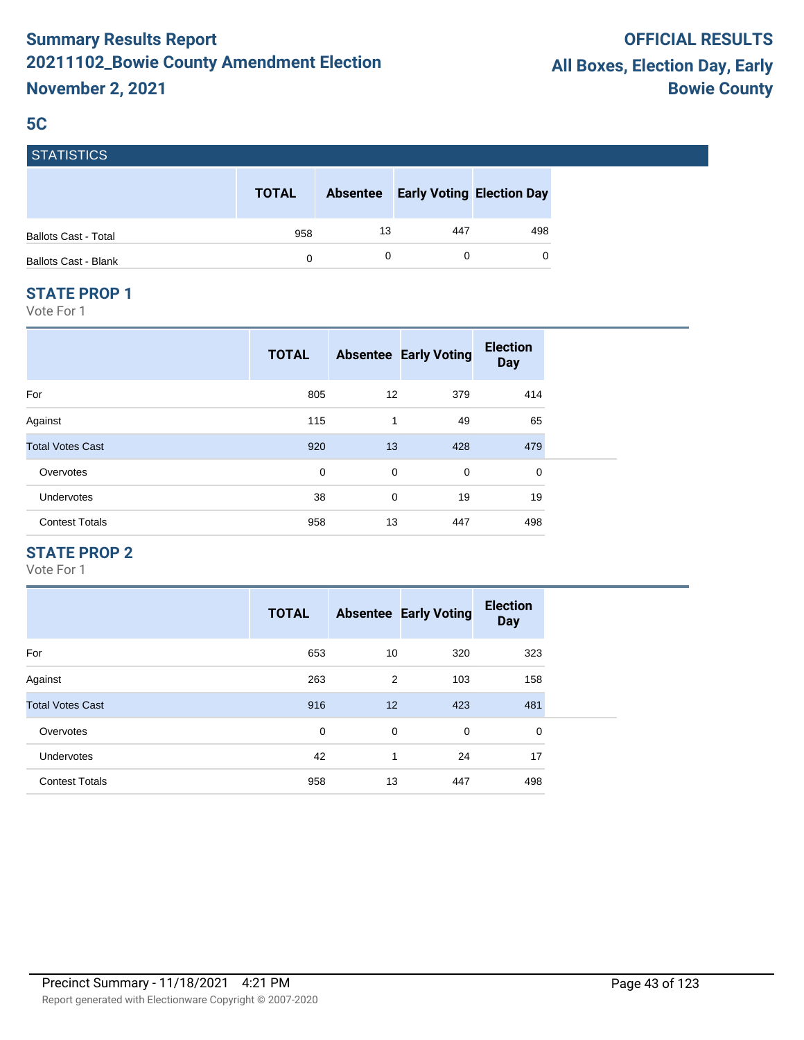#### **5C**

| <b>STATISTICS</b> |  |
|-------------------|--|
|                   |  |

|                             | <b>TOTAL</b> | <b>Absentee</b> |     | <b>Early Voting Election Day</b> |
|-----------------------------|--------------|-----------------|-----|----------------------------------|
| <b>Ballots Cast - Total</b> | 958          | 13              | 447 | 498                              |
| Ballots Cast - Blank        | 0            |                 |     | $\Omega$                         |

#### **STATE PROP 1**

Vote For 1

|                         | <b>TOTAL</b> |             | <b>Absentee Early Voting</b> | <b>Election</b><br><b>Day</b> |
|-------------------------|--------------|-------------|------------------------------|-------------------------------|
| For                     | 805          | 12          | 379                          | 414                           |
| Against                 | 115          | 1           | 49                           | 65                            |
| <b>Total Votes Cast</b> | 920          | 13          | 428                          | 479                           |
| Overvotes               | 0            | 0           | 0                            | 0                             |
| Undervotes              | 38           | $\mathbf 0$ | 19                           | 19                            |
| <b>Contest Totals</b>   | 958          | 13          | 447                          | 498                           |

## **STATE PROP 2**

|                         | <b>TOTAL</b> |             | <b>Absentee Early Voting</b> | <b>Election</b><br><b>Day</b> |
|-------------------------|--------------|-------------|------------------------------|-------------------------------|
| For                     | 653          | 10          | 320                          | 323                           |
| Against                 | 263          | 2           | 103                          | 158                           |
| <b>Total Votes Cast</b> | 916          | 12          | 423                          | 481                           |
| Overvotes               | 0            | $\mathbf 0$ | $\mathbf 0$                  | 0                             |
| <b>Undervotes</b>       | 42           | 1           | 24                           | 17                            |
| <b>Contest Totals</b>   | 958          | 13          | 447                          | 498                           |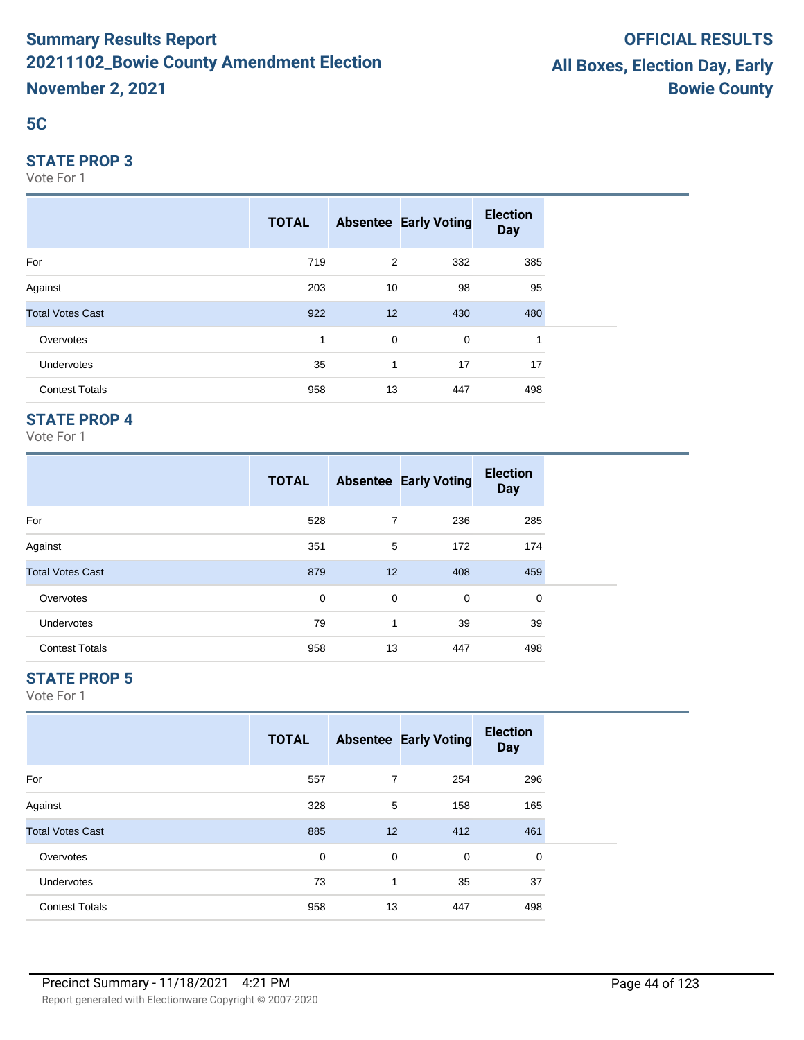## **5C**

#### **STATE PROP 3**

Vote For 1

|                         | <b>TOTAL</b> |              | <b>Absentee Early Voting</b> | <b>Election</b><br><b>Day</b> |  |
|-------------------------|--------------|--------------|------------------------------|-------------------------------|--|
| For                     | 719          | 2            | 332                          | 385                           |  |
| Against                 | 203          | 10           | 98                           | 95                            |  |
| <b>Total Votes Cast</b> | 922          | 12           | 430                          | 480                           |  |
| Overvotes               | 1            | 0            | 0                            | 1                             |  |
| Undervotes              | 35           | $\mathbf{1}$ | 17                           | 17                            |  |
| <b>Contest Totals</b>   | 958          | 13           | 447                          | 498                           |  |

## **STATE PROP 4**

Vote For 1

|                         | <b>TOTAL</b> |    | <b>Absentee Early Voting</b> | <b>Election</b><br><b>Day</b> |
|-------------------------|--------------|----|------------------------------|-------------------------------|
| For                     | 528          | 7  | 236                          | 285                           |
| Against                 | 351          | 5  | 172                          | 174                           |
| <b>Total Votes Cast</b> | 879          | 12 | 408                          | 459                           |
| Overvotes               | $\mathbf 0$  | 0  | $\mathbf 0$                  | 0                             |
| <b>Undervotes</b>       | 79           | 1  | 39                           | 39                            |
| <b>Contest Totals</b>   | 958          | 13 | 447                          | 498                           |

## **STATE PROP 5**

|                         | <b>TOTAL</b> |                | <b>Absentee Early Voting</b> | <b>Election</b><br><b>Day</b> |
|-------------------------|--------------|----------------|------------------------------|-------------------------------|
| For                     | 557          | $\overline{7}$ | 254                          | 296                           |
| Against                 | 328          | 5              | 158                          | 165                           |
| <b>Total Votes Cast</b> | 885          | 12             | 412                          | 461                           |
| Overvotes               | 0            | 0              | 0                            | 0                             |
| <b>Undervotes</b>       | 73           | 1              | 35                           | 37                            |
| <b>Contest Totals</b>   | 958          | 13             | 447                          | 498                           |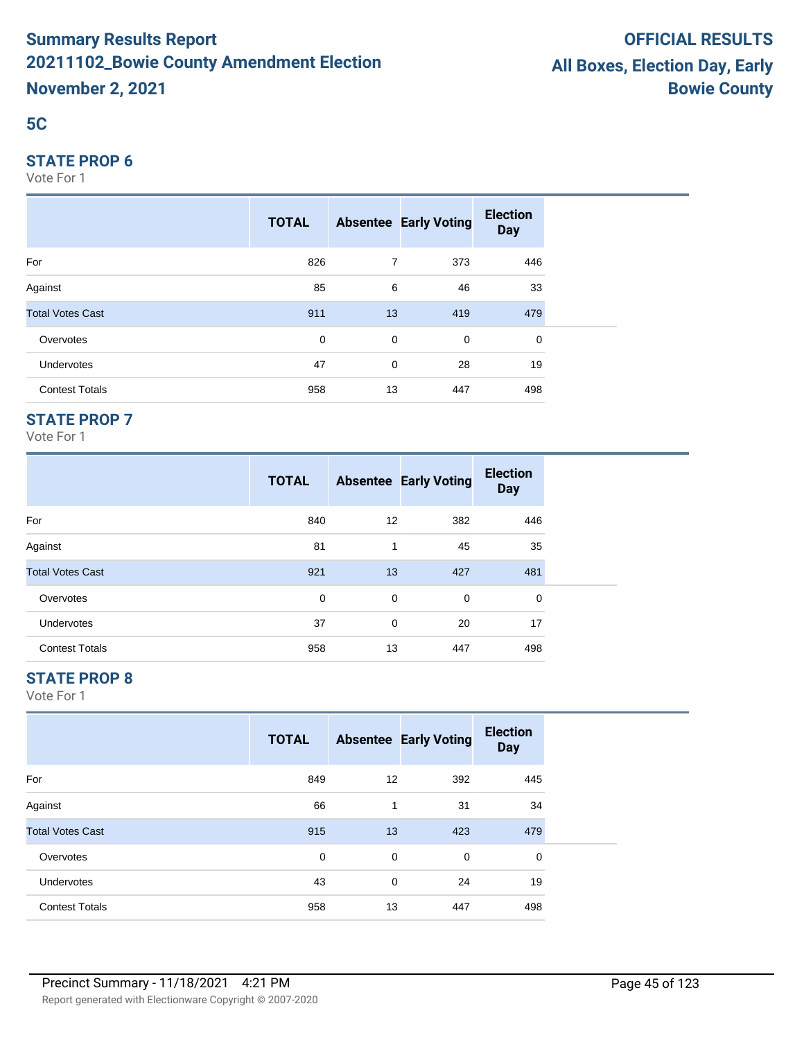## **5C**

#### **STATE PROP 6**

Vote For 1

|                         | <b>TOTAL</b> |                | <b>Absentee Early Voting</b> | <b>Election</b><br><b>Day</b> |  |
|-------------------------|--------------|----------------|------------------------------|-------------------------------|--|
| For                     | 826          | $\overline{7}$ | 373                          | 446                           |  |
| Against                 | 85           | 6              | 46                           | 33                            |  |
| <b>Total Votes Cast</b> | 911          | 13             | 419                          | 479                           |  |
| Overvotes               | $\mathbf 0$  | $\mathbf 0$    | $\mathbf 0$                  | 0                             |  |
| Undervotes              | 47           | $\mathbf 0$    | 28                           | 19                            |  |
| <b>Contest Totals</b>   | 958          | 13             | 447                          | 498                           |  |

## **STATE PROP 7**

Vote For 1

|                         | <b>TOTAL</b> |             | <b>Absentee Early Voting</b> | <b>Election</b><br><b>Day</b> |
|-------------------------|--------------|-------------|------------------------------|-------------------------------|
| For                     | 840          | 12          | 382                          | 446                           |
| Against                 | 81           | 1           | 45                           | 35                            |
| <b>Total Votes Cast</b> | 921          | 13          | 427                          | 481                           |
| Overvotes               | 0            | $\mathbf 0$ | $\mathbf 0$                  | 0                             |
| <b>Undervotes</b>       | 37           | $\mathbf 0$ | 20                           | 17                            |
| <b>Contest Totals</b>   | 958          | 13          | 447                          | 498                           |

## **STATE PROP 8**

|                         | <b>TOTAL</b> |    | <b>Absentee Early Voting</b> | <b>Election</b><br><b>Day</b> |
|-------------------------|--------------|----|------------------------------|-------------------------------|
| For                     | 849          | 12 | 392                          | 445                           |
| Against                 | 66           | 1  | 31                           | 34                            |
| <b>Total Votes Cast</b> | 915          | 13 | 423                          | 479                           |
| Overvotes               | 0            | 0  | $\mathbf 0$                  | 0                             |
| <b>Undervotes</b>       | 43           | 0  | 24                           | 19                            |
| <b>Contest Totals</b>   | 958          | 13 | 447                          | 498                           |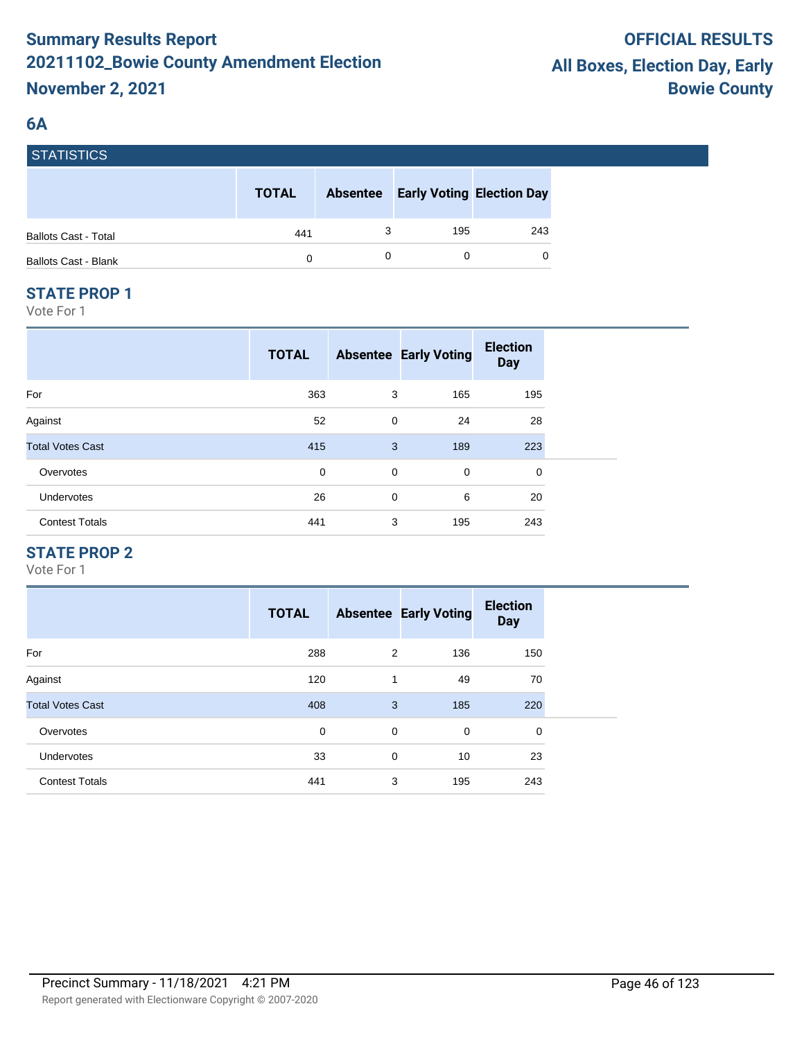## **6A**

**STATISTICS** 

| סטווסוואוסן                 |              |                 |                                  |          |
|-----------------------------|--------------|-----------------|----------------------------------|----------|
|                             | <b>TOTAL</b> | <b>Absentee</b> | <b>Early Voting Election Day</b> |          |
| <b>Ballots Cast - Total</b> | 441          |                 | 195                              | 243      |
| <b>Ballots Cast - Blank</b> | 0            |                 |                                  | $\Omega$ |

#### **STATE PROP 1**

Vote For 1

|                         | <b>TOTAL</b> |             | <b>Absentee Early Voting</b> | <b>Election</b><br><b>Day</b> |  |
|-------------------------|--------------|-------------|------------------------------|-------------------------------|--|
| For                     | 363          | 3           | 165                          | 195                           |  |
| Against                 | 52           | 0           | 24                           | 28                            |  |
| <b>Total Votes Cast</b> | 415          | 3           | 189                          | 223                           |  |
| Overvotes               | 0            | $\mathbf 0$ | $\mathbf 0$                  | 0                             |  |
| <b>Undervotes</b>       | 26           | $\mathbf 0$ | 6                            | 20                            |  |
| <b>Contest Totals</b>   | 441          | 3           | 195                          | 243                           |  |

## **STATE PROP 2**

|                         | <b>TOTAL</b> |   | <b>Absentee Early Voting</b> | <b>Election</b><br><b>Day</b> |
|-------------------------|--------------|---|------------------------------|-------------------------------|
| For                     | 288          | 2 | 136                          | 150                           |
| Against                 | 120          | 1 | 49                           | 70                            |
| <b>Total Votes Cast</b> | 408          | 3 | 185                          | 220                           |
| Overvotes               | 0            | 0 | $\mathbf 0$                  | 0                             |
| <b>Undervotes</b>       | 33           | 0 | 10                           | 23                            |
| <b>Contest Totals</b>   | 441          | 3 | 195                          | 243                           |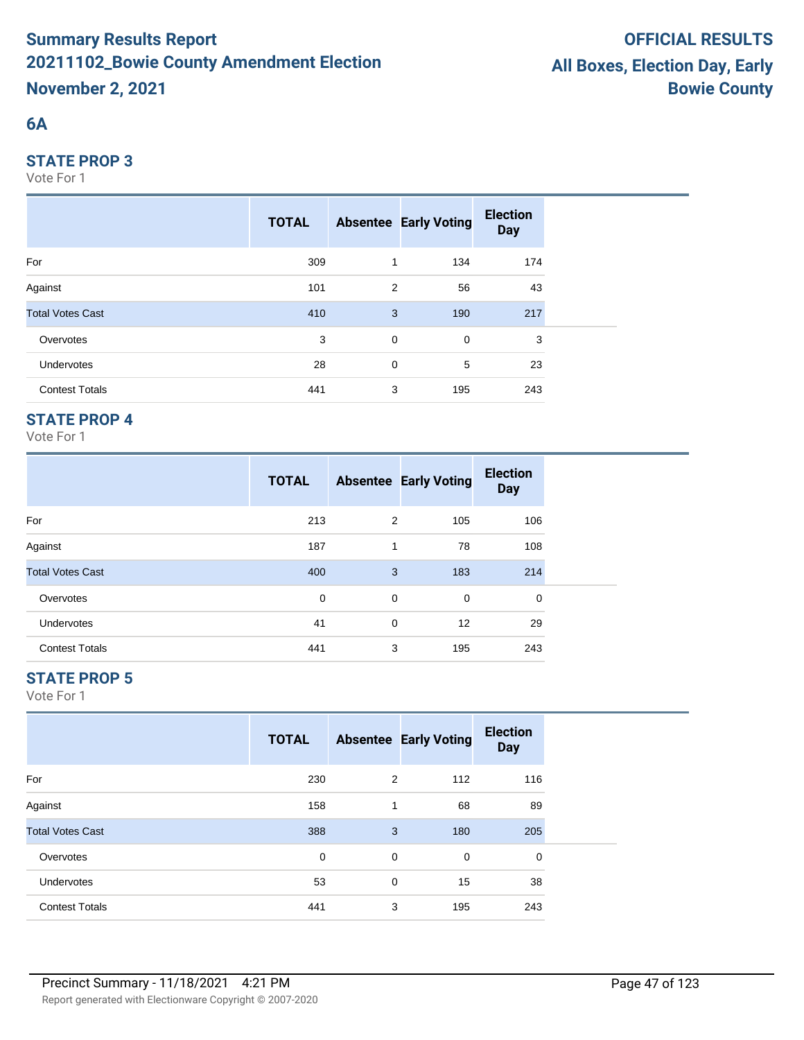## **6A**

#### **STATE PROP 3**

Vote For 1

|                         | <b>TOTAL</b> |             | <b>Absentee Early Voting</b> | <b>Election</b><br><b>Day</b> |  |
|-------------------------|--------------|-------------|------------------------------|-------------------------------|--|
| For                     | 309          | 1           | 134                          | 174                           |  |
| Against                 | 101          | 2           | 56                           | 43                            |  |
| <b>Total Votes Cast</b> | 410          | 3           | 190                          | 217                           |  |
| Overvotes               | 3            | $\mathbf 0$ | $\mathbf 0$                  | 3                             |  |
| <b>Undervotes</b>       | 28           | $\mathbf 0$ | 5                            | 23                            |  |
| <b>Contest Totals</b>   | 441          | 3           | 195                          | 243                           |  |

## **STATE PROP 4**

Vote For 1

|                         | <b>TOTAL</b> |   | <b>Absentee Early Voting</b> | <b>Election</b><br><b>Day</b> |
|-------------------------|--------------|---|------------------------------|-------------------------------|
| For                     | 213          | 2 | 105                          | 106                           |
| Against                 | 187          | 1 | 78                           | 108                           |
| <b>Total Votes Cast</b> | 400          | 3 | 183                          | 214                           |
| Overvotes               | 0            | 0 | 0                            | 0                             |
| <b>Undervotes</b>       | 41           | 0 | 12                           | 29                            |
| <b>Contest Totals</b>   | 441          | 3 | 195                          | 243                           |

## **STATE PROP 5**

|                         | <b>TOTAL</b> |   | <b>Absentee Early Voting</b> | <b>Election</b><br><b>Day</b> |
|-------------------------|--------------|---|------------------------------|-------------------------------|
| For                     | 230          | 2 | 112                          | 116                           |
| Against                 | 158          | 1 | 68                           | 89                            |
| <b>Total Votes Cast</b> | 388          | 3 | 180                          | 205                           |
| Overvotes               | 0            | 0 | $\mathbf 0$                  | 0                             |
| Undervotes              | 53           | 0 | 15                           | 38                            |
| <b>Contest Totals</b>   | 441          | 3 | 195                          | 243                           |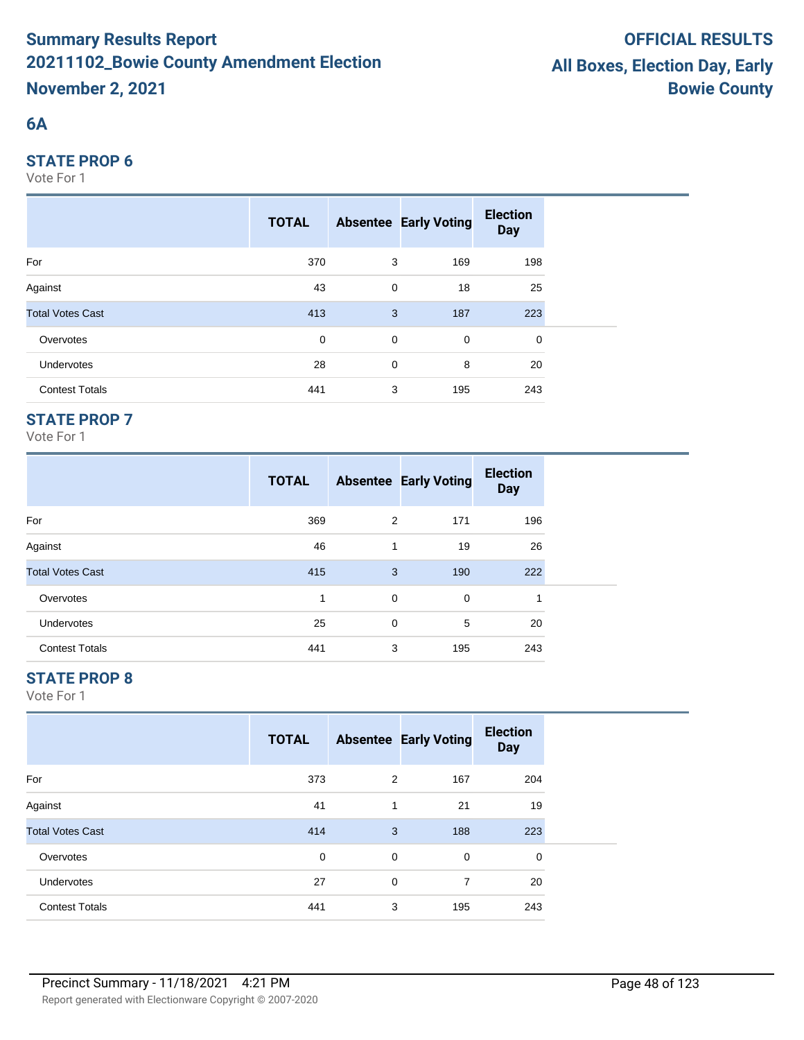## **6A**

#### **STATE PROP 6**

Vote For 1

|                         | <b>TOTAL</b> |             | <b>Absentee Early Voting</b> | <b>Election</b><br><b>Day</b> |
|-------------------------|--------------|-------------|------------------------------|-------------------------------|
| For                     | 370          | 3           | 169                          | 198                           |
| Against                 | 43           | $\mathbf 0$ | 18                           | 25                            |
| <b>Total Votes Cast</b> | 413          | 3           | 187                          | 223                           |
| Overvotes               | $\mathbf 0$  | $\mathbf 0$ | $\mathbf 0$                  | 0                             |
| Undervotes              | 28           | 0           | 8                            | 20                            |
| <b>Contest Totals</b>   | 441          | 3           | 195                          | 243                           |

## **STATE PROP 7**

Vote For 1

|                         | <b>TOTAL</b> |   | <b>Absentee Early Voting</b> | <b>Election</b><br><b>Day</b> |
|-------------------------|--------------|---|------------------------------|-------------------------------|
| For                     | 369          | 2 | 171                          | 196                           |
| Against                 | 46           | 1 | 19                           | 26                            |
| <b>Total Votes Cast</b> | 415          | 3 | 190                          | 222                           |
| Overvotes               | 1            | 0 | 0                            | 4                             |
| <b>Undervotes</b>       | 25           | 0 | 5                            | 20                            |
| <b>Contest Totals</b>   | 441          | 3 | 195                          | 243                           |

## **STATE PROP 8**

|                         | <b>TOTAL</b> |   | <b>Absentee Early Voting</b> | <b>Election</b><br><b>Day</b> |
|-------------------------|--------------|---|------------------------------|-------------------------------|
| For                     | 373          | 2 | 167                          | 204                           |
| Against                 | 41           | 1 | 21                           | 19                            |
| <b>Total Votes Cast</b> | 414          | 3 | 188                          | 223                           |
| Overvotes               | 0            | 0 | 0                            | 0                             |
| <b>Undervotes</b>       | 27           | 0 | $\overline{7}$               | 20                            |
| <b>Contest Totals</b>   | 441          | 3 | 195                          | 243                           |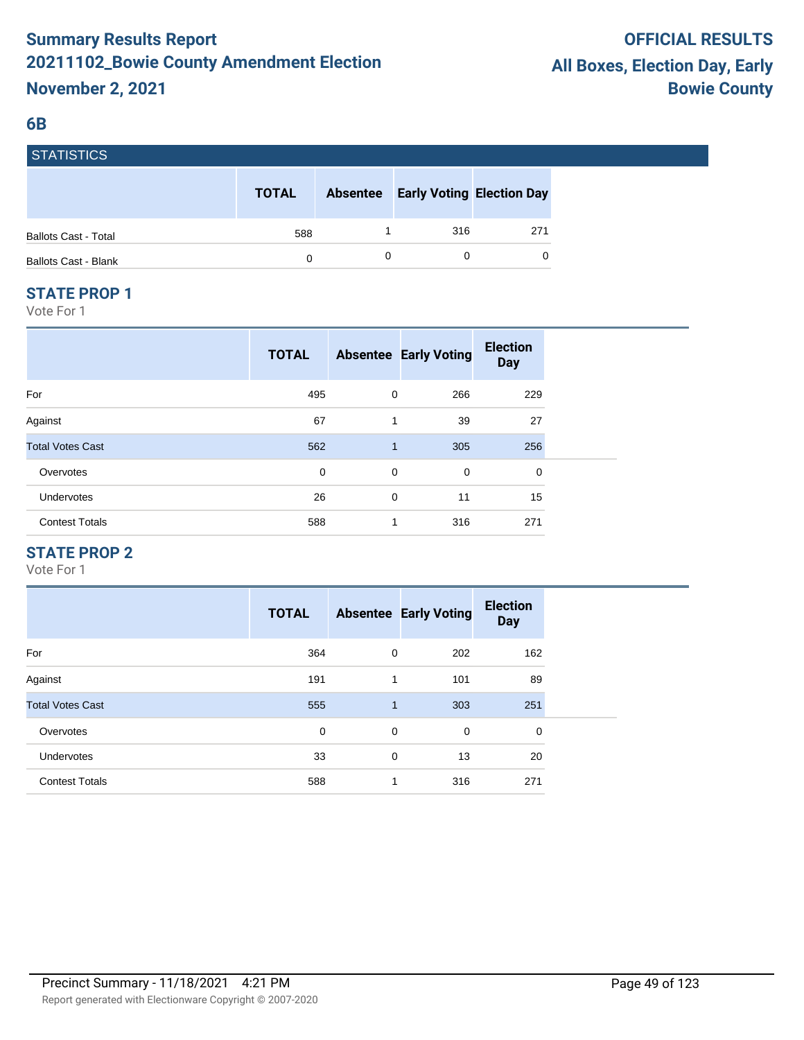#### **6B**

| <b>STATISTICS</b>           |              |                 |                                  |          |
|-----------------------------|--------------|-----------------|----------------------------------|----------|
|                             | <b>TOTAL</b> | <b>Absentee</b> | <b>Early Voting Election Day</b> |          |
| <b>Ballots Cast - Total</b> | 588          |                 | 316                              | 271      |
| <b>Ballots Cast - Blank</b> | 0            | 0               |                                  | $\Omega$ |

#### **STATE PROP 1**

Vote For 1

|                         | <b>TOTAL</b> |              | <b>Absentee Early Voting</b> | <b>Election</b><br><b>Day</b> |
|-------------------------|--------------|--------------|------------------------------|-------------------------------|
| For                     | 495          | 0            | 266                          | 229                           |
| Against                 | 67           | 1            | 39                           | 27                            |
| <b>Total Votes Cast</b> | 562          | $\mathbf{1}$ | 305                          | 256                           |
| Overvotes               | 0            | 0            | 0                            | 0                             |
| Undervotes              | 26           | $\mathbf 0$  | 11                           | 15                            |
| <b>Contest Totals</b>   | 588          | 1            | 316                          | 271                           |

#### **STATE PROP 2**

|                         | <b>TOTAL</b> |             | <b>Absentee Early Voting</b> | <b>Election</b><br><b>Day</b> |
|-------------------------|--------------|-------------|------------------------------|-------------------------------|
| For                     | 364          | $\mathbf 0$ | 202                          | 162                           |
| Against                 | 191          | 1           | 101                          | 89                            |
| <b>Total Votes Cast</b> | 555          | 1           | 303                          | 251                           |
| Overvotes               | 0            | $\mathbf 0$ | 0                            | 0                             |
| <b>Undervotes</b>       | 33           | $\mathbf 0$ | 13                           | 20                            |
| <b>Contest Totals</b>   | 588          | 1           | 316                          | 271                           |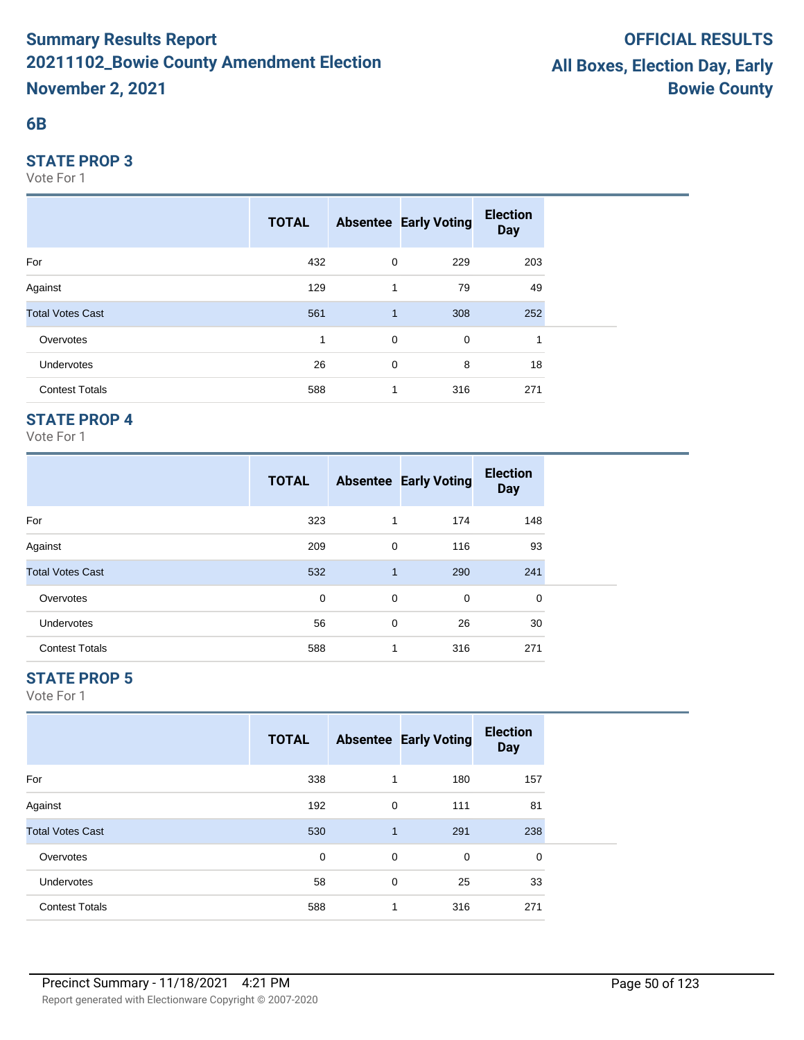#### **6B**

#### **STATE PROP 3**

Vote For 1

|                         | <b>TOTAL</b> |             | <b>Absentee Early Voting</b> | <b>Election</b><br><b>Day</b> |  |
|-------------------------|--------------|-------------|------------------------------|-------------------------------|--|
| For                     | 432          | 0           | 229                          | 203                           |  |
| Against                 | 129          | 1           | 79                           | 49                            |  |
| <b>Total Votes Cast</b> | 561          | 1           | 308                          | 252                           |  |
| Overvotes               | 1            | $\mathbf 0$ | 0                            | 1                             |  |
| <b>Undervotes</b>       | 26           | 0           | 8                            | 18                            |  |
| <b>Contest Totals</b>   | 588          | 1           | 316                          | 271                           |  |

## **STATE PROP 4**

Vote For 1

|                         | <b>TOTAL</b> |              | <b>Absentee Early Voting</b> | <b>Election</b><br><b>Day</b> |  |
|-------------------------|--------------|--------------|------------------------------|-------------------------------|--|
| For                     | 323          | 1            | 174                          | 148                           |  |
| Against                 | 209          | 0            | 116                          | 93                            |  |
| <b>Total Votes Cast</b> | 532          | $\mathbf{1}$ | 290                          | 241                           |  |
| Overvotes               | 0            | 0            | 0                            | 0                             |  |
| <b>Undervotes</b>       | 56           | 0            | 26                           | 30                            |  |
| <b>Contest Totals</b>   | 588          | 1            | 316                          | 271                           |  |

## **STATE PROP 5**

|                         | <b>TOTAL</b> |              | <b>Absentee Early Voting</b> | <b>Election</b><br><b>Day</b> |  |
|-------------------------|--------------|--------------|------------------------------|-------------------------------|--|
| For                     | 338          | 1            | 180                          | 157                           |  |
| Against                 | 192          | 0            | 111                          | 81                            |  |
| <b>Total Votes Cast</b> | 530          | $\mathbf{1}$ | 291                          | 238                           |  |
| Overvotes               | 0            | 0            | 0                            | 0                             |  |
| Undervotes              | 58           | 0            | 25                           | 33                            |  |
| <b>Contest Totals</b>   | 588          | 1            | 316                          | 271                           |  |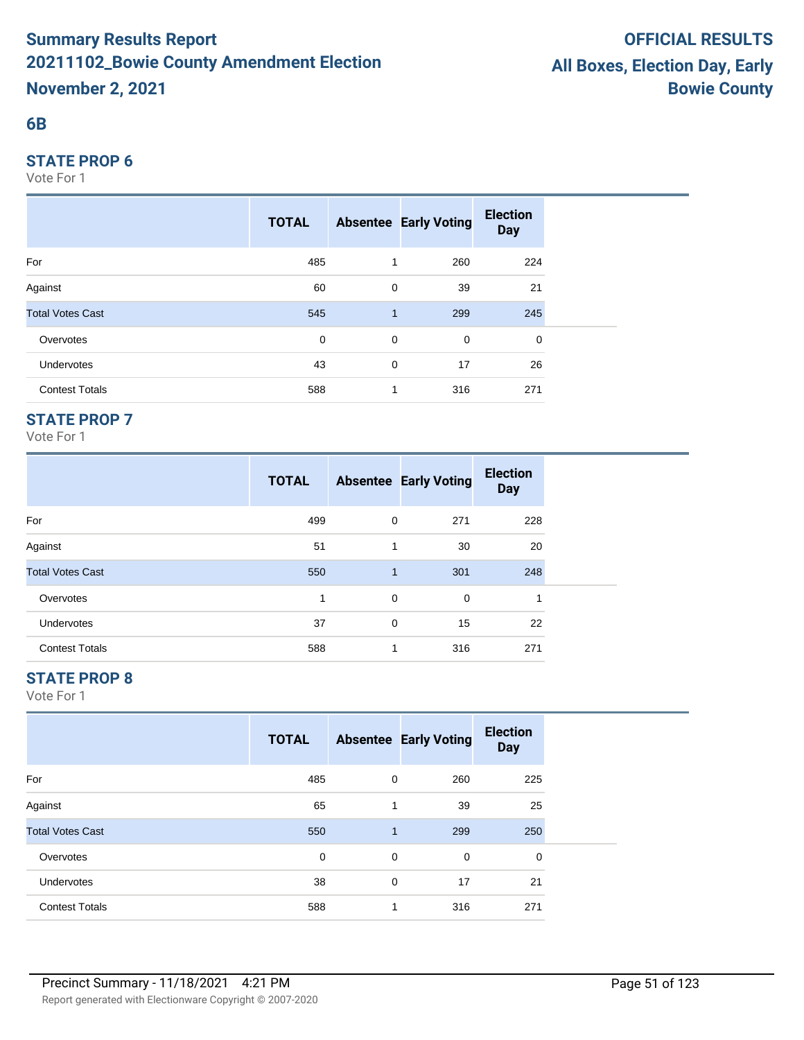#### **6B**

#### **STATE PROP 6**

Vote For 1

|                         | <b>TOTAL</b> |              | <b>Absentee Early Voting</b> | <b>Election</b><br><b>Day</b> |  |
|-------------------------|--------------|--------------|------------------------------|-------------------------------|--|
| For                     | 485          | 1            | 260                          | 224                           |  |
| Against                 | 60           | 0            | 39                           | 21                            |  |
| <b>Total Votes Cast</b> | 545          | $\mathbf{1}$ | 299                          | 245                           |  |
| Overvotes               | $\mathbf 0$  | $\mathbf 0$  | 0                            | 0                             |  |
| <b>Undervotes</b>       | 43           | 0            | 17                           | 26                            |  |
| <b>Contest Totals</b>   | 588          | 1            | 316                          | 271                           |  |

## **STATE PROP 7**

Vote For 1

|                         | <b>TOTAL</b> |              | <b>Absentee Early Voting</b> | <b>Election</b><br><b>Day</b> |
|-------------------------|--------------|--------------|------------------------------|-------------------------------|
| For                     | 499          | 0            | 271                          | 228                           |
| Against                 | 51           | 1            | 30                           | 20                            |
| <b>Total Votes Cast</b> | 550          | $\mathbf{1}$ | 301                          | 248                           |
| Overvotes               | 1            | 0            | 0                            | 1                             |
| <b>Undervotes</b>       | 37           | 0            | 15                           | 22                            |
| <b>Contest Totals</b>   | 588          | 1            | 316                          | 271                           |

## **STATE PROP 8**

|                         | <b>TOTAL</b> |              | <b>Absentee Early Voting</b> | <b>Election</b><br><b>Day</b> |  |
|-------------------------|--------------|--------------|------------------------------|-------------------------------|--|
| For                     | 485          | 0            | 260                          | 225                           |  |
| Against                 | 65           | 1            | 39                           | 25                            |  |
| <b>Total Votes Cast</b> | 550          | $\mathbf{1}$ | 299                          | 250                           |  |
| Overvotes               | 0            | 0            | 0                            | $\mathbf 0$                   |  |
| Undervotes              | 38           | 0            | 17                           | 21                            |  |
| <b>Contest Totals</b>   | 588          | 1            | 316                          | 271                           |  |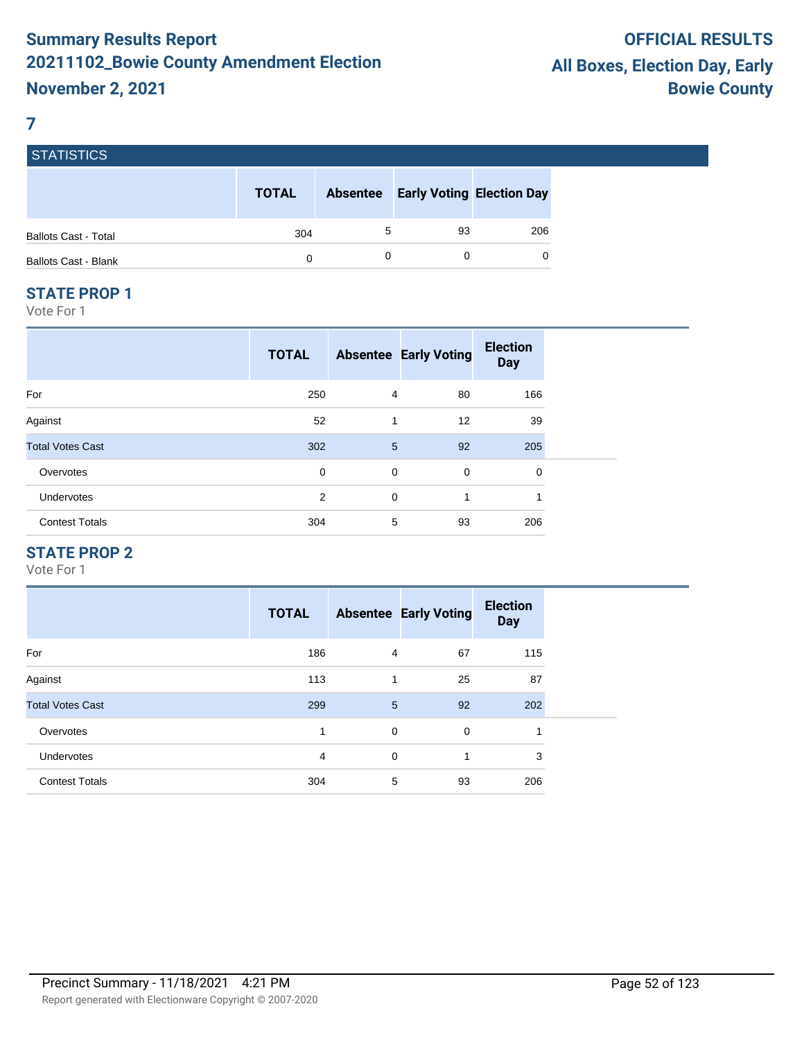#### **7**

|                             | <b>TOTAL</b> | <b>Absentee</b> | <b>Early Voting Election Day</b> |     |
|-----------------------------|--------------|-----------------|----------------------------------|-----|
| <b>Ballots Cast - Total</b> | 304          |                 | 93                               | 206 |
| <b>Ballots Cast - Blank</b> | 0            |                 |                                  |     |

#### **STATE PROP 1**

Vote For 1

|                         | <b>TOTAL</b> |                | <b>Absentee Early Voting</b> | <b>Election</b><br><b>Day</b> |
|-------------------------|--------------|----------------|------------------------------|-------------------------------|
| For                     | 250          | $\overline{4}$ | 80                           | 166                           |
| Against                 | 52           | 1              | 12                           | 39                            |
| <b>Total Votes Cast</b> | 302          | 5              | 92                           | 205                           |
| Overvotes               | 0            | $\mathbf 0$    | 0                            | 0                             |
| Undervotes              | 2            | 0              | 1                            | 1                             |
| <b>Contest Totals</b>   | 304          | 5              | 93                           | 206                           |

## **STATE PROP 2**

|                         | <b>TOTAL</b> |             | <b>Absentee Early Voting</b> | <b>Election</b><br><b>Day</b> |
|-------------------------|--------------|-------------|------------------------------|-------------------------------|
| For                     | 186          | 4           | 67                           | 115                           |
| Against                 | 113          | 1           | 25                           | 87                            |
| <b>Total Votes Cast</b> | 299          | 5           | 92                           | 202                           |
| Overvotes               | 1            | 0           | $\mathbf 0$                  | 1                             |
| Undervotes              | 4            | $\mathbf 0$ | 1                            | 3                             |
| <b>Contest Totals</b>   | 304          | 5           | 93                           | 206                           |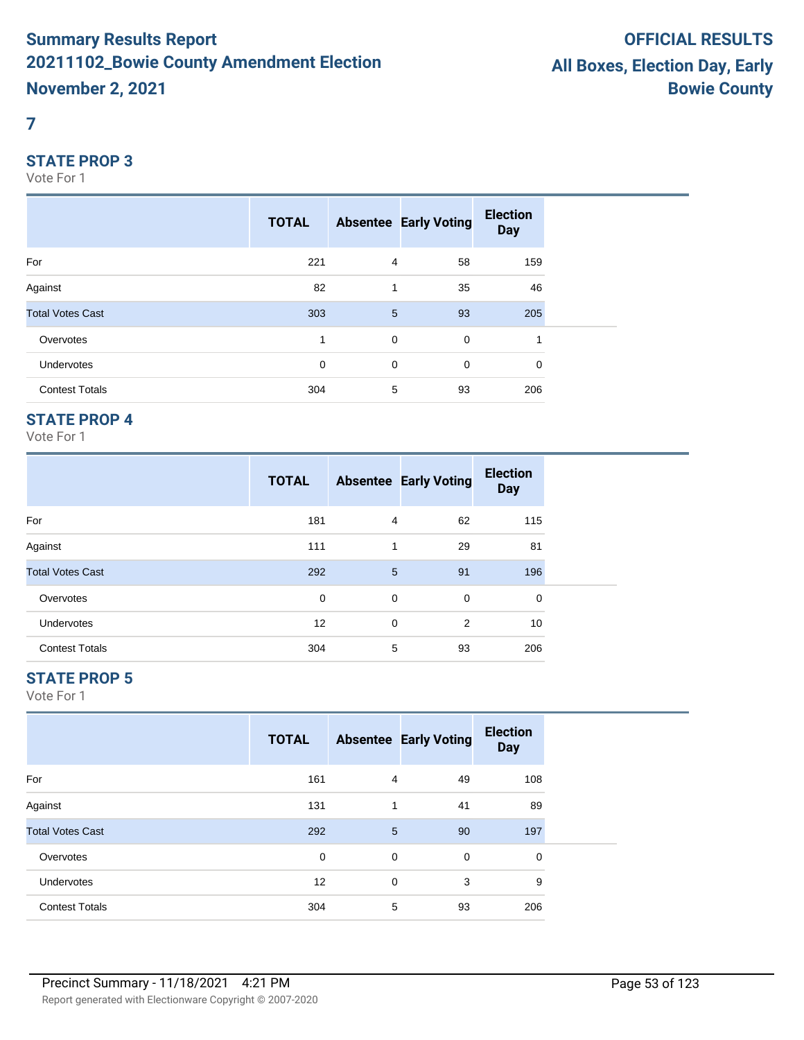#### **7**

#### **STATE PROP 3**

Vote For 1

|                         | <b>TOTAL</b> |                | <b>Absentee Early Voting</b> | <b>Election</b><br><b>Day</b> |  |
|-------------------------|--------------|----------------|------------------------------|-------------------------------|--|
| For                     | 221          | $\overline{4}$ | 58                           | 159                           |  |
| Against                 | 82           | 1              | 35                           | 46                            |  |
| <b>Total Votes Cast</b> | 303          | 5              | 93                           | 205                           |  |
| Overvotes               | 1            | $\mathbf 0$    | $\mathbf 0$                  | 1                             |  |
| Undervotes              | 0            | 0              | 0                            | 0                             |  |
| <b>Contest Totals</b>   | 304          | 5              | 93                           | 206                           |  |

## **STATE PROP 4**

Vote For 1

|                         | <b>TOTAL</b> |   | <b>Absentee Early Voting</b> | <b>Election</b><br><b>Day</b> |
|-------------------------|--------------|---|------------------------------|-------------------------------|
| For                     | 181          | 4 | 62                           | 115                           |
| Against                 | 111          | 1 | 29                           | 81                            |
| <b>Total Votes Cast</b> | 292          | 5 | 91                           | 196                           |
| Overvotes               | 0            | 0 | 0                            | 0                             |
| <b>Undervotes</b>       | 12           | 0 | 2                            | 10                            |
| <b>Contest Totals</b>   | 304          | 5 | 93                           | 206                           |

## **STATE PROP 5**

|                         | <b>TOTAL</b> |   | <b>Absentee Early Voting</b> | <b>Election</b><br><b>Day</b> |  |
|-------------------------|--------------|---|------------------------------|-------------------------------|--|
| For                     | 161          | 4 | 49                           | 108                           |  |
| Against                 | 131          | 1 | 41                           | 89                            |  |
| <b>Total Votes Cast</b> | 292          | 5 | 90                           | 197                           |  |
| Overvotes               | 0            | 0 | $\mathbf 0$                  | 0                             |  |
| <b>Undervotes</b>       | 12           | 0 | 3                            | 9                             |  |
| <b>Contest Totals</b>   | 304          | 5 | 93                           | 206                           |  |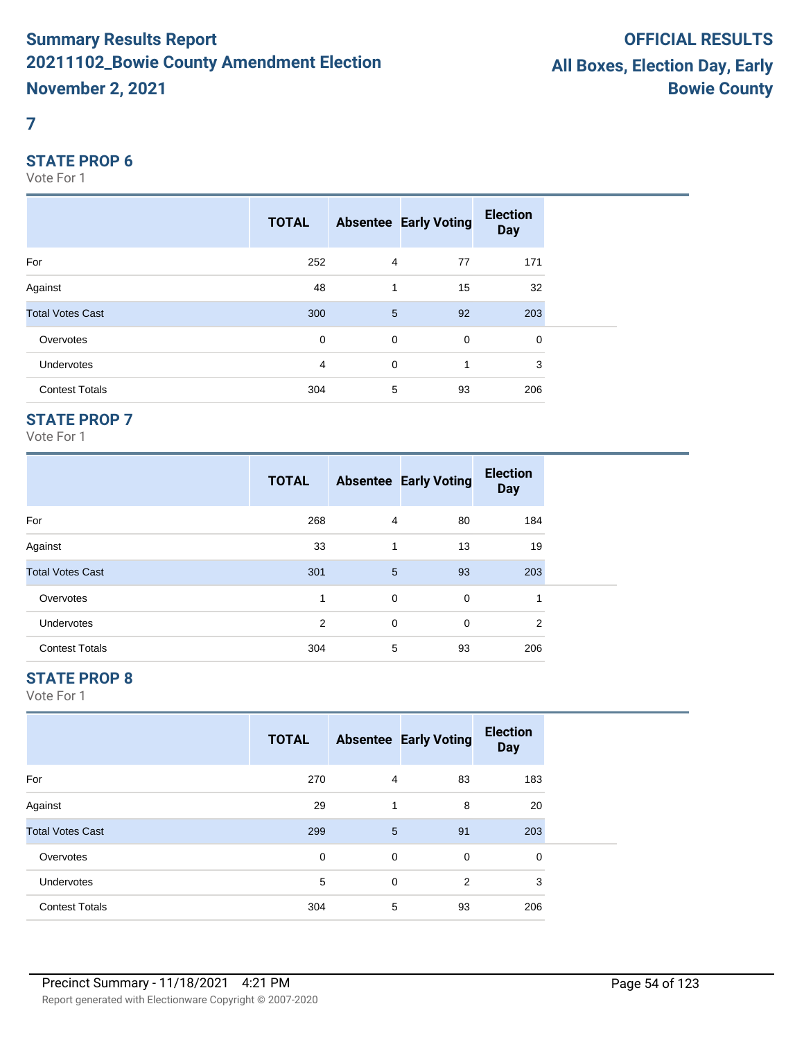#### **7**

#### **STATE PROP 6**

Vote For 1

|                         | <b>TOTAL</b> |                 | <b>Absentee Early Voting</b> | <b>Election</b><br><b>Day</b> |  |
|-------------------------|--------------|-----------------|------------------------------|-------------------------------|--|
| For                     | 252          | $\overline{4}$  | 77                           | 171                           |  |
| Against                 | 48           | 1               | 15                           | 32                            |  |
| <b>Total Votes Cast</b> | 300          | $5\phantom{.0}$ | 92                           | 203                           |  |
| Overvotes               | $\mathbf 0$  | $\mathbf 0$     | $\mathbf 0$                  | 0                             |  |
| Undervotes              | 4            | $\mathbf 0$     | 1                            | 3                             |  |
| <b>Contest Totals</b>   | 304          | 5               | 93                           | 206                           |  |

## **STATE PROP 7**

Vote For 1

|                         | <b>TOTAL</b> |   | <b>Absentee Early Voting</b> | <b>Election</b><br><b>Day</b> |
|-------------------------|--------------|---|------------------------------|-------------------------------|
| For                     | 268          | 4 | 80                           | 184                           |
| Against                 | 33           | 1 | 13                           | 19                            |
| <b>Total Votes Cast</b> | 301          | 5 | 93                           | 203                           |
| Overvotes               | 1            | 0 | 0                            |                               |
| <b>Undervotes</b>       | 2            | 0 | $\mathbf 0$                  | 2                             |
| <b>Contest Totals</b>   | 304          | 5 | 93                           | 206                           |

## **STATE PROP 8**

|                         | <b>TOTAL</b> |   | <b>Absentee Early Voting</b> | <b>Election</b><br><b>Day</b> |
|-------------------------|--------------|---|------------------------------|-------------------------------|
| For                     | 270          | 4 | 83                           | 183                           |
| Against                 | 29           |   | 8                            | 20                            |
| <b>Total Votes Cast</b> | 299          | 5 | 91                           | 203                           |
| Overvotes               | 0            | 0 | 0                            | 0                             |
| <b>Undervotes</b>       | 5            | 0 | 2                            | 3                             |
| <b>Contest Totals</b>   | 304          | 5 | 93                           | 206                           |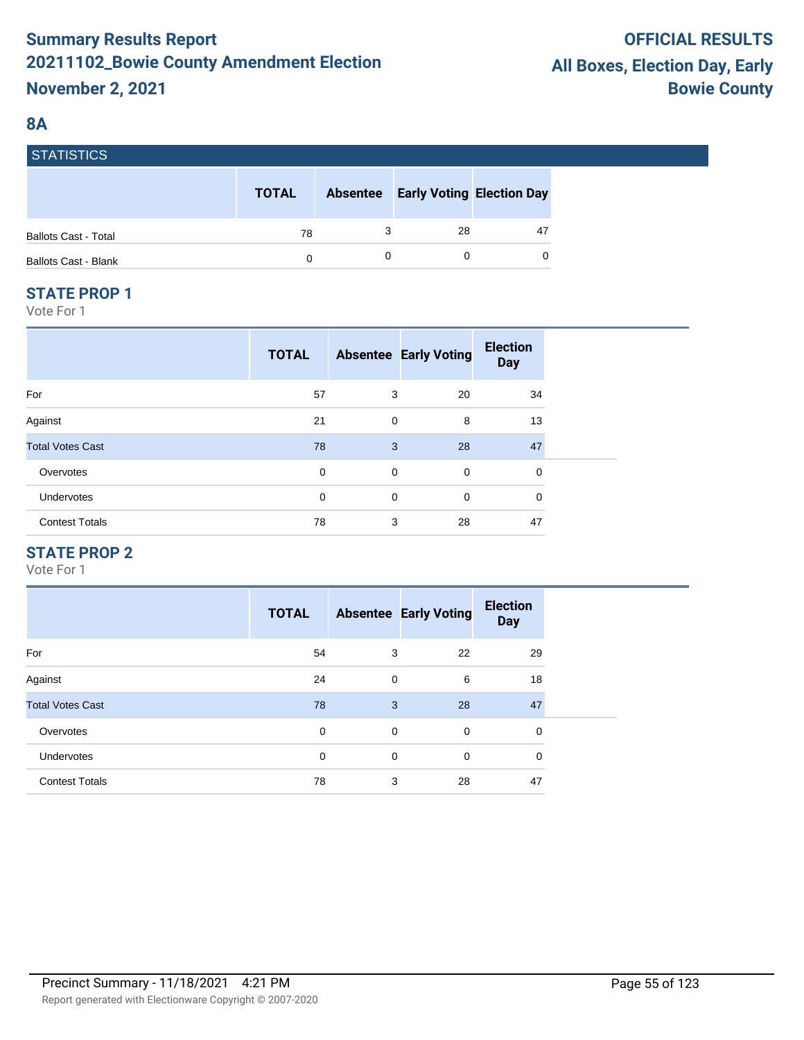## **8A**

| I STATISTIUS.               |              |                 |                                  |    |
|-----------------------------|--------------|-----------------|----------------------------------|----|
|                             | <b>TOTAL</b> | <b>Absentee</b> | <b>Early Voting Election Day</b> |    |
| <b>Ballots Cast - Total</b> | 78           |                 | 28                               | 47 |
| <b>Ballots Cast - Blank</b> | 0            |                 |                                  | 0  |

#### **STATE PROP 1**

ST. STATISTICS

Vote For 1

|                         | <b>TOTAL</b> |             | <b>Absentee Early Voting</b> | <b>Election</b><br><b>Day</b> |
|-------------------------|--------------|-------------|------------------------------|-------------------------------|
| For                     | 57           | 3           | 20                           | 34                            |
| Against                 | 21           | 0           | 8                            | 13                            |
| <b>Total Votes Cast</b> | 78           | 3           | 28                           | 47                            |
| Overvotes               | 0            | 0           | 0                            | 0                             |
| <b>Undervotes</b>       | 0            | $\mathbf 0$ | 0                            | 0                             |
| <b>Contest Totals</b>   | 78           | 3           | 28                           | 47                            |

## **STATE PROP 2**

|                         | <b>TOTAL</b> |   | <b>Absentee Early Voting</b> | <b>Election</b><br><b>Day</b> |
|-------------------------|--------------|---|------------------------------|-------------------------------|
| For                     | 54           | 3 | 22                           | 29                            |
| Against                 | 24           | 0 | 6                            | 18                            |
| <b>Total Votes Cast</b> | 78           | 3 | 28                           | 47                            |
| Overvotes               | 0            | 0 | $\mathbf 0$                  | 0                             |
| <b>Undervotes</b>       | $\mathbf 0$  | 0 | $\Omega$                     | 0                             |
| <b>Contest Totals</b>   | 78           | 3 | 28                           | 47                            |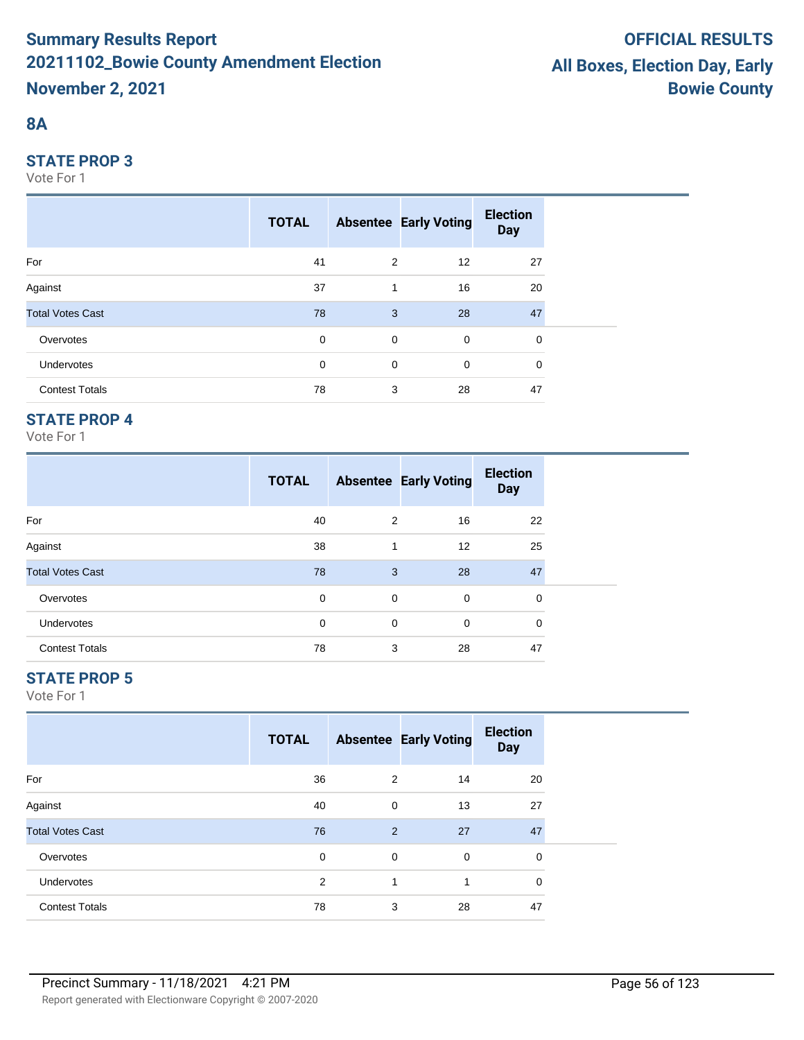## **8A**

#### **STATE PROP 3**

Vote For 1

|                         | <b>TOTAL</b> |             | <b>Absentee Early Voting</b> | <b>Election</b><br><b>Day</b> |  |
|-------------------------|--------------|-------------|------------------------------|-------------------------------|--|
| For                     | 41           | 2           | 12                           | 27                            |  |
| Against                 | 37           | 1           | 16                           | 20                            |  |
| <b>Total Votes Cast</b> | 78           | 3           | 28                           | 47                            |  |
| Overvotes               | $\mathbf 0$  | $\mathbf 0$ | $\mathbf 0$                  | 0                             |  |
| <b>Undervotes</b>       | 0            | $\mathbf 0$ | $\mathbf 0$                  | 0                             |  |
| <b>Contest Totals</b>   | 78           | 3           | 28                           | 47                            |  |

## **STATE PROP 4**

Vote For 1

|                         | <b>TOTAL</b> |   | <b>Absentee Early Voting</b> | <b>Election</b><br><b>Day</b> |  |
|-------------------------|--------------|---|------------------------------|-------------------------------|--|
| For                     | 40           | 2 | 16                           | 22                            |  |
| Against                 | 38           | 1 | $12 \overline{ }$            | 25                            |  |
| <b>Total Votes Cast</b> | 78           | 3 | 28                           | 47                            |  |
| Overvotes               | 0            | 0 | $\mathbf 0$                  | 0                             |  |
| <b>Undervotes</b>       | 0            | 0 | $\mathbf 0$                  | 0                             |  |
| <b>Contest Totals</b>   | 78           | 3 | 28                           | 47                            |  |

## **STATE PROP 5**

|                         | <b>TOTAL</b> |   | <b>Absentee Early Voting</b> | <b>Election</b><br><b>Day</b> |  |
|-------------------------|--------------|---|------------------------------|-------------------------------|--|
| For                     | 36           | 2 | 14                           | 20                            |  |
| Against                 | 40           | 0 | 13                           | 27                            |  |
| <b>Total Votes Cast</b> | 76           | 2 | 27                           | 47                            |  |
| Overvotes               | 0            | 0 | 0                            | 0                             |  |
| Undervotes              | 2            | 1 | 1                            | $\mathbf 0$                   |  |
| <b>Contest Totals</b>   | 78           | 3 | 28                           | 47                            |  |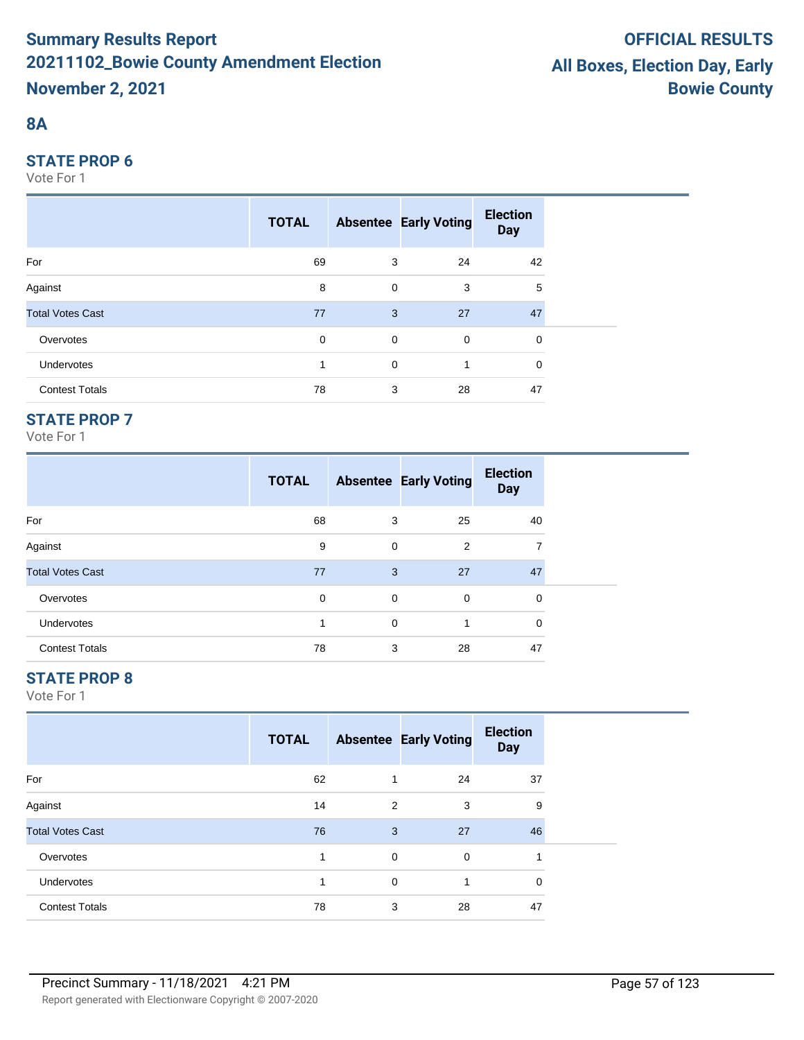## **8A**

#### **STATE PROP 6**

Vote For 1

|                         | <b>TOTAL</b> |             | <b>Absentee Early Voting</b> | <b>Election</b><br><b>Day</b> |  |
|-------------------------|--------------|-------------|------------------------------|-------------------------------|--|
| For                     | 69           | 3           | 24                           | 42                            |  |
| Against                 | 8            | $\mathbf 0$ | 3                            | 5                             |  |
| <b>Total Votes Cast</b> | 77           | 3           | 27                           | 47                            |  |
| Overvotes               | $\mathbf 0$  | $\mathbf 0$ | $\overline{0}$               | $\mathbf 0$                   |  |
| Undervotes              | 1            | 0           | 1                            | 0                             |  |
| <b>Contest Totals</b>   | 78           | 3           | 28                           | 47                            |  |

## **STATE PROP 7**

Vote For 1

|                         | <b>TOTAL</b> |   | <b>Absentee Early Voting</b> | <b>Election</b><br><b>Day</b> |
|-------------------------|--------------|---|------------------------------|-------------------------------|
| For                     | 68           | 3 | 25                           | 40                            |
| Against                 | 9            | 0 | 2                            | 7                             |
| <b>Total Votes Cast</b> | 77           | 3 | 27                           | 47                            |
| Overvotes               | 0            | 0 | 0                            | 0                             |
| <b>Undervotes</b>       |              | 0 | 1                            | $\Omega$                      |
| <b>Contest Totals</b>   | 78           | 3 | 28                           | 47                            |

## **STATE PROP 8**

|                         | <b>TOTAL</b> |   | <b>Absentee Early Voting</b> | <b>Election</b><br><b>Day</b> |  |
|-------------------------|--------------|---|------------------------------|-------------------------------|--|
| For                     | 62           | 1 | 24                           | 37                            |  |
| Against                 | 14           | 2 | 3                            | 9                             |  |
| <b>Total Votes Cast</b> | 76           | 3 | 27                           | 46                            |  |
| Overvotes               | 1            | 0 | $\mathbf 0$                  | 1                             |  |
| Undervotes              | 4            | 0 | 1                            | $\mathbf 0$                   |  |
| <b>Contest Totals</b>   | 78           | 3 | 28                           | 47                            |  |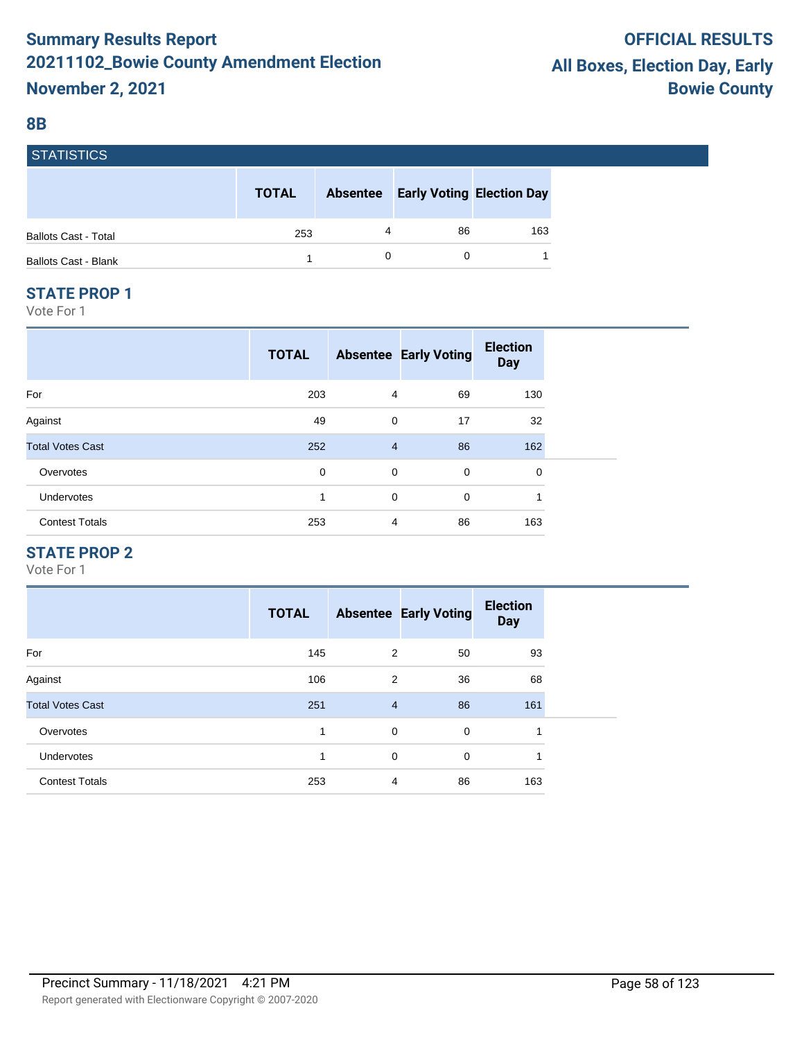#### **8B**

| гэтанынсы                   |              |                 |                                  |     |
|-----------------------------|--------------|-----------------|----------------------------------|-----|
|                             | <b>TOTAL</b> | <b>Absentee</b> | <b>Early Voting Election Day</b> |     |
| <b>Ballots Cast - Total</b> | 253          | 4               | 86                               | 163 |
| <b>Ballots Cast - Blank</b> |              |                 |                                  |     |

#### **STATE PROP 1**

 $\overline{\phantom{0}}$ 

Vote For 1

|                         | <b>TOTAL</b> |                | <b>Absentee Early Voting</b> | <b>Election</b><br><b>Day</b> |
|-------------------------|--------------|----------------|------------------------------|-------------------------------|
| For                     | 203          | 4              | 69                           | 130                           |
| Against                 | 49           | 0              | 17                           | 32                            |
| <b>Total Votes Cast</b> | 252          | $\overline{4}$ | 86                           | 162                           |
| Overvotes               | 0            | 0              | $\mathbf 0$                  | 0                             |
| Undervotes              | 1            | $\mathbf 0$    | $\mathbf 0$                  |                               |
| <b>Contest Totals</b>   | 253          | 4              | 86                           | 163                           |

#### **STATE PROP 2**

|                         | <b>TOTAL</b> |                | <b>Absentee Early Voting</b> | <b>Election</b><br><b>Day</b> |
|-------------------------|--------------|----------------|------------------------------|-------------------------------|
| For                     | 145          | 2              | 50                           | 93                            |
| Against                 | 106          | 2              | 36                           | 68                            |
| <b>Total Votes Cast</b> | 251          | $\overline{4}$ | 86                           | 161                           |
| Overvotes               | 1            | $\mathbf 0$    | 0                            |                               |
| <b>Undervotes</b>       | 1            | 0              | 0                            | 1                             |
| <b>Contest Totals</b>   | 253          | 4              | 86                           | 163                           |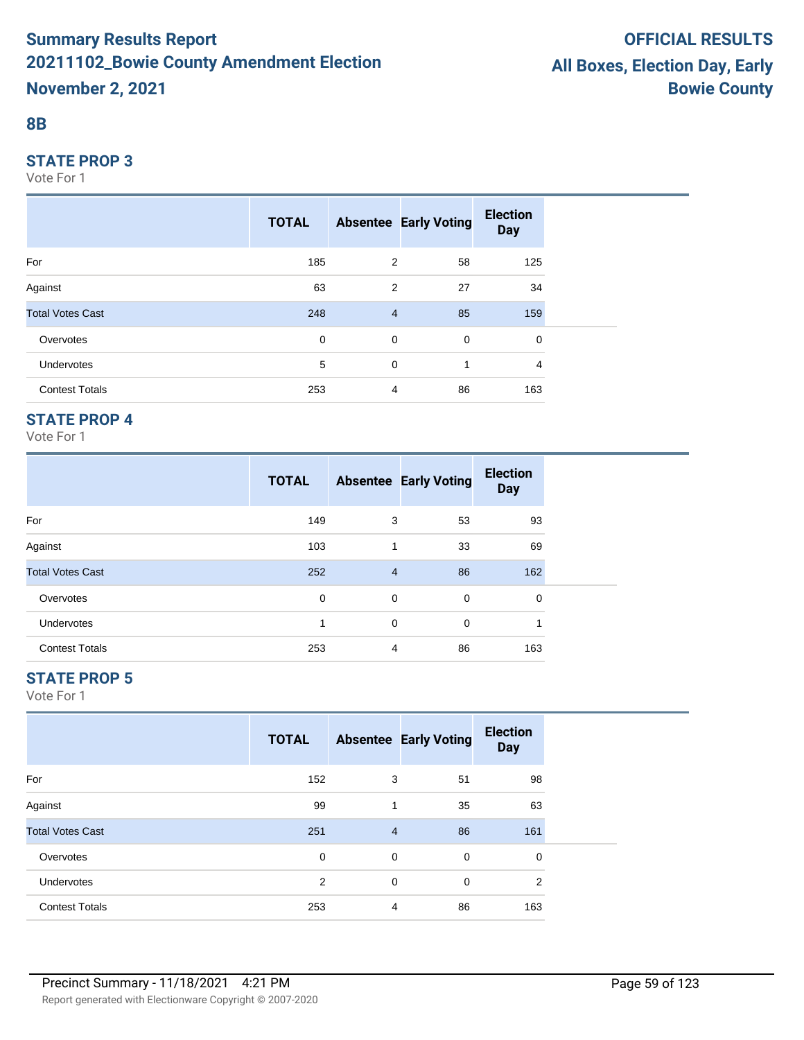#### **8B**

#### **STATE PROP 3**

Vote For 1

|                         | <b>TOTAL</b> |                | <b>Absentee Early Voting</b> | <b>Election</b><br><b>Day</b> |  |
|-------------------------|--------------|----------------|------------------------------|-------------------------------|--|
| For                     | 185          | 2              | 58                           | 125                           |  |
| Against                 | 63           | $\overline{2}$ | 27                           | 34                            |  |
| <b>Total Votes Cast</b> | 248          | $\overline{4}$ | 85                           | 159                           |  |
| Overvotes               | $\mathbf 0$  | $\mathbf 0$    | 0                            | 0                             |  |
| <b>Undervotes</b>       | 5            | 0              | 1                            | 4                             |  |
| <b>Contest Totals</b>   | 253          | 4              | 86                           | 163                           |  |

### **STATE PROP 4**

Vote For 1

|                         | <b>TOTAL</b> |                | <b>Absentee Early Voting</b> | <b>Election</b><br><b>Day</b> |
|-------------------------|--------------|----------------|------------------------------|-------------------------------|
| For                     | 149          | 3              | 53                           | 93                            |
| Against                 | 103          | 1              | 33                           | 69                            |
| <b>Total Votes Cast</b> | 252          | $\overline{4}$ | 86                           | 162                           |
| Overvotes               | 0            | 0              | 0                            | 0                             |
| <b>Undervotes</b>       | 1            | 0              | 0                            | 1                             |
| <b>Contest Totals</b>   | 253          | 4              | 86                           | 163                           |

## **STATE PROP 5**

|                         | <b>TOTAL</b>   |                | <b>Absentee Early Voting</b> | <b>Election</b><br><b>Day</b> |
|-------------------------|----------------|----------------|------------------------------|-------------------------------|
| For                     | 152            | 3              | 51                           | 98                            |
| Against                 | 99             |                | 35                           | 63                            |
| <b>Total Votes Cast</b> | 251            | $\overline{4}$ | 86                           | 161                           |
| Overvotes               | 0              | 0              | 0                            | 0                             |
| <b>Undervotes</b>       | $\overline{2}$ | $\mathbf 0$    | $\mathbf 0$                  | 2                             |
| <b>Contest Totals</b>   | 253            | $\overline{4}$ | 86                           | 163                           |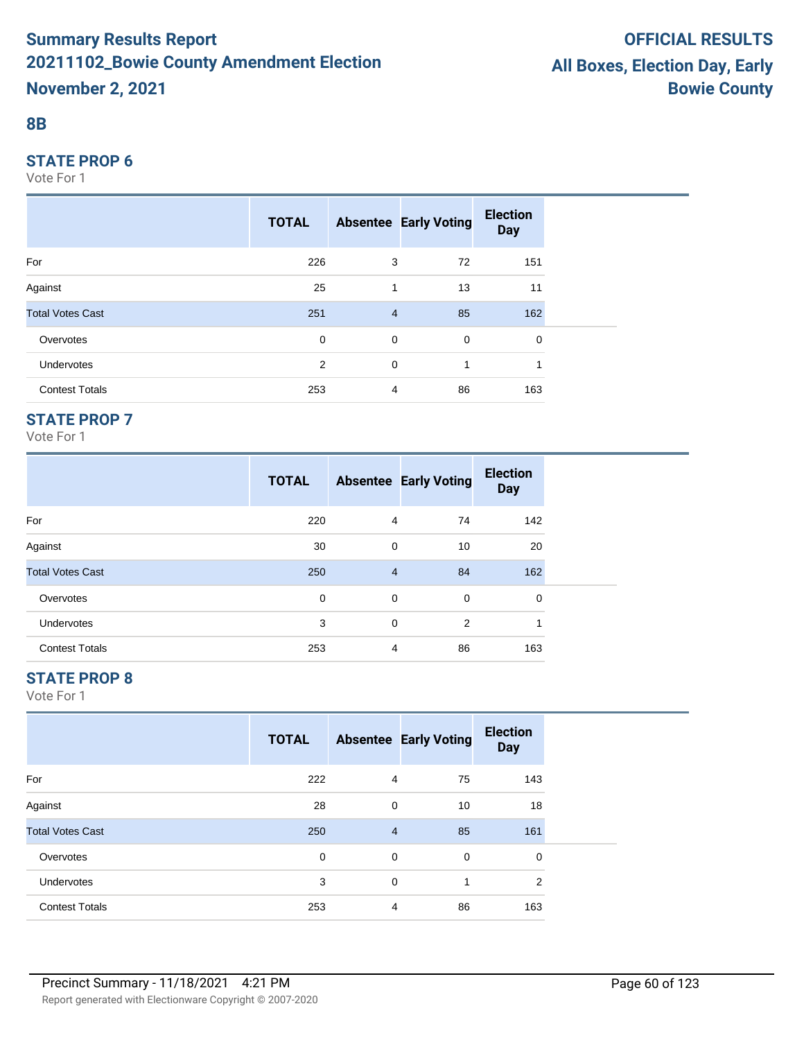#### **8B**

#### **STATE PROP 6**

Vote For 1

|                         | <b>TOTAL</b> |                | <b>Absentee Early Voting</b> | <b>Election</b><br><b>Day</b> |  |
|-------------------------|--------------|----------------|------------------------------|-------------------------------|--|
| For                     | 226          | 3              | 72                           | 151                           |  |
| Against                 | 25           | 1              | 13                           | 11                            |  |
| <b>Total Votes Cast</b> | 251          | $\overline{4}$ | 85                           | 162                           |  |
| Overvotes               | $\mathbf 0$  | $\mathbf 0$    | 0                            | 0                             |  |
| Undervotes              | 2            | 0              | 1                            |                               |  |
| <b>Contest Totals</b>   | 253          | 4              | 86                           | 163                           |  |

## **STATE PROP 7**

Vote For 1

|                         | <b>TOTAL</b> |                | <b>Absentee Early Voting</b> | <b>Election</b><br><b>Day</b> |  |
|-------------------------|--------------|----------------|------------------------------|-------------------------------|--|
| For                     | 220          | $\overline{4}$ | 74                           | 142                           |  |
| Against                 | 30           | 0              | 10                           | 20                            |  |
| <b>Total Votes Cast</b> | 250          | $\overline{4}$ | 84                           | 162                           |  |
| Overvotes               | 0            | 0              | $\mathbf 0$                  | 0                             |  |
| <b>Undervotes</b>       | 3            | 0              | 2                            | 1                             |  |
| <b>Contest Totals</b>   | 253          | $\overline{4}$ | 86                           | 163                           |  |

## **STATE PROP 8**

|                         | <b>TOTAL</b> |                | <b>Absentee Early Voting</b> | <b>Election</b><br><b>Day</b> |
|-------------------------|--------------|----------------|------------------------------|-------------------------------|
| For                     | 222          | 4              | 75                           | 143                           |
| Against                 | 28           | 0              | 10                           | 18                            |
| <b>Total Votes Cast</b> | 250          | $\overline{4}$ | 85                           | 161                           |
| Overvotes               | 0            | 0              | $\mathbf 0$                  | 0                             |
| <b>Undervotes</b>       | 3            | 0              | 1                            | 2                             |
| <b>Contest Totals</b>   | 253          | 4              | 86                           | 163                           |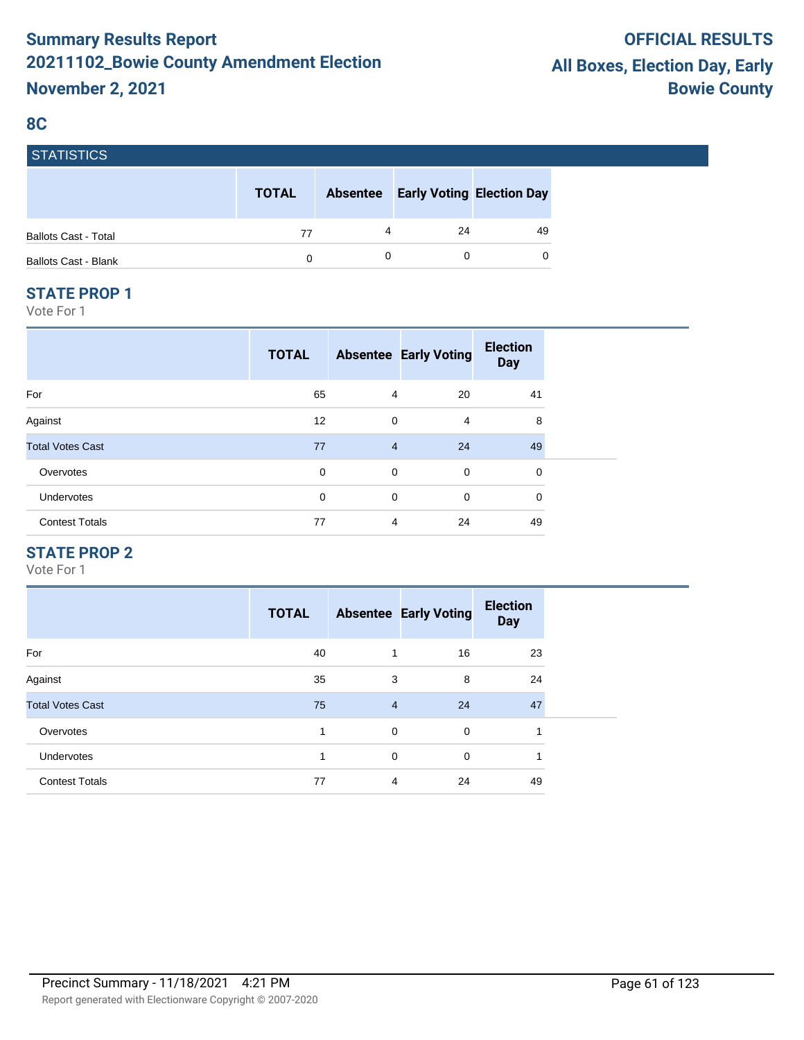#### **8C**

| I SIAIISIIUS.               |              |                 |                                  |    |
|-----------------------------|--------------|-----------------|----------------------------------|----|
|                             | <b>TOTAL</b> | <b>Absentee</b> | <b>Early Voting Election Day</b> |    |
| <b>Ballots Cast - Total</b> | 77           | 4               | 24                               | 49 |
| <b>Ballots Cast - Blank</b> | 0            |                 |                                  | 0  |

#### **STATE PROP 1**

ST. STATISTICS

Vote For 1

| <b>TOTAL</b> |             | <b>Election</b><br><b>Day</b>                                                                                         |
|--------------|-------------|-----------------------------------------------------------------------------------------------------------------------|
| 65           | 20          | 41                                                                                                                    |
| 12           | 4           | 8                                                                                                                     |
| 77           | 24          | 49                                                                                                                    |
| 0            | $\mathbf 0$ | 0                                                                                                                     |
| 0            | $\mathbf 0$ | $\mathbf 0$                                                                                                           |
| 77           | 24          | 49                                                                                                                    |
|              |             | <b>Absentee Early Voting</b><br>$\overline{4}$<br>$\mathbf 0$<br>$\overline{4}$<br>$\mathbf 0$<br>0<br>$\overline{4}$ |

## **STATE PROP 2**

|                         | <b>TOTAL</b> |                | <b>Absentee Early Voting</b> | <b>Election</b><br><b>Day</b> |
|-------------------------|--------------|----------------|------------------------------|-------------------------------|
| For                     | 40           | 1              | 16                           | 23                            |
| Against                 | 35           | 3              | 8                            | 24                            |
| <b>Total Votes Cast</b> | 75           | $\overline{4}$ | 24                           | 47                            |
| Overvotes               | 1            | $\mathbf 0$    | $\mathbf 0$                  | 1                             |
| <b>Undervotes</b>       | 1            | 0              | $\Omega$                     | 1                             |
| <b>Contest Totals</b>   | 77           | 4              | 24                           | 49                            |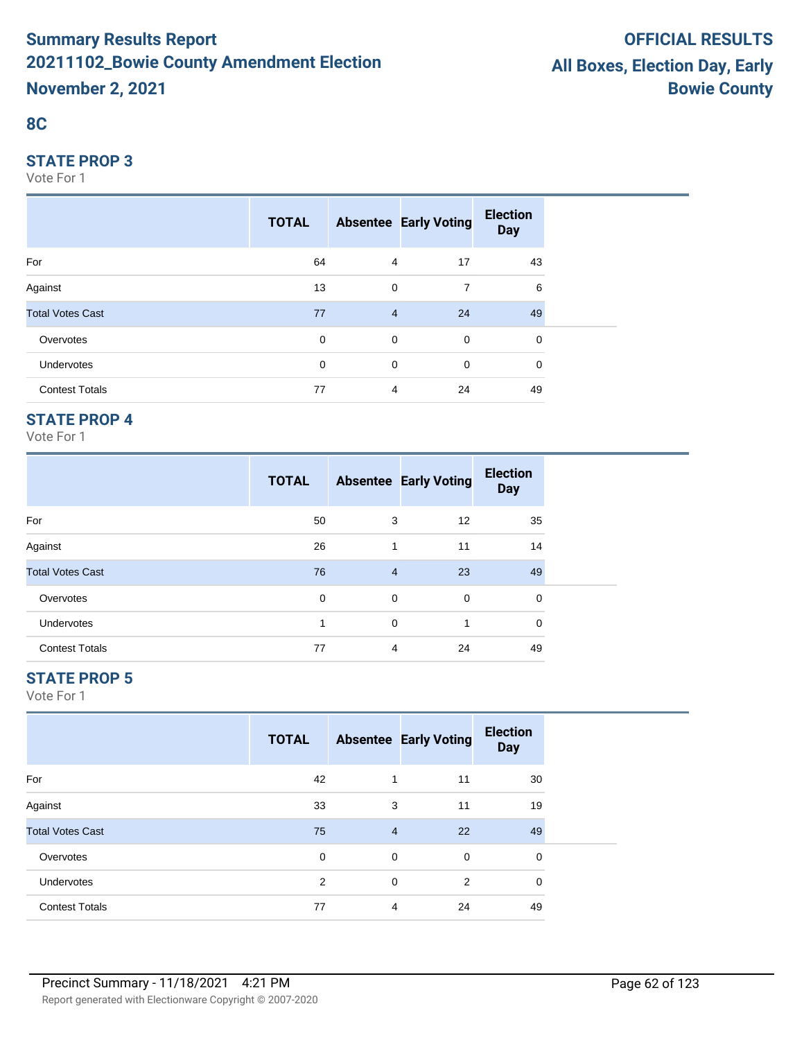## **8C**

#### **STATE PROP 3**

Vote For 1

|                         | <b>TOTAL</b> |                | <b>Absentee Early Voting</b> | <b>Election</b><br><b>Day</b> |  |
|-------------------------|--------------|----------------|------------------------------|-------------------------------|--|
| For                     | 64           | $\overline{4}$ | 17                           | 43                            |  |
| Against                 | 13           | 0              | $\overline{7}$               | 6                             |  |
| <b>Total Votes Cast</b> | 77           | $\overline{4}$ | 24                           | 49                            |  |
| Overvotes               | $\mathbf 0$  | $\mathbf 0$    | $\mathbf 0$                  | 0                             |  |
| <b>Undervotes</b>       | 0            | $\mathbf 0$    | $\mathbf 0$                  | 0                             |  |
| <b>Contest Totals</b>   | 77           | $\overline{4}$ | 24                           | 49                            |  |

## **STATE PROP 4**

Vote For 1

|                         | <b>TOTAL</b> |                | <b>Absentee Early Voting</b> | <b>Election</b><br><b>Day</b> |
|-------------------------|--------------|----------------|------------------------------|-------------------------------|
| For                     | 50           | 3              | 12                           | 35                            |
| Against                 | 26           | 1              | 11                           | 14                            |
| <b>Total Votes Cast</b> | 76           | $\overline{4}$ | 23                           | 49                            |
| Overvotes               | $\mathbf 0$  | 0              | $\mathbf 0$                  | 0                             |
| <b>Undervotes</b>       | 1            | 0              | $\mathbf{1}$                 | 0                             |
| <b>Contest Totals</b>   | 77           | 4              | 24                           | 49                            |

## **STATE PROP 5**

|                         | <b>TOTAL</b> |                | <b>Absentee Early Voting</b> | <b>Election</b><br><b>Day</b> |  |
|-------------------------|--------------|----------------|------------------------------|-------------------------------|--|
| For                     | 42           | 1              | 11                           | 30                            |  |
| Against                 | 33           | 3              | 11                           | 19                            |  |
| <b>Total Votes Cast</b> | 75           | $\overline{4}$ | 22                           | 49                            |  |
| Overvotes               | 0            | 0              | 0                            | 0                             |  |
| Undervotes              | 2            | 0              | 2                            | $\mathbf 0$                   |  |
| <b>Contest Totals</b>   | 77           | 4              | 24                           | 49                            |  |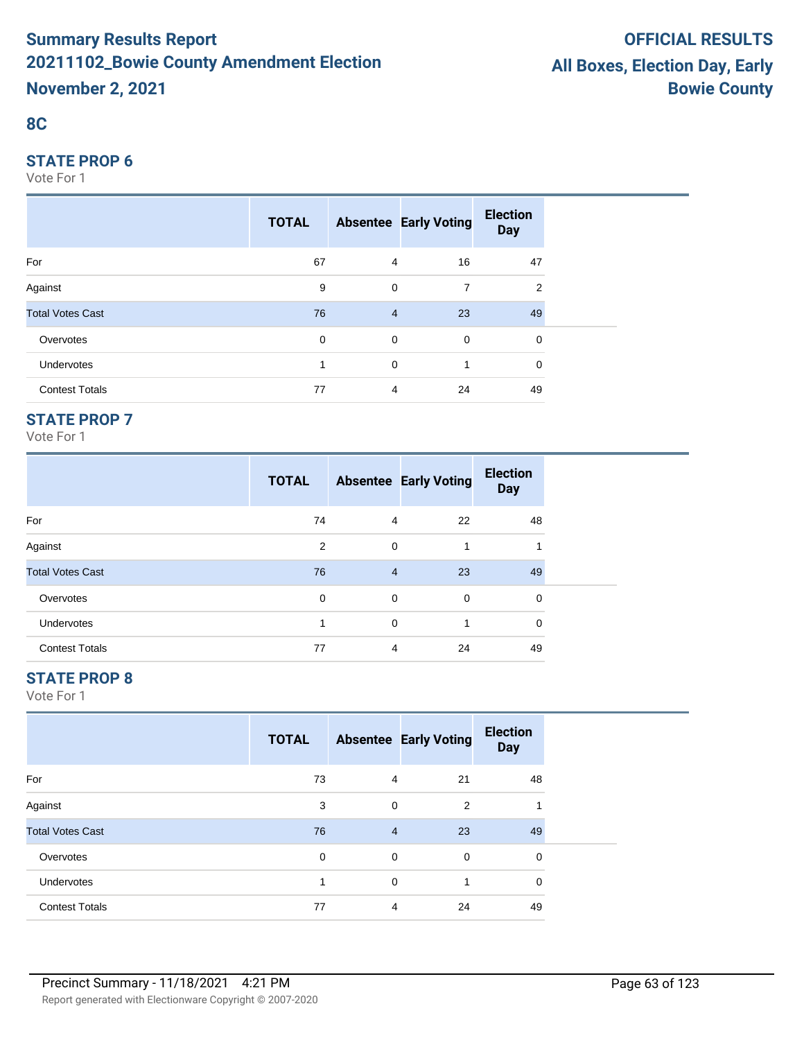## **8C**

#### **STATE PROP 6**

Vote For 1

|                         | <b>TOTAL</b> |                | <b>Absentee Early Voting</b> | <b>Election</b><br><b>Day</b> |  |
|-------------------------|--------------|----------------|------------------------------|-------------------------------|--|
| For                     | 67           | $\overline{4}$ | 16                           | 47                            |  |
| Against                 | 9            | $\mathbf 0$    | 7                            | 2                             |  |
| <b>Total Votes Cast</b> | 76           | $\overline{4}$ | 23                           | 49                            |  |
| Overvotes               | $\mathbf 0$  | $\mathbf 0$    | $\overline{0}$               | 0                             |  |
| Undervotes              | 1            | $\mathbf 0$    | 1                            | 0                             |  |
| <b>Contest Totals</b>   | 77           | $\overline{4}$ | 24                           | 49                            |  |

## **STATE PROP 7**

Vote For 1

|                         | <b>TOTAL</b> |                | <b>Absentee Early Voting</b> | <b>Election</b><br><b>Day</b> |  |
|-------------------------|--------------|----------------|------------------------------|-------------------------------|--|
| For                     | 74           | 4              | 22                           | 48                            |  |
| Against                 | 2            | $\Omega$       | 1                            |                               |  |
| <b>Total Votes Cast</b> | 76           | $\overline{4}$ | 23                           | 49                            |  |
| Overvotes               | $\Omega$     | $\Omega$       | 0                            | 0                             |  |
| <b>Undervotes</b>       | 1            | $\Omega$       | 1                            | $\Omega$                      |  |
| <b>Contest Totals</b>   | 77           | 4              | 24                           | 49                            |  |

## **STATE PROP 8**

|                         | <b>TOTAL</b> |                | <b>Absentee Early Voting</b> | <b>Election</b><br><b>Day</b> |  |
|-------------------------|--------------|----------------|------------------------------|-------------------------------|--|
| For                     | 73           | 4              | 21                           | 48                            |  |
| Against                 | 3            | $\mathbf 0$    | 2                            | и                             |  |
| <b>Total Votes Cast</b> | 76           | $\overline{4}$ | 23                           | 49                            |  |
| Overvotes               | 0            | 0              | 0                            | 0                             |  |
| Undervotes              | 1            | $\mathbf 0$    | 1                            | $\mathbf 0$                   |  |
| <b>Contest Totals</b>   | 77           | 4              | 24                           | 49                            |  |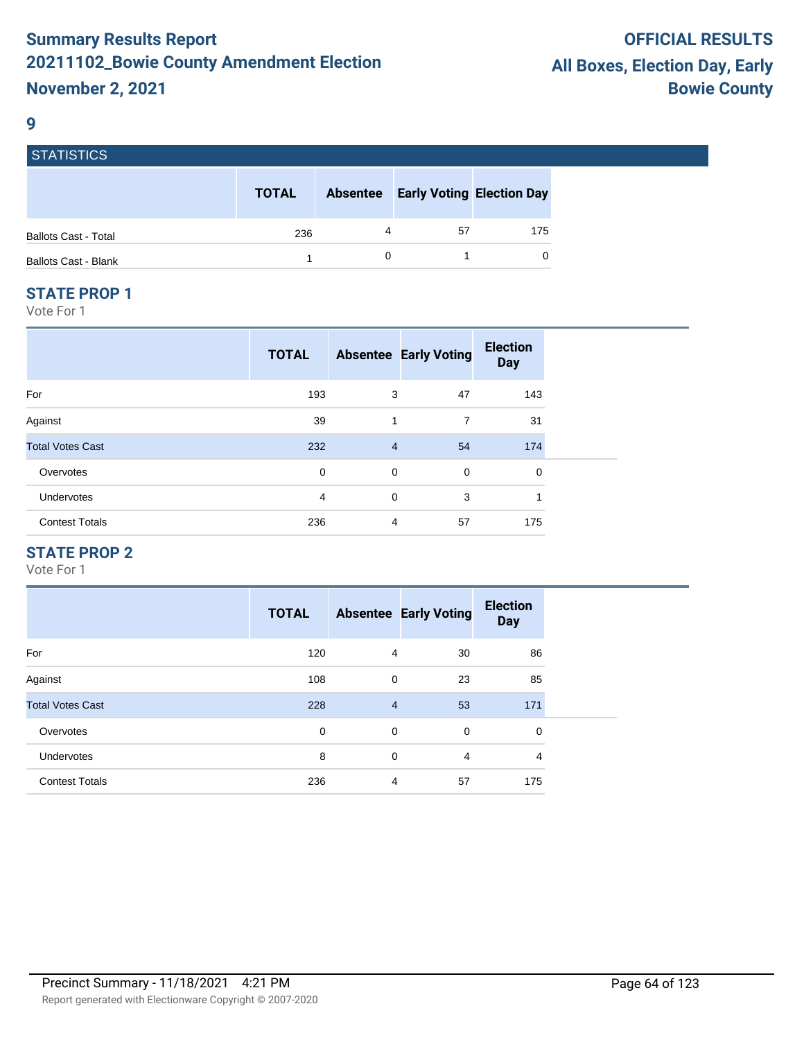#### **9**

| <b>STATISTICS</b>           |              |                 |                                  |     |
|-----------------------------|--------------|-----------------|----------------------------------|-----|
|                             | <b>TOTAL</b> | <b>Absentee</b> | <b>Early Voting Election Day</b> |     |
| <b>Ballots Cast - Total</b> | 236          | 4               | 57                               | 175 |
| <b>Ballots Cast - Blank</b> |              |                 |                                  | 0   |

#### **STATE PROP 1**

Vote For 1

|                         | <b>TOTAL</b> |                | <b>Absentee Early Voting</b> | <b>Election</b><br><b>Day</b> |
|-------------------------|--------------|----------------|------------------------------|-------------------------------|
| For                     | 193          | 3              | 47                           | 143                           |
| Against                 | 39           | 1              | $\overline{7}$               | 31                            |
| <b>Total Votes Cast</b> | 232          | $\overline{4}$ | 54                           | 174                           |
| Overvotes               | 0            | $\mathbf 0$    | $\mathbf 0$                  | 0                             |
| Undervotes              | 4            | 0              | 3                            | 1                             |
| <b>Contest Totals</b>   | 236          | $\overline{4}$ | 57                           | 175                           |

## **STATE PROP 2**

|                         | <b>TOTAL</b> |                | <b>Absentee Early Voting</b> | <b>Election</b><br><b>Day</b> |
|-------------------------|--------------|----------------|------------------------------|-------------------------------|
| For                     | 120          | 4              | 30                           | 86                            |
| Against                 | 108          | $\mathbf 0$    | 23                           | 85                            |
| <b>Total Votes Cast</b> | 228          | $\overline{4}$ | 53                           | 171                           |
| Overvotes               | 0            | $\mathbf 0$    | 0                            | 0                             |
| <b>Undervotes</b>       | 8            | $\mathbf 0$    | 4                            | 4                             |
| <b>Contest Totals</b>   | 236          | 4              | 57                           | 175                           |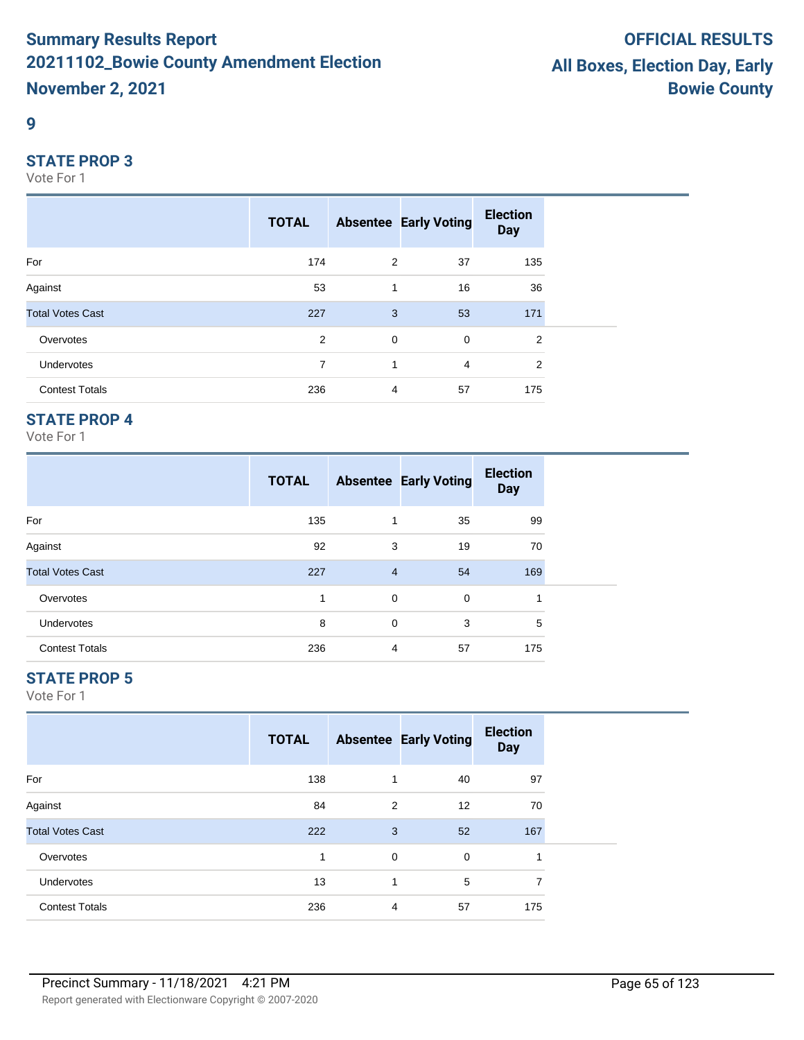#### **9**

#### **STATE PROP 3**

Vote For 1

|                         | <b>TOTAL</b> |             | <b>Absentee Early Voting</b> | <b>Election</b><br><b>Day</b> |
|-------------------------|--------------|-------------|------------------------------|-------------------------------|
| For                     | 174          | 2           | 37                           | 135                           |
| Against                 | 53           | 1           | 16                           | 36                            |
| <b>Total Votes Cast</b> | 227          | 3           | 53                           | 171                           |
| Overvotes               | 2            | $\mathbf 0$ | $\mathbf 0$                  | $\overline{2}$                |
| <b>Undervotes</b>       | 7            | 1           | $\overline{4}$               | $\overline{2}$                |
| <b>Contest Totals</b>   | 236          | 4           | 57                           | 175                           |

### **STATE PROP 4**

Vote For 1

|                         | <b>TOTAL</b> |                | <b>Absentee Early Voting</b> | <b>Election</b><br><b>Day</b> |  |
|-------------------------|--------------|----------------|------------------------------|-------------------------------|--|
| For                     | 135          | 1              | 35                           | 99                            |  |
| Against                 | 92           | 3              | 19                           | 70                            |  |
| <b>Total Votes Cast</b> | 227          | $\overline{4}$ | 54                           | 169                           |  |
| Overvotes               | 1            | 0              | $\mathbf 0$                  | ٠                             |  |
| <b>Undervotes</b>       | 8            | $\mathbf 0$    | 3                            | 5                             |  |
| <b>Contest Totals</b>   | 236          | 4              | 57                           | 175                           |  |

## **STATE PROP 5**

|                         | <b>TOTAL</b> |                | <b>Absentee Early Voting</b> | <b>Election</b><br><b>Day</b> |  |
|-------------------------|--------------|----------------|------------------------------|-------------------------------|--|
| For                     | 138          | 1              | 40                           | 97                            |  |
| Against                 | 84           | 2              | 12                           | 70                            |  |
| <b>Total Votes Cast</b> | 222          | 3              | 52                           | 167                           |  |
| Overvotes               | 1            | 0              | 0                            | 1                             |  |
| Undervotes              | 13           | 1              | 5                            | 7                             |  |
| <b>Contest Totals</b>   | 236          | $\overline{4}$ | 57                           | 175                           |  |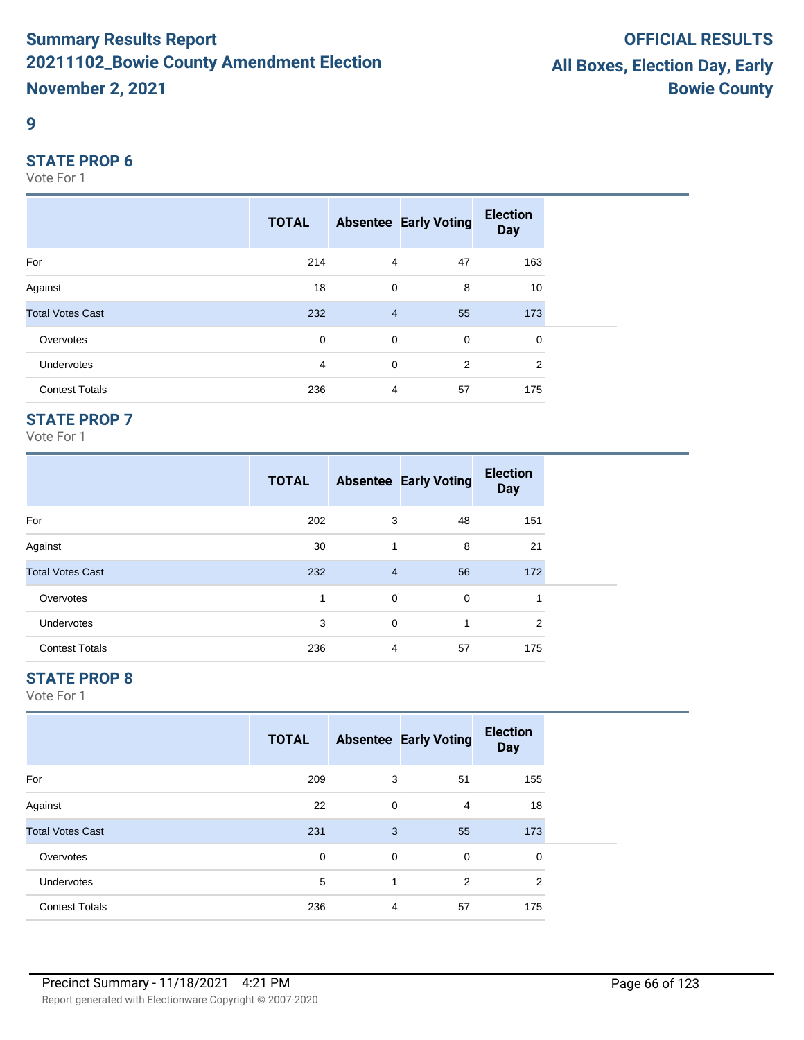#### **9**

#### **STATE PROP 6**

Vote For 1

|                         | <b>TOTAL</b> |                | <b>Absentee Early Voting</b> | <b>Election</b><br><b>Day</b> |  |
|-------------------------|--------------|----------------|------------------------------|-------------------------------|--|
| For                     | 214          | $\overline{4}$ | 47                           | 163                           |  |
| Against                 | 18           | 0              | 8                            | 10                            |  |
| <b>Total Votes Cast</b> | 232          | $\overline{4}$ | 55                           | 173                           |  |
| Overvotes               | $\mathbf 0$  | $\mathbf 0$    | $\mathbf 0$                  | 0                             |  |
| Undervotes              | 4            | 0              | 2                            | 2                             |  |
| <b>Contest Totals</b>   | 236          | $\overline{4}$ | 57                           | 175                           |  |

#### **STATE PROP 7**

Vote For 1

|                         | <b>TOTAL</b> |                | <b>Absentee Early Voting</b> | <b>Election</b><br><b>Day</b> |
|-------------------------|--------------|----------------|------------------------------|-------------------------------|
| For                     | 202          | 3              | 48                           | 151                           |
| Against                 | 30           | 1              | 8                            | 21                            |
| <b>Total Votes Cast</b> | 232          | $\overline{4}$ | 56                           | 172                           |
| Overvotes               | 1            | 0              | 0                            |                               |
| <b>Undervotes</b>       | 3            | 0              | 1                            | 2                             |
| <b>Contest Totals</b>   | 236          | 4              | 57                           | 175                           |

## **STATE PROP 8**

|                         | <b>TOTAL</b> |   | <b>Absentee Early Voting</b> | <b>Election</b><br><b>Day</b> |  |
|-------------------------|--------------|---|------------------------------|-------------------------------|--|
| For                     | 209          | 3 | 51                           | 155                           |  |
| Against                 | 22           | 0 | 4                            | 18                            |  |
| <b>Total Votes Cast</b> | 231          | 3 | 55                           | 173                           |  |
| Overvotes               | 0            | 0 | 0                            | 0                             |  |
| <b>Undervotes</b>       | 5            | 1 | 2                            | 2                             |  |
| <b>Contest Totals</b>   | 236          | 4 | 57                           | 175                           |  |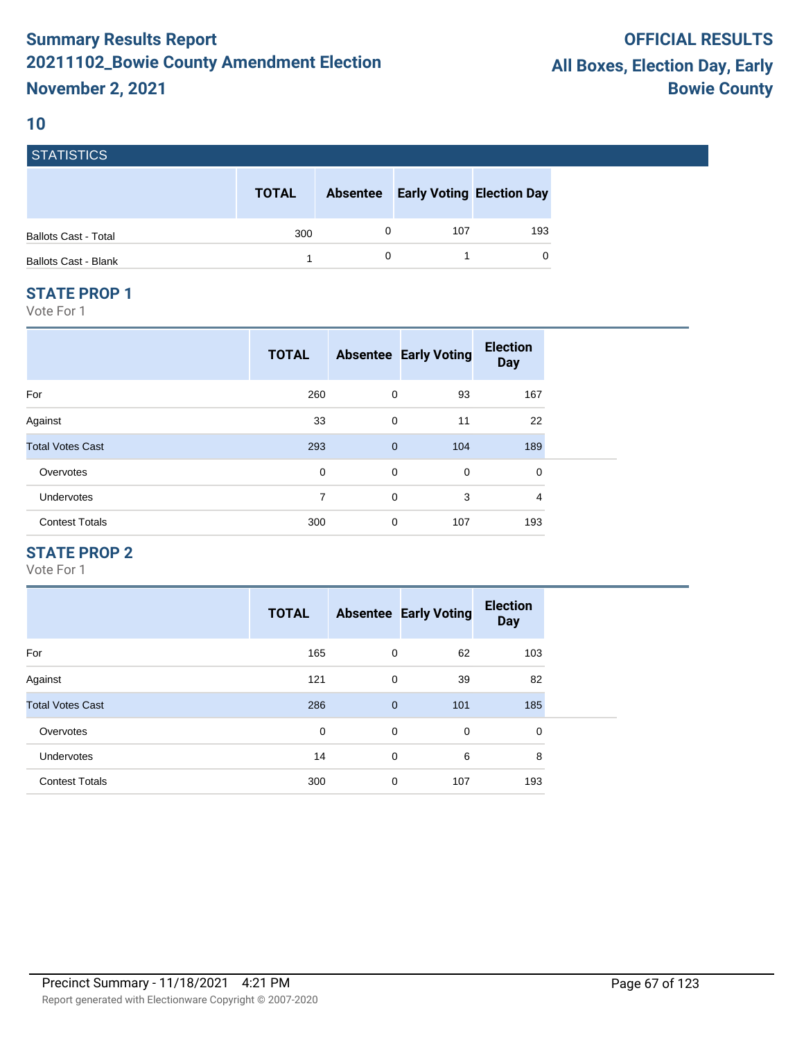#### **10**

**STATICTICS** 

| POIRTIOTIUS                 |              |                 |     |                                  |
|-----------------------------|--------------|-----------------|-----|----------------------------------|
|                             | <b>TOTAL</b> | <b>Absentee</b> |     | <b>Early Voting Election Day</b> |
| <b>Ballots Cast - Total</b> | 300          |                 | 107 | 193                              |
| <b>Ballots Cast - Blank</b> |              |                 |     | 0                                |

#### **STATE PROP 1**

Vote For 1

|                         | <b>TOTAL</b> |              | <b>Absentee Early Voting</b> | <b>Election</b><br><b>Day</b> |
|-------------------------|--------------|--------------|------------------------------|-------------------------------|
| For                     | 260          | 0            | 93                           | 167                           |
| Against                 | 33           | 0            | 11                           | 22                            |
| <b>Total Votes Cast</b> | 293          | $\mathbf{0}$ | 104                          | 189                           |
| Overvotes               | 0            | $\mathbf 0$  | 0                            | 0                             |
| Undervotes              | 7            | 0            | 3                            | 4                             |
| <b>Contest Totals</b>   | 300          | 0            | 107                          | 193                           |

## **STATE PROP 2**

|                         | <b>TOTAL</b> |                | <b>Absentee Early Voting</b> | <b>Election</b><br><b>Day</b> |
|-------------------------|--------------|----------------|------------------------------|-------------------------------|
| For                     | 165          | 0              | 62                           | 103                           |
| Against                 | 121          | 0              | 39                           | 82                            |
| <b>Total Votes Cast</b> | 286          | $\overline{0}$ | 101                          | 185                           |
| Overvotes               | 0            | 0              | $\mathbf 0$                  | 0                             |
| <b>Undervotes</b>       | 14           | 0              | 6                            | 8                             |
| <b>Contest Totals</b>   | 300          | 0              | 107                          | 193                           |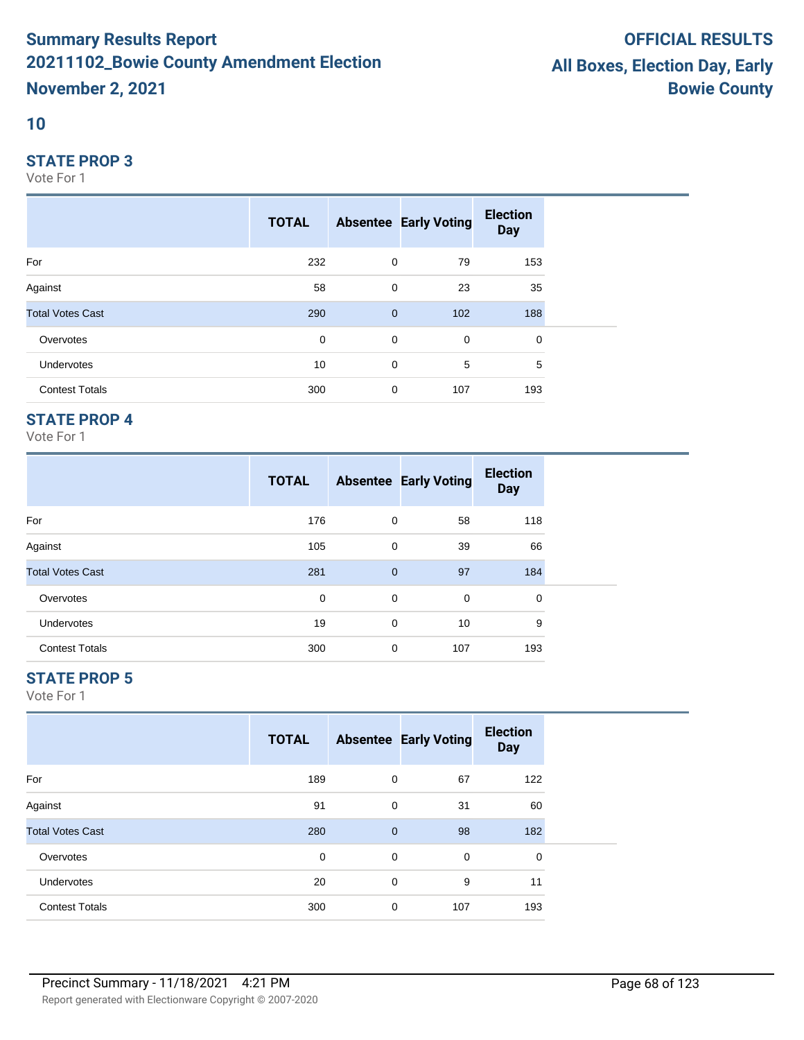#### **10**

#### **STATE PROP 3**

Vote For 1

|                         | <b>TOTAL</b> |                | <b>Absentee Early Voting</b> | <b>Election</b><br><b>Day</b> |  |
|-------------------------|--------------|----------------|------------------------------|-------------------------------|--|
| For                     | 232          | 0              | 79                           | 153                           |  |
| Against                 | 58           | 0              | 23                           | 35                            |  |
| <b>Total Votes Cast</b> | 290          | $\overline{0}$ | 102                          | 188                           |  |
| Overvotes               | $\mathbf 0$  | $\mathbf 0$    | 0                            | 0                             |  |
| <b>Undervotes</b>       | 10           | 0              | 5                            | 5                             |  |
| <b>Contest Totals</b>   | 300          | 0              | 107                          | 193                           |  |

## **STATE PROP 4**

Vote For 1

|                         | <b>TOTAL</b> |              | <b>Absentee Early Voting</b> | <b>Election</b><br><b>Day</b> |  |
|-------------------------|--------------|--------------|------------------------------|-------------------------------|--|
| For                     | 176          | 0            | 58                           | 118                           |  |
| Against                 | 105          | 0            | 39                           | 66                            |  |
| <b>Total Votes Cast</b> | 281          | $\mathbf{0}$ | 97                           | 184                           |  |
| Overvotes               | 0            | 0            | 0                            | 0                             |  |
| <b>Undervotes</b>       | 19           | 0            | 10                           | 9                             |  |
| <b>Contest Totals</b>   | 300          | 0            | 107                          | 193                           |  |

## **STATE PROP 5**

|                         | <b>TOTAL</b> |             | <b>Absentee Early Voting</b> | <b>Election</b><br><b>Day</b> |  |
|-------------------------|--------------|-------------|------------------------------|-------------------------------|--|
| For                     | 189          | 0           | 67                           | 122                           |  |
| Against                 | 91           | 0           | 31                           | 60                            |  |
| <b>Total Votes Cast</b> | 280          | $\mathbf 0$ | 98                           | 182                           |  |
| Overvotes               | 0            | 0           | 0                            | 0                             |  |
| Undervotes              | 20           | 0           | 9                            | 11                            |  |
| <b>Contest Totals</b>   | 300          | 0           | 107                          | 193                           |  |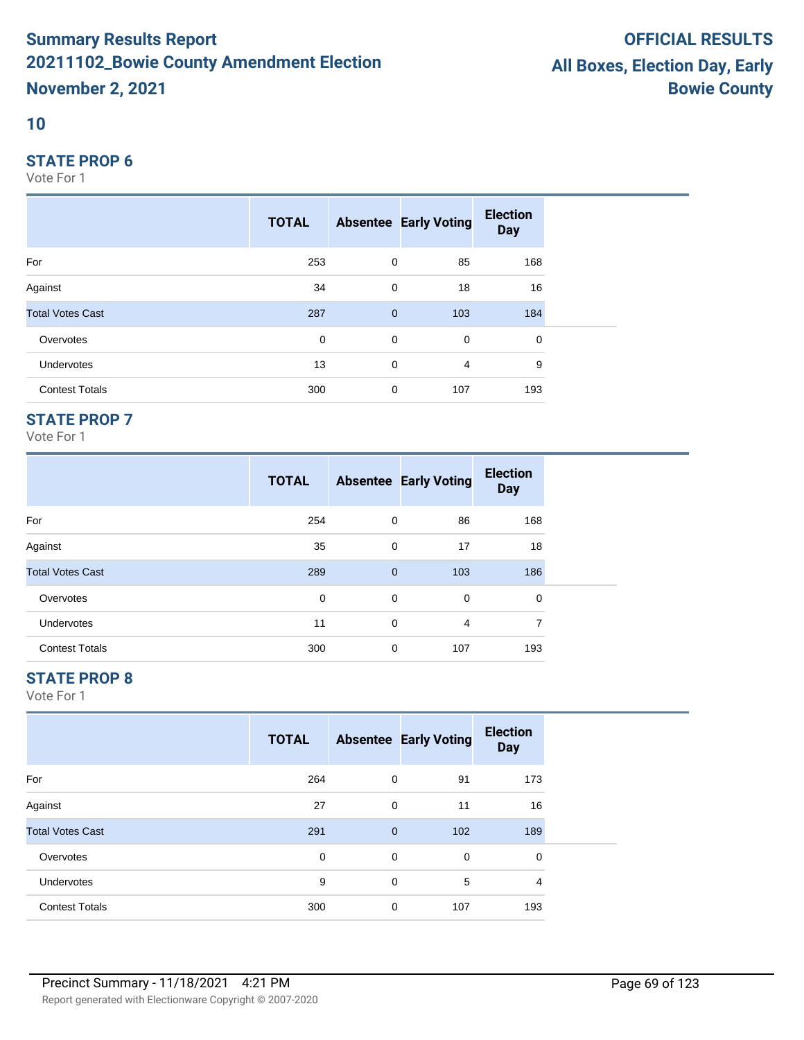#### **10**

#### **STATE PROP 6**

Vote For 1

|                         | <b>TOTAL</b> |                | <b>Absentee Early Voting</b> | <b>Election</b><br><b>Day</b> |  |
|-------------------------|--------------|----------------|------------------------------|-------------------------------|--|
| For                     | 253          | 0              | 85                           | 168                           |  |
| Against                 | 34           | 0              | 18                           | 16                            |  |
| <b>Total Votes Cast</b> | 287          | $\overline{0}$ | 103                          | 184                           |  |
| Overvotes               | $\mathbf 0$  | $\mathbf 0$    | 0                            | 0                             |  |
| <b>Undervotes</b>       | 13           | 0              | 4                            | 9                             |  |
| <b>Contest Totals</b>   | 300          | 0              | 107                          | 193                           |  |

## **STATE PROP 7**

Vote For 1

|                         | <b>TOTAL</b> |              | <b>Absentee Early Voting</b> | <b>Election</b><br><b>Day</b> |
|-------------------------|--------------|--------------|------------------------------|-------------------------------|
| For                     | 254          | 0            | 86                           | 168                           |
| Against                 | 35           | 0            | 17                           | 18                            |
| <b>Total Votes Cast</b> | 289          | $\mathbf{0}$ | 103                          | 186                           |
| Overvotes               | 0            | 0            | $\mathbf 0$                  | 0                             |
| <b>Undervotes</b>       | 11           | 0            | 4                            | 7                             |
| <b>Contest Totals</b>   | 300          | 0            | 107                          | 193                           |

## **STATE PROP 8**

|                         | <b>TOTAL</b> |              | <b>Absentee Early Voting</b> | <b>Election</b><br><b>Day</b> |  |
|-------------------------|--------------|--------------|------------------------------|-------------------------------|--|
| For                     | 264          | 0            | 91                           | 173                           |  |
| Against                 | 27           | 0            | 11                           | 16                            |  |
| <b>Total Votes Cast</b> | 291          | $\mathbf{0}$ | 102                          | 189                           |  |
| Overvotes               | 0            | $\mathbf 0$  | 0                            | $\mathbf 0$                   |  |
| <b>Undervotes</b>       | 9            | $\mathbf 0$  | 5                            | 4                             |  |
| <b>Contest Totals</b>   | 300          | $\mathbf 0$  | 107                          | 193                           |  |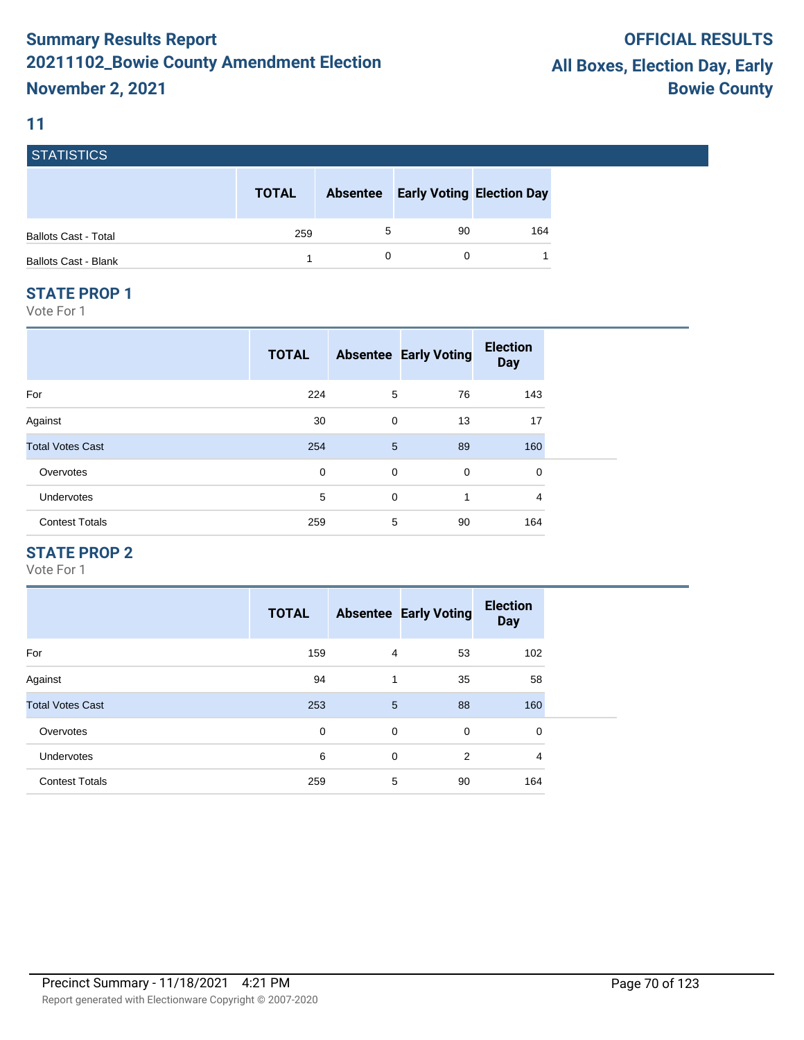## **11**

| STATISTICS                  |              |                 |                                  |     |
|-----------------------------|--------------|-----------------|----------------------------------|-----|
|                             | <b>TOTAL</b> | <b>Absentee</b> | <b>Early Voting Election Day</b> |     |
| <b>Ballots Cast - Total</b> | 259          | 5               | 90                               | 164 |
| <b>Ballots Cast - Blank</b> |              |                 |                                  |     |

#### **STATE PROP 1**

Vote For 1

|                         | <b>TOTAL</b> |             | <b>Absentee Early Voting</b> | <b>Election</b><br><b>Day</b> |
|-------------------------|--------------|-------------|------------------------------|-------------------------------|
| For                     | 224          | 5           | 76                           | 143                           |
| Against                 | 30           | $\mathbf 0$ | 13                           | 17                            |
| <b>Total Votes Cast</b> | 254          | 5           | 89                           | 160                           |
| Overvotes               | 0            | $\mathbf 0$ | $\mathbf 0$                  | 0                             |
| <b>Undervotes</b>       | 5            | $\mathbf 0$ | 1                            | 4                             |
| <b>Contest Totals</b>   | 259          | 5           | 90                           | 164                           |

## **STATE PROP 2**

|                         | <b>TOTAL</b> |                | <b>Absentee Early Voting</b> | <b>Election</b><br><b>Day</b> |
|-------------------------|--------------|----------------|------------------------------|-------------------------------|
| For                     | 159          | 4              | 53                           | 102                           |
| Against                 | 94           | 1              | 35                           | 58                            |
| <b>Total Votes Cast</b> | 253          | $5\phantom{1}$ | 88                           | 160                           |
| Overvotes               | 0            | $\mathbf 0$    | 0                            | 0                             |
| <b>Undervotes</b>       | 6            | $\mathbf 0$    | 2                            | 4                             |
| <b>Contest Totals</b>   | 259          | 5              | 90                           | 164                           |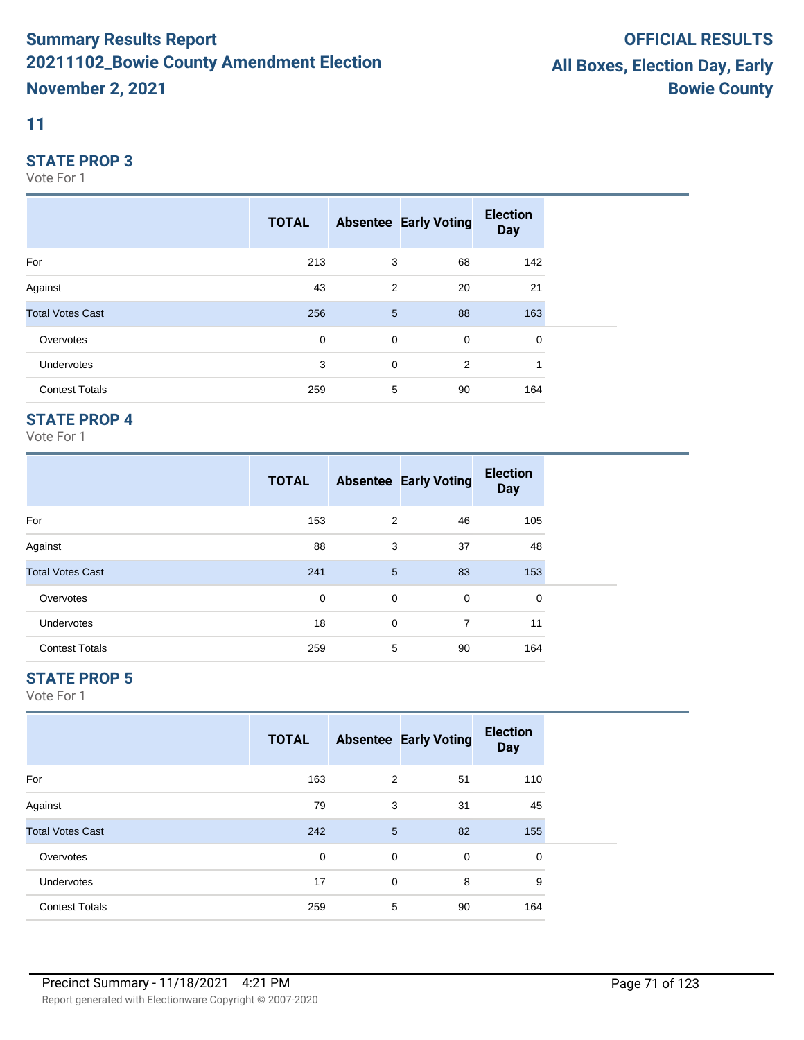## **11**

#### **STATE PROP 3**

Vote For 1

|                         | <b>TOTAL</b> |             | <b>Absentee Early Voting</b> | <b>Election</b><br><b>Day</b> |  |
|-------------------------|--------------|-------------|------------------------------|-------------------------------|--|
| For                     | 213          | 3           | 68                           | 142                           |  |
| Against                 | 43           | 2           | 20                           | 21                            |  |
| <b>Total Votes Cast</b> | 256          | 5           | 88                           | 163                           |  |
| Overvotes               | $\mathbf 0$  | $\mathbf 0$ | 0                            | 0                             |  |
| Undervotes              | 3            | 0           | 2                            |                               |  |
| <b>Contest Totals</b>   | 259          | 5           | 90                           | 164                           |  |

## **STATE PROP 4**

Vote For 1

|                         | <b>TOTAL</b> |             | <b>Absentee Early Voting</b> | <b>Election</b><br><b>Day</b> |  |
|-------------------------|--------------|-------------|------------------------------|-------------------------------|--|
| For                     | 153          | 2           | 46                           | 105                           |  |
| Against                 | 88           | 3           | 37                           | 48                            |  |
| <b>Total Votes Cast</b> | 241          | 5           | 83                           | 153                           |  |
| Overvotes               | 0            | 0           | 0                            | 0                             |  |
| <b>Undervotes</b>       | 18           | $\mathbf 0$ | 7                            | 11                            |  |
| <b>Contest Totals</b>   | 259          | 5           | 90                           | 164                           |  |

## **STATE PROP 5**

|                         | <b>TOTAL</b> |             | <b>Absentee Early Voting</b> | <b>Election</b><br><b>Day</b> |
|-------------------------|--------------|-------------|------------------------------|-------------------------------|
| For                     | 163          | 2           | 51                           | 110                           |
| Against                 | 79           | 3           | 31                           | 45                            |
| <b>Total Votes Cast</b> | 242          | 5           | 82                           | 155                           |
| Overvotes               | 0            | 0           | $\mathbf 0$                  | 0                             |
| <b>Undervotes</b>       | 17           | $\mathbf 0$ | 8                            | 9                             |
| <b>Contest Totals</b>   | 259          | 5           | 90                           | 164                           |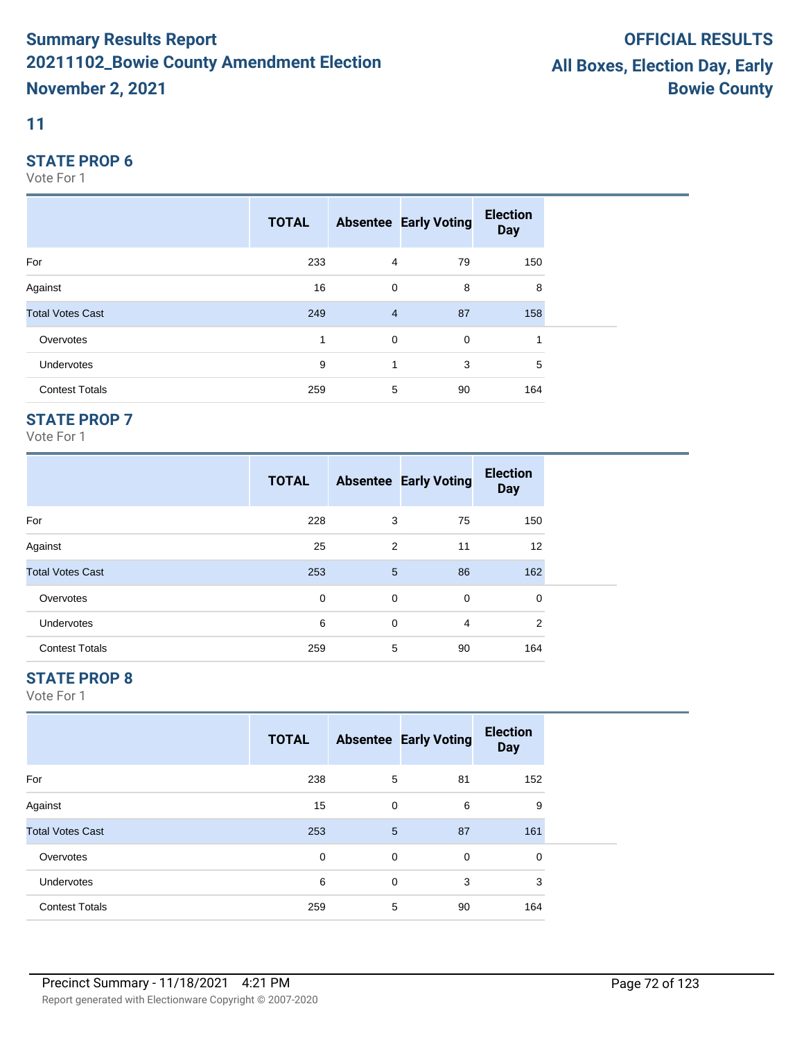## **11**

#### **STATE PROP 6**

Vote For 1

|                         | <b>TOTAL</b> |                | <b>Absentee Early Voting</b> | <b>Election</b><br><b>Day</b> |  |
|-------------------------|--------------|----------------|------------------------------|-------------------------------|--|
| For                     | 233          | $\overline{4}$ | 79                           | 150                           |  |
| Against                 | 16           | 0              | 8                            | 8                             |  |
| <b>Total Votes Cast</b> | 249          | $\overline{4}$ | 87                           | 158                           |  |
| Overvotes               | 1            | $\mathbf 0$    | 0                            | 1                             |  |
| Undervotes              | 9            | 1              | 3                            | 5                             |  |
| <b>Contest Totals</b>   | 259          | 5              | 90                           | 164                           |  |

## **STATE PROP 7**

Vote For 1

|                         | <b>TOTAL</b> |                 | <b>Absentee Early Voting</b> | <b>Election</b><br><b>Day</b> |
|-------------------------|--------------|-----------------|------------------------------|-------------------------------|
| For                     | 228          | 3               | 75                           | 150                           |
| Against                 | 25           | $\overline{2}$  | 11                           | 12                            |
| <b>Total Votes Cast</b> | 253          | $5\phantom{.0}$ | 86                           | 162                           |
| Overvotes               | 0            | 0               | $\mathbf 0$                  | 0                             |
| <b>Undervotes</b>       | 6            | 0               | 4                            | 2                             |
| <b>Contest Totals</b>   | 259          | 5               | 90                           | 164                           |

## **STATE PROP 8**

|                         | <b>TOTAL</b> |   | <b>Absentee Early Voting</b> | <b>Election</b><br><b>Day</b> |
|-------------------------|--------------|---|------------------------------|-------------------------------|
| For                     | 238          | 5 | 81                           | 152                           |
| Against                 | 15           | 0 | 6                            | 9                             |
| <b>Total Votes Cast</b> | 253          | 5 | 87                           | 161                           |
| Overvotes               | 0            | 0 | 0                            | 0                             |
| <b>Undervotes</b>       | 6            | 0 | 3                            | 3                             |
| <b>Contest Totals</b>   | 259          | 5 | 90                           | 164                           |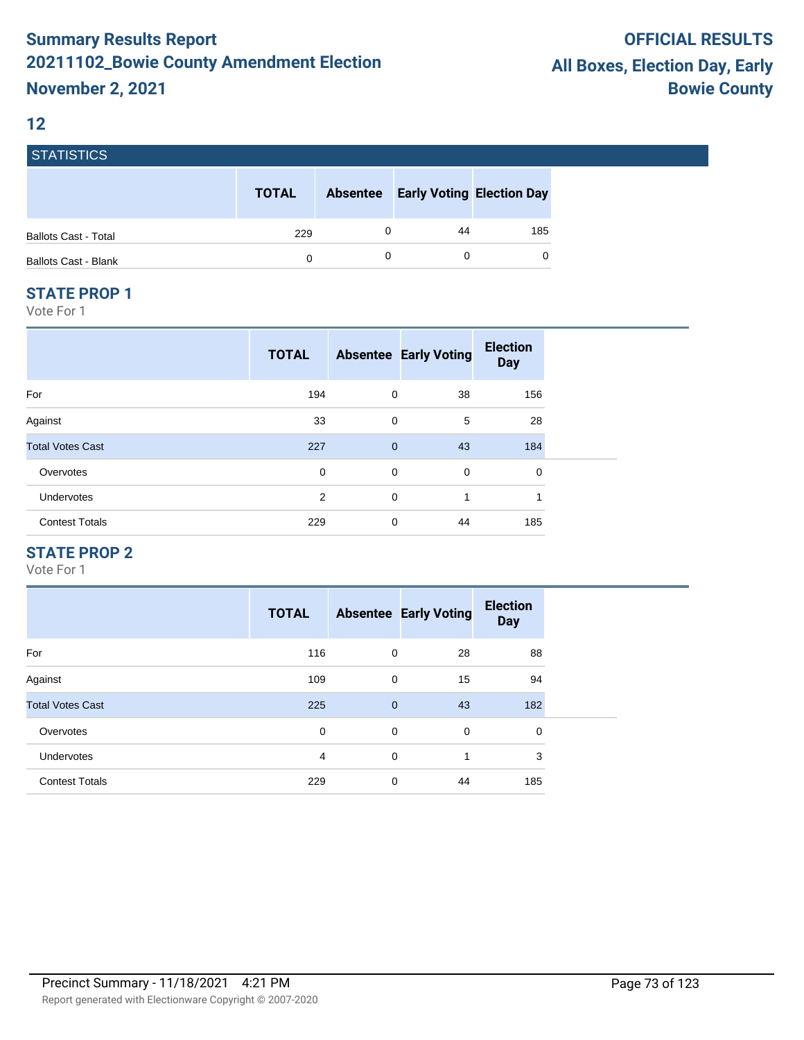#### **12**

| <b>STATISTICS</b>           |              |   |                                           |          |
|-----------------------------|--------------|---|-------------------------------------------|----------|
|                             | <b>TOTAL</b> |   | <b>Absentee Early Voting Election Day</b> |          |
| <b>Ballots Cast - Total</b> | 229          | 0 | 44                                        | 185      |
| <b>Ballots Cast - Blank</b> | 0            | 0 |                                           | $\Omega$ |

#### **STATE PROP 1**

Vote For 1

|                         | <b>TOTAL</b> |              | <b>Absentee Early Voting</b> | <b>Election</b><br><b>Day</b> |  |
|-------------------------|--------------|--------------|------------------------------|-------------------------------|--|
| For                     | 194          | 0            | 38                           | 156                           |  |
| Against                 | 33           | 0            | 5                            | 28                            |  |
| <b>Total Votes Cast</b> | 227          | $\mathbf{0}$ | 43                           | 184                           |  |
| Overvotes               | 0            | 0            | 0                            | 0                             |  |
| Undervotes              | 2            | $\mathbf 0$  | 1                            | и                             |  |
| <b>Contest Totals</b>   | 229          | 0            | 44                           | 185                           |  |

## **STATE PROP 2**

|                         | <b>TOTAL</b>   |              | <b>Absentee Early Voting</b> | <b>Election</b><br><b>Day</b> |
|-------------------------|----------------|--------------|------------------------------|-------------------------------|
| For                     | 116            | $\mathbf 0$  | 28                           | 88                            |
| Against                 | 109            | 0            | 15                           | 94                            |
| <b>Total Votes Cast</b> | 225            | $\mathbf{0}$ | 43                           | 182                           |
| Overvotes               | 0              | 0            | 0                            | 0                             |
| <b>Undervotes</b>       | $\overline{4}$ | $\Omega$     | 1                            | 3                             |
| <b>Contest Totals</b>   | 229            | 0            | 44                           | 185                           |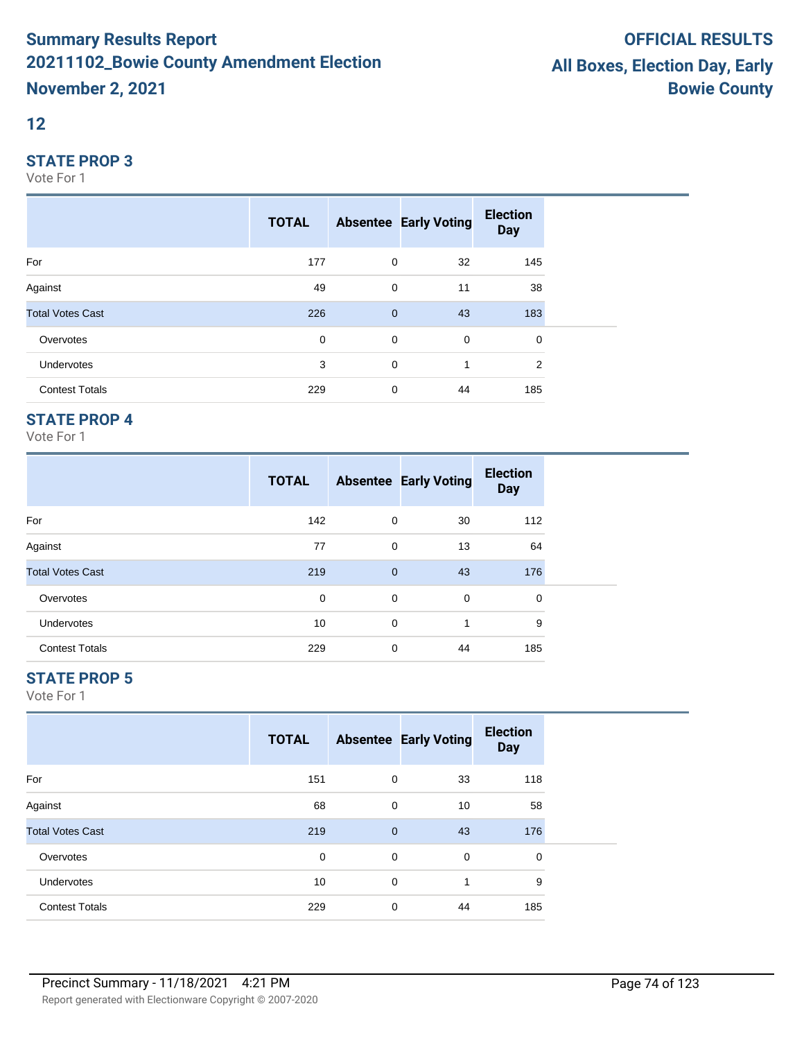#### **12**

#### **STATE PROP 3**

Vote For 1

|                         | <b>TOTAL</b> |              | <b>Absentee Early Voting</b> | <b>Election</b><br><b>Day</b> |
|-------------------------|--------------|--------------|------------------------------|-------------------------------|
| For                     | 177          | 0            | 32                           | 145                           |
| Against                 | 49           | 0            | 11                           | 38                            |
| <b>Total Votes Cast</b> | 226          | $\mathbf{0}$ | 43                           | 183                           |
| Overvotes               | $\mathbf 0$  | $\mathbf 0$  | $\mathbf 0$                  | 0                             |
| Undervotes              | 3            | 0            | 1                            | 2                             |
| <b>Contest Totals</b>   | 229          | $\mathbf 0$  | 44                           | 185                           |

## **STATE PROP 4**

Vote For 1

|                         | <b>TOTAL</b> |              | <b>Absentee Early Voting</b> | <b>Election</b><br><b>Day</b> |
|-------------------------|--------------|--------------|------------------------------|-------------------------------|
| For                     | 142          | 0            | 30                           | 112                           |
| Against                 | 77           | 0            | 13                           | 64                            |
| <b>Total Votes Cast</b> | 219          | $\mathbf{0}$ | 43                           | 176                           |
| Overvotes               | 0            | 0            | 0                            | 0                             |
| <b>Undervotes</b>       | 10           | $\Omega$     | 1                            | 9                             |
| <b>Contest Totals</b>   | 229          | 0            | 44                           | 185                           |

## **STATE PROP 5**

|                         | <b>TOTAL</b> |              | <b>Absentee Early Voting</b> | <b>Election</b><br><b>Day</b> |  |
|-------------------------|--------------|--------------|------------------------------|-------------------------------|--|
| For                     | 151          | 0            | 33                           | 118                           |  |
| Against                 | 68           | 0            | 10                           | 58                            |  |
| <b>Total Votes Cast</b> | 219          | $\mathbf{0}$ | 43                           | 176                           |  |
| Overvotes               | 0            | 0            | 0                            | $\mathbf 0$                   |  |
| Undervotes              | 10           | 0            | 1                            | 9                             |  |
| <b>Contest Totals</b>   | 229          | 0            | 44                           | 185                           |  |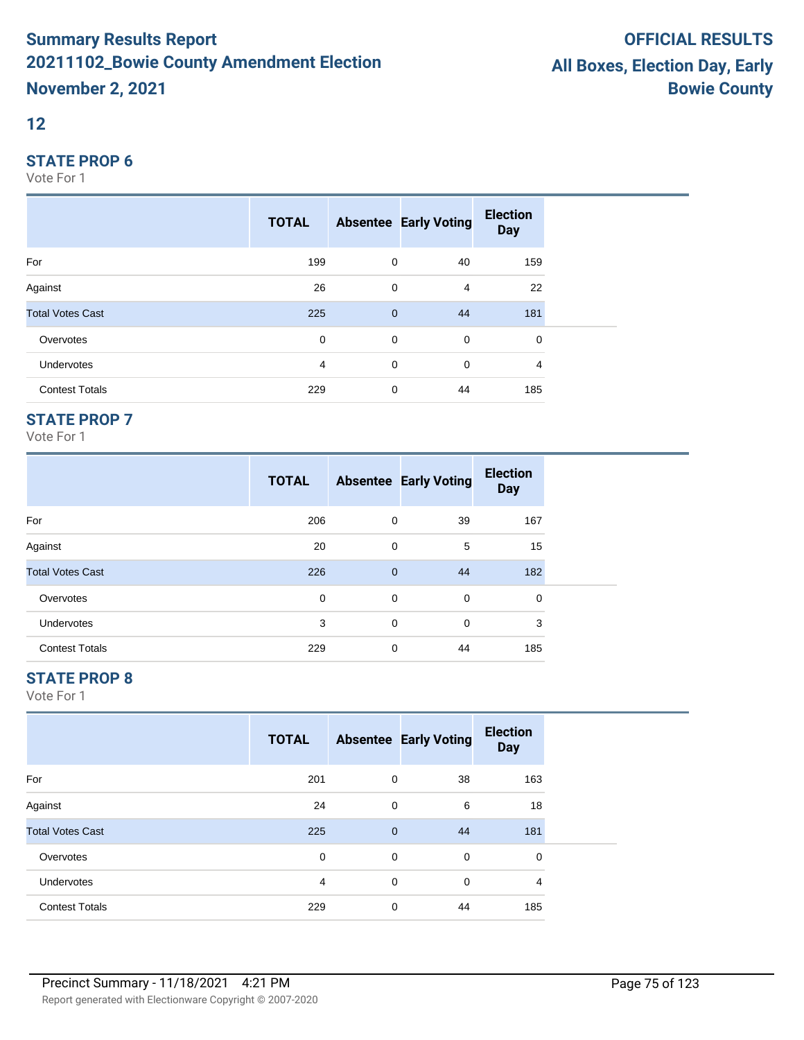#### **12**

#### **STATE PROP 6**

Vote For 1

|                         | <b>TOTAL</b> |                | <b>Absentee Early Voting</b> | <b>Election</b><br><b>Day</b> |
|-------------------------|--------------|----------------|------------------------------|-------------------------------|
| For                     | 199          | 0              | 40                           | 159                           |
| Against                 | 26           | 0              | 4                            | 22                            |
| <b>Total Votes Cast</b> | 225          | $\overline{0}$ | 44                           | 181                           |
| Overvotes               | $\mathbf 0$  | $\mathbf 0$    | $\mathbf 0$                  | 0                             |
| Undervotes              | 4            | 0              | 0                            | 4                             |
| <b>Contest Totals</b>   | 229          | $\mathbf 0$    | 44                           | 185                           |

## **STATE PROP 7**

Vote For 1

|                         | <b>TOTAL</b> |              | <b>Absentee Early Voting</b> | <b>Election</b><br><b>Day</b> |  |
|-------------------------|--------------|--------------|------------------------------|-------------------------------|--|
| For                     | 206          | 0            | 39                           | 167                           |  |
| Against                 | 20           | 0            | 5                            | 15                            |  |
| <b>Total Votes Cast</b> | 226          | $\mathbf{0}$ | 44                           | 182                           |  |
| Overvotes               | 0            | 0            | 0                            | 0                             |  |
| <b>Undervotes</b>       | 3            | 0            | $\mathbf 0$                  | 3                             |  |
| <b>Contest Totals</b>   | 229          | 0            | 44                           | 185                           |  |

## **STATE PROP 8**

|                         | <b>TOTAL</b> |              | <b>Absentee Early Voting</b> | <b>Election</b><br><b>Day</b> |  |
|-------------------------|--------------|--------------|------------------------------|-------------------------------|--|
| For                     | 201          | $\mathbf 0$  | 38                           | 163                           |  |
| Against                 | 24           | 0            | 6                            | 18                            |  |
| <b>Total Votes Cast</b> | 225          | $\mathbf{0}$ | 44                           | 181                           |  |
| Overvotes               | 0            | $\mathbf 0$  | 0                            | $\mathbf 0$                   |  |
| <b>Undervotes</b>       | 4            | $\mathbf 0$  | 0                            | 4                             |  |
| <b>Contest Totals</b>   | 229          | $\mathbf 0$  | 44                           | 185                           |  |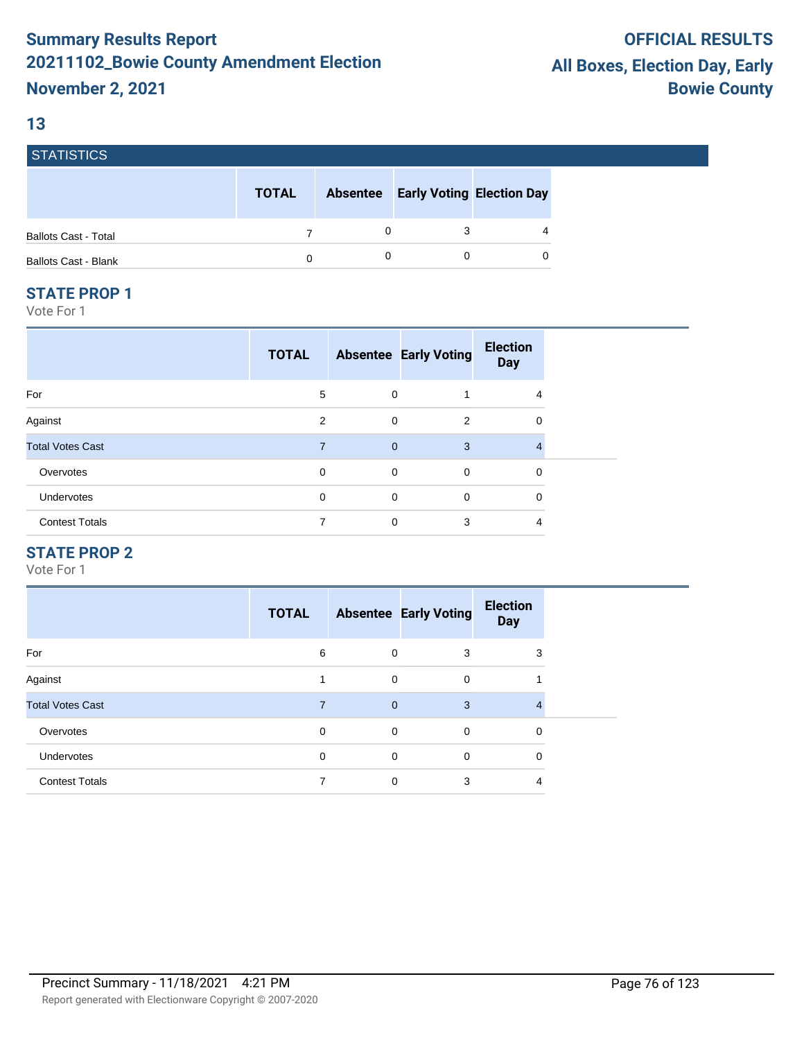## **13**

**STATICTICS** 

| <b>SIAIISIIUS</b>           |              |                 |                                  |
|-----------------------------|--------------|-----------------|----------------------------------|
|                             | <b>TOTAL</b> | <b>Absentee</b> | <b>Early Voting Election Day</b> |
| <b>Ballots Cast - Total</b> |              |                 | $\overline{4}$                   |
| <b>Ballots Cast - Blank</b> | 0            |                 | 0                                |

#### **STATE PROP 1**

Vote For 1

| <b>TOTAL</b>   |             | <b>Election</b><br><b>Day</b>                                                                                             |  |
|----------------|-------------|---------------------------------------------------------------------------------------------------------------------------|--|
| 5              |             | 4                                                                                                                         |  |
| 2              | 2           | 0                                                                                                                         |  |
| $\overline{7}$ | 3           | 4                                                                                                                         |  |
| 0              | $\mathbf 0$ | 0                                                                                                                         |  |
| 0              | $\mathbf 0$ | 0                                                                                                                         |  |
| 7              | 3           | 4                                                                                                                         |  |
|                |             | <b>Absentee Early Voting</b><br>$\mathbf 0$<br>$\mathbf 0$<br>$\overline{0}$<br>$\mathbf 0$<br>$\mathbf 0$<br>$\mathbf 0$ |  |

## **STATE PROP 2**

|                         | <b>TOTAL</b> |                | <b>Absentee Early Voting</b> | <b>Election</b><br><b>Day</b> |
|-------------------------|--------------|----------------|------------------------------|-------------------------------|
| For                     | 6            | 0              | 3                            | 3                             |
| Against                 |              | $\mathbf 0$    | 0                            |                               |
| <b>Total Votes Cast</b> | 7            | $\overline{0}$ | 3                            |                               |
| Overvotes               | 0            | $\mathbf 0$    | 0                            | 0                             |
| <b>Undervotes</b>       | 0            | $\mathbf 0$    | 0                            | 0                             |
| <b>Contest Totals</b>   |              | 0              | 3                            | 4                             |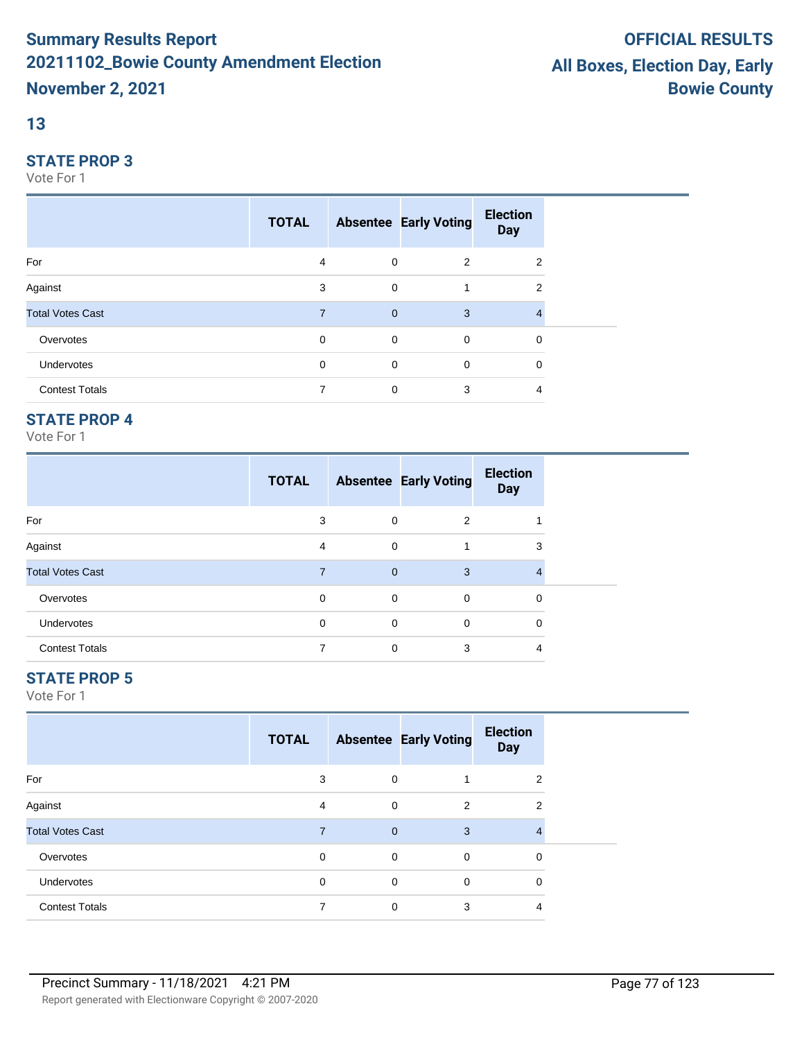## **13**

#### **STATE PROP 3**

Vote For 1

|                         | <b>TOTAL</b>   |                | <b>Absentee Early Voting</b> | <b>Election</b><br><b>Day</b> |  |
|-------------------------|----------------|----------------|------------------------------|-------------------------------|--|
| For                     | 4              | $\mathbf 0$    | 2                            | 2                             |  |
| Against                 | 3              | $\mathbf 0$    |                              | 2                             |  |
| <b>Total Votes Cast</b> | $\overline{7}$ | $\overline{0}$ | 3                            | 4                             |  |
| Overvotes               | $\mathbf 0$    | $\mathbf 0$    | $\mathbf 0$                  | 0                             |  |
| Undervotes              | 0              | $\mathbf 0$    | $\mathbf 0$                  | 0                             |  |
| <b>Contest Totals</b>   | 7              | $\mathbf 0$    | 3                            | 4                             |  |

## **STATE PROP 4**

Vote For 1

|                         | <b>TOTAL</b> |              | <b>Absentee Early Voting</b> | <b>Election</b><br><b>Day</b> |
|-------------------------|--------------|--------------|------------------------------|-------------------------------|
| For                     | 3            | 0            | $\overline{2}$               |                               |
| Against                 | 4            | $\mathbf 0$  |                              | 3                             |
| <b>Total Votes Cast</b> |              | $\mathbf{0}$ | 3                            | 4                             |
| Overvotes               | 0            | 0            | 0                            | 0                             |
| Undervotes              | 0            | $\mathbf 0$  | 0                            | 0                             |
| <b>Contest Totals</b>   |              | 0            | 3                            | 4                             |

## **STATE PROP 5**

|                         | <b>TOTAL</b> |                | <b>Absentee Early Voting</b> | <b>Election</b><br><b>Day</b> |  |
|-------------------------|--------------|----------------|------------------------------|-------------------------------|--|
| For                     | 3            | 0              |                              | 2                             |  |
| Against                 | 4            | $\mathbf 0$    | 2                            | $\overline{2}$                |  |
| <b>Total Votes Cast</b> | 7            | $\overline{0}$ | 3                            |                               |  |
| Overvotes               | $\mathbf 0$  | 0              | 0                            | 0                             |  |
| Undervotes              | $\Omega$     | $\mathbf 0$    | 0                            | $\mathbf 0$                   |  |
| <b>Contest Totals</b>   |              | 0              | 3                            | 4                             |  |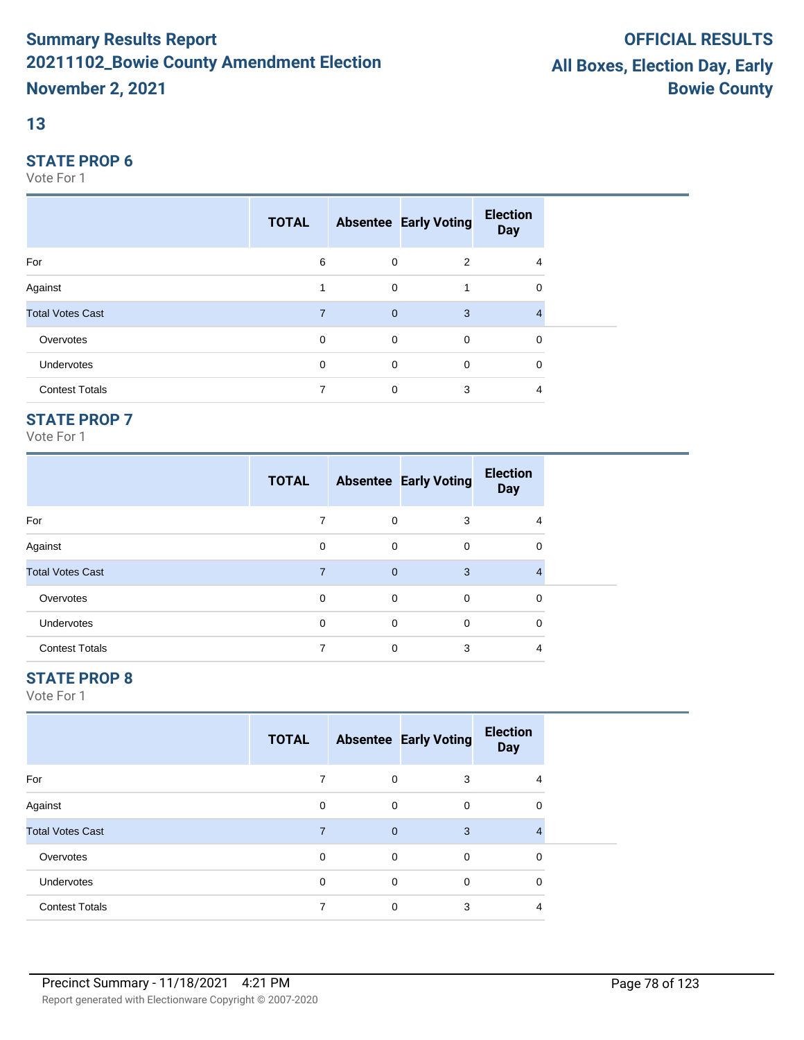## **13**

#### **STATE PROP 6**

Vote For 1

|                         | <b>TOTAL</b> |                | <b>Absentee Early Voting</b> | <b>Election</b><br><b>Day</b> |  |
|-------------------------|--------------|----------------|------------------------------|-------------------------------|--|
| For                     | 6            | 0              | 2                            | 4                             |  |
| Against                 |              | $\mathbf 0$    |                              | 0                             |  |
| <b>Total Votes Cast</b> | 7            | $\overline{0}$ | 3                            | 4                             |  |
| Overvotes               | $\mathbf 0$  | $\mathbf 0$    | $\mathbf 0$                  | 0                             |  |
| Undervotes              | 0            | $\mathbf 0$    | $\mathbf 0$                  | 0                             |  |
| <b>Contest Totals</b>   | 7            | 0              | 3                            | 4                             |  |

## **STATE PROP 7**

Vote For 1

|                         | <b>TOTAL</b> |              | <b>Absentee Early Voting</b> | <b>Election</b><br><b>Day</b> |  |
|-------------------------|--------------|--------------|------------------------------|-------------------------------|--|
| For                     |              | 0            | 3                            | 4                             |  |
| Against                 | 0            | 0            | 0                            | 0                             |  |
| <b>Total Votes Cast</b> | 7            | $\mathbf{0}$ | 3                            |                               |  |
| Overvotes               | 0            | 0            | 0                            | 0                             |  |
| Undervotes              | 0            | 0            | 0                            | 0                             |  |
| <b>Contest Totals</b>   |              | $\mathbf 0$  | 3                            | 4                             |  |

## **STATE PROP 8**

|                         | <b>TOTAL</b> |                | <b>Absentee Early Voting</b> | <b>Election</b><br><b>Day</b> |  |
|-------------------------|--------------|----------------|------------------------------|-------------------------------|--|
| For                     | 7            | 0              | 3                            | 4                             |  |
| Against                 | $\mathbf 0$  | 0              | 0                            | 0                             |  |
| <b>Total Votes Cast</b> | 7            | $\overline{0}$ | 3                            |                               |  |
| Overvotes               | $\mathbf 0$  | 0              | 0                            | 0                             |  |
| Undervotes              | $\mathbf 0$  | $\mathbf 0$    | $\mathbf 0$                  | $\mathbf 0$                   |  |
| <b>Contest Totals</b>   |              | 0              | 3                            | 4                             |  |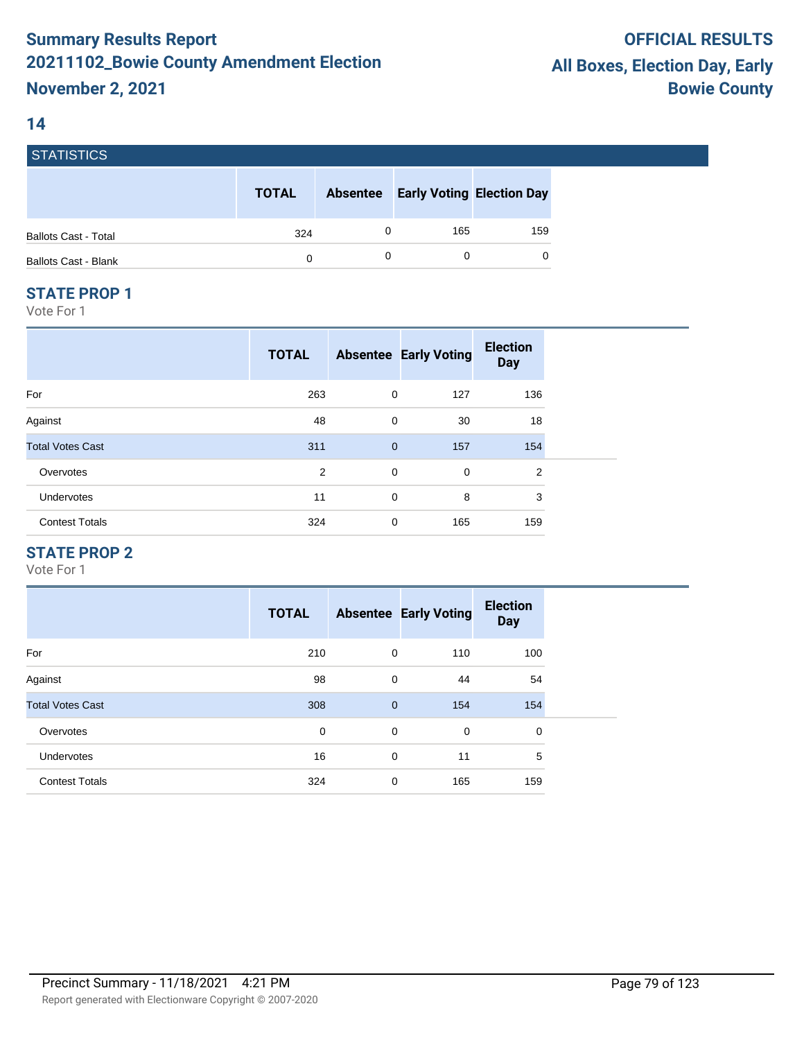#### **14**

**STATICTICS** 

| סטווסוואוס                  |              |                 |                                  |     |
|-----------------------------|--------------|-----------------|----------------------------------|-----|
|                             | <b>TOTAL</b> | <b>Absentee</b> | <b>Early Voting Election Day</b> |     |
| <b>Ballots Cast - Total</b> | 324          |                 | 165                              | 159 |
| <b>Ballots Cast - Blank</b> | 0            |                 |                                  | 0   |

#### **STATE PROP 1**

Vote For 1

|                         | <b>TOTAL</b> |              | <b>Absentee Early Voting</b> | <b>Election</b><br><b>Day</b> |  |
|-------------------------|--------------|--------------|------------------------------|-------------------------------|--|
| For                     | 263          | 0            | 127                          | 136                           |  |
| Against                 | 48           | $\mathbf 0$  | 30                           | 18                            |  |
| <b>Total Votes Cast</b> | 311          | $\mathbf{0}$ | 157                          | 154                           |  |
| Overvotes               | 2            | $\mathbf 0$  | 0                            | $\overline{2}$                |  |
| Undervotes              | 11           | 0            | 8                            | 3                             |  |
| <b>Contest Totals</b>   | 324          | 0            | 165                          | 159                           |  |

## **STATE PROP 2**

|                         | <b>TOTAL</b> |              | <b>Absentee Early Voting</b> | <b>Election</b><br><b>Day</b> |
|-------------------------|--------------|--------------|------------------------------|-------------------------------|
| For                     | 210          | $\mathbf 0$  | 110                          | 100                           |
| Against                 | 98           | $\mathbf 0$  | 44                           | 54                            |
| <b>Total Votes Cast</b> | 308          | $\mathbf{0}$ | 154                          | 154                           |
| Overvotes               | 0            | 0            | 0                            | 0                             |
| <b>Undervotes</b>       | 16           | $\mathbf 0$  | 11                           | 5                             |
| <b>Contest Totals</b>   | 324          | $\mathbf 0$  | 165                          | 159                           |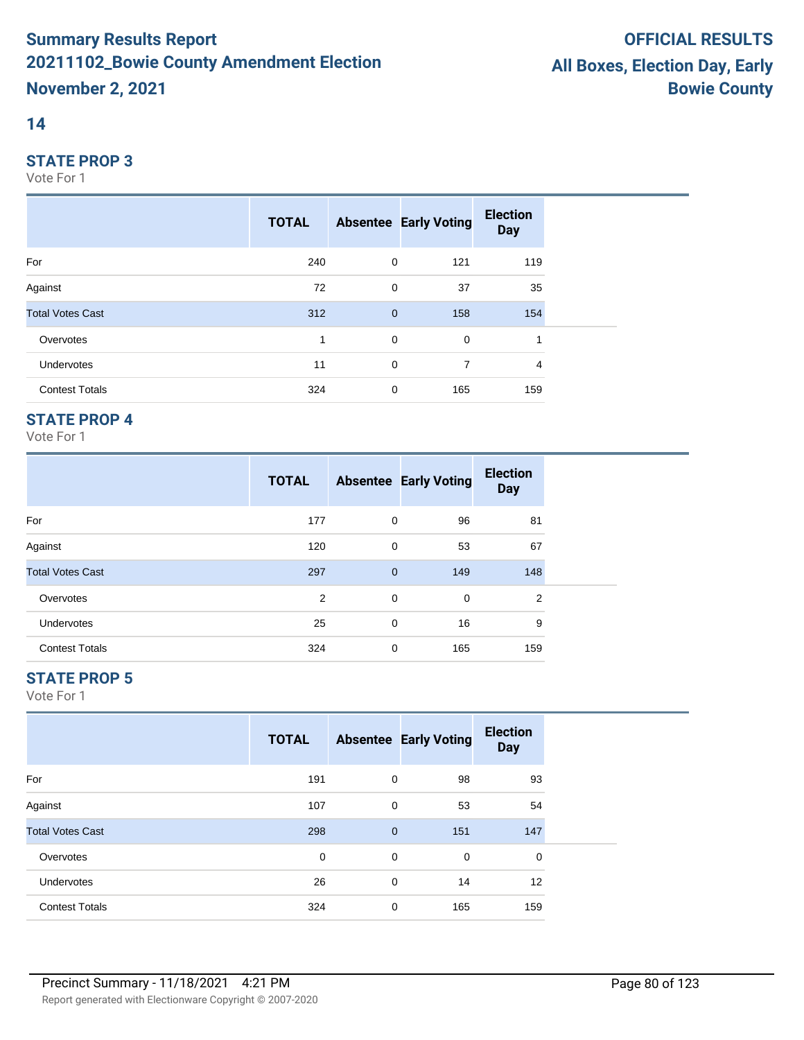#### **14**

#### **STATE PROP 3**

Vote For 1

|                         | <b>TOTAL</b> |                | <b>Absentee Early Voting</b> | <b>Election</b><br><b>Day</b> |  |
|-------------------------|--------------|----------------|------------------------------|-------------------------------|--|
| For                     | 240          | $\mathbf 0$    | 121                          | 119                           |  |
| Against                 | 72           | $\mathbf 0$    | 37                           | 35                            |  |
| <b>Total Votes Cast</b> | 312          | $\overline{0}$ | 158                          | 154                           |  |
| Overvotes               | 1            | $\mathbf 0$    | $\mathbf 0$                  | 1                             |  |
| Undervotes              | 11           | 0              | 7                            | $\overline{4}$                |  |
| <b>Contest Totals</b>   | 324          | $\mathbf 0$    | 165                          | 159                           |  |

## **STATE PROP 4**

Vote For 1

|                         | <b>TOTAL</b> |              | <b>Absentee Early Voting</b> | <b>Election</b><br><b>Day</b> |  |
|-------------------------|--------------|--------------|------------------------------|-------------------------------|--|
| For                     | 177          | 0            | 96                           | 81                            |  |
| Against                 | 120          | 0            | 53                           | 67                            |  |
| <b>Total Votes Cast</b> | 297          | $\mathbf{0}$ | 149                          | 148                           |  |
| Overvotes               | 2            | 0            | 0                            | 2                             |  |
| <b>Undervotes</b>       | 25           | 0            | 16                           | 9                             |  |
| <b>Contest Totals</b>   | 324          | 0            | 165                          | 159                           |  |

## **STATE PROP 5**

|                         | <b>TOTAL</b> |             | <b>Absentee Early Voting</b> | <b>Election</b><br><b>Day</b> |  |
|-------------------------|--------------|-------------|------------------------------|-------------------------------|--|
| For                     | 191          | 0           | 98                           | 93                            |  |
| Against                 | 107          | 0           | 53                           | 54                            |  |
| <b>Total Votes Cast</b> | 298          | $\mathbf 0$ | 151                          | 147                           |  |
| Overvotes               | 0            | 0           | 0                            | 0                             |  |
| <b>Undervotes</b>       | 26           | 0           | 14                           | 12                            |  |
| <b>Contest Totals</b>   | 324          | 0           | 165                          | 159                           |  |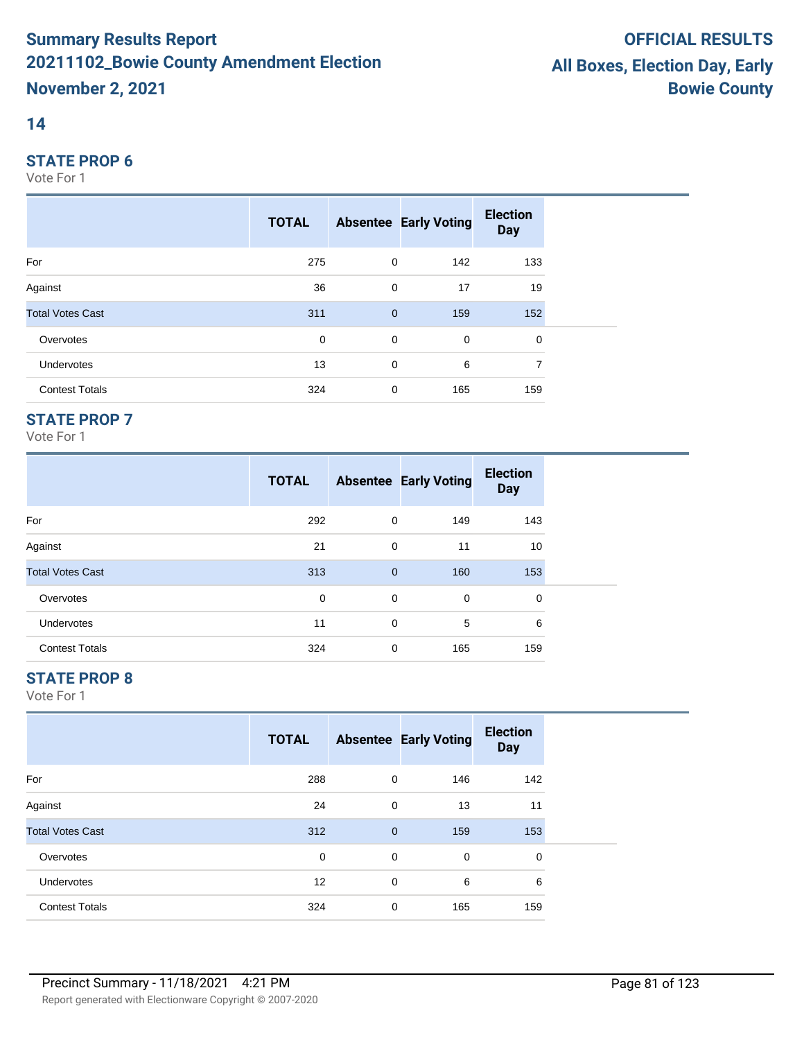#### **14**

#### **STATE PROP 6**

Vote For 1

|                         | <b>TOTAL</b> |                | <b>Absentee Early Voting</b> | <b>Election</b><br><b>Day</b> |  |
|-------------------------|--------------|----------------|------------------------------|-------------------------------|--|
| For                     | 275          | $\mathbf 0$    | 142                          | 133                           |  |
| Against                 | 36           | $\mathbf 0$    | 17                           | 19                            |  |
| <b>Total Votes Cast</b> | 311          | $\overline{0}$ | 159                          | 152                           |  |
| Overvotes               | 0            | $\mathbf 0$    | $\mathbf 0$                  | $\mathbf 0$                   |  |
| Undervotes              | 13           | $\mathbf 0$    | 6                            | 7                             |  |
| <b>Contest Totals</b>   | 324          | $\mathbf 0$    | 165                          | 159                           |  |

## **STATE PROP 7**

Vote For 1

|                         | <b>TOTAL</b> |              | <b>Absentee Early Voting</b> | <b>Election</b><br><b>Day</b> |
|-------------------------|--------------|--------------|------------------------------|-------------------------------|
| For                     | 292          | 0            | 149                          | 143                           |
| Against                 | 21           | 0            | 11                           | 10                            |
| <b>Total Votes Cast</b> | 313          | $\mathbf{0}$ | 160                          | 153                           |
| Overvotes               | 0            | 0            | 0                            | 0                             |
| <b>Undervotes</b>       | 11           | 0            | 5                            | 6                             |
| <b>Contest Totals</b>   | 324          | 0            | 165                          | 159                           |

## **STATE PROP 8**

|                         | <b>TOTAL</b> |              | <b>Absentee Early Voting</b> | <b>Election</b><br><b>Day</b> |  |
|-------------------------|--------------|--------------|------------------------------|-------------------------------|--|
| For                     | 288          | 0            | 146                          | 142                           |  |
| Against                 | 24           | 0            | 13                           | 11                            |  |
| <b>Total Votes Cast</b> | 312          | $\mathbf{0}$ | 159                          | 153                           |  |
| Overvotes               | 0            | 0            | $\mathbf 0$                  | $\mathbf 0$                   |  |
| Undervotes              | 12           | 0            | 6                            | 6                             |  |
| <b>Contest Totals</b>   | 324          | 0            | 165                          | 159                           |  |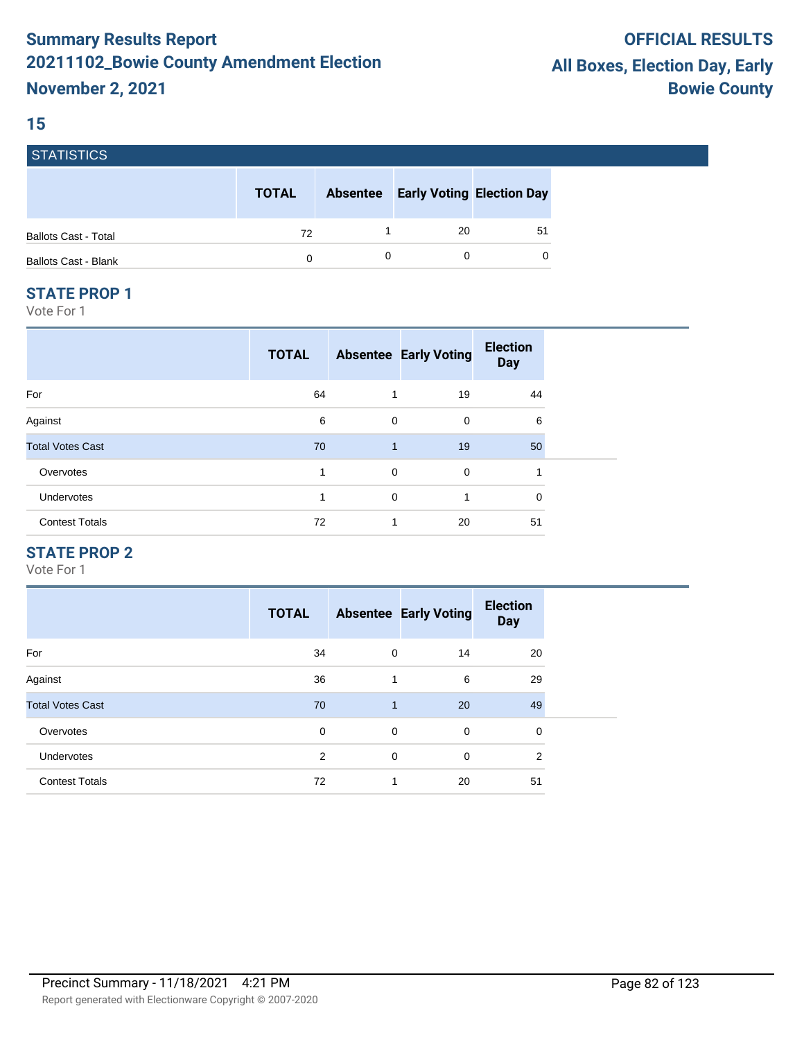#### **15**

**STATICTICS** 

| <u>ГЭТАПЭНЬЭ</u>            |              |                 |                                  |    |
|-----------------------------|--------------|-----------------|----------------------------------|----|
|                             | <b>TOTAL</b> | <b>Absentee</b> | <b>Early Voting Election Day</b> |    |
| <b>Ballots Cast - Total</b> | 72           |                 | 20                               | 51 |
| <b>Ballots Cast - Blank</b> | 0            |                 |                                  | 0  |

#### **STATE PROP 1**

Vote For 1

| <b>TOTAL</b> |   |             | <b>Election</b><br><b>Day</b>                                                             |  |
|--------------|---|-------------|-------------------------------------------------------------------------------------------|--|
| 64           | 1 | 19          | 44                                                                                        |  |
| 6            |   | $\mathbf 0$ | 6                                                                                         |  |
| 70           |   | 19          | 50                                                                                        |  |
| 1            |   | 0           |                                                                                           |  |
| 1            |   | 1           | 0                                                                                         |  |
| 72           | 1 | 20          | 51                                                                                        |  |
|              |   |             | <b>Absentee Early Voting</b><br>$\mathbf 0$<br>$\mathbf{1}$<br>$\mathbf 0$<br>$\mathbf 0$ |  |

## **STATE PROP 2**

|                         | <b>TOTAL</b> |              | <b>Absentee Early Voting</b> | <b>Election</b><br><b>Day</b> |
|-------------------------|--------------|--------------|------------------------------|-------------------------------|
| For                     | 34           | $\mathbf 0$  | 14                           | 20                            |
| Against                 | 36           | 1            | 6                            | 29                            |
| <b>Total Votes Cast</b> | 70           | $\mathbf{1}$ | 20                           | 49                            |
| Overvotes               | 0            | $\mathbf 0$  | 0                            | 0                             |
| <b>Undervotes</b>       | 2            | $\mathbf 0$  | $\mathbf 0$                  | 2                             |
| <b>Contest Totals</b>   | 72           |              | 20                           | 51                            |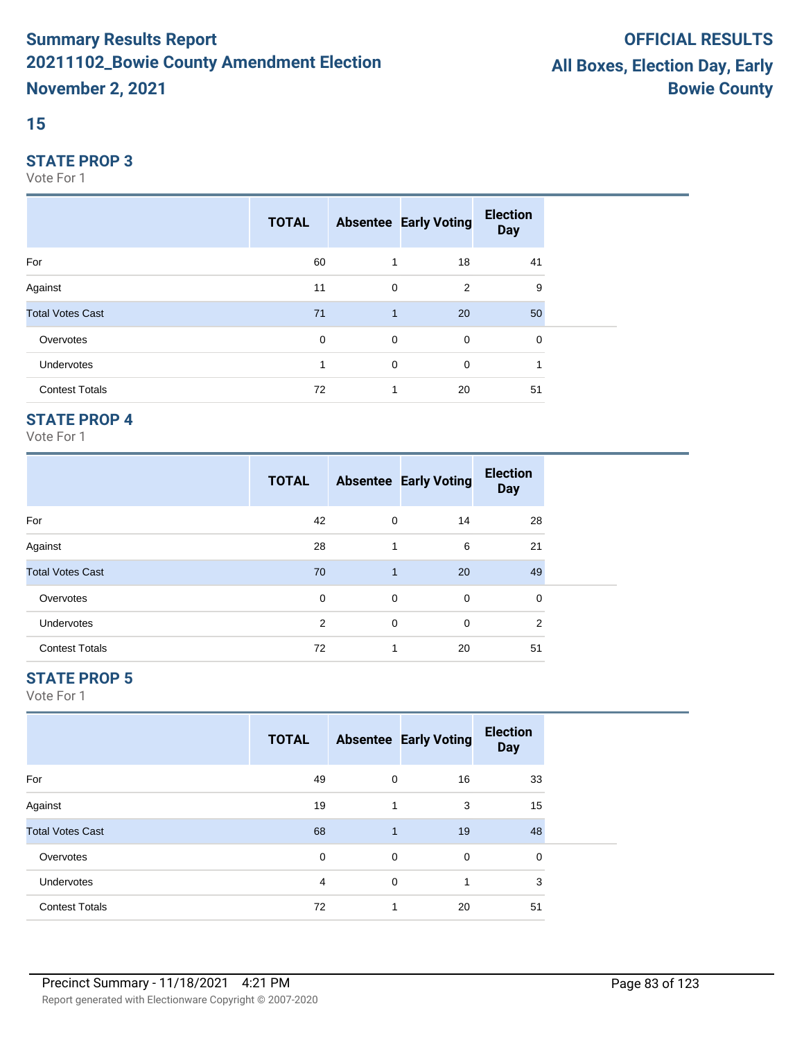## **15**

#### **STATE PROP 3**

Vote For 1

|                         | <b>TOTAL</b> |              | <b>Absentee Early Voting</b> | <b>Election</b><br><b>Day</b> |  |
|-------------------------|--------------|--------------|------------------------------|-------------------------------|--|
| For                     | 60           | 1            | 18                           | 41                            |  |
| Against                 | 11           | $\mathbf 0$  | 2                            | 9                             |  |
| <b>Total Votes Cast</b> | 71           | $\mathbf{1}$ | 20                           | 50                            |  |
| Overvotes               | 0            | $\mathbf 0$  | $\mathbf 0$                  | 0                             |  |
| <b>Undervotes</b>       |              | $\mathbf 0$  | 0                            |                               |  |
| <b>Contest Totals</b>   | 72           | 1            | 20                           | 51                            |  |

## **STATE PROP 4**

Vote For 1

|                         | <b>TOTAL</b> |                | <b>Absentee Early Voting</b> | <b>Election</b><br><b>Day</b> |  |
|-------------------------|--------------|----------------|------------------------------|-------------------------------|--|
| For                     | 42           | 0              | 14                           | 28                            |  |
| Against                 | 28           | 1              | 6                            | 21                            |  |
| <b>Total Votes Cast</b> | 70           | $\overline{1}$ | 20                           | 49                            |  |
| Overvotes               | 0            | 0              | $\mathbf 0$                  | 0                             |  |
| <b>Undervotes</b>       | 2            | 0              | 0                            | 2                             |  |
| <b>Contest Totals</b>   | 72           | 1              | 20                           | 51                            |  |

## **STATE PROP 5**

|                         | <b>TOTAL</b> |              | <b>Absentee Early Voting</b> | <b>Election</b><br><b>Day</b> |  |
|-------------------------|--------------|--------------|------------------------------|-------------------------------|--|
| For                     | 49           | 0            | 16                           | 33                            |  |
| Against                 | 19           | 1            | 3                            | 15                            |  |
| <b>Total Votes Cast</b> | 68           | $\mathbf{1}$ | 19                           | 48                            |  |
| Overvotes               | 0            | 0            | $\mathbf 0$                  | 0                             |  |
| Undervotes              | 4            | 0            | 1                            | 3                             |  |
| <b>Contest Totals</b>   | 72           |              | 20                           | 51                            |  |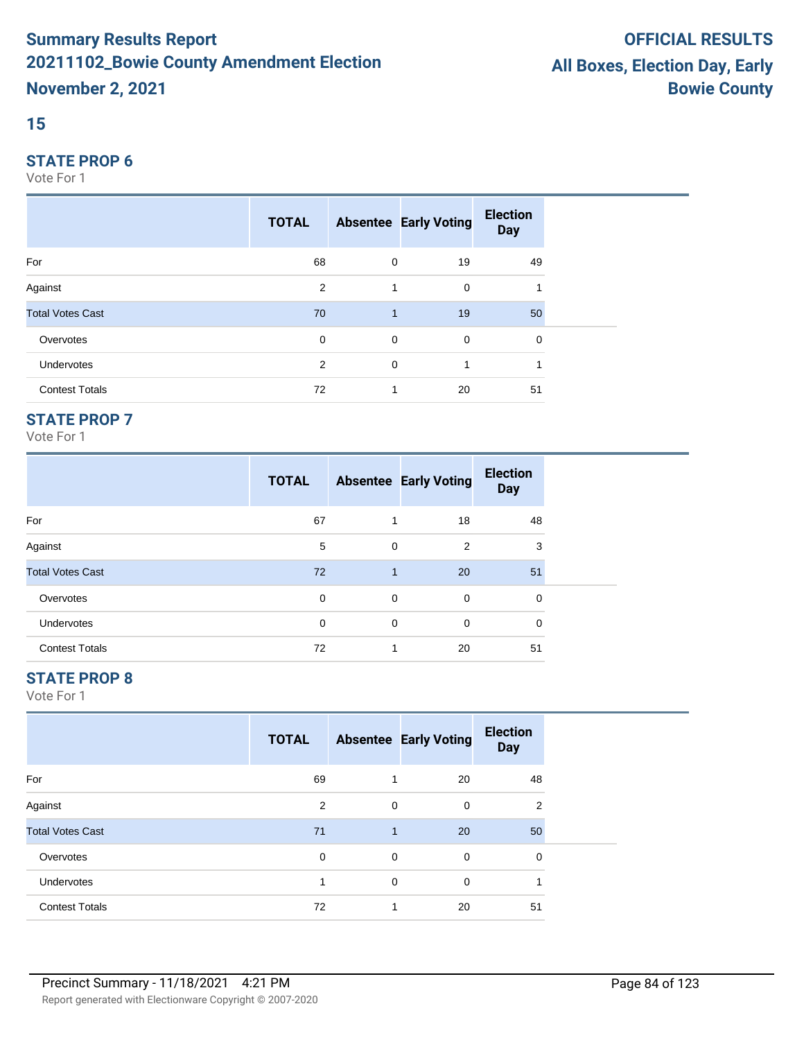#### **15**

#### **STATE PROP 6**

Vote For 1

|                         | <b>TOTAL</b>   |              | <b>Absentee Early Voting</b> | <b>Election</b><br><b>Day</b> |  |
|-------------------------|----------------|--------------|------------------------------|-------------------------------|--|
| For                     | 68             | $\mathbf 0$  | 19                           | 49                            |  |
| Against                 | 2              | 1            | 0                            |                               |  |
| <b>Total Votes Cast</b> | 70             | $\mathbf{1}$ | 19                           | 50                            |  |
| Overvotes               | 0              | $\mathbf 0$  | $\mathbf 0$                  | 0                             |  |
| Undervotes              | $\overline{2}$ | $\mathbf 0$  | 1                            |                               |  |
| <b>Contest Totals</b>   | 72             | 1            | 20                           | 51                            |  |

## **STATE PROP 7**

Vote For 1

|                         | <b>TOTAL</b> |              | <b>Absentee Early Voting</b> | <b>Election</b><br><b>Day</b> |  |
|-------------------------|--------------|--------------|------------------------------|-------------------------------|--|
| For                     | 67           | 1            | 18                           | 48                            |  |
| Against                 | 5            | 0            | 2                            | 3                             |  |
| <b>Total Votes Cast</b> | 72           | $\mathbf{1}$ | 20                           | 51                            |  |
| Overvotes               | 0            | 0            | $\mathbf 0$                  | 0                             |  |
| <b>Undervotes</b>       | $\mathbf 0$  | 0            | 0                            | $\Omega$                      |  |
| <b>Contest Totals</b>   | 72           | 1            | 20                           | 51                            |  |

## **STATE PROP 8**

|                         | <b>TOTAL</b> |              | <b>Absentee Early Voting</b> | <b>Election</b><br><b>Day</b> |  |
|-------------------------|--------------|--------------|------------------------------|-------------------------------|--|
| For                     | 69           |              | 20                           | 48                            |  |
| Against                 | 2            | 0            | 0                            | 2                             |  |
| <b>Total Votes Cast</b> | 71           | $\mathbf{1}$ | 20                           | 50                            |  |
| Overvotes               | 0            | 0            | 0                            | 0                             |  |
| Undervotes              | и            | 0            | 0                            |                               |  |
| <b>Contest Totals</b>   | 72           | 1            | 20                           | 51                            |  |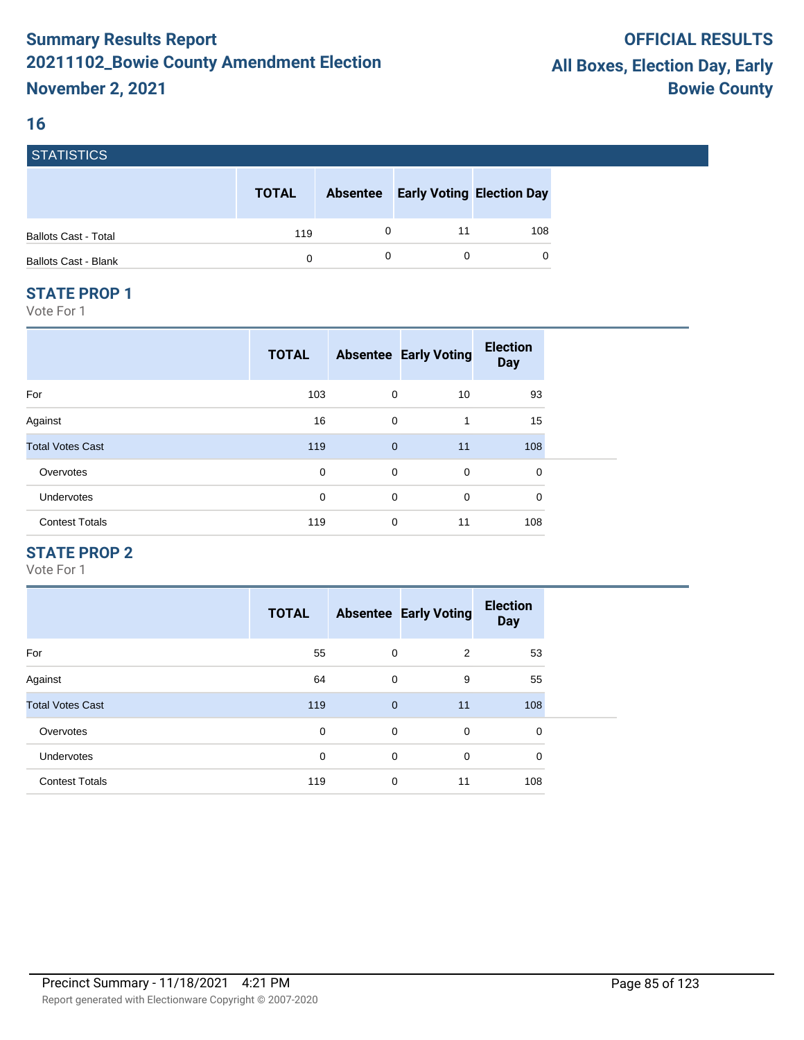#### **16**

| <b>STATISTICS</b>           |              |                 |                                  |     |
|-----------------------------|--------------|-----------------|----------------------------------|-----|
|                             | <b>TOTAL</b> | <b>Absentee</b> | <b>Early Voting Election Day</b> |     |
| <b>Ballots Cast - Total</b> | 119          |                 | 11                               | 108 |
| <b>Ballots Cast - Blank</b> | 0            |                 |                                  | 0   |

#### **STATE PROP 1**

Vote For 1

|                         | <b>TOTAL</b> |                | <b>Absentee Early Voting</b> | <b>Election</b><br><b>Day</b> |  |
|-------------------------|--------------|----------------|------------------------------|-------------------------------|--|
| For                     | 103          | 0              | 10                           | 93                            |  |
| Against                 | 16           | $\mathbf 0$    | 1                            | 15                            |  |
| <b>Total Votes Cast</b> | 119          | $\overline{0}$ | 11                           | 108                           |  |
| Overvotes               | 0            | $\mathbf 0$    | 0                            | 0                             |  |
| <b>Undervotes</b>       | 0            | $\mathbf 0$    | 0                            | 0                             |  |
| <b>Contest Totals</b>   | 119          | $\mathbf 0$    | 11                           | 108                           |  |

## **STATE PROP 2**

|                         | <b>TOTAL</b> |                | <b>Absentee Early Voting</b> | <b>Election</b><br><b>Day</b> |
|-------------------------|--------------|----------------|------------------------------|-------------------------------|
| For                     | 55           | $\mathbf 0$    | 2                            | 53                            |
| Against                 | 64           | $\mathbf 0$    | 9                            | 55                            |
| <b>Total Votes Cast</b> | 119          | $\overline{0}$ | 11                           | 108                           |
| Overvotes               | 0            | $\mathbf 0$    | $\mathbf 0$                  | 0                             |
| <b>Undervotes</b>       | 0            | $\mathbf 0$    | $\mathbf 0$                  | 0                             |
| <b>Contest Totals</b>   | 119          | $\mathbf 0$    | 11                           | 108                           |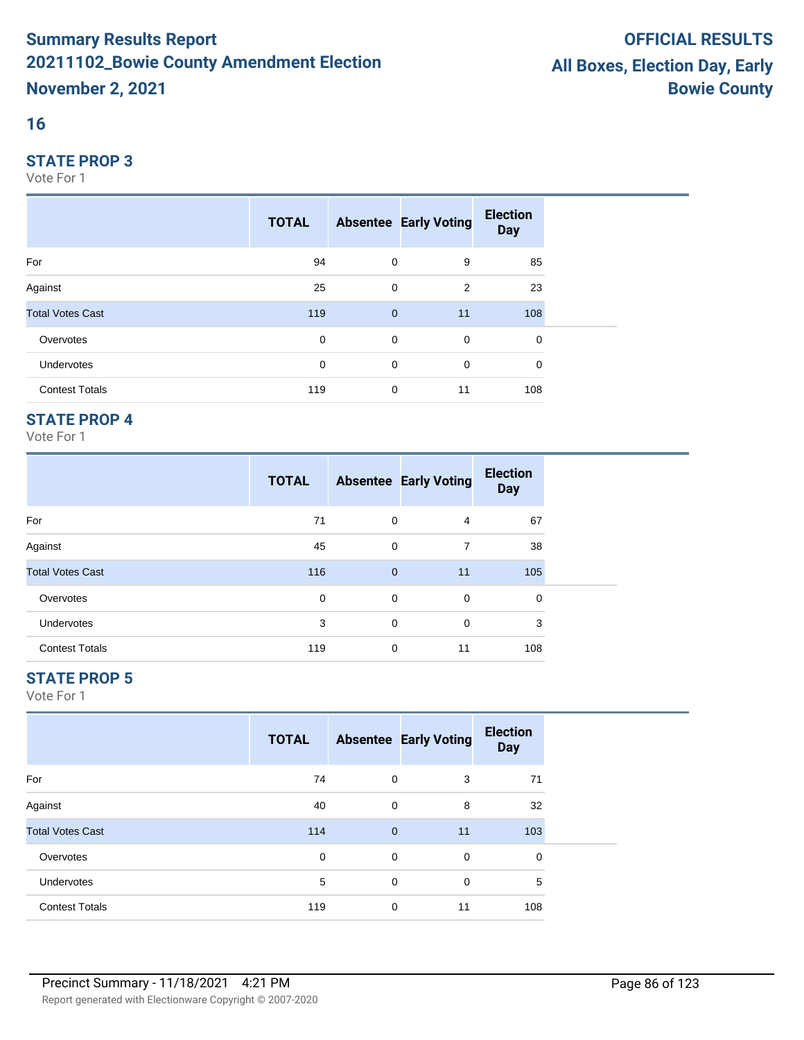## **16**

#### **STATE PROP 3**

Vote For 1

|                         | <b>TOTAL</b> |              | <b>Absentee Early Voting</b> | <b>Election</b><br><b>Day</b> |  |
|-------------------------|--------------|--------------|------------------------------|-------------------------------|--|
| For                     | 94           | $\mathbf 0$  | 9                            | 85                            |  |
| Against                 | 25           | 0            | 2                            | 23                            |  |
| <b>Total Votes Cast</b> | 119          | $\mathbf{0}$ | 11                           | 108                           |  |
| Overvotes               | $\mathbf 0$  | $\mathbf 0$  | $\mathbf 0$                  | 0                             |  |
| Undervotes              | $\mathbf 0$  | 0            | 0                            | 0                             |  |
| <b>Contest Totals</b>   | 119          | $\mathbf 0$  | 11                           | 108                           |  |

## **STATE PROP 4**

Vote For 1

|                         | <b>TOTAL</b> |              | <b>Absentee Early Voting</b> | <b>Election</b><br><b>Day</b> |  |
|-------------------------|--------------|--------------|------------------------------|-------------------------------|--|
| For                     | 71           | 0            | 4                            | 67                            |  |
| Against                 | 45           | 0            | 7                            | 38                            |  |
| <b>Total Votes Cast</b> | 116          | $\mathbf{0}$ | 11                           | 105                           |  |
| Overvotes               | 0            | 0            | 0                            | 0                             |  |
| <b>Undervotes</b>       | 3            | 0            | $\mathbf 0$                  | 3                             |  |
| <b>Contest Totals</b>   | 119          | 0            | 11                           | 108                           |  |

## **STATE PROP 5**

|                         | <b>TOTAL</b> |                | <b>Absentee Early Voting</b> | <b>Election</b><br><b>Day</b> |
|-------------------------|--------------|----------------|------------------------------|-------------------------------|
| For                     | 74           | 0              | 3                            | 71                            |
| Against                 | 40           | $\mathbf 0$    | 8                            | 32                            |
| <b>Total Votes Cast</b> | 114          | $\overline{0}$ | 11                           | 103                           |
| Overvotes               | 0            | $\mathbf 0$    | 0                            | 0                             |
| Undervotes              | 5            | 0              | $\mathbf 0$                  | 5                             |
| <b>Contest Totals</b>   | 119          | $\mathbf 0$    | 11                           | 108                           |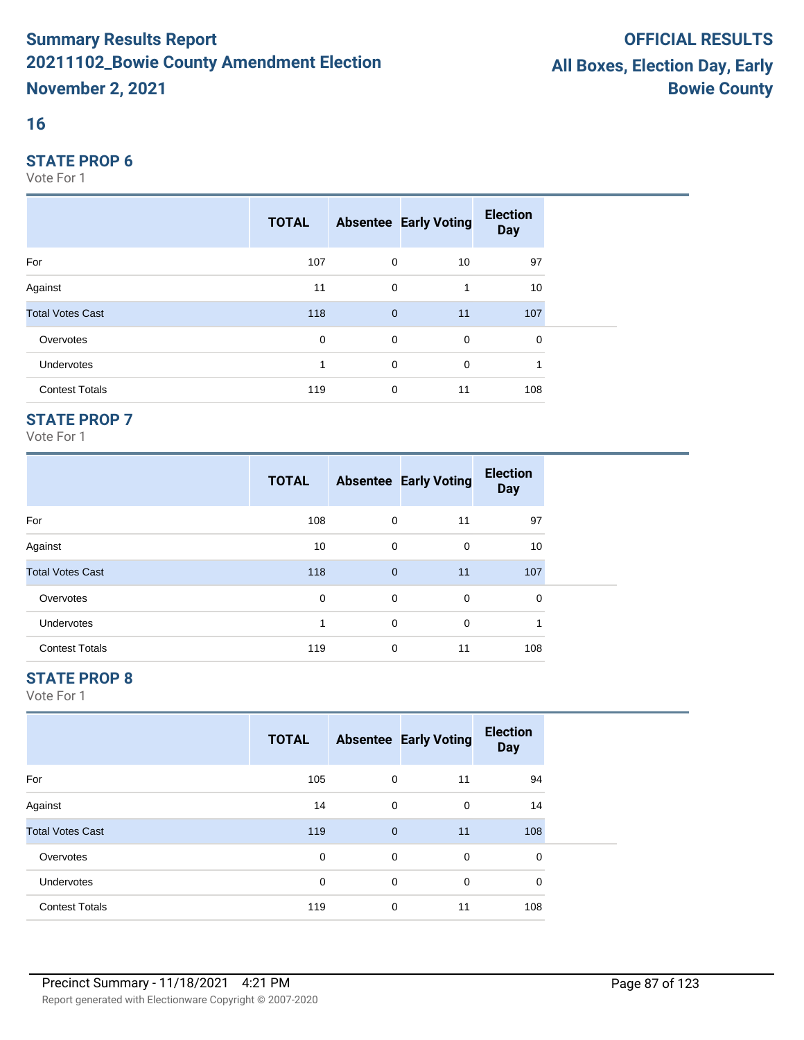## **16**

#### **STATE PROP 6**

Vote For 1

|                         | <b>TOTAL</b> |              | <b>Absentee Early Voting</b> | <b>Election</b><br><b>Day</b> |  |
|-------------------------|--------------|--------------|------------------------------|-------------------------------|--|
| For                     | 107          | $\mathbf 0$  | 10                           | 97                            |  |
| Against                 | 11           | $\mathbf 0$  | 1                            | 10                            |  |
| <b>Total Votes Cast</b> | 118          | $\mathbf{0}$ | 11                           | 107                           |  |
| Overvotes               | 0            | $\mathbf 0$  | $\mathbf 0$                  | 0                             |  |
| Undervotes              |              | $\mathbf 0$  | 0                            |                               |  |
| <b>Contest Totals</b>   | 119          | $\mathbf 0$  | 11                           | 108                           |  |

## **STATE PROP 7**

Vote For 1

|                         | <b>TOTAL</b> |              | <b>Absentee Early Voting</b> | <b>Election</b><br><b>Day</b> |
|-------------------------|--------------|--------------|------------------------------|-------------------------------|
| For                     | 108          | 0            | 11                           | 97                            |
| Against                 | 10           | 0            | 0                            | 10                            |
| <b>Total Votes Cast</b> | 118          | $\mathbf{0}$ | 11                           | 107                           |
| Overvotes               | 0            | 0            | 0                            | $\Omega$                      |
| <b>Undervotes</b>       | 4            | 0            | $\Omega$                     | 1                             |
| <b>Contest Totals</b>   | 119          | 0            | 11                           | 108                           |

## **STATE PROP 8**

|                         | <b>TOTAL</b> |              | <b>Absentee Early Voting</b> | <b>Election</b><br><b>Day</b> |
|-------------------------|--------------|--------------|------------------------------|-------------------------------|
| For                     | 105          | 0            | 11                           | 94                            |
| Against                 | 14           | $\mathbf 0$  | $\mathbf 0$                  | 14                            |
| <b>Total Votes Cast</b> | 119          | $\mathbf{0}$ | 11                           | 108                           |
| Overvotes               | 0            | 0            | 0                            | 0                             |
| Undervotes              | 0            | 0            | $\mathbf 0$                  | $\mathbf 0$                   |
| <b>Contest Totals</b>   | 119          | 0            | 11                           | 108                           |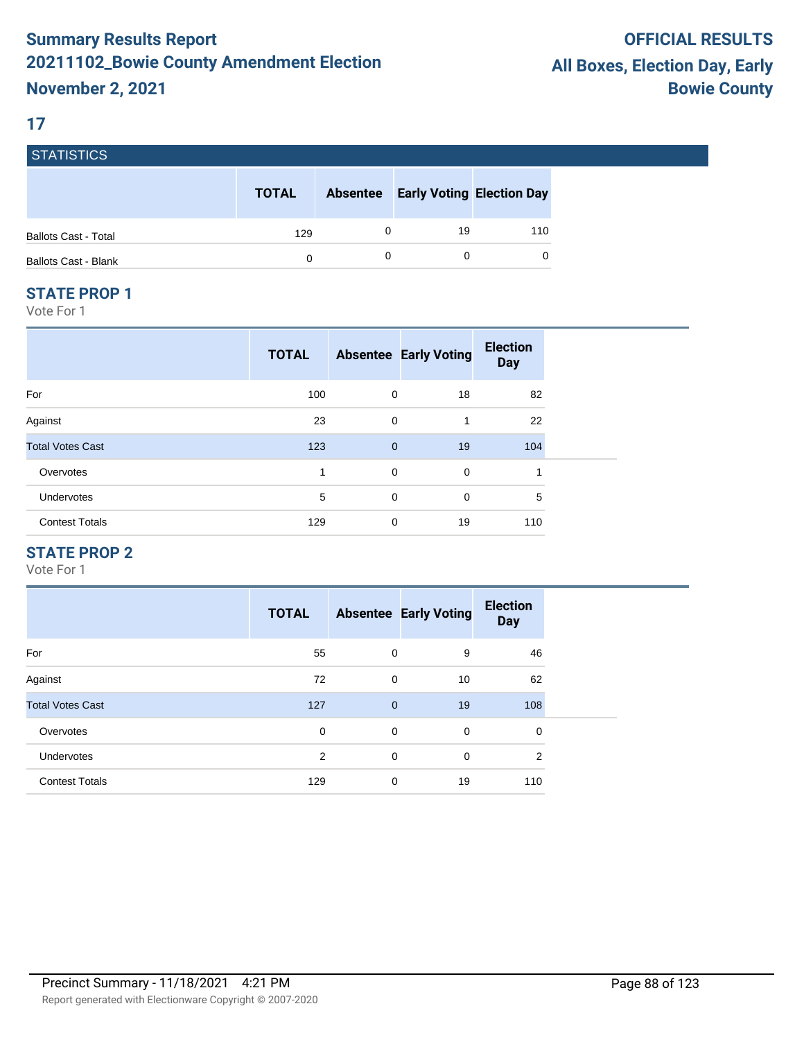#### **17**

| <b>STATISTICS</b>           |              |                 |                                  |     |
|-----------------------------|--------------|-----------------|----------------------------------|-----|
|                             | <b>TOTAL</b> | <b>Absentee</b> | <b>Early Voting Election Day</b> |     |
| <b>Ballots Cast - Total</b> | 129          |                 | 19                               | 110 |
| <b>Ballots Cast - Blank</b> | 0            |                 |                                  | 0   |

#### **STATE PROP 1**

Vote For 1

| <b>TOTAL</b> |             | <b>Election</b><br><b>Day</b>                                                             |
|--------------|-------------|-------------------------------------------------------------------------------------------|
| 100          | 18          | 82                                                                                        |
| 23           | 1           | 22                                                                                        |
| 123          | 19          | 104                                                                                       |
| 1            | $\mathbf 0$ | и                                                                                         |
| 5            | $\mathbf 0$ | 5                                                                                         |
| 129          | 19          | 110                                                                                       |
|              |             | <b>Absentee Early Voting</b><br>0<br>0<br>$\mathbf{0}$<br>$\mathbf 0$<br>$\mathbf 0$<br>0 |

## **STATE PROP 2**

|                         | <b>TOTAL</b> |              | <b>Absentee Early Voting</b> | <b>Election</b><br><b>Day</b> |
|-------------------------|--------------|--------------|------------------------------|-------------------------------|
| For                     | 55           | $\mathbf 0$  | 9                            | 46                            |
| Against                 | 72           | $\mathbf 0$  | 10                           | 62                            |
| <b>Total Votes Cast</b> | 127          | $\mathbf{0}$ | 19                           | 108                           |
| Overvotes               | 0            | $\mathbf 0$  | 0                            | 0                             |
| <b>Undervotes</b>       | 2            | $\mathbf 0$  | 0                            | 2                             |
| <b>Contest Totals</b>   | 129          | $\mathbf 0$  | 19                           | 110                           |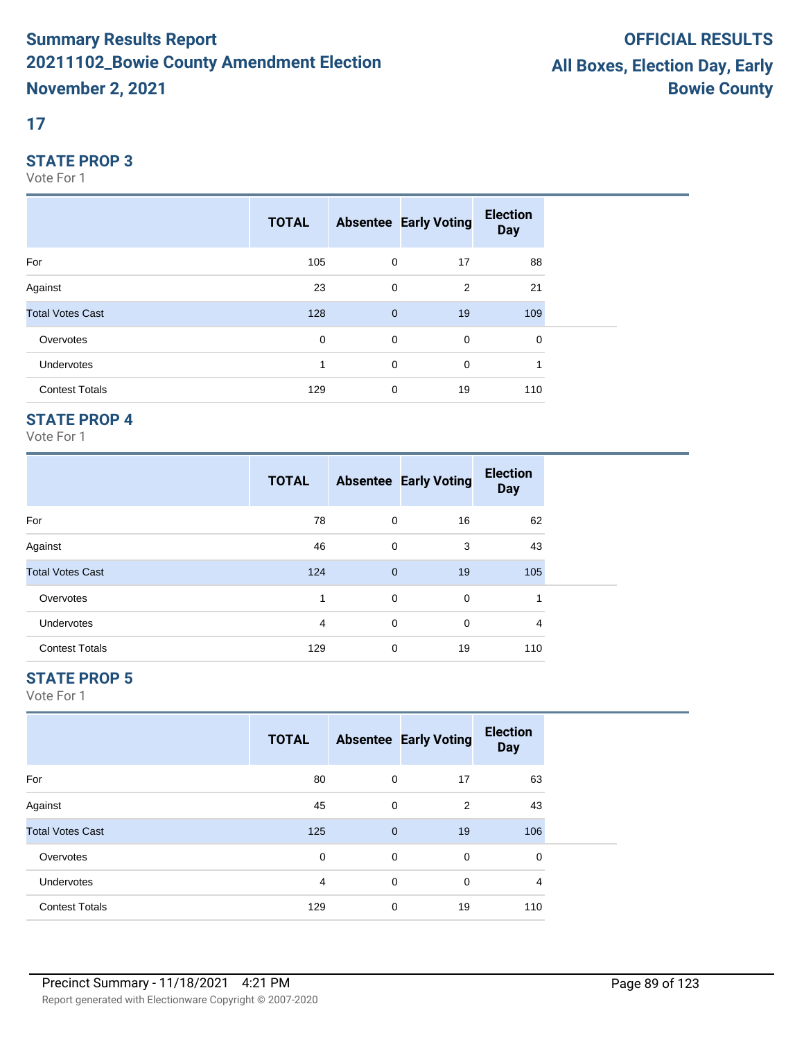## **17**

#### **STATE PROP 3**

Vote For 1

|                         | <b>TOTAL</b> |              | <b>Absentee Early Voting</b> | <b>Election</b><br><b>Day</b> |  |
|-------------------------|--------------|--------------|------------------------------|-------------------------------|--|
| For                     | 105          | $\mathbf 0$  | 17                           | 88                            |  |
| Against                 | 23           | 0            | 2                            | 21                            |  |
| <b>Total Votes Cast</b> | 128          | $\mathbf{0}$ | 19                           | 109                           |  |
| Overvotes               | $\mathbf 0$  | $\mathbf 0$  | 0                            | $\mathbf 0$                   |  |
| Undervotes              | 1            | 0            | 0                            |                               |  |
| <b>Contest Totals</b>   | 129          | 0            | 19                           | 110                           |  |

## **STATE PROP 4**

Vote For 1

|                         | <b>TOTAL</b> |             | <b>Absentee Early Voting</b> | <b>Election</b><br><b>Day</b> |  |
|-------------------------|--------------|-------------|------------------------------|-------------------------------|--|
| For                     | 78           | 0           | 16                           | 62                            |  |
| Against                 | 46           | 0           | 3                            | 43                            |  |
| <b>Total Votes Cast</b> | 124          | $\mathbf 0$ | 19                           | 105                           |  |
| Overvotes               | 1            | 0           | $\mathbf 0$                  |                               |  |
| <b>Undervotes</b>       | 4            | 0           | $\mathbf 0$                  | 4                             |  |
| <b>Contest Totals</b>   | 129          | 0           | 19                           | 110                           |  |

## **STATE PROP 5**

|                         | <b>TOTAL</b> |              | <b>Absentee Early Voting</b> | <b>Election</b><br><b>Day</b> |  |
|-------------------------|--------------|--------------|------------------------------|-------------------------------|--|
| For                     | 80           | 0            | 17                           | 63                            |  |
| Against                 | 45           | 0            | 2                            | 43                            |  |
| <b>Total Votes Cast</b> | 125          | $\mathbf{0}$ | 19                           | 106                           |  |
| Overvotes               | 0            | 0            | $\mathbf 0$                  | 0                             |  |
| Undervotes              | 4            | 0            | $\mathbf 0$                  | 4                             |  |
| <b>Contest Totals</b>   | 129          | 0            | 19                           | 110                           |  |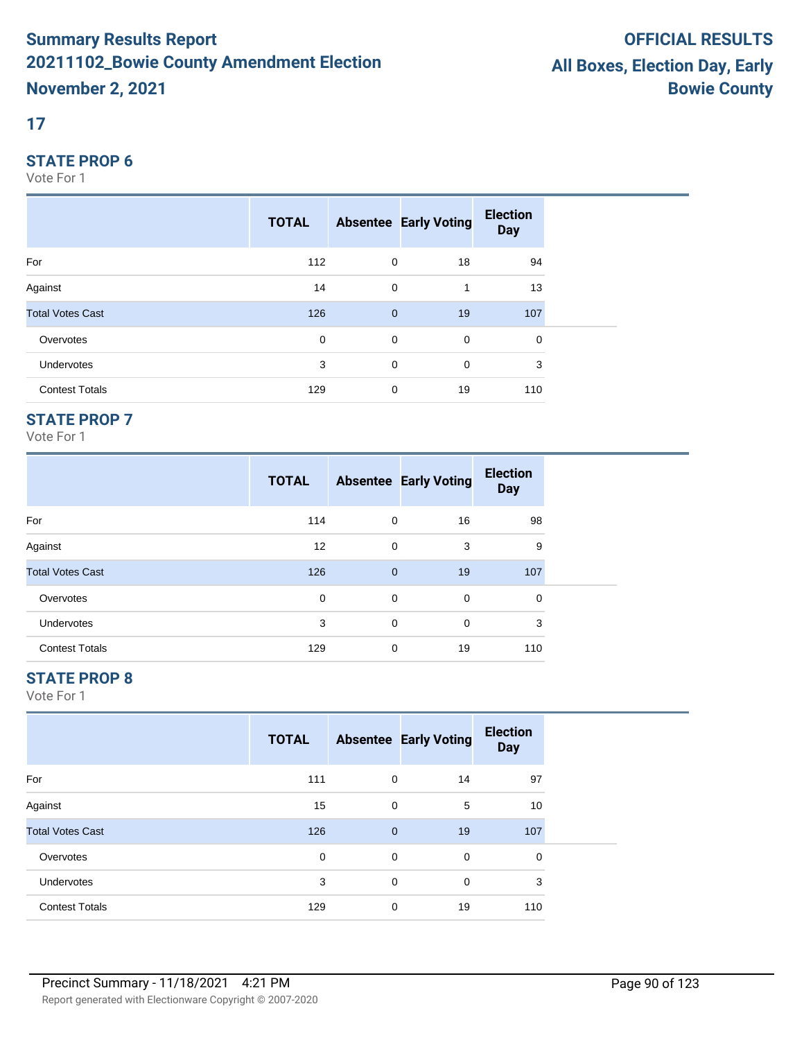## **17**

#### **STATE PROP 6**

Vote For 1

|                         | <b>TOTAL</b> |                | <b>Absentee Early Voting</b> | <b>Election</b><br><b>Day</b> |  |
|-------------------------|--------------|----------------|------------------------------|-------------------------------|--|
| For                     | 112          | $\mathbf 0$    | 18                           | 94                            |  |
| Against                 | 14           | $\mathbf 0$    | 1                            | 13                            |  |
| <b>Total Votes Cast</b> | 126          | $\overline{0}$ | 19                           | 107                           |  |
| Overvotes               | $\mathbf 0$  | $\mathbf 0$    | $\mathbf 0$                  | 0                             |  |
| Undervotes              | 3            | $\mathbf 0$    | 0                            | 3                             |  |
| <b>Contest Totals</b>   | 129          | $\mathbf 0$    | 19                           | 110                           |  |

## **STATE PROP 7**

Vote For 1

|                         | <b>TOTAL</b> |              | <b>Absentee Early Voting</b> | <b>Election</b><br><b>Day</b> |  |
|-------------------------|--------------|--------------|------------------------------|-------------------------------|--|
| For                     | 114          | 0            | 16                           | 98                            |  |
| Against                 | 12           | 0            | 3                            | 9                             |  |
| <b>Total Votes Cast</b> | 126          | $\mathbf{0}$ | 19                           | 107                           |  |
| Overvotes               | 0            | 0            | 0                            | 0                             |  |
| <b>Undervotes</b>       | 3            | 0            | 0                            | 3                             |  |
| <b>Contest Totals</b>   | 129          | 0            | 19                           | 110                           |  |

## **STATE PROP 8**

|                         | <b>TOTAL</b> |              | <b>Absentee Early Voting</b> | <b>Election</b><br><b>Day</b> |  |
|-------------------------|--------------|--------------|------------------------------|-------------------------------|--|
| For                     | 111          | 0            | 14                           | 97                            |  |
| Against                 | 15           | 0            | 5                            | 10                            |  |
| <b>Total Votes Cast</b> | 126          | $\mathbf{0}$ | 19                           | 107                           |  |
| Overvotes               | 0            | 0            | 0                            | $\mathbf 0$                   |  |
| Undervotes              | 3            | 0            | 0                            | 3                             |  |
| <b>Contest Totals</b>   | 129          | 0            | 19                           | 110                           |  |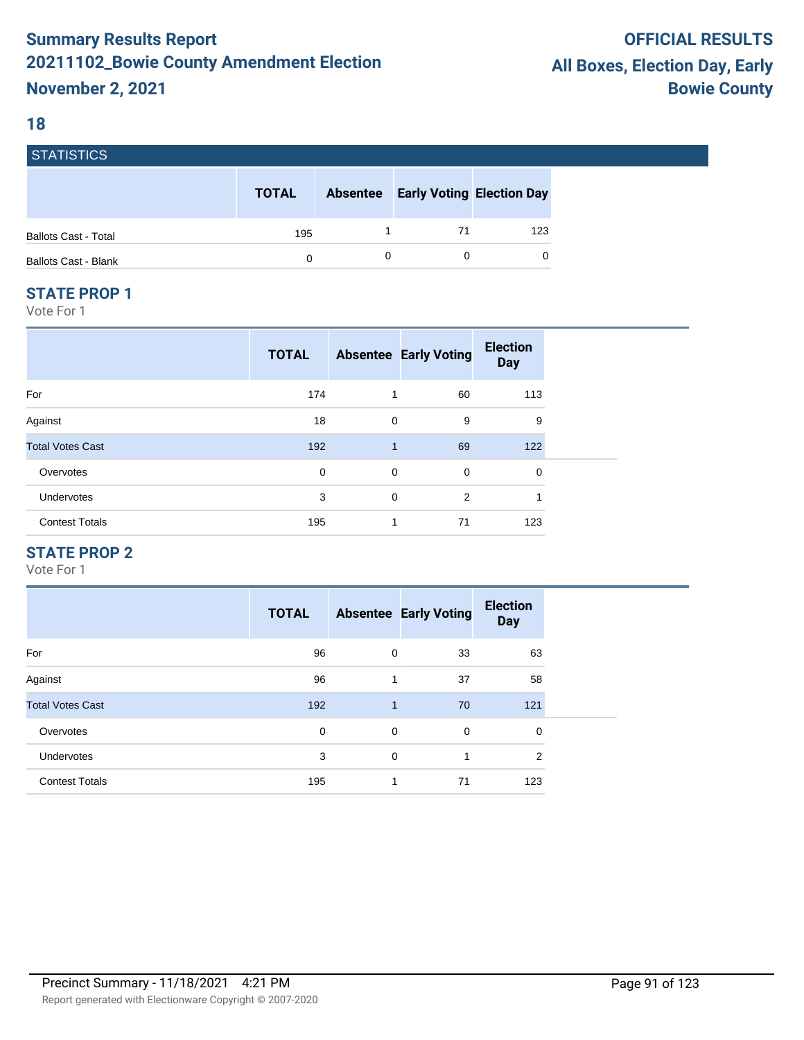#### **18**

| <b>STATISTICS</b>           |              |                 |                                  |     |
|-----------------------------|--------------|-----------------|----------------------------------|-----|
|                             | <b>TOTAL</b> | <b>Absentee</b> | <b>Early Voting Election Day</b> |     |
| <b>Ballots Cast - Total</b> | 195          |                 | 71                               | 123 |
| <b>Ballots Cast - Blank</b> | 0            |                 |                                  | 0   |

#### **STATE PROP 1**

Vote For 1

|                         | <b>TOTAL</b> |              | <b>Absentee Early Voting</b> | <b>Election</b><br><b>Day</b> |
|-------------------------|--------------|--------------|------------------------------|-------------------------------|
| For                     | 174          | 1            | 60                           | 113                           |
| Against                 | 18           | 0            | 9                            | 9                             |
| <b>Total Votes Cast</b> | 192          | $\mathbf{1}$ | 69                           | 122                           |
| Overvotes               | 0            | 0            | 0                            | $\mathbf 0$                   |
| Undervotes              | 3            | 0            | 2                            | $\overline{\mathbf{A}}$       |
| <b>Contest Totals</b>   | 195          | 1            | 71                           | 123                           |

## **STATE PROP 2**

|                         | <b>TOTAL</b> |              | <b>Absentee Early Voting</b> | <b>Election</b><br><b>Day</b> |
|-------------------------|--------------|--------------|------------------------------|-------------------------------|
| For                     | 96           | 0            | 33                           | 63                            |
| Against                 | 96           | 1            | 37                           | 58                            |
| <b>Total Votes Cast</b> | 192          | $\mathbf{1}$ | 70                           | 121                           |
| Overvotes               | 0            | 0            | $\mathbf 0$                  | 0                             |
| <b>Undervotes</b>       | 3            | 0            | 1                            | $\overline{2}$                |
| <b>Contest Totals</b>   | 195          | $\mathbf 1$  | 71                           | 123                           |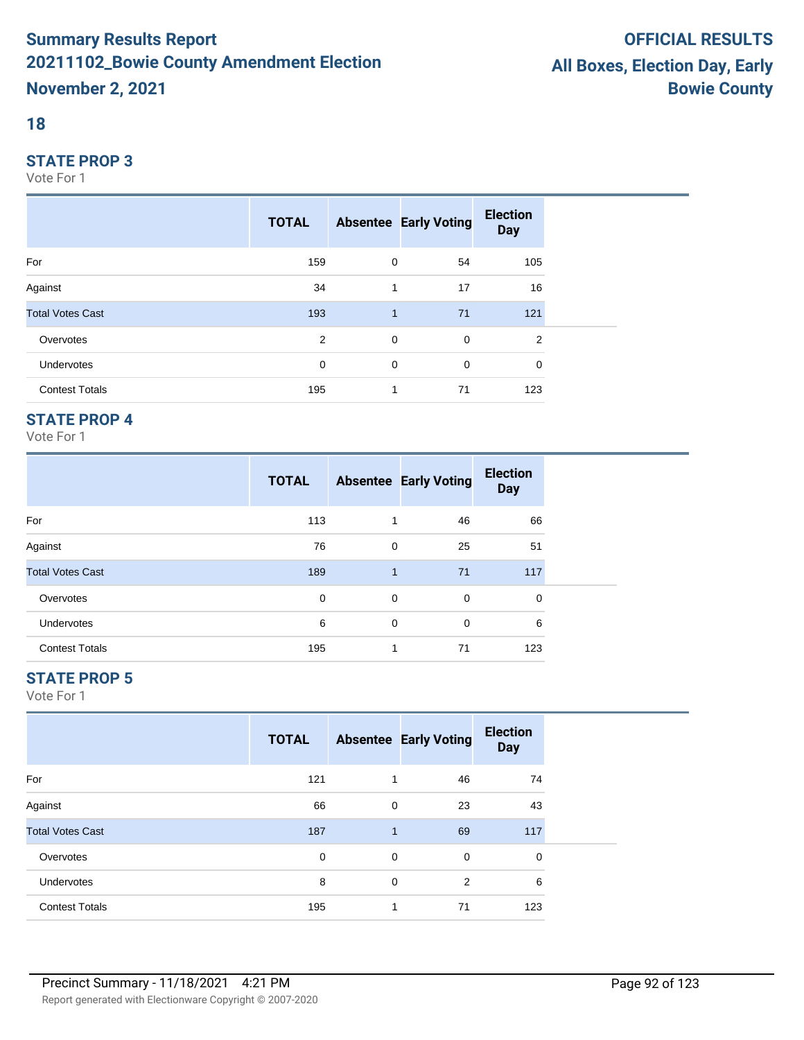## **18**

#### **STATE PROP 3**

Vote For 1

|                         | <b>TOTAL</b> |                | <b>Absentee Early Voting</b> | <b>Election</b><br><b>Day</b> |
|-------------------------|--------------|----------------|------------------------------|-------------------------------|
| For                     | 159          | $\mathbf 0$    | 54                           | 105                           |
| Against                 | 34           | 1              | 17                           | 16                            |
| <b>Total Votes Cast</b> | 193          | $\mathbf{1}$   | 71                           | 121                           |
| Overvotes               | 2            | $\overline{0}$ | $\mathbf 0$                  | $\overline{2}$                |
| Undervotes              | 0            | 0              | 0                            | 0                             |
| <b>Contest Totals</b>   | 195          | 1              | 71                           | 123                           |

## **STATE PROP 4**

Vote For 1

|                         | <b>TOTAL</b> |              | <b>Absentee Early Voting</b> | <b>Election</b><br><b>Day</b> |  |
|-------------------------|--------------|--------------|------------------------------|-------------------------------|--|
| For                     | 113          | 1            | 46                           | 66                            |  |
| Against                 | 76           | 0            | 25                           | 51                            |  |
| <b>Total Votes Cast</b> | 189          | $\mathbf{1}$ | 71                           | 117                           |  |
| Overvotes               | 0            | 0            | 0                            | 0                             |  |
| <b>Undervotes</b>       | 6            | 0            | 0                            | 6                             |  |
| <b>Contest Totals</b>   | 195          | 1            | 71                           | 123                           |  |

## **STATE PROP 5**

|                         | <b>TOTAL</b> |              | <b>Absentee Early Voting</b> | <b>Election</b><br><b>Day</b> |  |
|-------------------------|--------------|--------------|------------------------------|-------------------------------|--|
| For                     | 121          | 1            | 46                           | 74                            |  |
| Against                 | 66           | 0            | 23                           | 43                            |  |
| <b>Total Votes Cast</b> | 187          | $\mathbf{1}$ | 69                           | 117                           |  |
| Overvotes               | 0            | 0            | $\mathbf 0$                  | 0                             |  |
| Undervotes              | 8            | 0            | $\overline{2}$               | 6                             |  |
| <b>Contest Totals</b>   | 195          | $\mathbf{1}$ | 71                           | 123                           |  |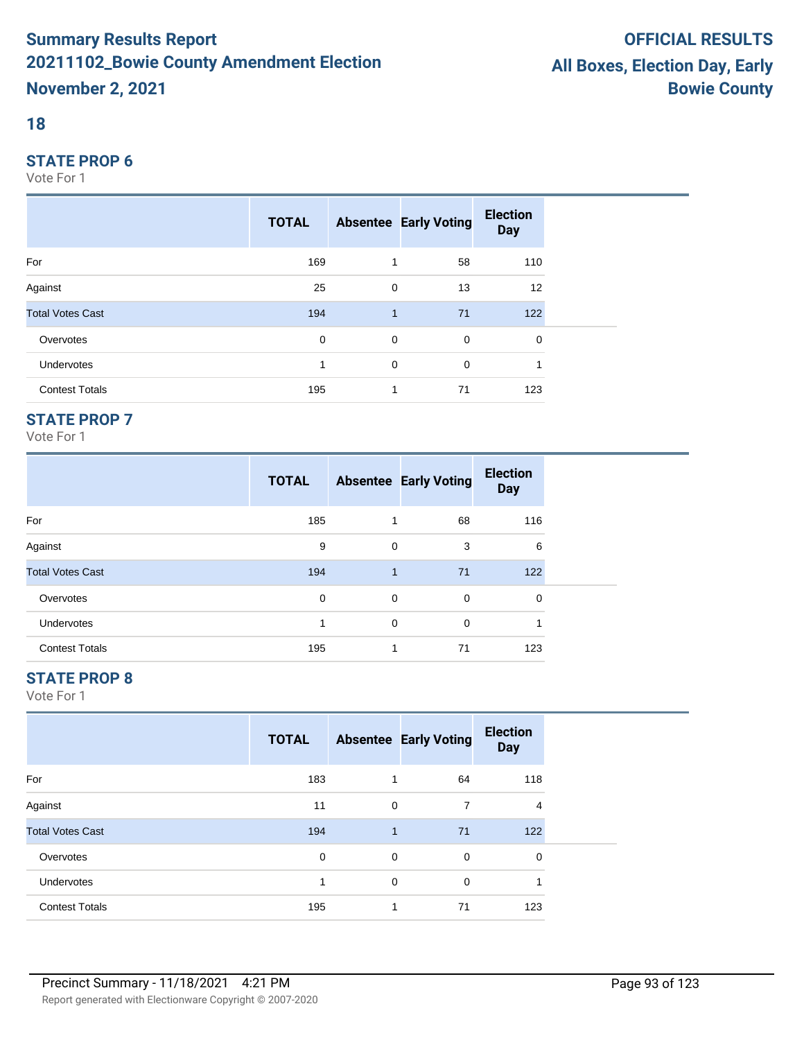## **18**

#### **STATE PROP 6**

Vote For 1

|                         | <b>TOTAL</b> |              | <b>Absentee Early Voting</b> | <b>Election</b><br><b>Day</b> |  |
|-------------------------|--------------|--------------|------------------------------|-------------------------------|--|
| For                     | 169          | 1            | 58                           | 110                           |  |
| Against                 | 25           | 0            | 13                           | 12                            |  |
| <b>Total Votes Cast</b> | 194          | $\mathbf{1}$ | 71                           | 122                           |  |
| Overvotes               | 0            | $\mathbf 0$  | $\mathbf 0$                  | 0                             |  |
| Undervotes              |              | $\mathbf 0$  | 0                            |                               |  |
| <b>Contest Totals</b>   | 195          | 1            | 71                           | 123                           |  |

## **STATE PROP 7**

Vote For 1

|                         | <b>TOTAL</b> |              | <b>Absentee Early Voting</b> | <b>Election</b><br><b>Day</b> |  |
|-------------------------|--------------|--------------|------------------------------|-------------------------------|--|
| For                     | 185          |              | 68                           | 116                           |  |
| Against                 | 9            | $\mathbf 0$  | 3                            | 6                             |  |
| <b>Total Votes Cast</b> | 194          | $\mathbf{1}$ | 71                           | 122                           |  |
| Overvotes               | 0            | 0            | 0                            | $\Omega$                      |  |
| <b>Undervotes</b>       |              | $\mathbf 0$  | $\Omega$                     |                               |  |
| <b>Contest Totals</b>   | 195          | 1            | 71                           | 123                           |  |

## **STATE PROP 8**

|                         | <b>TOTAL</b> |              | <b>Absentee Early Voting</b> | <b>Election</b><br><b>Day</b> |  |
|-------------------------|--------------|--------------|------------------------------|-------------------------------|--|
| For                     | 183          | 1            | 64                           | 118                           |  |
| Against                 | 11           | 0            | 7                            | $\overline{4}$                |  |
| <b>Total Votes Cast</b> | 194          | $\mathbf{1}$ | 71                           | 122                           |  |
| Overvotes               | $\mathbf 0$  | 0            | 0                            | 0                             |  |
| Undervotes              | 1            | 0            | $\mathbf 0$                  | и                             |  |
| <b>Contest Totals</b>   | 195          | $\mathbf{1}$ | 71                           | 123                           |  |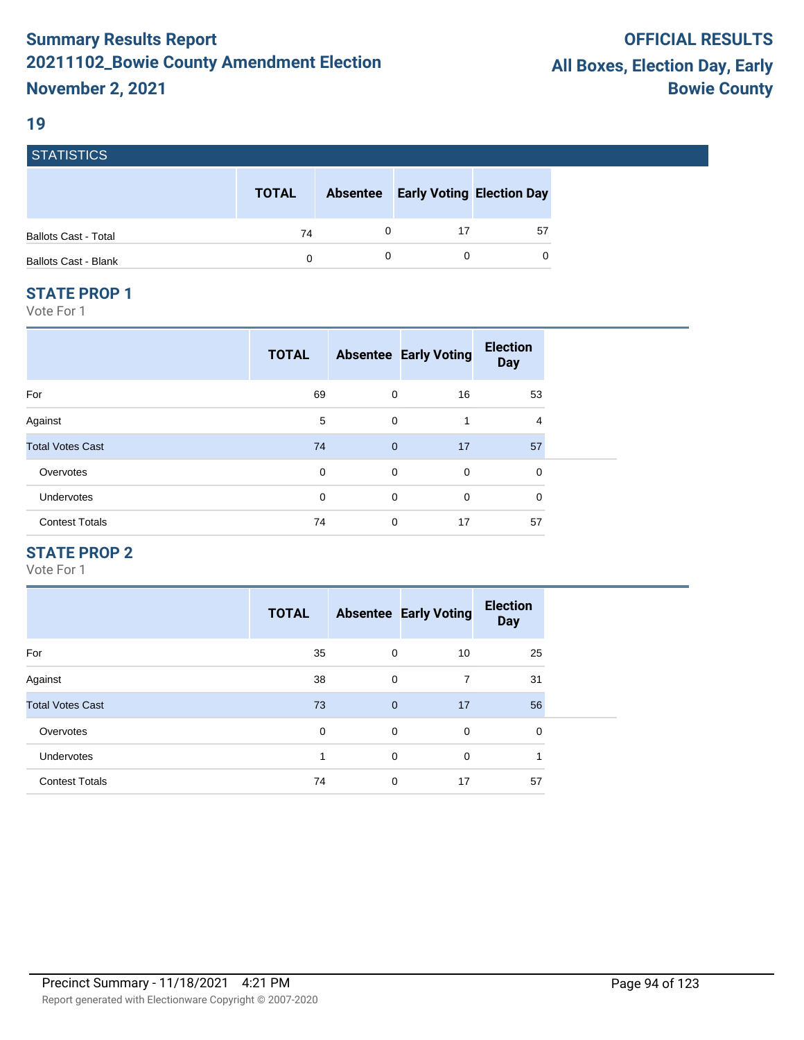#### **19**

**STATICTICS** 

| סטווסוואוס                  |              |                 |                                  |    |
|-----------------------------|--------------|-----------------|----------------------------------|----|
|                             | <b>TOTAL</b> | <b>Absentee</b> | <b>Early Voting Election Day</b> |    |
| <b>Ballots Cast - Total</b> | 74           |                 |                                  | 57 |
| <b>Ballots Cast - Blank</b> | 0            |                 |                                  | 0  |

#### **STATE PROP 1**

Vote For 1

| <b>TOTAL</b> |             | <b>Election</b><br><b>Day</b>                             |                              |
|--------------|-------------|-----------------------------------------------------------|------------------------------|
| 69           | 16          | 53                                                        |                              |
| 5            | 1           | 4                                                         |                              |
| 74           | 17          | 57                                                        |                              |
| 0            | $\mathbf 0$ | 0                                                         |                              |
| 0            | $\mathbf 0$ | 0                                                         |                              |
| 74           | 17          | 57                                                        |                              |
|              |             | 0<br>$\mathbf 0$<br>$\mathbf{0}$<br>0<br>$\mathbf 0$<br>0 | <b>Absentee Early Voting</b> |

## **STATE PROP 2**

|                         | <b>TOTAL</b> |              | <b>Absentee Early Voting</b> | <b>Election</b><br><b>Day</b> |
|-------------------------|--------------|--------------|------------------------------|-------------------------------|
| For                     | 35           | 0            | 10                           | 25                            |
| Against                 | 38           | $\mathbf 0$  | 7                            | 31                            |
| <b>Total Votes Cast</b> | 73           | $\mathbf{0}$ | 17                           | 56                            |
| Overvotes               | 0            | $\mathbf 0$  | 0                            | 0                             |
| <b>Undervotes</b>       | 1            | $\mathbf 0$  | 0                            | 1                             |
| <b>Contest Totals</b>   | 74           | $\mathbf 0$  | 17                           | 57                            |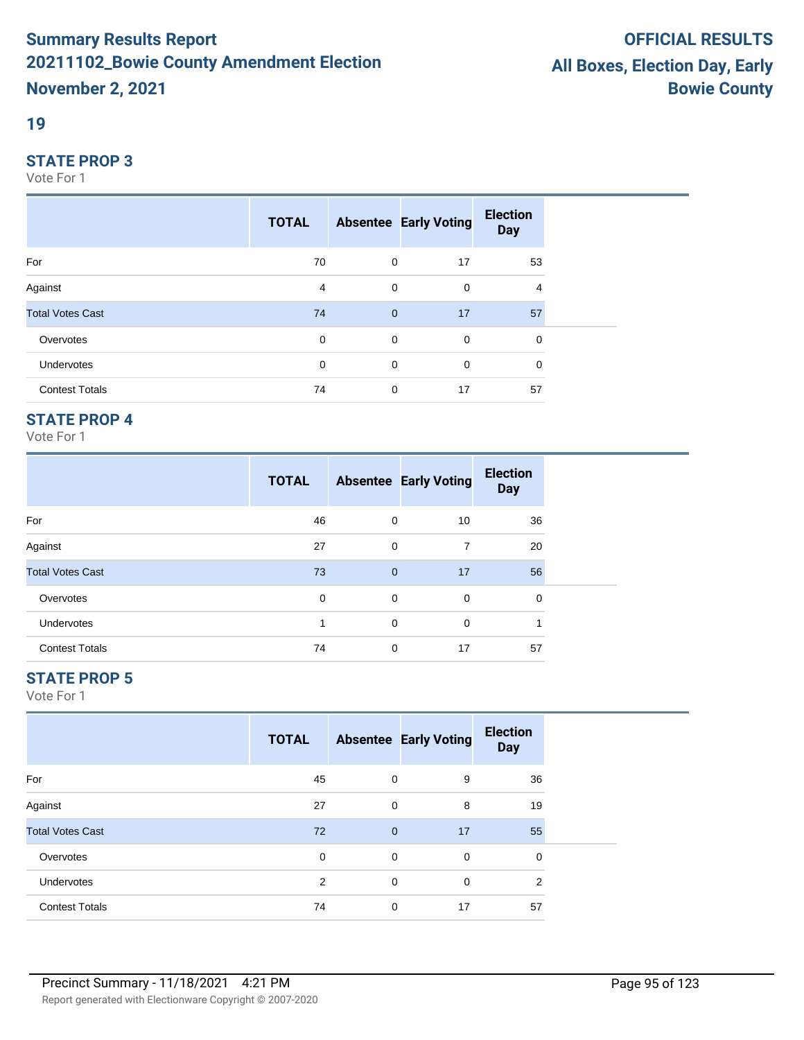#### **19**

#### **STATE PROP 3**

Vote For 1

|                         | <b>TOTAL</b> |                | <b>Absentee Early Voting</b> | <b>Election</b><br><b>Day</b> |  |
|-------------------------|--------------|----------------|------------------------------|-------------------------------|--|
| For                     | 70           | $\mathbf 0$    | 17                           | 53                            |  |
| Against                 | 4            | 0              | 0                            | 4                             |  |
| <b>Total Votes Cast</b> | 74           | $\overline{0}$ | 17                           | 57                            |  |
| Overvotes               | $\mathbf 0$  | $\mathbf 0$    | $\overline{0}$               | 0                             |  |
| Undervotes              | 0            | $\mathbf 0$    | $\mathbf 0$                  | 0                             |  |
| <b>Contest Totals</b>   | 74           | $\mathbf 0$    | 17                           | 57                            |  |

## **STATE PROP 4**

Vote For 1

|                         | <b>TOTAL</b> |              | <b>Absentee Early Voting</b> | <b>Election</b><br><b>Day</b> |
|-------------------------|--------------|--------------|------------------------------|-------------------------------|
| For                     | 46           | 0            | 10                           | 36                            |
| Against                 | 27           | 0            | 7                            | 20                            |
| <b>Total Votes Cast</b> | 73           | $\mathbf{0}$ | 17                           | 56                            |
| Overvotes               | 0            | 0            | 0                            | $\Omega$                      |
| <b>Undervotes</b>       |              | 0            | $\Omega$                     | 1                             |
| <b>Contest Totals</b>   | 74           | 0            | 17                           | 57                            |

## **STATE PROP 5**

|                         | <b>TOTAL</b> |                | <b>Absentee Early Voting</b> | <b>Election</b><br><b>Day</b> |  |
|-------------------------|--------------|----------------|------------------------------|-------------------------------|--|
| For                     | 45           | 0              | 9                            | 36                            |  |
| Against                 | 27           | $\mathbf 0$    | 8                            | 19                            |  |
| <b>Total Votes Cast</b> | 72           | $\overline{0}$ | 17                           | 55                            |  |
| Overvotes               | $\mathbf 0$  | 0              | 0                            | 0                             |  |
| <b>Undervotes</b>       | 2            | 0              | 0                            | $\overline{2}$                |  |
| <b>Contest Totals</b>   | 74           | 0              | 17                           | 57                            |  |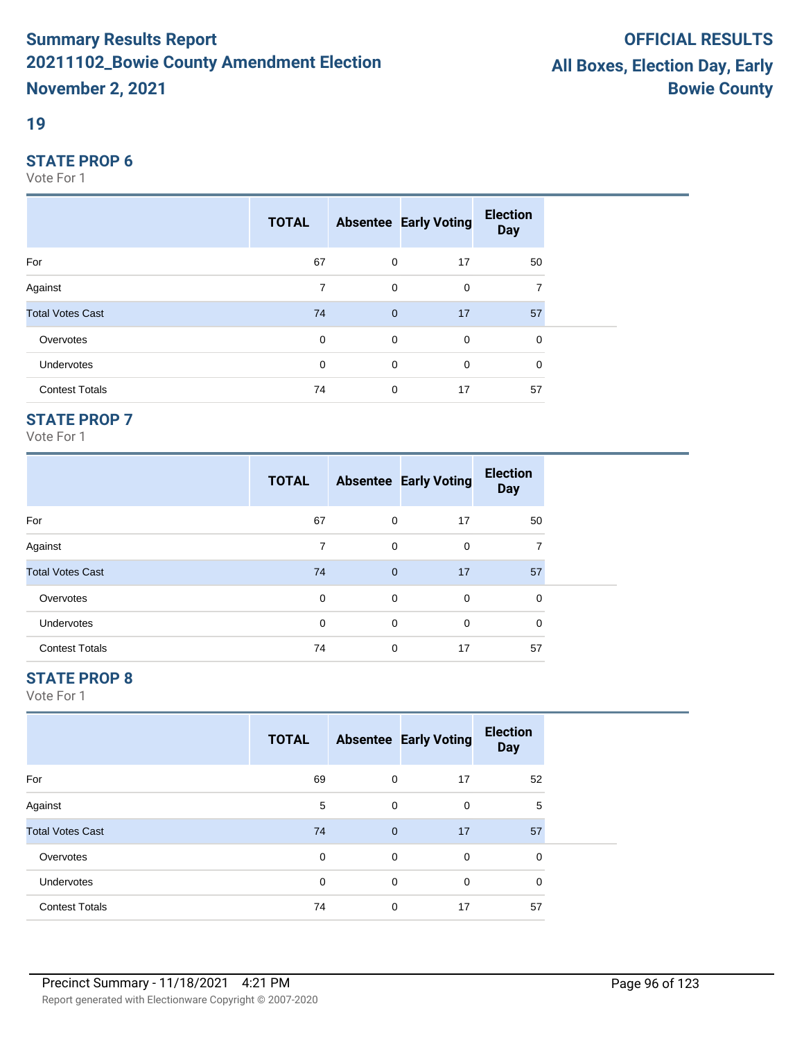#### **19**

#### **STATE PROP 6**

Vote For 1

|                         | <b>TOTAL</b> |                | <b>Absentee Early Voting</b> | <b>Election</b><br><b>Day</b> |  |
|-------------------------|--------------|----------------|------------------------------|-------------------------------|--|
| For                     | 67           | $\mathbf 0$    | 17                           | 50                            |  |
| Against                 | 7            | $\mathbf 0$    | $\mathbf 0$                  | 7                             |  |
| <b>Total Votes Cast</b> | 74           | $\overline{0}$ | 17                           | 57                            |  |
| Overvotes               | $\mathbf 0$  | $\mathbf 0$    | $\mathbf 0$                  | 0                             |  |
| Undervotes              | 0            | 0              | $\mathbf 0$                  | 0                             |  |
| <b>Contest Totals</b>   | 74           | 0              | 17                           | 57                            |  |

## **STATE PROP 7**

Vote For 1

|                         | <b>TOTAL</b> |              | <b>Absentee Early Voting</b> | <b>Election</b><br><b>Day</b> |
|-------------------------|--------------|--------------|------------------------------|-------------------------------|
| For                     | 67           | 0            | 17                           | 50                            |
| Against                 | 7            | 0            | $\mathbf 0$                  | 7                             |
| <b>Total Votes Cast</b> | 74           | $\mathbf{0}$ | 17                           | 57                            |
| Overvotes               | 0            | 0            | $\mathbf 0$                  | 0                             |
| <b>Undervotes</b>       | 0            | 0            | $\mathbf 0$                  | 0                             |
| <b>Contest Totals</b>   | 74           | 0            | 17                           | 57                            |

## **STATE PROP 8**

|                         | <b>TOTAL</b> |              | <b>Absentee Early Voting</b> | <b>Election</b><br><b>Day</b> |  |
|-------------------------|--------------|--------------|------------------------------|-------------------------------|--|
| For                     | 69           | 0            | 17                           | 52                            |  |
| Against                 | 5            | 0            | 0                            | 5                             |  |
| <b>Total Votes Cast</b> | 74           | $\mathbf{0}$ | 17                           | 57                            |  |
| Overvotes               | $\mathbf 0$  | $\mathbf 0$  | $\mathbf 0$                  | 0                             |  |
| <b>Undervotes</b>       | $\Omega$     | 0            | $\mathbf 0$                  | 0                             |  |
| <b>Contest Totals</b>   | 74           | 0            | 17                           | 57                            |  |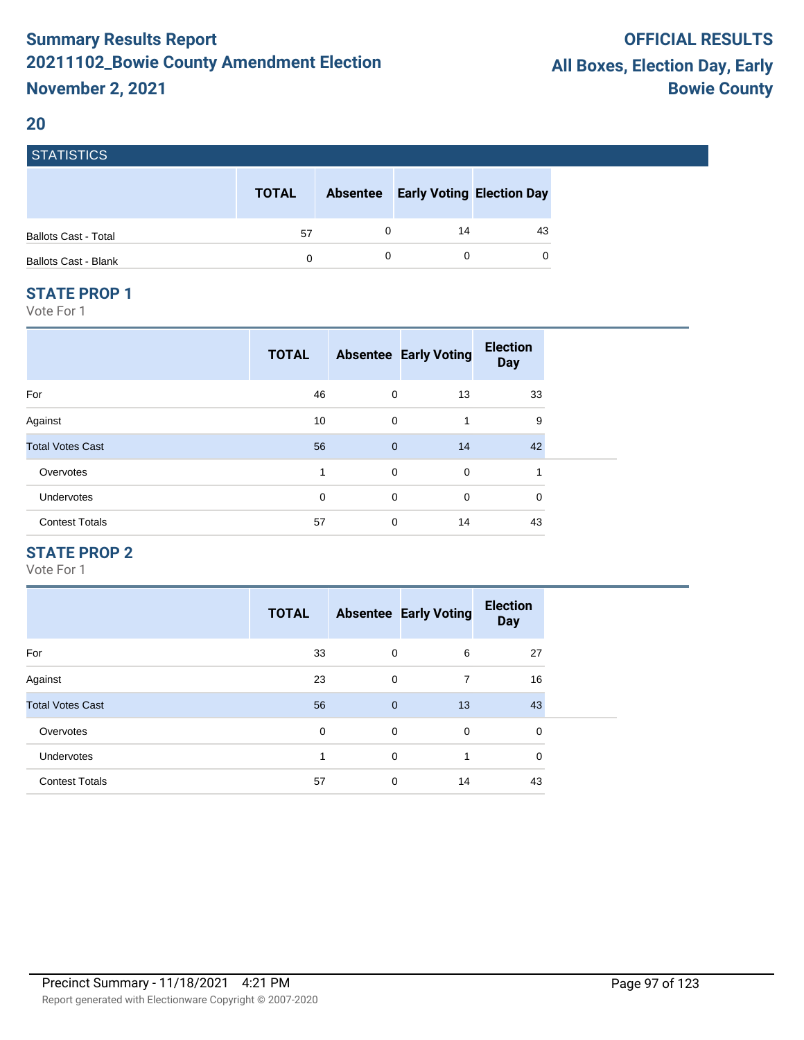#### **20**

| <b>STATISTICS</b>           |              |                 |                                  |    |
|-----------------------------|--------------|-----------------|----------------------------------|----|
|                             | <b>TOTAL</b> | <b>Absentee</b> | <b>Early Voting Election Day</b> |    |
| <b>Ballots Cast - Total</b> | 57           |                 | 14                               | 43 |
| <b>Ballots Cast - Blank</b> | 0            |                 |                                  | 0  |

#### **STATE PROP 1**

Vote For 1

|                         | <b>TOTAL</b> |              | <b>Absentee Early Voting</b> | <b>Election</b><br><b>Day</b> |  |
|-------------------------|--------------|--------------|------------------------------|-------------------------------|--|
| For                     | 46           | 0            | 13                           | 33                            |  |
| Against                 | 10           | $\mathbf 0$  | 1                            | 9                             |  |
| <b>Total Votes Cast</b> | 56           | $\mathbf{0}$ | 14                           | 42                            |  |
| Overvotes               | 1            | $\mathbf 0$  | $\mathbf 0$                  | 1                             |  |
| <b>Undervotes</b>       | $\mathbf 0$  | $\mathbf 0$  | $\mathbf 0$                  | 0                             |  |
| <b>Contest Totals</b>   | 57           | 0            | 14                           | 43                            |  |

#### **STATE PROP 2**

|                         | <b>TOTAL</b> |                | <b>Absentee Early Voting</b> | <b>Election</b><br><b>Day</b> |
|-------------------------|--------------|----------------|------------------------------|-------------------------------|
| For                     | 33           | $\mathbf 0$    | 6                            | 27                            |
| Against                 | 23           | $\mathbf 0$    | 7                            | 16                            |
| <b>Total Votes Cast</b> | 56           | $\overline{0}$ | 13                           | 43                            |
| Overvotes               | 0            | $\mathbf 0$    | 0                            | 0                             |
| <b>Undervotes</b>       | 1            | $\Omega$       | 1                            | $\mathbf 0$                   |
| <b>Contest Totals</b>   | 57           | $\mathbf 0$    | 14                           | 43                            |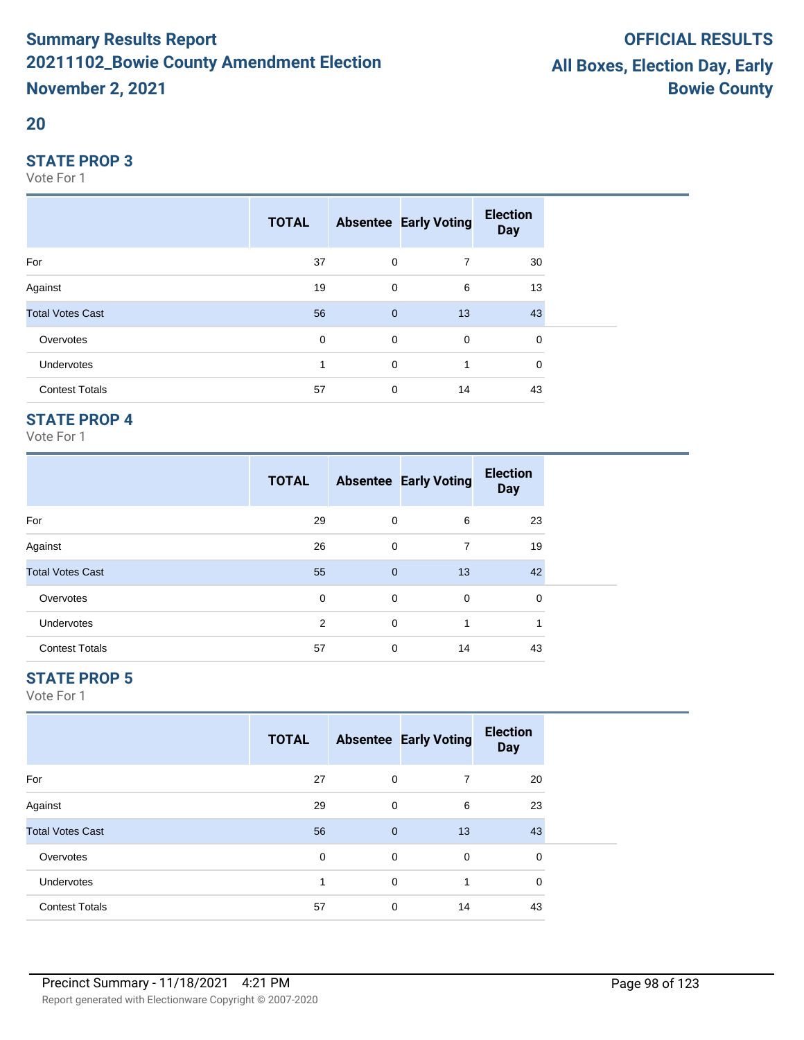#### **20**

#### **STATE PROP 3**

Vote For 1

|                         | <b>TOTAL</b> |              | <b>Absentee Early Voting</b> | <b>Election</b><br><b>Day</b> |  |
|-------------------------|--------------|--------------|------------------------------|-------------------------------|--|
| For                     | 37           | $\mathbf 0$  | $\overline{7}$               | 30                            |  |
| Against                 | 19           | 0            | 6                            | 13                            |  |
| <b>Total Votes Cast</b> | 56           | $\mathbf{0}$ | 13                           | 43                            |  |
| Overvotes               | $\mathbf 0$  | $\mathbf 0$  | $\overline{0}$               | 0                             |  |
| Undervotes              | 1            | $\mathbf 0$  | 1                            | 0                             |  |
| <b>Contest Totals</b>   | 57           | $\mathbf 0$  | 14                           | 43                            |  |

## **STATE PROP 4**

Vote For 1

|                         | <b>TOTAL</b> |                | <b>Absentee Early Voting</b> | <b>Election</b><br><b>Day</b> |  |
|-------------------------|--------------|----------------|------------------------------|-------------------------------|--|
| For                     | 29           | 0              | 6                            | 23                            |  |
| Against                 | 26           | 0              | 7                            | 19                            |  |
| <b>Total Votes Cast</b> | 55           | $\overline{0}$ | 13                           | 42                            |  |
| Overvotes               | 0            | 0              | 0                            | $\Omega$                      |  |
| <b>Undervotes</b>       | 2            | 0              | 1                            |                               |  |
| <b>Contest Totals</b>   | 57           | 0              | 14                           | 43                            |  |

## **STATE PROP 5**

|                         | <b>TOTAL</b> |             | <b>Absentee Early Voting</b> | <b>Election</b><br><b>Day</b> |  |
|-------------------------|--------------|-------------|------------------------------|-------------------------------|--|
| For                     | 27           | 0           | 7                            | 20                            |  |
| Against                 | 29           | 0           | 6                            | 23                            |  |
| <b>Total Votes Cast</b> | 56           | $\mathbf 0$ | 13                           | 43                            |  |
| Overvotes               | 0            | 0           | $\mathbf 0$                  | 0                             |  |
| Undervotes              | и            | 0           | 1                            | 0                             |  |
| <b>Contest Totals</b>   | 57           | 0           | 14                           | 43                            |  |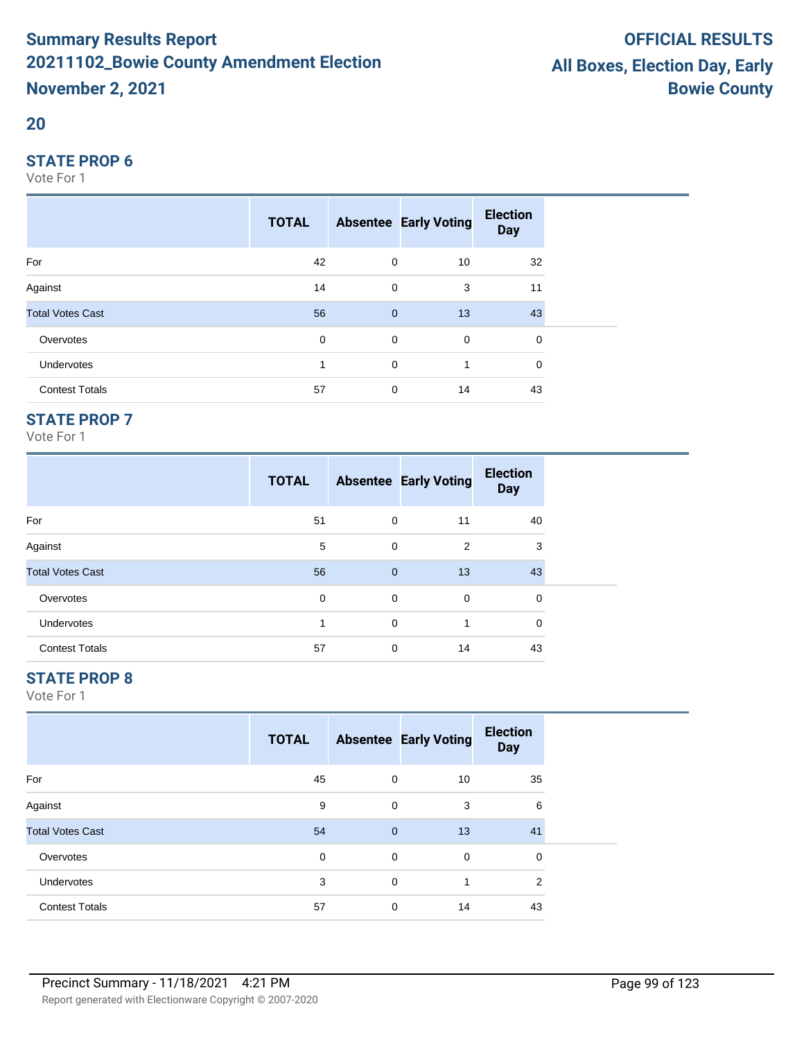#### **20**

#### **STATE PROP 6**

Vote For 1

|                         | <b>TOTAL</b> |                | <b>Absentee Early Voting</b> | <b>Election</b><br><b>Day</b> |  |
|-------------------------|--------------|----------------|------------------------------|-------------------------------|--|
| For                     | 42           | 0              | 10                           | 32                            |  |
| Against                 | 14           | $\mathbf 0$    | 3                            | 11                            |  |
| <b>Total Votes Cast</b> | 56           | $\overline{0}$ | 13                           | 43                            |  |
| Overvotes               | 0            | $\mathbf 0$    | $\mathbf 0$                  | 0                             |  |
| Undervotes              | 1            | $\mathbf 0$    |                              | 0                             |  |
| <b>Contest Totals</b>   | 57           | 0              | 14                           | 43                            |  |

## **STATE PROP 7**

Vote For 1

|                         | <b>TOTAL</b> |                | <b>Absentee Early Voting</b> | <b>Election</b><br><b>Day</b> |
|-------------------------|--------------|----------------|------------------------------|-------------------------------|
| For                     | 51           | $\mathbf 0$    | 11                           | 40                            |
| Against                 | 5            | $\mathbf 0$    | 2                            | 3                             |
| <b>Total Votes Cast</b> | 56           | $\overline{0}$ | 13                           | 43                            |
| Overvotes               | 0            | 0              | 0                            | $\Omega$                      |
| <b>Undervotes</b>       | 1            | $\mathbf 0$    | 1                            | $\Omega$                      |
| <b>Contest Totals</b>   | 57           | 0              | 14                           | 43                            |

## **STATE PROP 8**

|                         | <b>TOTAL</b> |              | <b>Absentee Early Voting</b> | <b>Election</b><br><b>Day</b> |  |
|-------------------------|--------------|--------------|------------------------------|-------------------------------|--|
| For                     | 45           | 0            | 10                           | 35                            |  |
| Against                 | 9            | 0            | 3                            | 6                             |  |
| <b>Total Votes Cast</b> | 54           | $\mathbf{0}$ | 13                           | 41                            |  |
| Overvotes               | $\mathbf 0$  | 0            | $\mathbf 0$                  | 0                             |  |
| Undervotes              | 3            | 0            | 1                            | 2                             |  |
| <b>Contest Totals</b>   | 57           | 0            | 14                           | 43                            |  |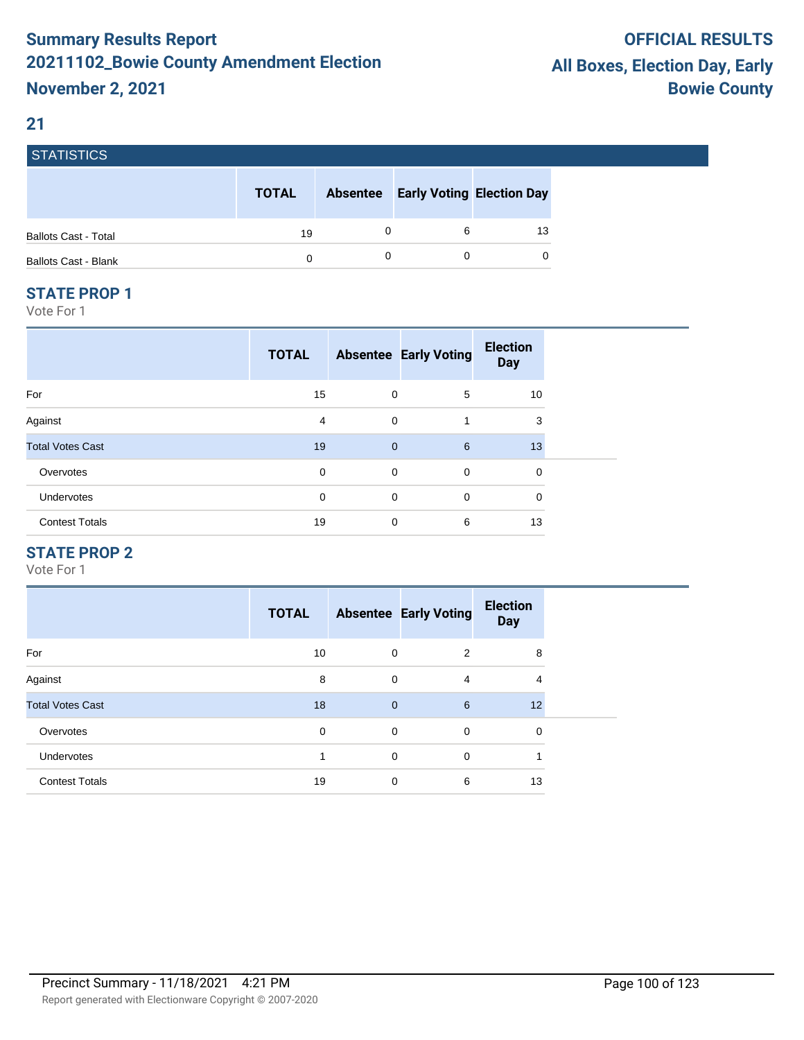## **21**

| <b>STATISTICS</b>           |              |                 |                                  |    |
|-----------------------------|--------------|-----------------|----------------------------------|----|
|                             | <b>TOTAL</b> | <b>Absentee</b> | <b>Early Voting Election Day</b> |    |
| <b>Ballots Cast - Total</b> | 19           |                 | 6                                | 13 |
| <b>Ballots Cast - Blank</b> | 0            |                 |                                  | 0  |

#### **STATE PROP 1**

Vote For 1

|                         | <b>TOTAL</b> |                | <b>Absentee Early Voting</b> | <b>Election</b><br><b>Day</b> |  |
|-------------------------|--------------|----------------|------------------------------|-------------------------------|--|
| For                     | 15           | 0              | 5                            | 10                            |  |
| Against                 | 4            | $\mathbf 0$    | 1                            | 3                             |  |
| <b>Total Votes Cast</b> | 19           | $\overline{0}$ | 6                            | 13                            |  |
| Overvotes               | 0            | $\mathbf 0$    | $\mathbf 0$                  | $\mathbf 0$                   |  |
| Undervotes              | $\mathbf 0$  | $\mathbf 0$    | $\mathbf 0$                  | $\mathbf 0$                   |  |
| <b>Contest Totals</b>   | 19           | $\mathbf 0$    | 6                            | 13                            |  |

## **STATE PROP 2**

|                         | <b>TOTAL</b> |              | <b>Absentee Early Voting</b> | <b>Election</b><br><b>Day</b> |  |
|-------------------------|--------------|--------------|------------------------------|-------------------------------|--|
| For                     | 10           | $\mathbf 0$  | 2                            | 8                             |  |
| Against                 | 8            | $\mathbf 0$  | 4                            | 4                             |  |
| <b>Total Votes Cast</b> | 18           | $\mathbf{0}$ | 6                            | 12                            |  |
| Overvotes               | 0            | 0            | $\mathbf 0$                  | 0                             |  |
| <b>Undervotes</b>       | и            | $\mathbf 0$  | $\Omega$                     | и                             |  |
| <b>Contest Totals</b>   | 19           | 0            | 6                            | 13                            |  |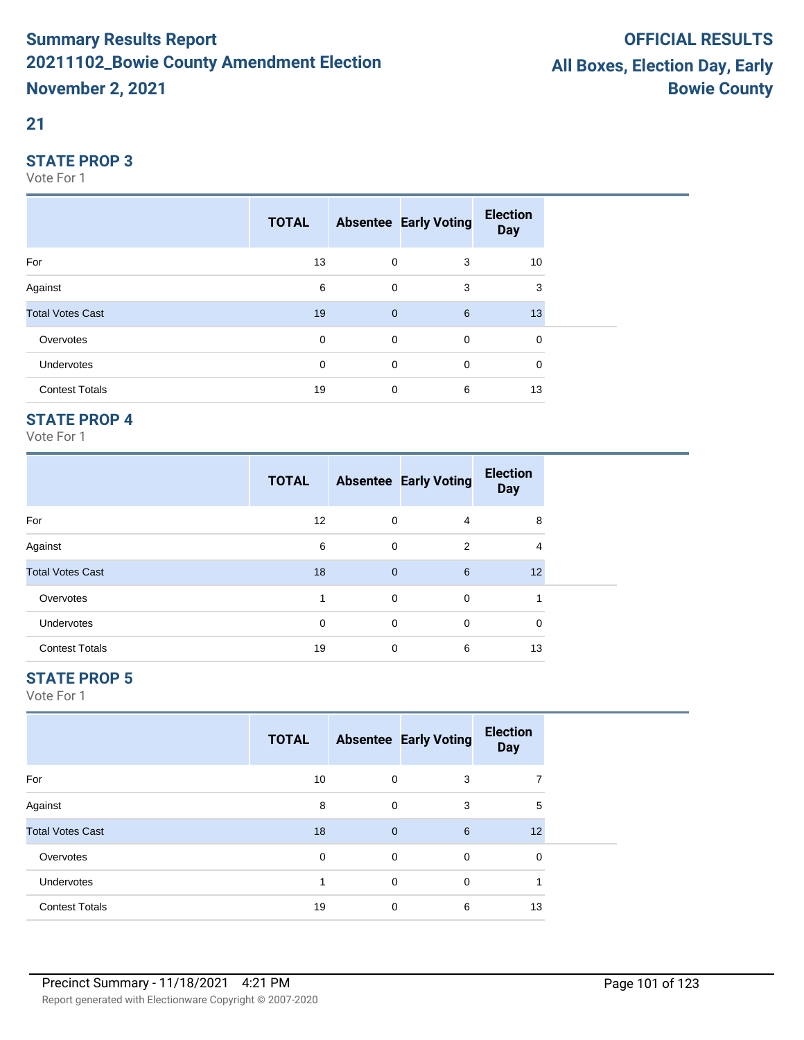## **21**

#### **STATE PROP 3**

Vote For 1

|                         | <b>TOTAL</b> |              | <b>Absentee Early Voting</b> | <b>Election</b><br><b>Day</b> |  |
|-------------------------|--------------|--------------|------------------------------|-------------------------------|--|
| For                     | 13           | 0            | 3                            | 10                            |  |
| Against                 | 6            | 0            | 3                            | 3                             |  |
| <b>Total Votes Cast</b> | 19           | $\mathbf{0}$ | 6                            | 13                            |  |
| Overvotes               | 0            | $\mathbf 0$  | $\mathbf 0$                  | 0                             |  |
| Undervotes              | 0            | 0            | 0                            | 0                             |  |
| <b>Contest Totals</b>   | 19           | 0            | 6                            | 13                            |  |

## **STATE PROP 4**

Vote For 1

|                         | <b>TOTAL</b> |              | <b>Absentee Early Voting</b> | <b>Election</b><br><b>Day</b> |
|-------------------------|--------------|--------------|------------------------------|-------------------------------|
| For                     | 12           | 0            | 4                            | 8                             |
| Against                 | 6            | 0            | 2                            | 4                             |
| <b>Total Votes Cast</b> | 18           | $\mathbf{0}$ | 6                            | 12                            |
| Overvotes               |              | 0            | 0                            | 4                             |
| <b>Undervotes</b>       | 0            | 0            | 0                            | 0                             |
| <b>Contest Totals</b>   | 19           | 0            | 6                            | 13                            |

## **STATE PROP 5**

|                         | <b>TOTAL</b> |                | <b>Absentee Early Voting</b> | <b>Election</b><br><b>Day</b> |  |
|-------------------------|--------------|----------------|------------------------------|-------------------------------|--|
| For                     | 10           | 0              | 3                            |                               |  |
| Against                 | 8            | $\mathbf 0$    | 3                            | 5                             |  |
| <b>Total Votes Cast</b> | 18           | $\overline{0}$ | $6\overline{6}$              | 12                            |  |
| Overvotes               | $\mathbf 0$  | $\mathbf 0$    | 0                            | 0                             |  |
| Undervotes              |              | $\mathbf 0$    | 0                            |                               |  |
| <b>Contest Totals</b>   | 19           | $\mathbf 0$    | 6                            | 13                            |  |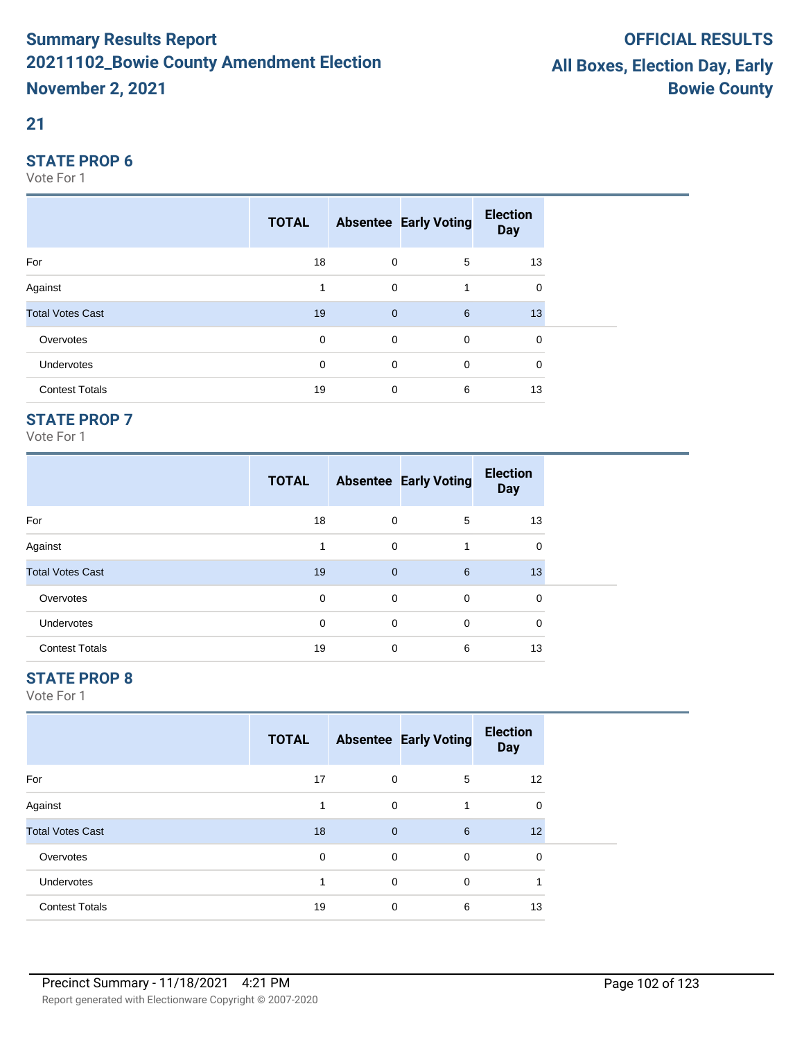### **21**

#### **STATE PROP 6**

Vote For 1

|                         | <b>TOTAL</b> |              | <b>Absentee Early Voting</b> | <b>Election</b><br><b>Day</b> |  |
|-------------------------|--------------|--------------|------------------------------|-------------------------------|--|
| For                     | 18           | 0            | 5                            | 13                            |  |
| Against                 | 1            | $\mathbf 0$  |                              | 0                             |  |
| <b>Total Votes Cast</b> | 19           | $\mathbf{0}$ | 6                            | 13                            |  |
| Overvotes               | $\mathbf 0$  | $\mathbf 0$  | $\mathbf 0$                  | $\mathbf 0$                   |  |
| Undervotes              | 0            | 0            | $\mathbf 0$                  | 0                             |  |
| <b>Contest Totals</b>   | 19           | 0            | 6                            | 13                            |  |

## **STATE PROP 7**

Vote For 1

|                         | <b>TOTAL</b> |              | <b>Absentee Early Voting</b> | <b>Election</b><br><b>Day</b> |
|-------------------------|--------------|--------------|------------------------------|-------------------------------|
| For                     | 18           | 0            | 5                            | 13                            |
| Against                 |              | 0            |                              | $\mathbf 0$                   |
| <b>Total Votes Cast</b> | 19           | $\mathbf{0}$ | 6                            | 13                            |
| Overvotes               | 0            | 0            | 0                            | 0                             |
| <b>Undervotes</b>       | 0            | 0            | 0                            | 0                             |
| <b>Contest Totals</b>   | 19           | 0            | 6                            | 13                            |

## **STATE PROP 8**

|                         | <b>TOTAL</b> |                | <b>Absentee Early Voting</b> | <b>Election</b><br><b>Day</b> |  |
|-------------------------|--------------|----------------|------------------------------|-------------------------------|--|
| For                     | 17           | 0              | 5                            | 12                            |  |
| Against                 |              | $\mathbf 0$    |                              | 0                             |  |
| <b>Total Votes Cast</b> | 18           | $\overline{0}$ | 6                            | 12                            |  |
| Overvotes               | $\mathbf 0$  | $\mathbf 0$    | 0                            | 0                             |  |
| <b>Undervotes</b>       | 1            | $\mathbf 0$    | 0                            |                               |  |
| <b>Contest Totals</b>   | 19           | $\mathbf 0$    | 6                            | 13                            |  |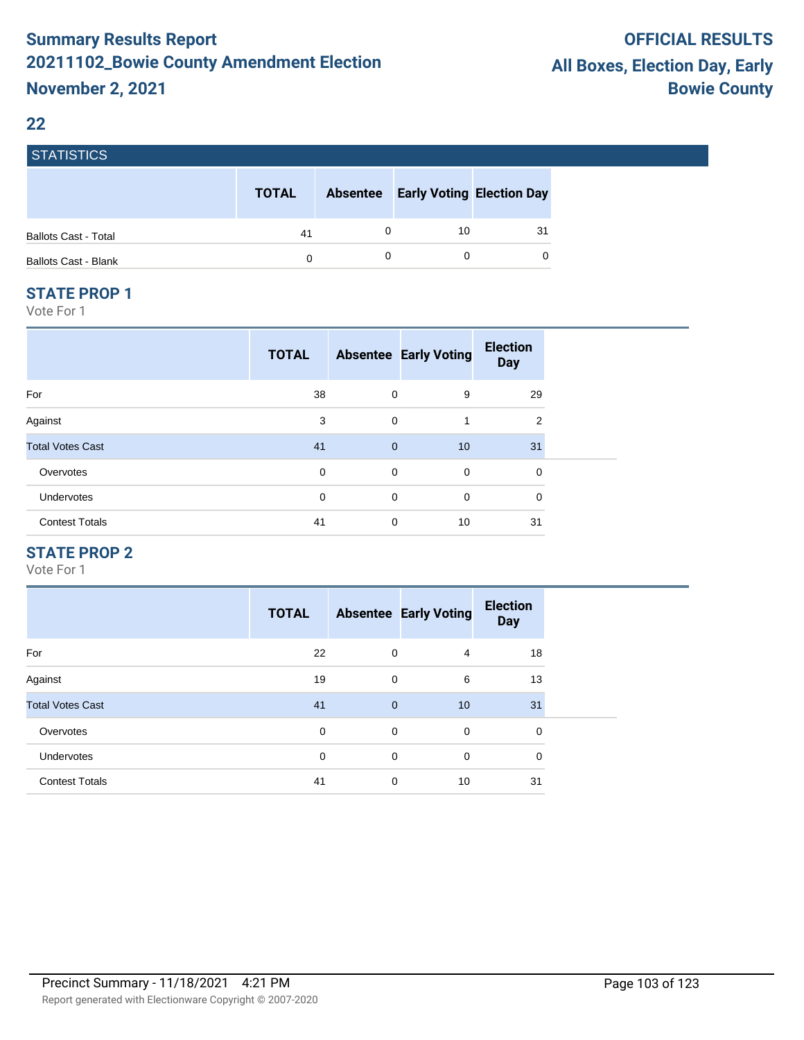#### **22**

| <b>STATISTICS</b>           |              |                 |                                  |    |
|-----------------------------|--------------|-----------------|----------------------------------|----|
|                             | <b>TOTAL</b> | <b>Absentee</b> | <b>Early Voting Election Day</b> |    |
| <b>Ballots Cast - Total</b> | 41           | 0               | 10                               | 31 |
| <b>Ballots Cast - Blank</b> | 0            | 0               |                                  | O  |

#### **STATE PROP 1**

Vote For 1

|                         | <b>TOTAL</b> |                | <b>Absentee Early Voting</b> | <b>Election</b><br><b>Day</b> |
|-------------------------|--------------|----------------|------------------------------|-------------------------------|
| For                     | 38           | 0              | 9                            | 29                            |
| Against                 | 3            | $\mathbf 0$    | 1                            | 2                             |
| <b>Total Votes Cast</b> | 41           | $\overline{0}$ | 10                           | 31                            |
| Overvotes               | 0            | 0              | 0                            | 0                             |
| Undervotes              | 0            | 0              | 0                            | 0                             |
| <b>Contest Totals</b>   | 41           | 0              | 10                           | 31                            |
|                         |              |                |                              |                               |

## **STATE PROP 2**

|                         | <b>TOTAL</b> |              | <b>Absentee Early Voting</b> | <b>Election</b><br><b>Day</b> |
|-------------------------|--------------|--------------|------------------------------|-------------------------------|
| For                     | 22           | 0            | 4                            | 18                            |
| Against                 | 19           | $\mathbf 0$  | 6                            | 13                            |
| <b>Total Votes Cast</b> | 41           | $\mathbf{0}$ | 10 <sup>°</sup>              | 31                            |
| Overvotes               | 0            | 0            | $\mathbf 0$                  | 0                             |
| <b>Undervotes</b>       | 0            | $\mathbf 0$  | $\mathbf 0$                  | $\mathbf 0$                   |
| <b>Contest Totals</b>   | 41           | 0            | 10                           | 31                            |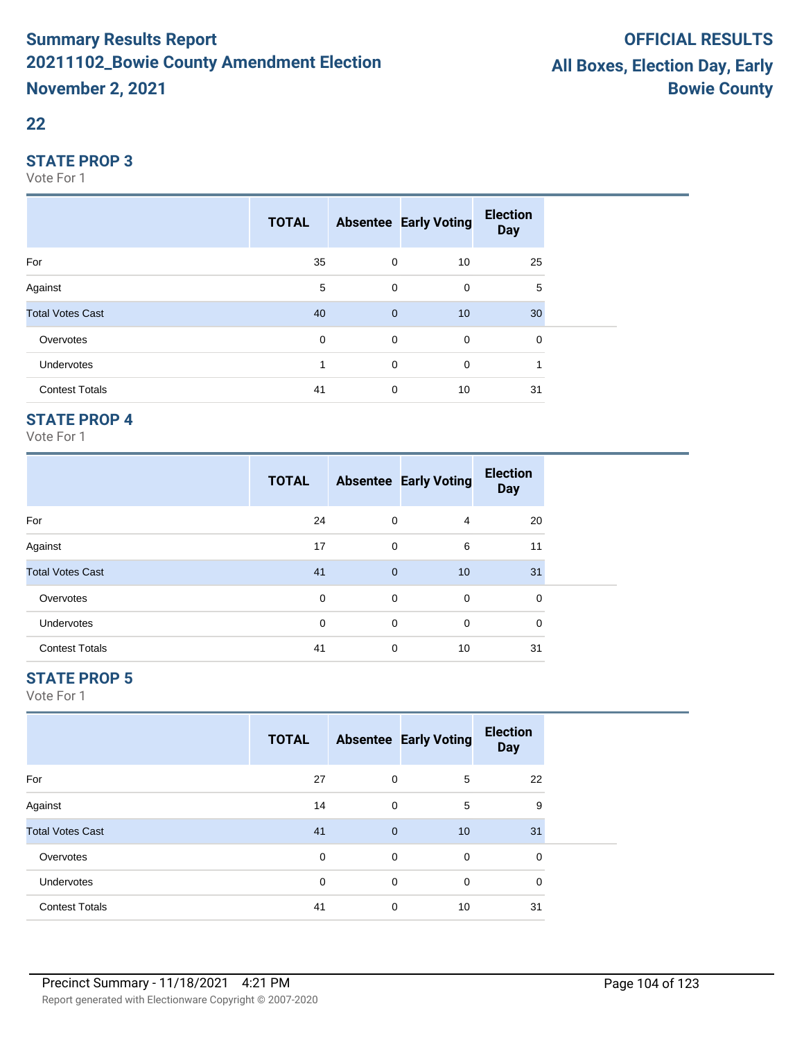#### **22**

#### **STATE PROP 3**

Vote For 1

|                         | <b>TOTAL</b> |                | <b>Absentee Early Voting</b> | <b>Election</b><br><b>Day</b> |  |
|-------------------------|--------------|----------------|------------------------------|-------------------------------|--|
| For                     | 35           | 0              | 10                           | 25                            |  |
| Against                 | 5            | 0              | 0                            | 5                             |  |
| <b>Total Votes Cast</b> | 40           | $\overline{0}$ | 10                           | 30                            |  |
| Overvotes               | $\mathbf 0$  | $\mathbf 0$    | $\mathbf 0$                  | 0                             |  |
| <b>Undervotes</b>       |              | $\mathbf 0$    | 0                            |                               |  |
| <b>Contest Totals</b>   | 41           | 0              | 10                           | 31                            |  |

## **STATE PROP 4**

Vote For 1

|                         | <b>TOTAL</b> |              | <b>Absentee Early Voting</b> | <b>Election</b><br><b>Day</b> |
|-------------------------|--------------|--------------|------------------------------|-------------------------------|
| For                     | 24           | 0            | 4                            | 20                            |
| Against                 | 17           | 0            | 6                            | 11                            |
| <b>Total Votes Cast</b> | 41           | $\mathbf{0}$ | 10                           | 31                            |
| Overvotes               | 0            | 0            | 0                            | $\Omega$                      |
| <b>Undervotes</b>       | 0            | 0            | $\Omega$                     | 0                             |
| <b>Contest Totals</b>   | 41           | 0            | 10                           | 31                            |

## **STATE PROP 5**

|                         | <b>TOTAL</b> |              | <b>Absentee Early Voting</b> | <b>Election</b><br><b>Day</b> |  |
|-------------------------|--------------|--------------|------------------------------|-------------------------------|--|
| For                     | 27           | 0            | 5                            | 22                            |  |
| Against                 | 14           | 0            | 5                            | 9                             |  |
| <b>Total Votes Cast</b> | 41           | $\mathbf{0}$ | 10                           | 31                            |  |
| Overvotes               | 0            | 0            | $\mathbf 0$                  | 0                             |  |
| Undervotes              | $\mathbf 0$  | 0            | $\mathbf 0$                  | $\mathbf 0$                   |  |
| <b>Contest Totals</b>   | 41           | 0            | 10                           | 31                            |  |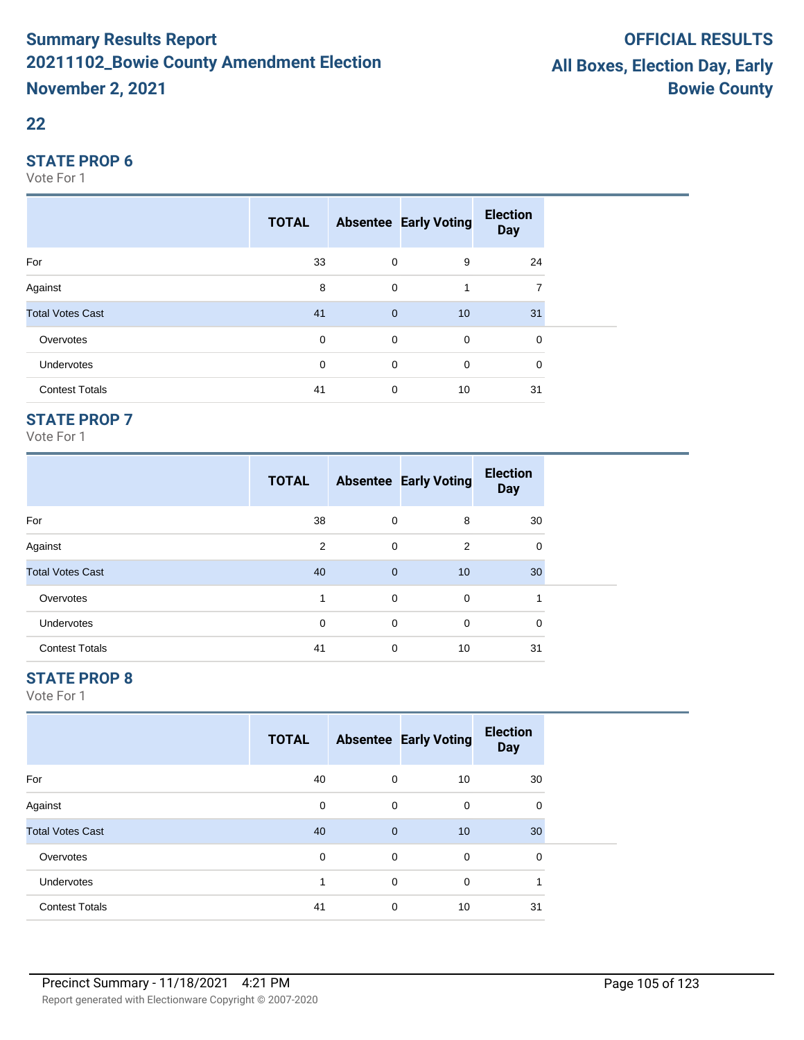#### **22**

#### **STATE PROP 6**

Vote For 1

|                         | <b>TOTAL</b> |              | <b>Absentee Early Voting</b> | <b>Election</b><br><b>Day</b> |  |
|-------------------------|--------------|--------------|------------------------------|-------------------------------|--|
| For                     | 33           | $\mathbf 0$  | 9                            | 24                            |  |
| Against                 | 8            | 0            | 1                            | 7                             |  |
| <b>Total Votes Cast</b> | 41           | $\mathbf{0}$ | 10                           | 31                            |  |
| Overvotes               | $\mathbf 0$  | $\mathbf 0$  | $\mathbf 0$                  | 0                             |  |
| Undervotes              | 0            | 0            | 0                            | $\mathbf 0$                   |  |
| <b>Contest Totals</b>   | 41           | 0            | 10                           | 31                            |  |

## **STATE PROP 7**

Vote For 1

|                         | <b>TOTAL</b> |             | <b>Absentee Early Voting</b> | <b>Election</b><br><b>Day</b> |  |
|-------------------------|--------------|-------------|------------------------------|-------------------------------|--|
| For                     | 38           | 0           | 8                            | 30                            |  |
| Against                 | 2            | $\mathbf 0$ | 2                            | 0                             |  |
| <b>Total Votes Cast</b> | 40           | $\mathbf 0$ | 10                           | 30                            |  |
| Overvotes               | 1            | 0           | $\mathbf 0$                  |                               |  |
| <b>Undervotes</b>       | 0            | $\mathbf 0$ | $\mathbf 0$                  | 0                             |  |
| <b>Contest Totals</b>   | 41           | 0           | 10                           | 31                            |  |

## **STATE PROP 8**

|                         | <b>TOTAL</b> |             | <b>Absentee Early Voting</b> | <b>Election</b><br><b>Day</b> |  |
|-------------------------|--------------|-------------|------------------------------|-------------------------------|--|
| For                     | 40           | 0           | 10                           | 30                            |  |
| Against                 | 0            | 0           | 0                            | 0                             |  |
| <b>Total Votes Cast</b> | 40           | $\mathbf 0$ | 10                           | 30                            |  |
| Overvotes               | 0            | 0           | $\mathbf 0$                  | 0                             |  |
| <b>Undervotes</b>       | 4            | 0           | 0                            | 1                             |  |
| <b>Contest Totals</b>   | 41           | 0           | 10                           | 31                            |  |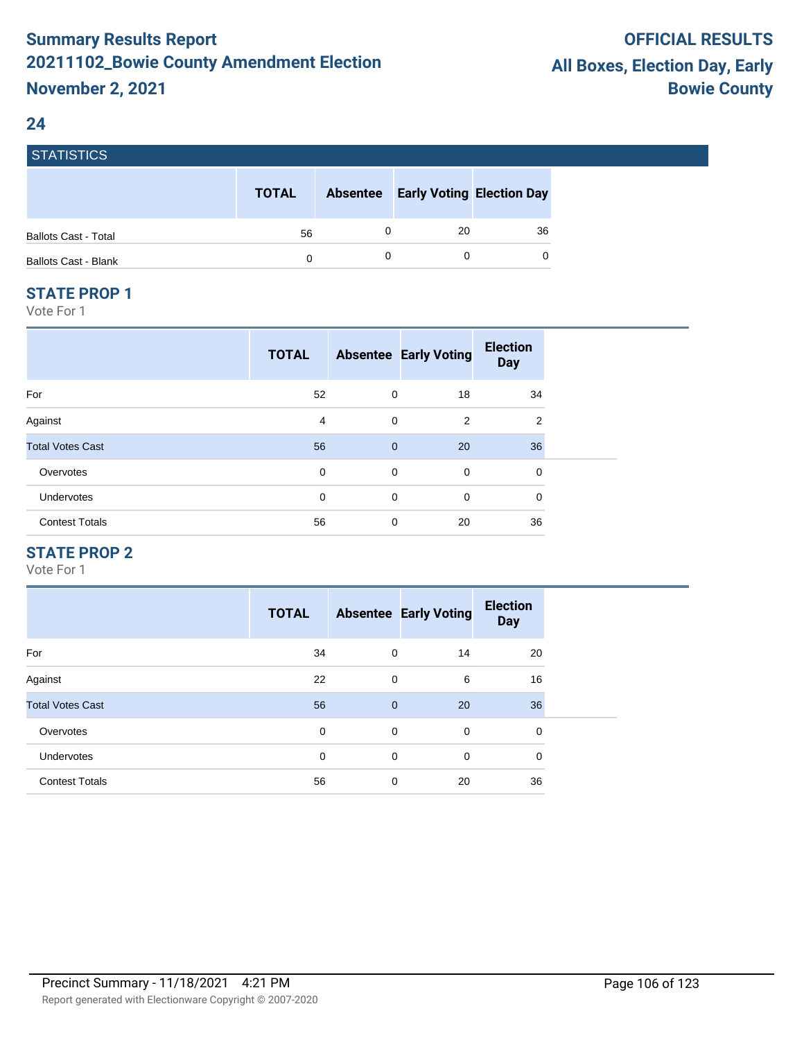## **24**

| <b>STATISTICS</b>           |              |                                           |    |
|-----------------------------|--------------|-------------------------------------------|----|
|                             | <b>TOTAL</b> | <b>Absentee Early Voting Election Day</b> |    |
| <b>Ballots Cast - Total</b> | 56           | -20                                       | 36 |
| <b>Ballots Cast - Blank</b> | $\Omega$     | 0                                         | 0  |

#### **STATE PROP 1**

Vote For 1

|                         | <b>TOTAL</b> |              | <b>Absentee Early Voting</b> | <b>Election</b><br><b>Day</b> |
|-------------------------|--------------|--------------|------------------------------|-------------------------------|
| For                     | 52           | 0            | 18                           | 34                            |
| Against                 | 4            | $\mathbf 0$  | 2                            | 2                             |
| <b>Total Votes Cast</b> | 56           | $\mathbf{0}$ | 20                           | 36                            |
| Overvotes               | 0            | $\mathbf 0$  | $\mathbf 0$                  | 0                             |
| <b>Undervotes</b>       | 0            | $\mathbf 0$  | 0                            | $\mathbf 0$                   |
| <b>Contest Totals</b>   | 56           | 0            | 20                           | 36                            |

## **STATE PROP 2**

|                         | <b>TOTAL</b> |                | <b>Absentee Early Voting</b> | <b>Election</b><br><b>Day</b> |
|-------------------------|--------------|----------------|------------------------------|-------------------------------|
| For                     | 34           | $\mathbf 0$    | 14                           | 20                            |
| Against                 | 22           | $\mathbf 0$    | 6                            | 16                            |
| <b>Total Votes Cast</b> | 56           | $\overline{0}$ | 20                           | 36                            |
| Overvotes               | 0            | $\mathbf 0$    | $\mathbf 0$                  | 0                             |
| <b>Undervotes</b>       | 0            | $\mathbf 0$    | $\mathbf 0$                  | 0                             |
| <b>Contest Totals</b>   | 56           | 0              | 20                           | 36                            |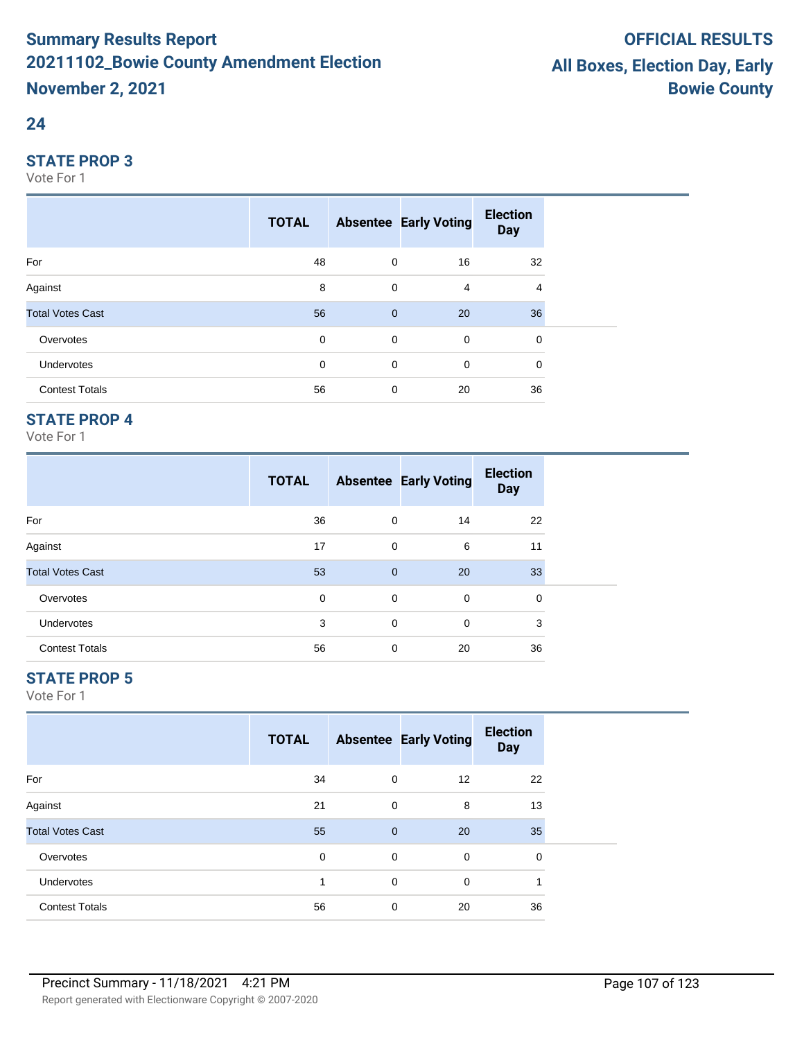### **24**

#### **STATE PROP 3**

Vote For 1

|                         | <b>TOTAL</b> |                | <b>Absentee Early Voting</b> | <b>Election</b><br><b>Day</b> |  |
|-------------------------|--------------|----------------|------------------------------|-------------------------------|--|
| For                     | 48           | 0              | 16                           | 32                            |  |
| Against                 | 8            | 0              | 4                            | 4                             |  |
| <b>Total Votes Cast</b> | 56           | $\overline{0}$ | 20                           | 36                            |  |
| Overvotes               | 0            | $\mathbf 0$    | $\mathbf 0$                  | 0                             |  |
| Undervotes              | 0            | $\mathbf 0$    | $\mathbf 0$                  | 0                             |  |
| <b>Contest Totals</b>   | 56           | $\mathbf 0$    | 20                           | 36                            |  |

## **STATE PROP 4**

Vote For 1

|                         | <b>TOTAL</b> |              | <b>Absentee Early Voting</b> | <b>Election</b><br><b>Day</b> |  |
|-------------------------|--------------|--------------|------------------------------|-------------------------------|--|
| For                     | 36           | 0            | 14                           | 22                            |  |
| Against                 | 17           | $\mathbf 0$  | 6                            | 11                            |  |
| <b>Total Votes Cast</b> | 53           | $\mathbf{0}$ | 20                           | 33                            |  |
| Overvotes               | 0            | 0            | $\mathbf 0$                  | 0                             |  |
| <b>Undervotes</b>       | 3            | $\mathbf 0$  | $\mathbf 0$                  | 3                             |  |
| <b>Contest Totals</b>   | 56           | $\mathbf 0$  | 20                           | 36                            |  |

## **STATE PROP 5**

|                         | <b>TOTAL</b> |                | <b>Absentee Early Voting</b> | <b>Election</b><br><b>Day</b> |  |
|-------------------------|--------------|----------------|------------------------------|-------------------------------|--|
| For                     | 34           | 0              | 12                           | 22                            |  |
| Against                 | 21           | 0              | 8                            | 13                            |  |
| <b>Total Votes Cast</b> | 55           | $\overline{0}$ | 20                           | 35                            |  |
| Overvotes               | $\mathbf 0$  | 0              | 0                            | 0                             |  |
| <b>Undervotes</b>       | 4            | 0              | 0                            | ×,                            |  |
| <b>Contest Totals</b>   | 56           | 0              | 20                           | 36                            |  |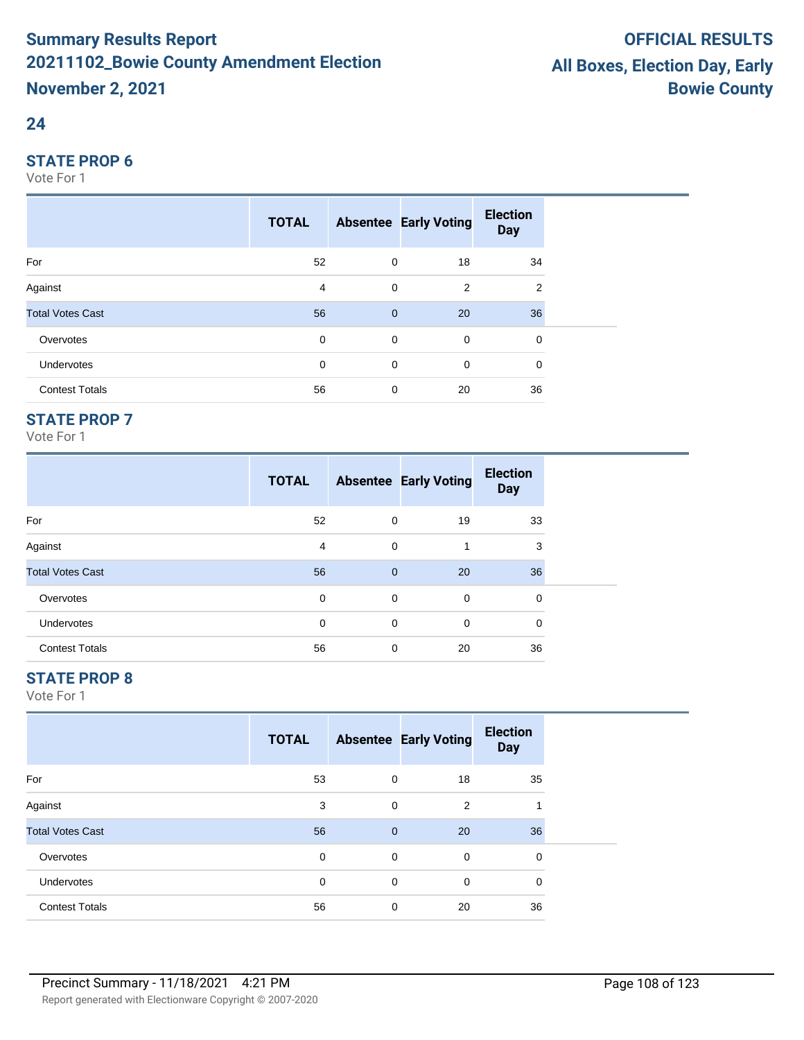#### **24**

#### **STATE PROP 6**

Vote For 1

|                         | <b>TOTAL</b> |                | <b>Absentee Early Voting</b> | <b>Election</b><br><b>Day</b> |
|-------------------------|--------------|----------------|------------------------------|-------------------------------|
| For                     | 52           | 0              | 18                           | 34                            |
| Against                 | 4            | 0              | 2                            | $\overline{2}$                |
| <b>Total Votes Cast</b> | 56           | $\overline{0}$ | 20                           | 36                            |
| Overvotes               | 0            | $\mathbf 0$    | $\mathbf 0$                  | 0                             |
| Undervotes              | 0            | $\mathbf 0$    | $\mathbf 0$                  | 0                             |
| <b>Contest Totals</b>   | 56           | $\mathbf 0$    | 20                           | 36                            |

## **STATE PROP 7**

Vote For 1

|                         | <b>TOTAL</b> |              | <b>Absentee Early Voting</b> | <b>Election</b><br><b>Day</b> |
|-------------------------|--------------|--------------|------------------------------|-------------------------------|
| For                     | 52           | $\mathbf 0$  | 19                           | 33                            |
| Against                 | 4            | $\mathbf 0$  | 1                            | 3                             |
| <b>Total Votes Cast</b> | 56           | $\mathbf{0}$ | 20                           | 36                            |
| Overvotes               | 0            | $\mathbf 0$  | 0                            | 0                             |
| <b>Undervotes</b>       | 0            | $\mathbf 0$  | 0                            | $\Omega$                      |
| <b>Contest Totals</b>   | 56           | 0            | 20                           | 36                            |

## **STATE PROP 8**

|                         | <b>TOTAL</b> |             | <b>Absentee Early Voting</b> | <b>Election</b><br><b>Day</b> |  |
|-------------------------|--------------|-------------|------------------------------|-------------------------------|--|
| For                     | 53           | 0           | 18                           | 35                            |  |
| Against                 | 3            | 0           | 2                            | 1                             |  |
| <b>Total Votes Cast</b> | 56           | $\mathbf 0$ | 20                           | 36                            |  |
| Overvotes               | 0            | 0           | $\mathbf 0$                  | 0                             |  |
| <b>Undervotes</b>       | 0            | 0           | $\mathbf 0$                  | 0                             |  |
| <b>Contest Totals</b>   | 56           | 0           | 20                           | 36                            |  |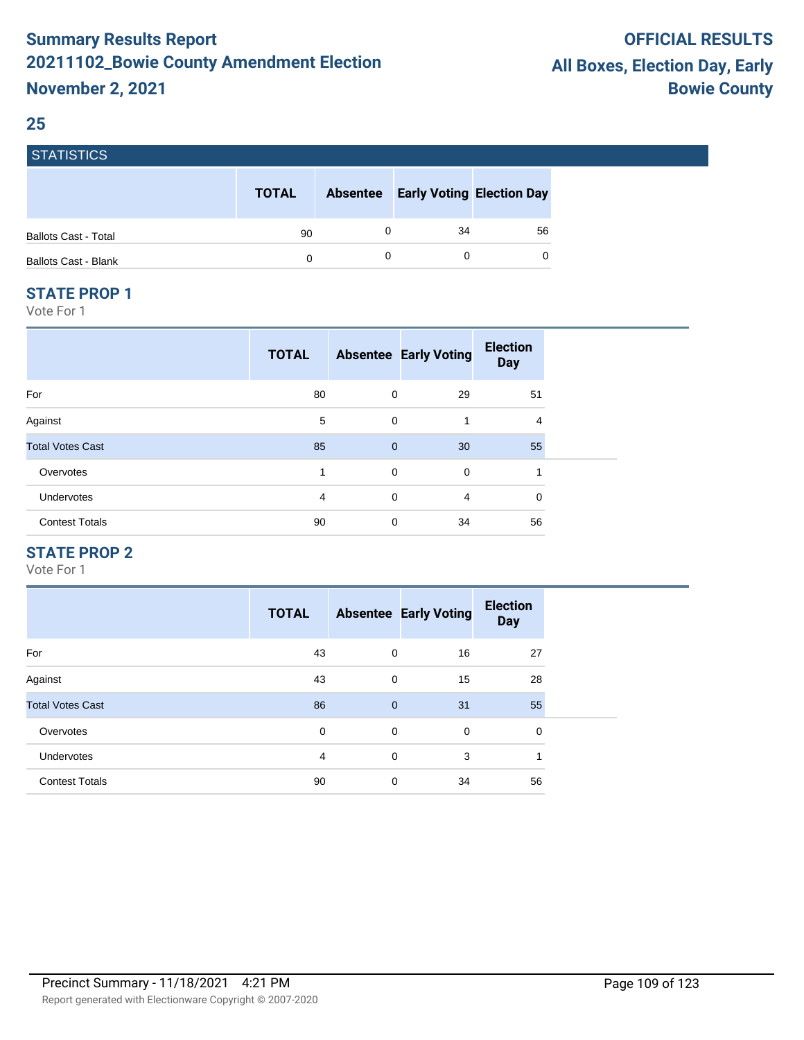### **25**

| <b>STATISTICS</b>           |              |                 |                                  |    |
|-----------------------------|--------------|-----------------|----------------------------------|----|
|                             | <b>TOTAL</b> | <b>Absentee</b> | <b>Early Voting Election Day</b> |    |
| <b>Ballots Cast - Total</b> | 90           | 0               | 34                               | 56 |
| <b>Ballots Cast - Blank</b> | 0            | 0               | 0                                |    |

#### **STATE PROP 1**

Vote For 1

|                         | <b>TOTAL</b> |              | <b>Absentee Early Voting</b> | <b>Election</b><br><b>Day</b> |  |
|-------------------------|--------------|--------------|------------------------------|-------------------------------|--|
| For                     | 80           | 0            | 29                           | 51                            |  |
| Against                 | 5            | 0            | 1                            | 4                             |  |
| <b>Total Votes Cast</b> | 85           | $\mathbf{0}$ | 30                           | 55                            |  |
| Overvotes               | 1            | $\mathbf 0$  | $\mathbf 0$                  | 1                             |  |
| Undervotes              | 4            | $\mathbf 0$  | $\overline{4}$               | 0                             |  |
| <b>Contest Totals</b>   | 90           | 0            | 34                           | 56                            |  |

#### **STATE PROP 2**

|                         | <b>TOTAL</b> |                | <b>Absentee Early Voting</b> | <b>Election</b><br><b>Day</b> |
|-------------------------|--------------|----------------|------------------------------|-------------------------------|
| For                     | 43           | 0              | 16                           | 27                            |
| Against                 | 43           | $\mathbf 0$    | 15                           | 28                            |
| <b>Total Votes Cast</b> | 86           | $\overline{0}$ | 31                           | 55                            |
| Overvotes               | 0            | $\mathbf 0$    | $\mathbf 0$                  | 0                             |
| <b>Undervotes</b>       | 4            | $\mathbf 0$    | 3                            | 1                             |
| <b>Contest Totals</b>   | 90           | 0              | 34                           | 56                            |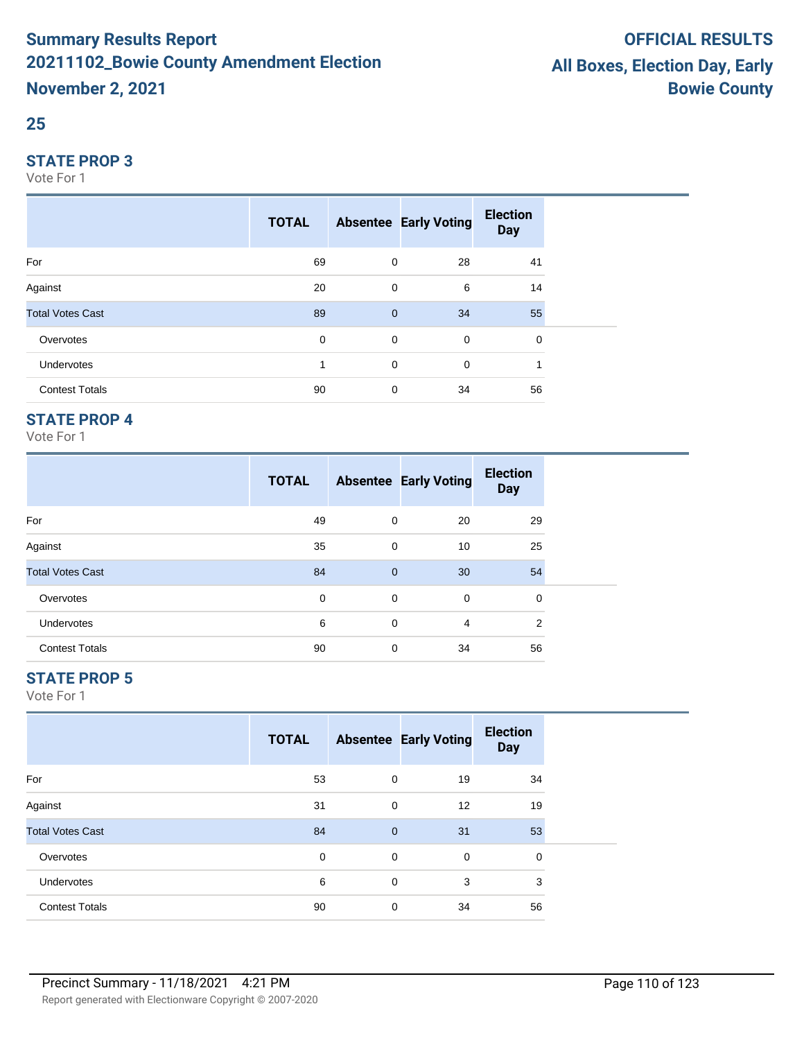## **25**

#### **STATE PROP 3**

Vote For 1

|                         | <b>TOTAL</b> |                | <b>Absentee Early Voting</b> | <b>Election</b><br><b>Day</b> |  |
|-------------------------|--------------|----------------|------------------------------|-------------------------------|--|
| For                     | 69           | $\mathbf 0$    | 28                           | 41                            |  |
| Against                 | 20           | $\mathbf 0$    | 6                            | 14                            |  |
| <b>Total Votes Cast</b> | 89           | $\overline{0}$ | 34                           | 55                            |  |
| Overvotes               | 0            | $\mathbf 0$    | $\mathbf 0$                  | 0                             |  |
| <b>Undervotes</b>       |              | $\mathbf 0$    | 0                            |                               |  |
| <b>Contest Totals</b>   | 90           | $\mathbf 0$    | 34                           | 56                            |  |

## **STATE PROP 4**

Vote For 1

|                         | <b>TOTAL</b> |             | <b>Absentee Early Voting</b> | <b>Election</b><br><b>Day</b> |  |
|-------------------------|--------------|-------------|------------------------------|-------------------------------|--|
| For                     | 49           | 0           | 20                           | 29                            |  |
| Against                 | 35           | 0           | 10                           | 25                            |  |
| <b>Total Votes Cast</b> | 84           | $\mathbf 0$ | 30                           | 54                            |  |
| Overvotes               | 0            | 0           | 0                            | 0                             |  |
| <b>Undervotes</b>       | 6            | 0           | 4                            | 2                             |  |
| <b>Contest Totals</b>   | 90           | 0           | 34                           | 56                            |  |

## **STATE PROP 5**

|                         | <b>TOTAL</b> |              | <b>Absentee Early Voting</b> | <b>Election</b><br><b>Day</b> |  |
|-------------------------|--------------|--------------|------------------------------|-------------------------------|--|
| For                     | 53           | 0            | 19                           | 34                            |  |
| Against                 | 31           | $\mathbf 0$  | 12                           | 19                            |  |
| <b>Total Votes Cast</b> | 84           | $\mathbf{0}$ | 31                           | 53                            |  |
| Overvotes               | $\mathbf 0$  | 0            | $\mathbf 0$                  | 0                             |  |
| Undervotes              | 6            | 0            | 3                            | 3                             |  |
| <b>Contest Totals</b>   | 90           | 0            | 34                           | 56                            |  |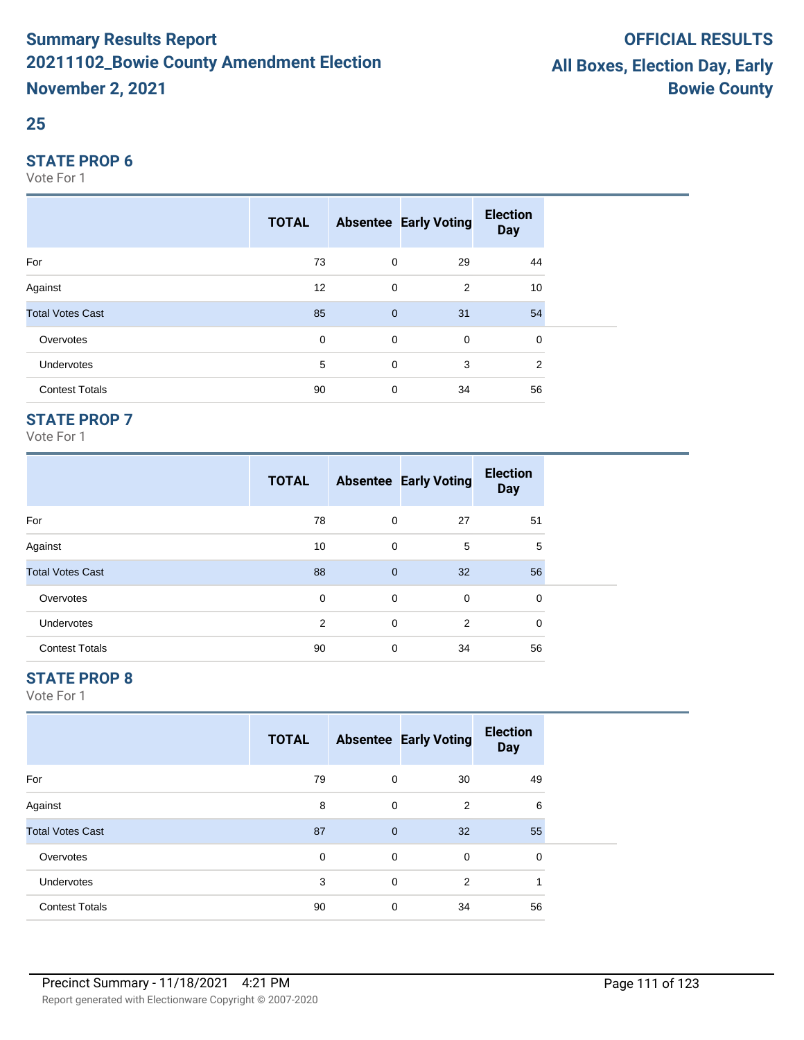## **25**

#### **STATE PROP 6**

Vote For 1

|                         | <b>TOTAL</b> |                | <b>Absentee Early Voting</b> | <b>Election</b><br><b>Day</b> |
|-------------------------|--------------|----------------|------------------------------|-------------------------------|
| For                     | 73           | $\mathbf 0$    | 29                           | 44                            |
| Against                 | 12           | $\mathbf 0$    | 2                            | 10                            |
| <b>Total Votes Cast</b> | 85           | $\overline{0}$ | 31                           | 54                            |
| Overvotes               | $\mathbf 0$  | $\mathbf 0$    | $\mathbf 0$                  | 0                             |
| Undervotes              | 5            | $\mathbf 0$    | 3                            | 2                             |
| <b>Contest Totals</b>   | 90           | $\mathbf 0$    | 34                           | 56                            |

## **STATE PROP 7**

Vote For 1

|                         | <b>TOTAL</b> |              | <b>Absentee Early Voting</b> | <b>Election</b><br><b>Day</b> |  |
|-------------------------|--------------|--------------|------------------------------|-------------------------------|--|
| For                     | 78           | 0            | 27                           | 51                            |  |
| Against                 | 10           | 0            | 5                            | 5                             |  |
| <b>Total Votes Cast</b> | 88           | $\mathbf{0}$ | 32                           | 56                            |  |
| Overvotes               | 0            | 0            | $\mathbf 0$                  | 0                             |  |
| <b>Undervotes</b>       | 2            | $\mathbf 0$  | $\overline{2}$               | 0                             |  |
| <b>Contest Totals</b>   | 90           | 0            | 34                           | 56                            |  |

## **STATE PROP 8**

|                         | <b>TOTAL</b> |             | <b>Absentee Early Voting</b> | <b>Election</b><br><b>Day</b> |  |
|-------------------------|--------------|-------------|------------------------------|-------------------------------|--|
| For                     | 79           | 0           | 30                           | 49                            |  |
| Against                 | 8            | 0           | 2                            | 6                             |  |
| <b>Total Votes Cast</b> | 87           | $\mathbf 0$ | 32                           | 55                            |  |
| Overvotes               | $\mathbf 0$  | 0           | $\mathbf 0$                  | 0                             |  |
| Undervotes              | 3            | 0           | $\overline{2}$               | 1                             |  |
| <b>Contest Totals</b>   | 90           | 0           | 34                           | 56                            |  |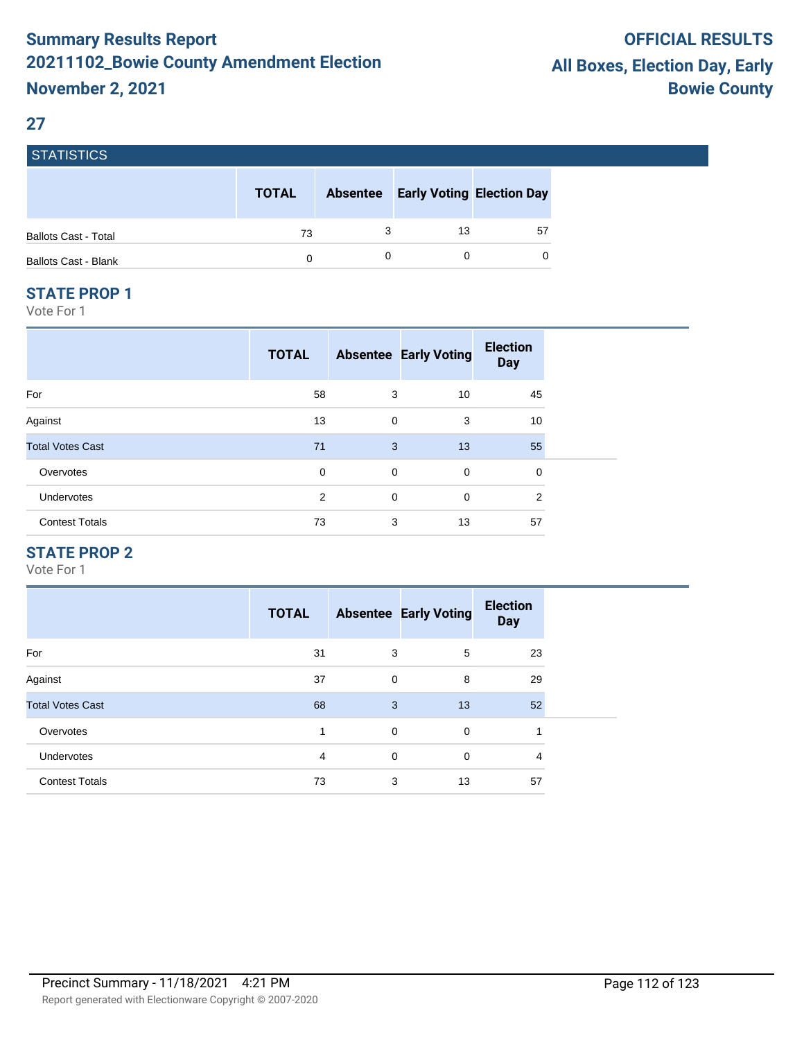#### **27**

**STATICTICS** 

| $0.1$ ATIOTIUS              |              |                 |    |                                  |
|-----------------------------|--------------|-----------------|----|----------------------------------|
|                             | <b>TOTAL</b> | <b>Absentee</b> |    | <b>Early Voting Election Day</b> |
| <b>Ballots Cast - Total</b> | 73           |                 | 13 | 57                               |
| <b>Ballots Cast - Blank</b> | 0            |                 |    | 0                                |

#### **STATE PROP 1**

Vote For 1

|                         | <b>TOTAL</b>   |             | <b>Absentee Early Voting</b> | <b>Election</b><br><b>Day</b> |
|-------------------------|----------------|-------------|------------------------------|-------------------------------|
| For                     | 58             | 3           | 10                           | 45                            |
| Against                 | 13             | $\mathbf 0$ | 3                            | 10                            |
| <b>Total Votes Cast</b> | 71             | 3           | 13                           | 55                            |
| Overvotes               | 0              | $\mathbf 0$ | $\mathbf 0$                  | 0                             |
| <b>Undervotes</b>       | $\overline{2}$ | $\mathbf 0$ | $\mathbf 0$                  | 2                             |
| <b>Contest Totals</b>   | 73             | 3           | 13                           | 57                            |

## **STATE PROP 2**

|                         | <b>TOTAL</b> |             | <b>Absentee Early Voting</b> | <b>Election</b><br><b>Day</b> |
|-------------------------|--------------|-------------|------------------------------|-------------------------------|
| For                     | 31           | 3           | 5                            | 23                            |
| Against                 | 37           | $\mathbf 0$ | 8                            | 29                            |
| <b>Total Votes Cast</b> | 68           | 3           | 13                           | 52                            |
| Overvotes               |              | 0           | $\mathbf 0$                  | 4                             |
| <b>Undervotes</b>       | 4            | 0           | $\Omega$                     | 4                             |
| <b>Contest Totals</b>   | 73           | 3           | 13                           | 57                            |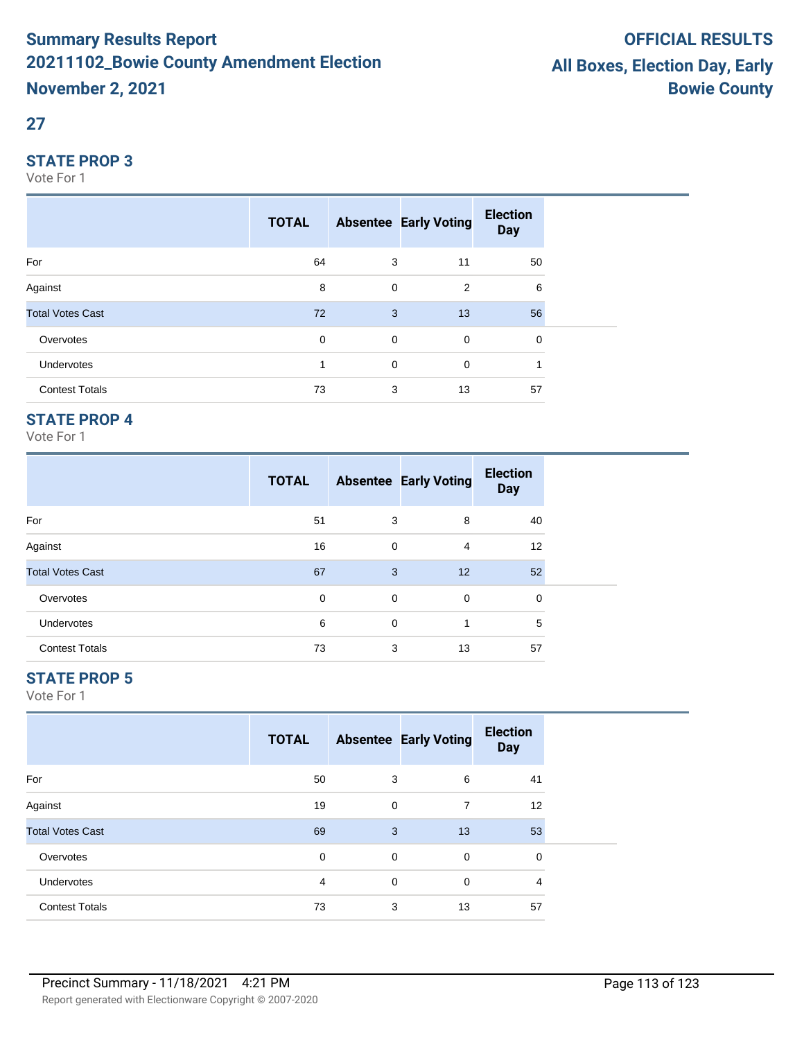## **27**

#### **STATE PROP 3**

Vote For 1

|                         | <b>TOTAL</b> |             | <b>Absentee Early Voting</b> | <b>Election</b><br><b>Day</b> |  |
|-------------------------|--------------|-------------|------------------------------|-------------------------------|--|
| For                     | 64           | 3           | 11                           | 50                            |  |
| Against                 | 8            | $\mathbf 0$ | 2                            | 6                             |  |
| <b>Total Votes Cast</b> | 72           | 3           | 13                           | 56                            |  |
| Overvotes               | 0            | $\mathbf 0$ | $\mathbf 0$                  | 0                             |  |
| Undervotes              |              | $\mathbf 0$ | $\mathbf 0$                  |                               |  |
| <b>Contest Totals</b>   | 73           | 3           | 13                           | 57                            |  |

## **STATE PROP 4**

Vote For 1

|                         | <b>TOTAL</b> |   | <b>Absentee Early Voting</b> | <b>Election</b><br><b>Day</b> |  |
|-------------------------|--------------|---|------------------------------|-------------------------------|--|
| For                     | 51           | 3 | 8                            | 40                            |  |
| Against                 | 16           | 0 | 4                            | $12 \overline{ }$             |  |
| <b>Total Votes Cast</b> | 67           | 3 | 12                           | 52                            |  |
| Overvotes               | 0            | 0 | 0                            | 0                             |  |
| <b>Undervotes</b>       | 6            | 0 | 1                            | 5                             |  |
| <b>Contest Totals</b>   | 73           | 3 | 13                           | 57                            |  |

## **STATE PROP 5**

|                         | <b>TOTAL</b> |             | <b>Absentee Early Voting</b> | <b>Election</b><br><b>Day</b> |  |
|-------------------------|--------------|-------------|------------------------------|-------------------------------|--|
| For                     | 50           | 3           | 6                            | 41                            |  |
| Against                 | 19           | 0           | 7                            | 12                            |  |
| <b>Total Votes Cast</b> | 69           | 3           | 13                           | 53                            |  |
| Overvotes               | $\mathbf 0$  | 0           | $\mathbf 0$                  | 0                             |  |
| Undervotes              | 4            | $\mathbf 0$ | $\mathbf 0$                  | 4                             |  |
| <b>Contest Totals</b>   | 73           | 3           | 13                           | 57                            |  |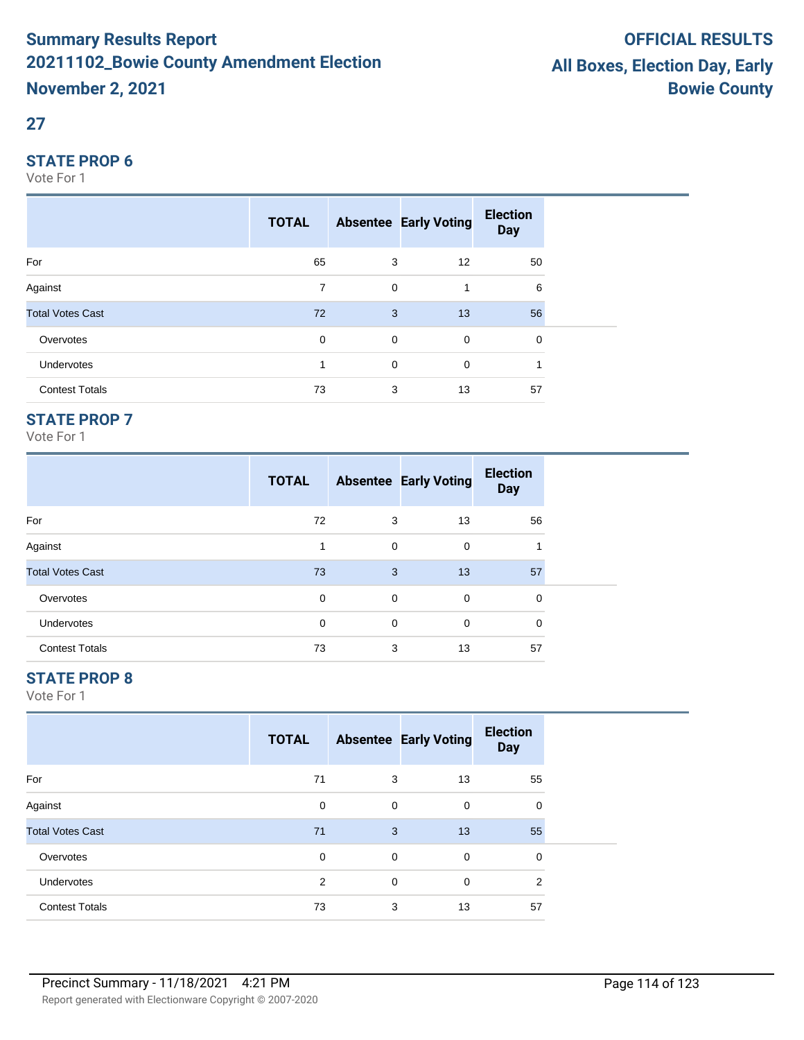## **27**

### **STATE PROP 6**

Vote For 1

|                         | <b>TOTAL</b>   |             | <b>Absentee Early Voting</b> | <b>Election</b><br><b>Day</b> |  |
|-------------------------|----------------|-------------|------------------------------|-------------------------------|--|
| For                     | 65             | 3           | 12                           | 50                            |  |
| Against                 | $\overline{7}$ | 0           |                              | 6                             |  |
| <b>Total Votes Cast</b> | 72             | 3           | 13                           | 56                            |  |
| Overvotes               | $\mathbf 0$    | $\mathbf 0$ | $\mathbf 0$                  | 0                             |  |
| Undervotes              | 1              | $\mathbf 0$ | 0                            |                               |  |
| <b>Contest Totals</b>   | 73             | 3           | 13                           | 57                            |  |

## **STATE PROP 7**

Vote For 1

|                         | <b>TOTAL</b> |   | <b>Absentee Early Voting</b> | <b>Election</b><br><b>Day</b> |
|-------------------------|--------------|---|------------------------------|-------------------------------|
| For                     | 72           | 3 | 13                           | 56                            |
| Against                 |              | 0 | $\Omega$                     |                               |
| <b>Total Votes Cast</b> | 73           | 3 | 13                           | 57                            |
| Overvotes               | 0            | 0 | 0                            | $\Omega$                      |
| <b>Undervotes</b>       | 0            | 0 | $\Omega$                     | $\Omega$                      |
| <b>Contest Totals</b>   | 73           | 3 | 13                           | 57                            |

## **STATE PROP 8**

|                         | <b>TOTAL</b> |             | <b>Absentee Early Voting</b> | <b>Election</b><br><b>Day</b> |  |
|-------------------------|--------------|-------------|------------------------------|-------------------------------|--|
| For                     | 71           | 3           | 13                           | 55                            |  |
| Against                 | $\mathbf 0$  | 0           | 0                            | 0                             |  |
| <b>Total Votes Cast</b> | 71           | 3           | 13                           | 55                            |  |
| Overvotes               | $\mathbf 0$  | 0           | $\mathbf 0$                  | 0                             |  |
| Undervotes              | 2            | $\mathbf 0$ | $\mathbf 0$                  | $\overline{2}$                |  |
| <b>Contest Totals</b>   | 73           | 3           | 13                           | 57                            |  |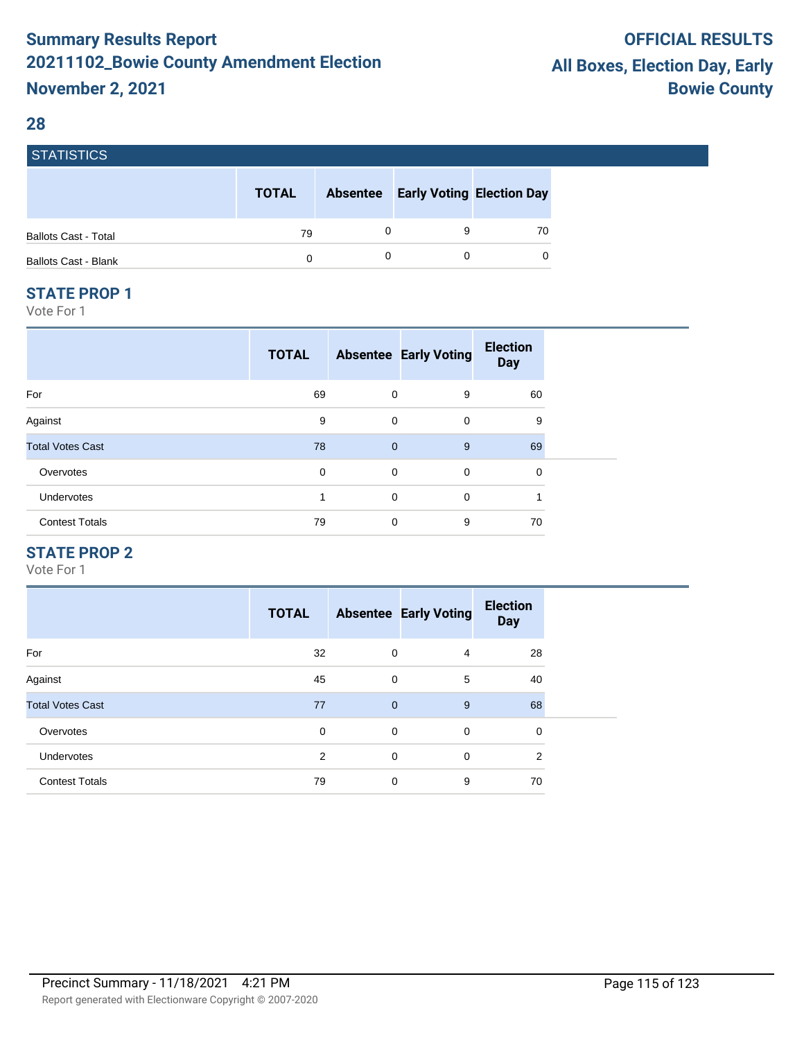#### **28**

**STATICTICS** 

| POIRTIOTIUS                 |              |                 |                                  |    |
|-----------------------------|--------------|-----------------|----------------------------------|----|
|                             | <b>TOTAL</b> | <b>Absentee</b> | <b>Early Voting Election Day</b> |    |
| <b>Ballots Cast - Total</b> | 79           |                 |                                  | 70 |
| <b>Ballots Cast - Blank</b> | 0            |                 |                                  | 0  |

#### **STATE PROP 1**

Vote For 1

| <b>TOTAL</b> |   |             | <b>Election</b><br><b>Day</b>                                                          |  |
|--------------|---|-------------|----------------------------------------------------------------------------------------|--|
| 69           |   | 9           | 60                                                                                     |  |
| 9            |   | $\mathbf 0$ | 9                                                                                      |  |
| 78           |   | 9           | 69                                                                                     |  |
| 0            |   | 0           | 0                                                                                      |  |
| 1            |   | 0           | 1                                                                                      |  |
| 79           | 0 | 9           | 70                                                                                     |  |
|              |   |             | <b>Absentee Early Voting</b><br>0<br>$\mathbf 0$<br>$\overline{0}$<br>0<br>$\mathbf 0$ |  |

## **STATE PROP 2**

|                         | <b>TOTAL</b> |                | <b>Absentee Early Voting</b> | <b>Election</b><br><b>Day</b> |
|-------------------------|--------------|----------------|------------------------------|-------------------------------|
| For                     | 32           | $\mathbf 0$    | 4                            | 28                            |
| Against                 | 45           | $\mathbf 0$    | 5                            | 40                            |
| <b>Total Votes Cast</b> | 77           | $\overline{0}$ | 9                            | 68                            |
| Overvotes               | 0            | $\mathbf 0$    | 0                            | 0                             |
| <b>Undervotes</b>       | 2            | $\mathbf 0$    | 0                            | 2                             |
| <b>Contest Totals</b>   | 79           | $\mathbf 0$    | 9                            | 70                            |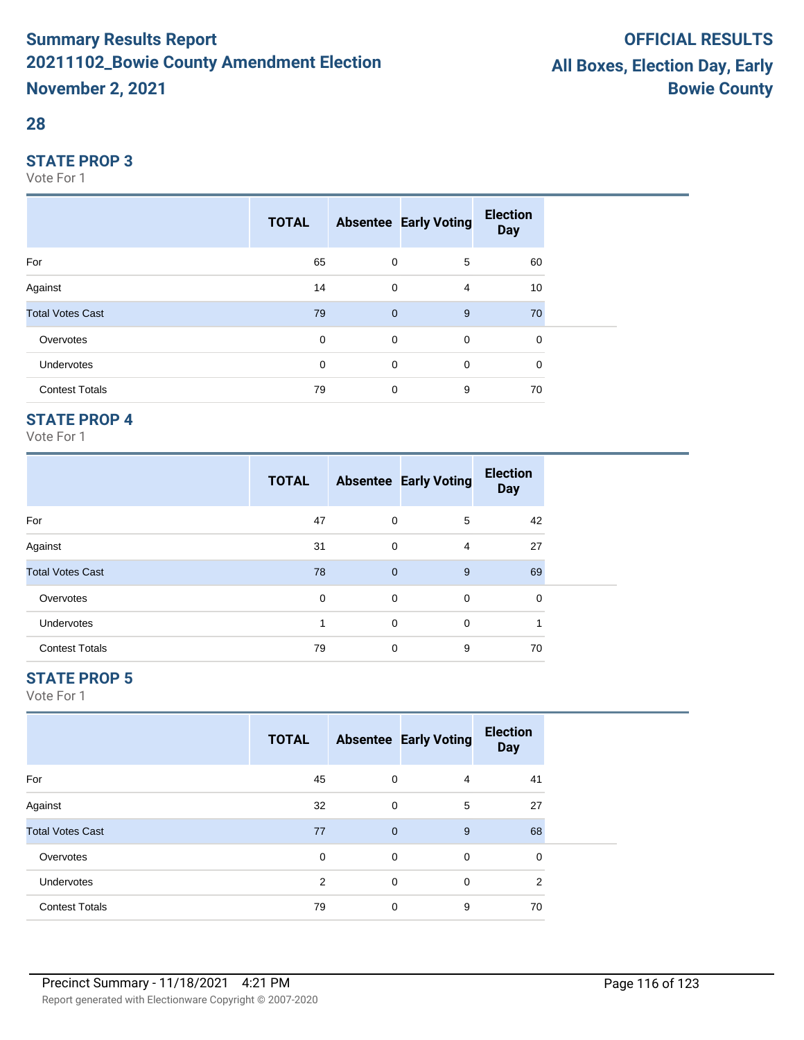## **28**

#### **STATE PROP 3**

Vote For 1

|                         | <b>TOTAL</b> |                | <b>Absentee Early Voting</b> | <b>Election</b><br><b>Day</b> |  |
|-------------------------|--------------|----------------|------------------------------|-------------------------------|--|
| For                     | 65           | $\mathbf 0$    | 5                            | 60                            |  |
| Against                 | 14           | $\mathbf 0$    | $\overline{4}$               | 10                            |  |
| <b>Total Votes Cast</b> | 79           | $\overline{0}$ | 9                            | 70                            |  |
| Overvotes               | 0            | $\mathbf 0$    | $\mathbf 0$                  | 0                             |  |
| Undervotes              | 0            | $\mathbf 0$    | $\mathbf 0$                  | 0                             |  |
| <b>Contest Totals</b>   | 79           | $\mathbf 0$    | 9                            | 70                            |  |

## **STATE PROP 4**

Vote For 1

|                         | <b>TOTAL</b> |                | <b>Absentee Early Voting</b> | <b>Election</b><br><b>Day</b> |
|-------------------------|--------------|----------------|------------------------------|-------------------------------|
| For                     | 47           | 0              | 5                            | 42                            |
| Against                 | 31           | $\mathbf 0$    | 4                            | 27                            |
| <b>Total Votes Cast</b> | 78           | $\overline{0}$ | 9                            | 69                            |
| Overvotes               | 0            | 0              | 0                            | $\Omega$                      |
| <b>Undervotes</b>       |              | $\mathbf 0$    | $\Omega$                     |                               |
| <b>Contest Totals</b>   | 79           | $\mathbf 0$    | 9                            | 70                            |

## **STATE PROP 5**

|                         | <b>TOTAL</b> |                | <b>Absentee Early Voting</b> | <b>Election</b><br><b>Day</b> |  |
|-------------------------|--------------|----------------|------------------------------|-------------------------------|--|
| For                     | 45           | 0              | 4                            | 41                            |  |
| Against                 | 32           | $\mathbf 0$    | 5                            | 27                            |  |
| <b>Total Votes Cast</b> | 77           | $\overline{0}$ | 9                            | 68                            |  |
| Overvotes               | $\mathbf 0$  | 0              | 0                            | 0                             |  |
| Undervotes              | 2            | 0              | $\mathbf 0$                  | $\overline{2}$                |  |
| <b>Contest Totals</b>   | 79           | 0              | 9                            | 70                            |  |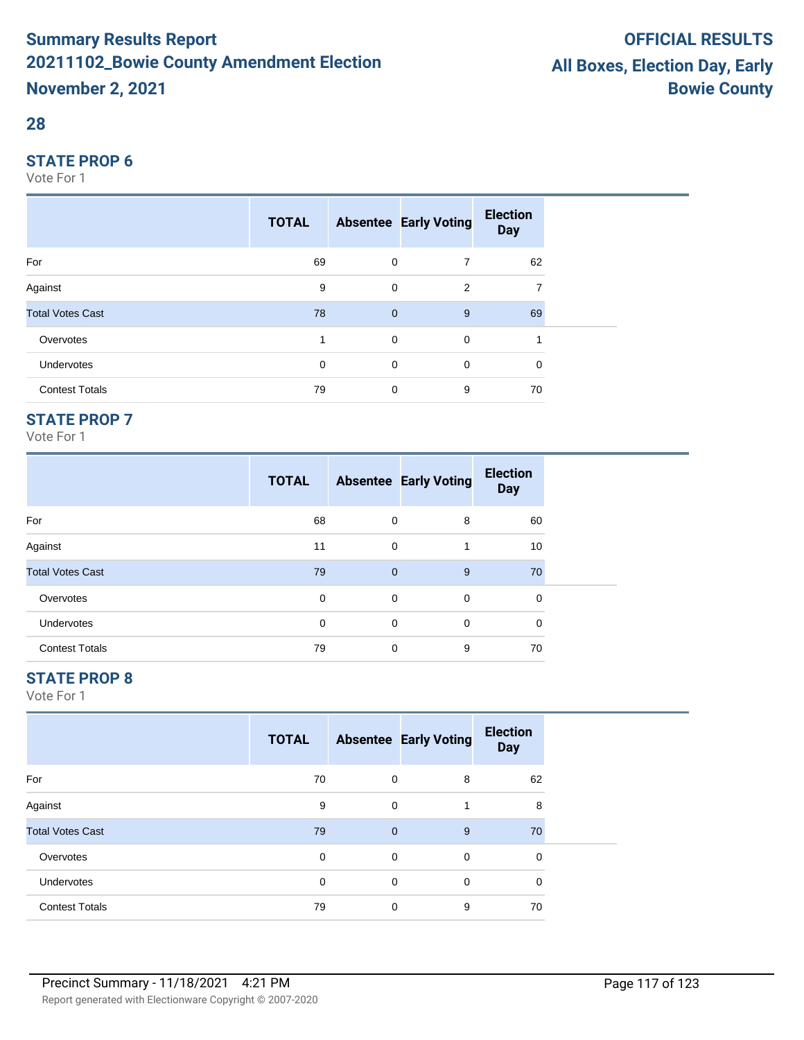### **28**

#### **STATE PROP 6**

Vote For 1

|                         | <b>TOTAL</b> |                | <b>Absentee Early Voting</b> | <b>Election</b><br><b>Day</b> |  |
|-------------------------|--------------|----------------|------------------------------|-------------------------------|--|
| For                     | 69           | $\mathbf 0$    | $\overline{7}$               | 62                            |  |
| Against                 | 9            | $\mathbf 0$    | 2                            | 7                             |  |
| <b>Total Votes Cast</b> | 78           | $\overline{0}$ | 9                            | 69                            |  |
| Overvotes               | 1            | $\mathbf 0$    | $\mathbf 0$                  | 1                             |  |
| <b>Undervotes</b>       | 0            | $\mathbf 0$    | 0                            | 0                             |  |
| <b>Contest Totals</b>   | 79           | $\mathbf 0$    | 9                            | 70                            |  |

## **STATE PROP 7**

Vote For 1

|                         | <b>TOTAL</b> |              | <b>Absentee Early Voting</b> | <b>Election</b><br><b>Day</b> |
|-------------------------|--------------|--------------|------------------------------|-------------------------------|
| For                     | 68           | 0            | 8                            | 60                            |
| Against                 | 11           | $\mathbf 0$  | 1                            | 10                            |
| <b>Total Votes Cast</b> | 79           | $\mathbf{0}$ | 9                            | 70                            |
| Overvotes               | 0            | 0            | 0                            | 0                             |
| <b>Undervotes</b>       | $\mathbf 0$  | $\mathbf 0$  | 0                            | 0                             |
| <b>Contest Totals</b>   | 79           | 0            | 9                            | 70                            |

## **STATE PROP 8**

|                         | <b>TOTAL</b> |              | <b>Absentee Early Voting</b> | <b>Election</b><br><b>Day</b> |  |
|-------------------------|--------------|--------------|------------------------------|-------------------------------|--|
| For                     | 70           | 0            | 8                            | 62                            |  |
| Against                 | 9            | 0            |                              | 8                             |  |
| <b>Total Votes Cast</b> | 79           | $\mathbf{0}$ | 9                            | 70                            |  |
| Overvotes               | $\Omega$     | 0            | $\mathbf 0$                  | 0                             |  |
| <b>Undervotes</b>       | $\Omega$     | 0            | $\mathbf 0$                  | 0                             |  |
| <b>Contest Totals</b>   | 79           | 0            | 9                            | 70                            |  |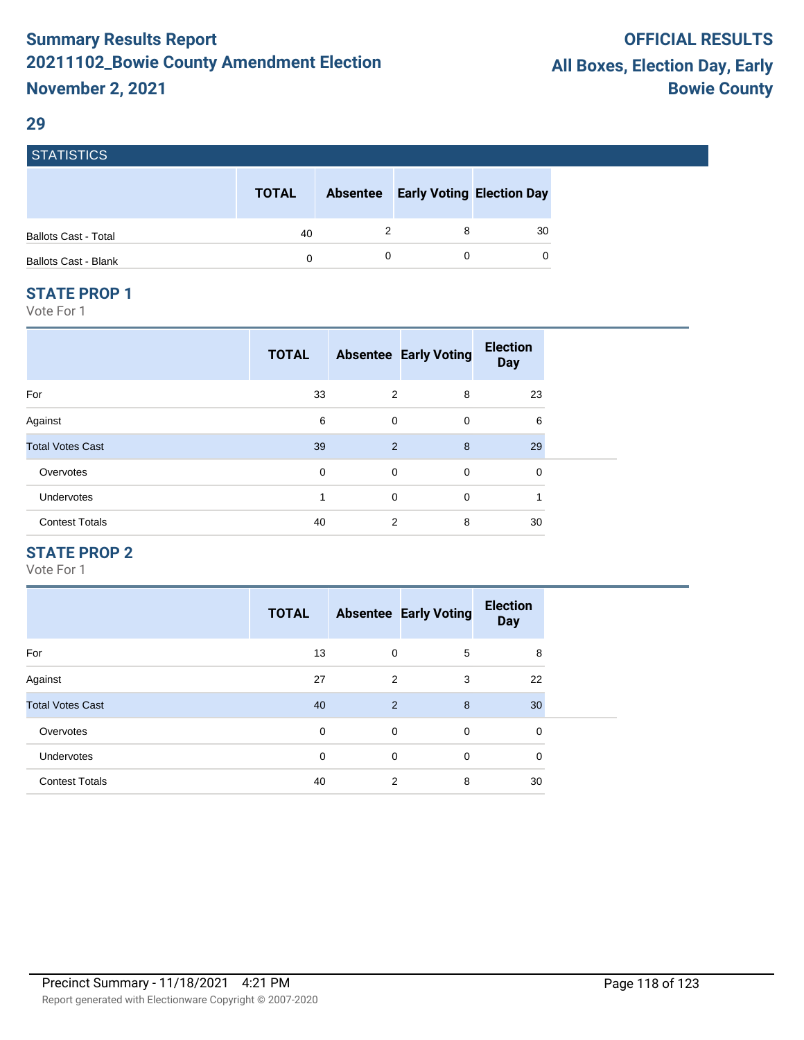#### **29**

| <b>STATISTICS</b>           |              |                                           |    |
|-----------------------------|--------------|-------------------------------------------|----|
|                             | <b>TOTAL</b> | <b>Absentee Early Voting Election Day</b> |    |
| <b>Ballots Cast - Total</b> | 40           | 8                                         | 30 |
| <b>Ballots Cast - Blank</b> | 0            |                                           | 0  |

#### **STATE PROP 1**

Vote For 1

|                         | <b>TOTAL</b> |             | <b>Absentee Early Voting</b> | <b>Election</b><br><b>Day</b> |
|-------------------------|--------------|-------------|------------------------------|-------------------------------|
| For                     | 33           | 2           | 8                            | 23                            |
| Against                 | 6            | $\mathbf 0$ | $\mathbf 0$                  | 6                             |
| <b>Total Votes Cast</b> | 39           | 2           | 8                            | 29                            |
| Overvotes               | 0            | $\mathbf 0$ | 0                            | 0                             |
| <b>Undervotes</b>       | 1            | $\mathbf 0$ | $\mathbf 0$                  | 1                             |
| <b>Contest Totals</b>   | 40           | 2           | 8                            | 30                            |

## **STATE PROP 2**

|                         | <b>TOTAL</b> |             | <b>Absentee Early Voting</b> | <b>Election</b><br><b>Day</b> |
|-------------------------|--------------|-------------|------------------------------|-------------------------------|
| For                     | 13           | $\mathbf 0$ | 5                            | 8                             |
| Against                 | 27           | 2           | 3                            | 22                            |
| <b>Total Votes Cast</b> | 40           | 2           | 8                            | 30                            |
| Overvotes               | 0            | $\mathbf 0$ | $\mathbf 0$                  | 0                             |
| <b>Undervotes</b>       | 0            | $\mathbf 0$ | $\mathbf 0$                  | $\mathbf 0$                   |
| <b>Contest Totals</b>   | 40           | 2           | 8                            | 30                            |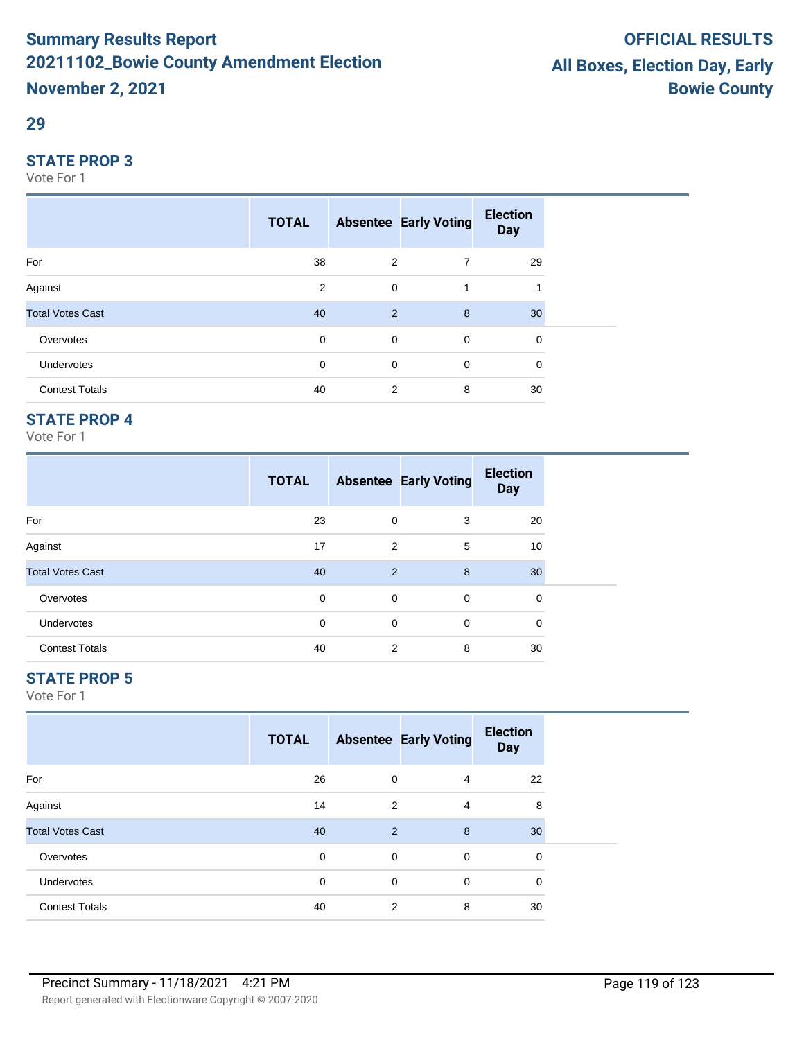#### **29**

#### **STATE PROP 3**

Vote For 1

|                         | <b>TOTAL</b> |             | <b>Absentee Early Voting</b> | <b>Election</b><br><b>Day</b> |  |
|-------------------------|--------------|-------------|------------------------------|-------------------------------|--|
| For                     | 38           | 2           | $\overline{7}$               | 29                            |  |
| Against                 | 2            | $\mathbf 0$ | 1                            |                               |  |
| <b>Total Votes Cast</b> | 40           | 2           | 8                            | 30                            |  |
| Overvotes               | $\mathbf 0$  | $\mathbf 0$ | $\mathbf 0$                  | 0                             |  |
| Undervotes              | 0            | $\mathbf 0$ | $\mathbf 0$                  | 0                             |  |
| <b>Contest Totals</b>   | 40           | 2           | 8                            | 30                            |  |

## **STATE PROP 4**

Vote For 1

|                         | <b>TOTAL</b> |                | <b>Absentee Early Voting</b> | <b>Election</b><br><b>Day</b> |
|-------------------------|--------------|----------------|------------------------------|-------------------------------|
| For                     | 23           | 0              | 3                            | 20                            |
| Against                 | 17           | $\overline{2}$ | 5                            | 10                            |
| <b>Total Votes Cast</b> | 40           | 2              | 8                            | 30                            |
| Overvotes               | 0            | 0              | 0                            | 0                             |
| <b>Undervotes</b>       | $\mathbf 0$  | 0              | 0                            | 0                             |
| <b>Contest Totals</b>   | 40           | 2              | 8                            | 30                            |

## **STATE PROP 5**

|                         | <b>TOTAL</b> |                | <b>Absentee Early Voting</b> | <b>Election</b><br><b>Day</b> |  |
|-------------------------|--------------|----------------|------------------------------|-------------------------------|--|
| For                     | 26           | $\mathbf 0$    | $\overline{4}$               | 22                            |  |
| Against                 | 14           | 2              | 4                            | 8                             |  |
| <b>Total Votes Cast</b> | 40           | 2              | 8                            | 30                            |  |
| Overvotes               | $\mathbf 0$  | $\mathbf 0$    | 0                            | 0                             |  |
| Undervotes              | $\mathbf 0$  | $\mathbf 0$    | 0                            | 0                             |  |
| <b>Contest Totals</b>   | 40           | $\overline{2}$ | 8                            | 30                            |  |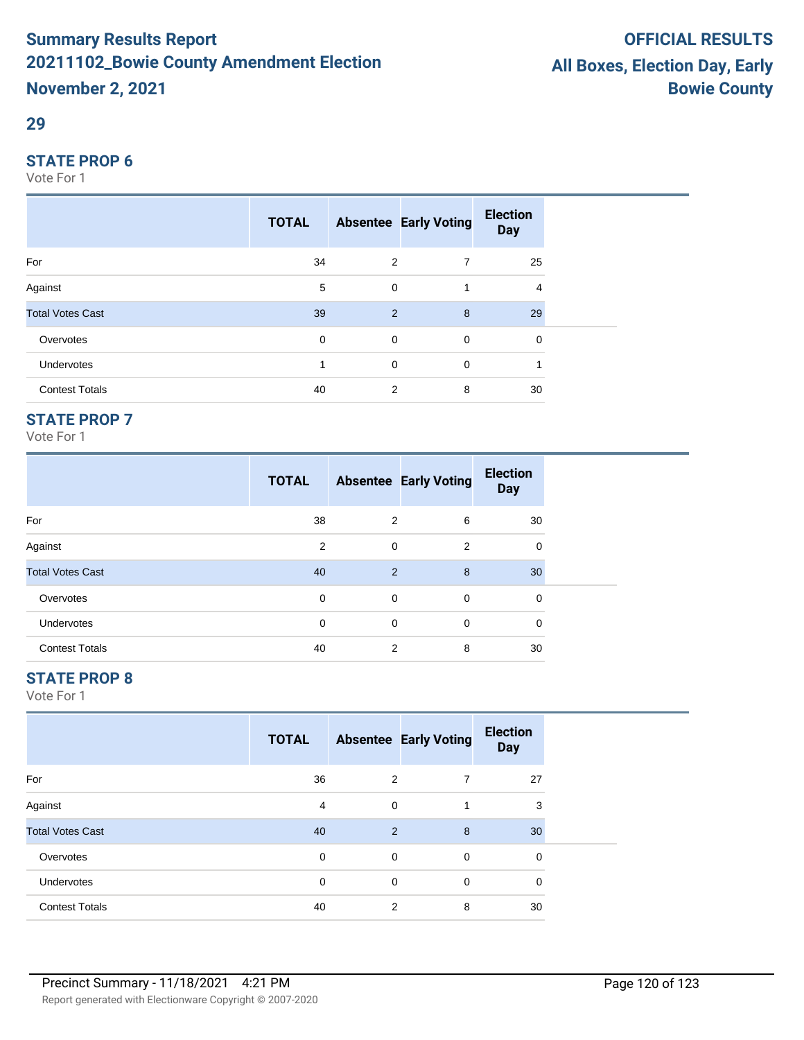#### **29**

#### **STATE PROP 6**

Vote For 1

|                         | <b>TOTAL</b> |             | <b>Absentee Early Voting</b> | <b>Election</b><br><b>Day</b> |  |
|-------------------------|--------------|-------------|------------------------------|-------------------------------|--|
| For                     | 34           | 2           | $\overline{7}$               | 25                            |  |
| Against                 | 5            | 0           | 1                            | 4                             |  |
| <b>Total Votes Cast</b> | 39           | 2           | 8                            | 29                            |  |
| Overvotes               | $\mathbf 0$  | $\mathbf 0$ | $\mathbf 0$                  | 0                             |  |
| Undervotes              |              | $\mathbf 0$ | $\mathbf 0$                  |                               |  |
| <b>Contest Totals</b>   | 40           | 2           | 8                            | 30                            |  |

## **STATE PROP 7**

Vote For 1

|                         | <b>TOTAL</b> |                | <b>Absentee Early Voting</b> | <b>Election</b><br><b>Day</b> |
|-------------------------|--------------|----------------|------------------------------|-------------------------------|
| For                     | 38           | $\overline{2}$ | 6                            | 30                            |
| Against                 | 2            | $\mathbf 0$    | 2                            | 0                             |
| <b>Total Votes Cast</b> | 40           | 2              | 8                            | 30                            |
| Overvotes               | 0            | 0              | 0                            | 0                             |
| Undervotes              | $\mathbf 0$  | $\mathbf 0$    | 0                            | 0                             |
| <b>Contest Totals</b>   | 40           | 2              | 8                            | 30                            |

## **STATE PROP 8**

|                         | <b>TOTAL</b> |                | <b>Absentee Early Voting</b> | <b>Election</b><br><b>Day</b> |  |
|-------------------------|--------------|----------------|------------------------------|-------------------------------|--|
| For                     | 36           | $\overline{2}$ | 7                            | 27                            |  |
| Against                 | 4            | $\mathbf 0$    | 1                            | 3                             |  |
| <b>Total Votes Cast</b> | 40           | 2              | 8                            | 30                            |  |
| Overvotes               | $\mathbf 0$  | $\mathbf 0$    | 0                            | 0                             |  |
| Undervotes              | $\mathbf 0$  | $\mathbf 0$    | $\mathbf 0$                  | $\mathbf 0$                   |  |
| <b>Contest Totals</b>   | 40           | 2              | 8                            | 30                            |  |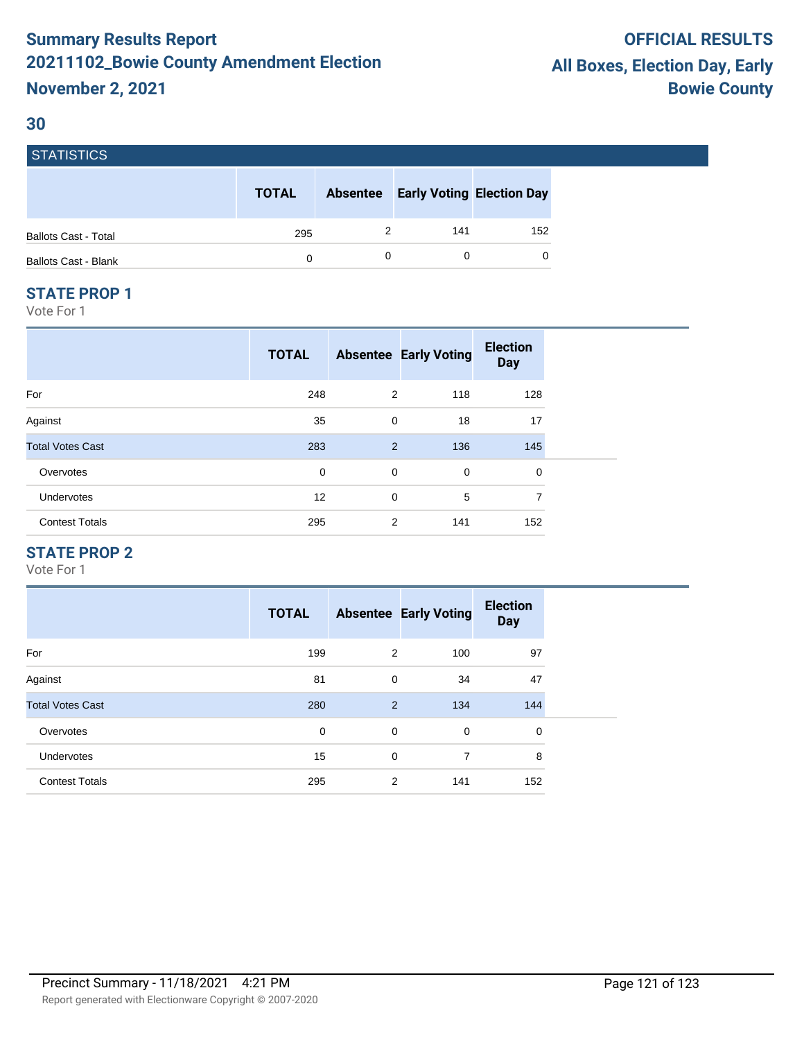#### **30**

| <b>STATISTICS</b>           |              |                 |                                  |     |
|-----------------------------|--------------|-----------------|----------------------------------|-----|
|                             | <b>TOTAL</b> | <b>Absentee</b> | <b>Early Voting Election Day</b> |     |
| <b>Ballots Cast - Total</b> | 295          |                 | 141                              | 152 |
| <b>Ballots Cast - Blank</b> | 0            |                 |                                  | 0   |
|                             |              |                 |                                  |     |

#### **STATE PROP 1**

Vote For 1

|                         | <b>TOTAL</b> |             | <b>Absentee Early Voting</b> | <b>Election</b><br><b>Day</b> |
|-------------------------|--------------|-------------|------------------------------|-------------------------------|
| For                     | 248          | 2           | 118                          | 128                           |
| Against                 | 35           | 0           | 18                           | 17                            |
| <b>Total Votes Cast</b> | 283          | 2           | 136                          | 145                           |
| Overvotes               | 0            | 0           | 0                            | 0                             |
| Undervotes              | 12           | $\mathbf 0$ | 5                            | 7                             |
| <b>Contest Totals</b>   | 295          | 2           | 141                          | 152                           |

#### **STATE PROP 2**

|                         | <b>TOTAL</b> |             | <b>Absentee Early Voting</b> | <b>Election</b><br><b>Day</b> |
|-------------------------|--------------|-------------|------------------------------|-------------------------------|
| For                     | 199          | 2           | 100                          | 97                            |
| Against                 | 81           | $\mathbf 0$ | 34                           | 47                            |
| <b>Total Votes Cast</b> | 280          | 2           | 134                          | 144                           |
| Overvotes               | 0            | 0           | $\mathbf 0$                  | 0                             |
| <b>Undervotes</b>       | 15           | 0           | 7                            | 8                             |
| <b>Contest Totals</b>   | 295          | 2           | 141                          | 152                           |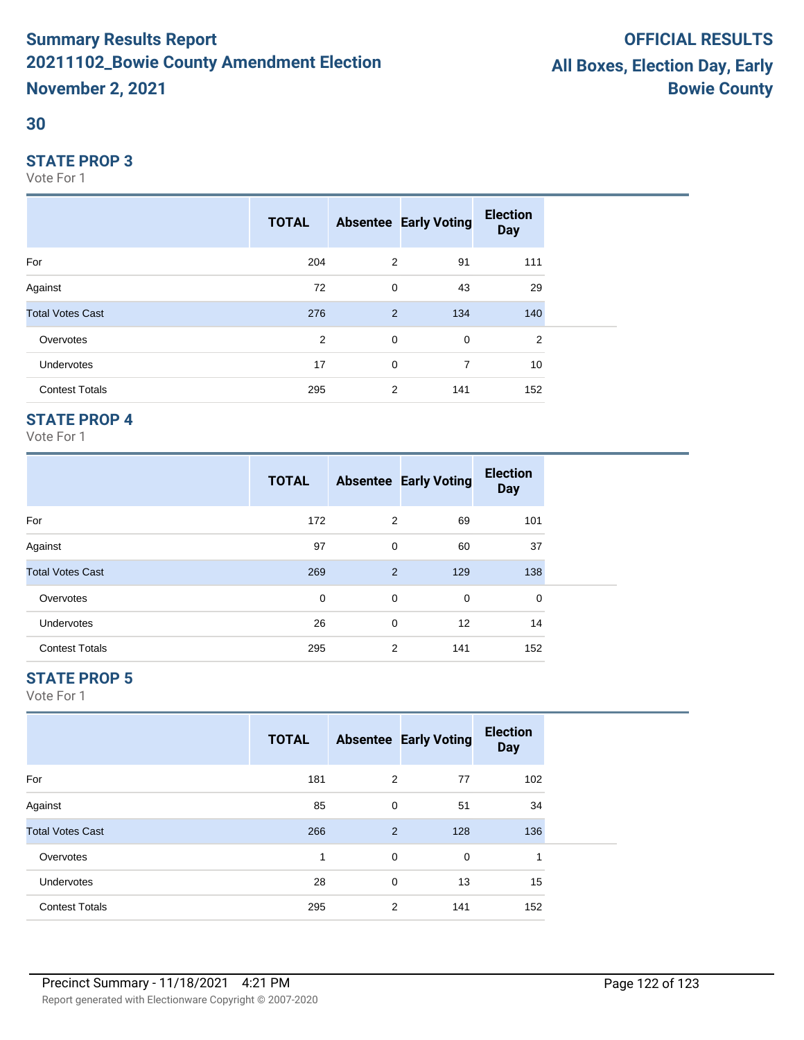### **30**

#### **STATE PROP 3**

Vote For 1

|                         | <b>TOTAL</b> |             | <b>Absentee Early Voting</b> | <b>Election</b><br><b>Day</b> |
|-------------------------|--------------|-------------|------------------------------|-------------------------------|
| For                     | 204          | 2           | 91                           | 111                           |
| Against                 | 72           | $\mathbf 0$ | 43                           | 29                            |
| <b>Total Votes Cast</b> | 276          | 2           | 134                          | 140                           |
| Overvotes               | 2            | $\mathbf 0$ | $\mathbf 0$                  | 2                             |
| Undervotes              | 17           | $\mathbf 0$ | $\overline{7}$               | 10                            |
| <b>Contest Totals</b>   | 295          | 2           | 141                          | 152                           |

## **STATE PROP 4**

Vote For 1

|                         | <b>TOTAL</b> |   | <b>Absentee Early Voting</b> | <b>Election</b><br><b>Day</b> |  |
|-------------------------|--------------|---|------------------------------|-------------------------------|--|
| For                     | 172          | 2 | 69                           | 101                           |  |
| Against                 | 97           | 0 | 60                           | 37                            |  |
| <b>Total Votes Cast</b> | 269          | 2 | 129                          | 138                           |  |
| Overvotes               | 0            | 0 | 0                            | 0                             |  |
| <b>Undervotes</b>       | 26           | 0 | 12                           | 14                            |  |
| <b>Contest Totals</b>   | 295          | 2 | 141                          | 152                           |  |

## **STATE PROP 5**

|                         | <b>TOTAL</b> |             | <b>Absentee Early Voting</b> | <b>Election</b><br><b>Day</b> |  |
|-------------------------|--------------|-------------|------------------------------|-------------------------------|--|
| For                     | 181          | 2           | 77                           | 102                           |  |
| Against                 | 85           | $\mathbf 0$ | 51                           | 34                            |  |
| <b>Total Votes Cast</b> | 266          | 2           | 128                          | 136                           |  |
| Overvotes               | 1            | 0           | $\mathbf 0$                  | 1                             |  |
| Undervotes              | 28           | 0           | 13                           | 15                            |  |
| <b>Contest Totals</b>   | 295          | 2           | 141                          | 152                           |  |